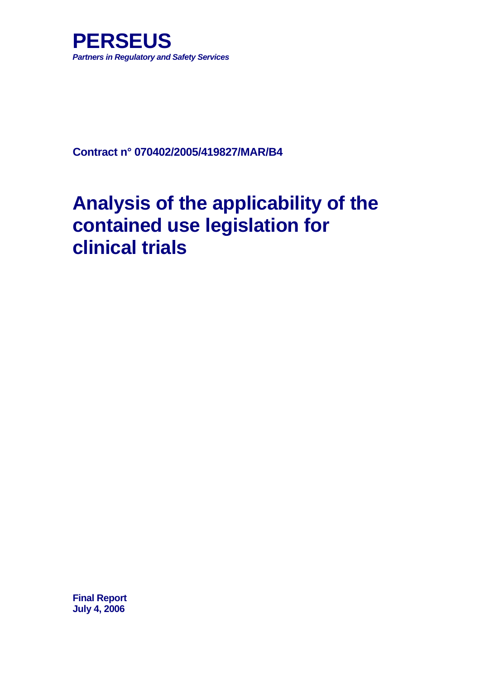

**Contract n° 070402/2005/419827/MAR/B4** 

# **Analysis of the applicability of the contained use legislation for clinical trials**

**Final Report July 4, 2006**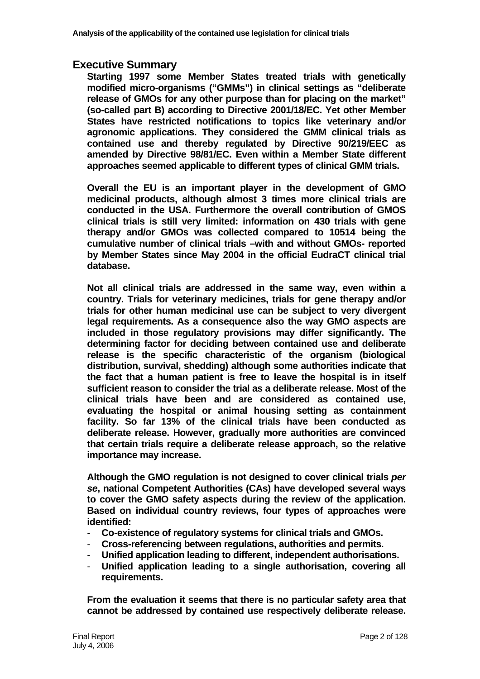# **Executive Summary**

**Starting 1997 some Member States treated trials with genetically modified micro-organisms ("GMMs") in clinical settings as "deliberate release of GMOs for any other purpose than for placing on the market" (so-called part B) according to Directive 2001/18/EC. Yet other Member States have restricted notifications to topics like veterinary and/or agronomic applications. They considered the GMM clinical trials as contained use and thereby regulated by Directive 90/219/EEC as amended by Directive 98/81/EC. Even within a Member State different approaches seemed applicable to different types of clinical GMM trials.** 

**Overall the EU is an important player in the development of GMO medicinal products, although almost 3 times more clinical trials are conducted in the USA. Furthermore the overall contribution of GMOS clinical trials is still very limited: information on 430 trials with gene therapy and/or GMOs was collected compared to 10514 being the cumulative number of clinical trials –with and without GMOs- reported by Member States since May 2004 in the official EudraCT clinical trial database.** 

**Not all clinical trials are addressed in the same way, even within a country. Trials for veterinary medicines, trials for gene therapy and/or trials for other human medicinal use can be subject to very divergent legal requirements. As a consequence also the way GMO aspects are included in those regulatory provisions may differ significantly. The determining factor for deciding between contained use and deliberate release is the specific characteristic of the organism (biological distribution, survival, shedding) although some authorities indicate that the fact that a human patient is free to leave the hospital is in itself sufficient reason to consider the trial as a deliberate release. Most of the clinical trials have been and are considered as contained use, evaluating the hospital or animal housing setting as containment facility. So far 13% of the clinical trials have been conducted as deliberate release. However, gradually more authorities are convinced that certain trials require a deliberate release approach, so the relative importance may increase.** 

**Although the GMO regulation is not designed to cover clinical trials** *per se***, national Competent Authorities (CAs) have developed several ways to cover the GMO safety aspects during the review of the application. Based on individual country reviews, four types of approaches were identified:** 

- **Co-existence of regulatory systems for clinical trials and GMOs.**
- **Cross-referencing between regulations, authorities and permits.**
- **Unified application leading to different, independent authorisations.**
- **Unified application leading to a single authorisation, covering all requirements.**

**From the evaluation it seems that there is no particular safety area that cannot be addressed by contained use respectively deliberate release.**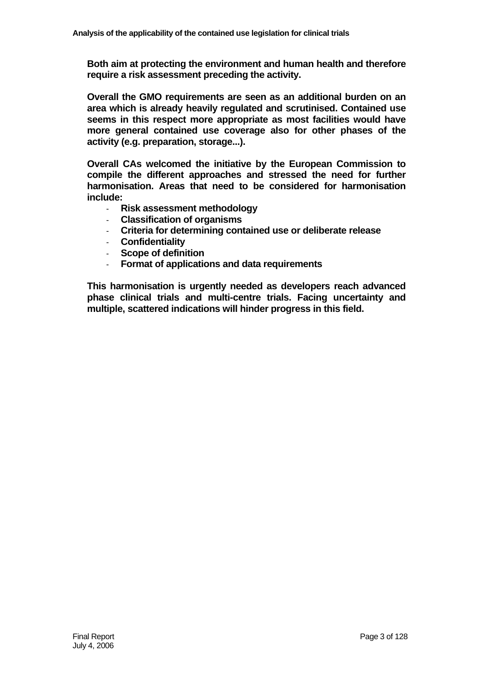**Both aim at protecting the environment and human health and therefore require a risk assessment preceding the activity.** 

**Overall the GMO requirements are seen as an additional burden on an area which is already heavily regulated and scrutinised. Contained use seems in this respect more appropriate as most facilities would have more general contained use coverage also for other phases of the activity (e.g. preparation, storage...).** 

**Overall CAs welcomed the initiative by the European Commission to compile the different approaches and stressed the need for further harmonisation. Areas that need to be considered for harmonisation include:** 

- **Risk assessment methodology**
- **Classification of organisms**
- **Criteria for determining contained use or deliberate release**
- **Confidentiality**
- **Scope of definition**
- **Format of applications and data requirements**

**This harmonisation is urgently needed as developers reach advanced phase clinical trials and multi-centre trials. Facing uncertainty and multiple, scattered indications will hinder progress in this field.**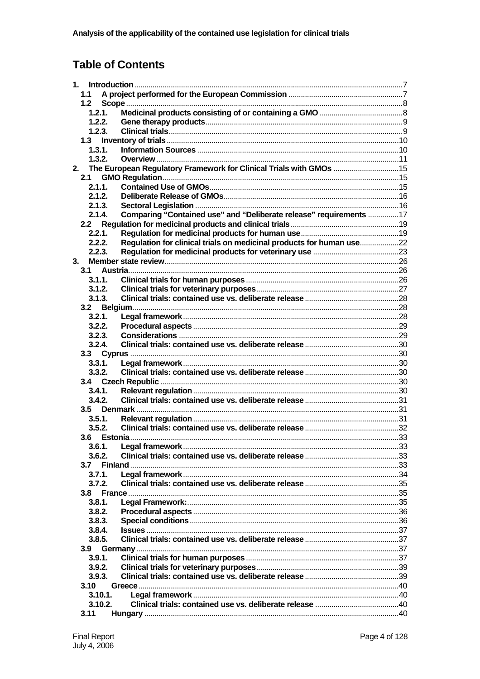# **Table of Contents**

| 1. |      |         |                                                                      |  |
|----|------|---------|----------------------------------------------------------------------|--|
|    | 1.1  |         |                                                                      |  |
|    | 1.2  |         |                                                                      |  |
|    |      | 1.2.1.  |                                                                      |  |
|    |      | 1.2.2.  |                                                                      |  |
|    |      | 1.2.3.  |                                                                      |  |
|    | 1.3  |         |                                                                      |  |
|    |      | 1.3.1.  |                                                                      |  |
|    |      | 1.3.2.  |                                                                      |  |
| 2. |      |         | The European Regulatory Framework for Clinical Trials with GMOs 15   |  |
|    | 2.1  |         |                                                                      |  |
|    |      | 2.1.1.  |                                                                      |  |
|    |      | 2.1.2.  |                                                                      |  |
|    |      | 2.1.3.  |                                                                      |  |
|    |      | 2.1.4.  | Comparing "Contained use" and "Deliberate release" requirements 17   |  |
|    | 2.2  |         |                                                                      |  |
|    |      | 2.2.1.  |                                                                      |  |
|    |      | 2.2.2.  | Regulation for clinical trials on medicinal products for human use22 |  |
|    |      | 2.2.3.  |                                                                      |  |
| 3. |      |         |                                                                      |  |
|    | 3.1  |         |                                                                      |  |
|    |      | 3.1.1   |                                                                      |  |
|    |      | 3.1.2.  |                                                                      |  |
|    |      | 3.1.3.  |                                                                      |  |
|    |      |         |                                                                      |  |
|    |      | 3.2.1.  |                                                                      |  |
|    |      | 3.2.2.  |                                                                      |  |
|    |      | 3.2.3.  |                                                                      |  |
|    |      | 3.2.4.  |                                                                      |  |
|    |      |         |                                                                      |  |
|    |      | 3.3.1.  |                                                                      |  |
|    |      | 3.3.2.  |                                                                      |  |
|    |      |         |                                                                      |  |
|    |      | 3.4.1.  |                                                                      |  |
|    |      | 3.4.2.  |                                                                      |  |
|    | 3.5  |         |                                                                      |  |
|    |      | 3.5.1.  |                                                                      |  |
|    |      | 3.5.2.  |                                                                      |  |
|    |      |         |                                                                      |  |
|    |      | 3.6.1.  |                                                                      |  |
|    |      | 3.6.2.  |                                                                      |  |
|    | 3.7  |         |                                                                      |  |
|    |      | 3.7.1.  |                                                                      |  |
|    |      | 3.7.2.  |                                                                      |  |
|    | 3.8  |         |                                                                      |  |
|    |      | 3.8.1.  |                                                                      |  |
|    |      | 3.8.2.  |                                                                      |  |
|    |      | 3.8.3.  |                                                                      |  |
|    |      | 3.8.4.  |                                                                      |  |
|    |      | 3.8.5.  |                                                                      |  |
|    | 3.9  |         |                                                                      |  |
|    |      | 3.9.1.  |                                                                      |  |
|    |      |         |                                                                      |  |
|    |      | 3.9.2.  |                                                                      |  |
|    |      | 3.9.3.  |                                                                      |  |
|    | 3.10 |         |                                                                      |  |
|    |      | 3.10.1. |                                                                      |  |
|    |      | 3.10.2. |                                                                      |  |
|    | 3.11 |         |                                                                      |  |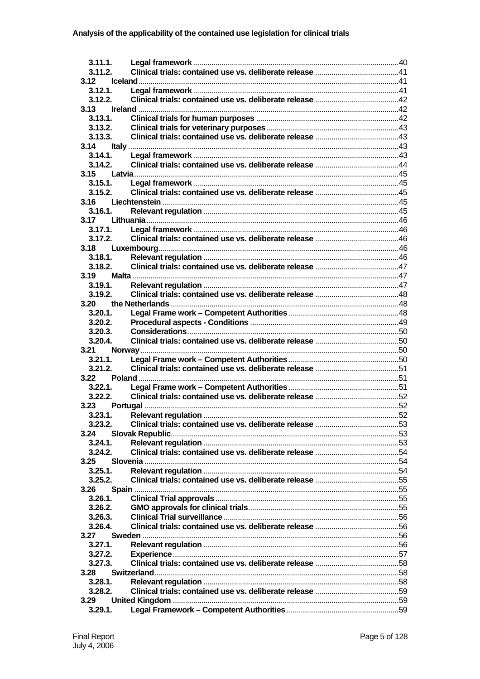| 3.11.1.            |  |
|--------------------|--|
| 3.11.2.            |  |
| 3.12               |  |
| 3.12.1.            |  |
| 3.12.2.<br>3.13    |  |
| 3.13.1.            |  |
| 3.13.2.            |  |
| 3.13.3.            |  |
| 3.14               |  |
| 3.14.1             |  |
| 3.14.2.            |  |
| 3.15               |  |
| 3.15.1.            |  |
| 3.15.2.            |  |
| 3.16               |  |
| 3.16.1.            |  |
| 3.17               |  |
| 3.17.1.            |  |
| 3.17.2.            |  |
| 3.18               |  |
| 3.18.1.            |  |
| 3.18.2.            |  |
| 3.19               |  |
| 3.19.1.            |  |
| 3.19.2.            |  |
| 3.20               |  |
| 3.20.1.            |  |
| 3.20.2.            |  |
| 3.20.3.            |  |
| 3.20.4.            |  |
| 3.21<br>$3.21.1$ . |  |
| 3.21.2.            |  |
| 3.22               |  |
| 3.22.1.            |  |
| 3.22.2.            |  |
| Portugal<br>3.23   |  |
| 3.23.1.            |  |
| 3.23.2.            |  |
| 3.24               |  |
| 3.24.1.            |  |
| 3.24.2.            |  |
| 3.25               |  |
| 3.25.1             |  |
| 3.25.2.            |  |
| 3.26               |  |
| 3.26.1             |  |
| 3.26.2.            |  |
| 3.26.3.            |  |
| 3.26.4.            |  |
| 3.27               |  |
| $3.27.1$ .         |  |
| 3.27.2.            |  |
| 3.27.3.            |  |
| 3.28               |  |
| 3.28.1.            |  |
| 3.28.2.            |  |
| 3.29               |  |
| 3.29.1.            |  |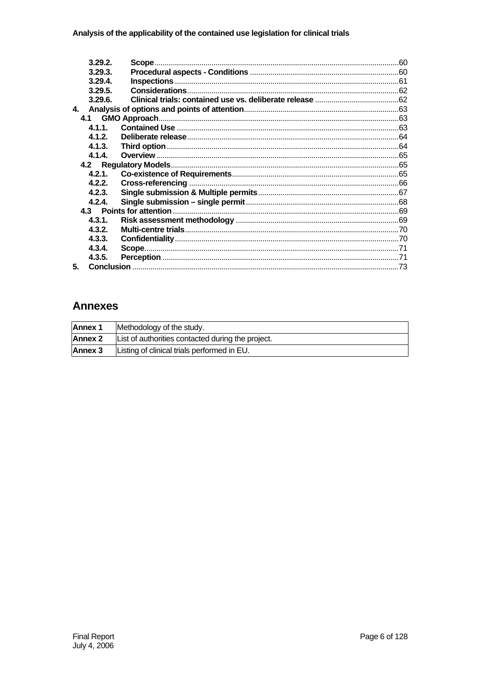|    | 3.29.2  | Scope. |  |
|----|---------|--------|--|
|    | 3.29.3. |        |  |
|    | 3.29.4  |        |  |
|    | 3.29.5. |        |  |
|    | 3.29.6. |        |  |
| 4. |         |        |  |
|    |         |        |  |
|    | 4.1.1.  |        |  |
|    | 4.1.2.  |        |  |
|    | 4.1.3.  |        |  |
|    | 4.1.4   |        |  |
|    |         |        |  |
|    | 4.2.1.  |        |  |
|    | 4.2.2.  |        |  |
|    | 4.2.3.  |        |  |
|    | 4.2.4.  |        |  |
|    |         |        |  |
|    | 4.3.1.  |        |  |
|    | 4.3.2.  |        |  |
|    | 4.3.3.  |        |  |
|    | 4.3.4.  |        |  |
|    | 4.3.5.  |        |  |
| 5. |         |        |  |

# **Annexes**

| <b>Annex 1</b> | Methodology of the study.                         |  |  |  |  |
|----------------|---------------------------------------------------|--|--|--|--|
| Annex 2        | List of authorities contacted during the project. |  |  |  |  |
| Annex 3        | Listing of clinical trials performed in EU.       |  |  |  |  |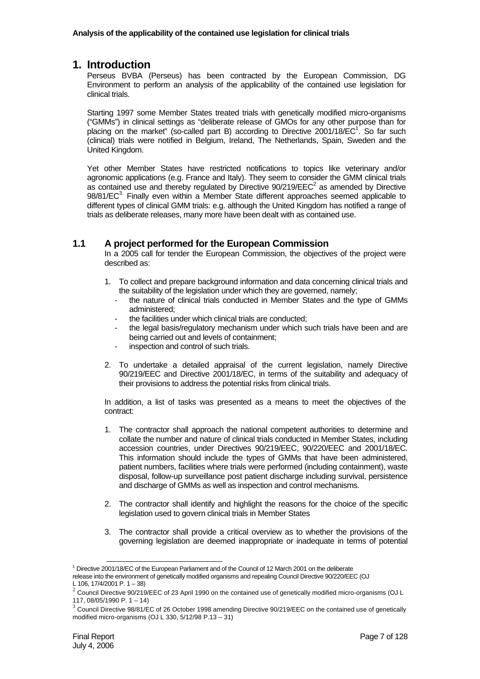# **1. Introduction**

Perseus BVBA (Perseus) has been contracted by the European Commission, DG Environment to perform an analysis of the applicability of the contained use legislation for clinical trials.

Starting 1997 some Member States treated trials with genetically modified micro-organisms ("GMMs") in clinical settings as "deliberate release of GMOs for any other purpose than for placing on the market" (so-called part B) according to Directive  $2001/18/EC<sup>1</sup>$ . So far such (clinical) trials were notified in Belgium, Ireland, The Netherlands, Spain, Sweden and the United Kingdom.

Yet other Member States have restricted notifications to topics like veterinary and/or agronomic applications (e.g. France and Italy). They seem to consider the GMM clinical trials as contained use and thereby regulated by Directive  $90/219/EEC<sup>2</sup>$  as amended by Directive 98/81/EC<sup>3.</sup> Finally even within a Member State different approaches seemed applicable to different types of clinical GMM trials: e.g. although the United Kingdom has notified a range of trials as deliberate releases, many more have been dealt with as contained use.

# **1.1 A project performed for the European Commission**

In a 2005 call for tender the European Commission, the objectives of the project were described as:

- 1. To collect and prepare background information and data concerning clinical trials and the suitability of the legislation under which they are governed, namely;
	- the nature of clinical trials conducted in Member States and the type of GMMs administered;
	- the facilities under which clinical trials are conducted;
	- the legal basis/regulatory mechanism under which such trials have been and are being carried out and levels of containment;
	- inspection and control of such trials.
- 2. To undertake a detailed appraisal of the current legislation, namely Directive 90/219/EEC and Directive 2001/18/EC, in terms of the suitability and adequacy of their provisions to address the potential risks from clinical trials.

In addition, a list of tasks was presented as a means to meet the objectives of the contract:

- 1. The contractor shall approach the national competent authorities to determine and collate the number and nature of clinical trials conducted in Member States, including accession countries, under Directives 90/219/EEC, 90/220/EEC and 2001/18/EC. This information should include the types of GMMs that have been administered, patient numbers, facilities where trials were performed (including containment), waste disposal, follow-up surveillance post patient discharge including survival, persistence and discharge of GMMs as well as inspection and control mechanisms.
- 2. The contractor shall identify and highlight the reasons for the choice of the specific legislation used to govern clinical trials in Member States
- 3. The contractor shall provide a critical overview as to whether the provisions of the governing legislation are deemed inappropriate or inadequate in terms of potential

 <sup>1</sup> Directive 2001/18/EC of the European Parliament and of the Council of 12 March 2001 on the deliberate

release into the environment of genetically modified organisms and repealing Council Directive 90/220/EEC (OJ L 106, 17/4/2001 P. 1 – 38)

 $2$  Council Directive 90/219/EEC of 23 April 1990 on the contained use of genetically modified micro-organisms (OJ L 117, 08/05/1990 P. 1 – 14)

<sup>&</sup>lt;sup>3</sup> Council Directive 98/81/EC of 26 October 1998 amending Directive 90/219/EEC on the contained use of genetically modified micro-organisms (OJ L 330, 5/12/98 P.13 – 31)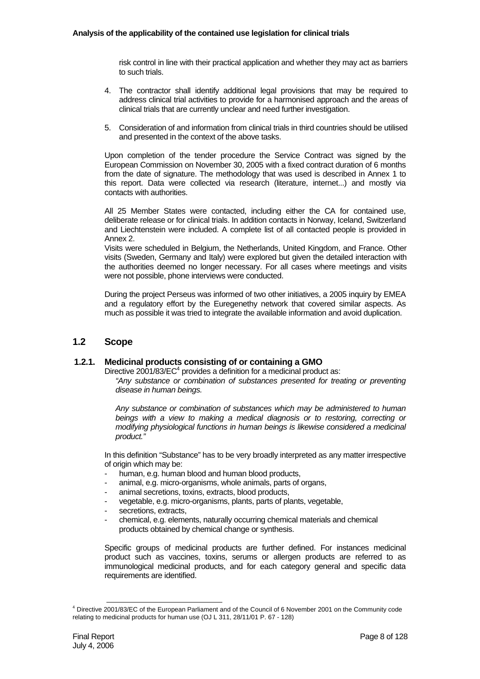risk control in line with their practical application and whether they may act as barriers to such trials.

- 4. The contractor shall identify additional legal provisions that may be required to address clinical trial activities to provide for a harmonised approach and the areas of clinical trials that are currently unclear and need further investigation.
- 5. Consideration of and information from clinical trials in third countries should be utilised and presented in the context of the above tasks.

Upon completion of the tender procedure the Service Contract was signed by the European Commission on November 30, 2005 with a fixed contract duration of 6 months from the date of signature. The methodology that was used is described in Annex 1 to this report. Data were collected via research (literature, internet...) and mostly via contacts with authorities.

All 25 Member States were contacted, including either the CA for contained use, deliberate release or for clinical trials. In addition contacts in Norway, Iceland, Switzerland and Liechtenstein were included. A complete list of all contacted people is provided in Annex 2.

Visits were scheduled in Belgium, the Netherlands, United Kingdom, and France. Other visits (Sweden, Germany and Italy) were explored but given the detailed interaction with the authorities deemed no longer necessary. For all cases where meetings and visits were not possible, phone interviews were conducted.

During the project Perseus was informed of two other initiatives, a 2005 inquiry by EMEA and a regulatory effort by the Euregenethy network that covered similar aspects. As much as possible it was tried to integrate the available information and avoid duplication.

# **1.2 Scope**

#### **1.2.1. Medicinal products consisting of or containing a GMO**

Directive 2001/83/ $EC^4$  provides a definition for a medicinal product as:

"Any substance or combination of substances presented for treating or preventing *disease in human beings.* 

*Any substance or combination of substances which may be administered to human beings with a view to making a medical diagnosis or to restoring, correcting or modifying physiological functions in human beings is likewise considered a medicinal product."* 

In this definition "Substance" has to be very broadly interpreted as any matter irrespective of origin which may be:

- human, e.g. human blood and human blood products,
- animal, e.g. micro-organisms, whole animals, parts of organs,
- animal secretions, toxins, extracts, blood products,
- vegetable, e.g. micro-organisms, plants, parts of plants, vegetable,
- secretions, extracts,
- chemical, e.g. elements, naturally occurring chemical materials and chemical products obtained by chemical change or synthesis.

Specific groups of medicinal products are further defined. For instances medicinal product such as vaccines, toxins, serums or allergen products are referred to as immunological medicinal products, and for each category general and specific data requirements are identified.

 <sup>4</sup> Directive 2001/83/EC of the European Parliament and of the Council of 6 November 2001 on the Community code relating to medicinal products for human use (OJ L 311, 28/11/01 P. 67 - 128)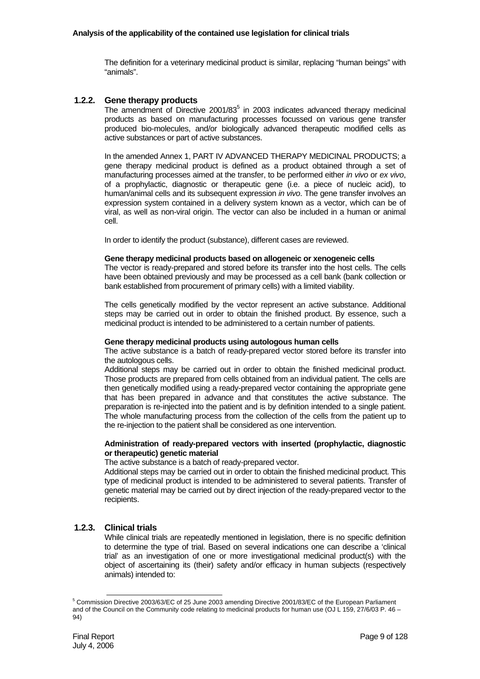The definition for a veterinary medicinal product is similar, replacing "human beings" with "animals".

#### **1.2.2. Gene therapy products**

The amendment of Directive  $2001/83^5$  in 2003 indicates advanced therapy medicinal products as based on manufacturing processes focussed on various gene transfer produced bio-molecules, and/or biologically advanced therapeutic modified cells as active substances or part of active substances.

In the amended Annex 1, PART IV ADVANCED THERAPY MEDICINAL PRODUCTS; a gene therapy medicinal product is defined as a product obtained through a set of manufacturing processes aimed at the transfer, to be performed either *in vivo* or *ex vivo*, of a prophylactic, diagnostic or therapeutic gene (i.e. a piece of nucleic acid), to human/animal cells and its subsequent expression *in vivo*. The gene transfer involves an expression system contained in a delivery system known as a vector, which can be of viral, as well as non-viral origin. The vector can also be included in a human or animal cell.

In order to identify the product (substance), different cases are reviewed.

#### **Gene therapy medicinal products based on allogeneic or xenogeneic cells**

The vector is ready-prepared and stored before its transfer into the host cells. The cells have been obtained previously and may be processed as a cell bank (bank collection or bank established from procurement of primary cells) with a limited viability.

The cells genetically modified by the vector represent an active substance. Additional steps may be carried out in order to obtain the finished product. By essence, such a medicinal product is intended to be administered to a certain number of patients.

#### **Gene therapy medicinal products using autologous human cells**

The active substance is a batch of ready-prepared vector stored before its transfer into the autologous cells.

Additional steps may be carried out in order to obtain the finished medicinal product. Those products are prepared from cells obtained from an individual patient. The cells are then genetically modified using a ready-prepared vector containing the appropriate gene that has been prepared in advance and that constitutes the active substance. The preparation is re-injected into the patient and is by definition intended to a single patient. The whole manufacturing process from the collection of the cells from the patient up to the re-injection to the patient shall be considered as one intervention.

#### **Administration of ready-prepared vectors with inserted (prophylactic, diagnostic or therapeutic) genetic material**

The active substance is a batch of ready-prepared vector.

Additional steps may be carried out in order to obtain the finished medicinal product. This type of medicinal product is intended to be administered to several patients. Transfer of genetic material may be carried out by direct injection of the ready-prepared vector to the recipients.

#### **1.2.3. Clinical trials**

While clinical trials are repeatedly mentioned in legislation, there is no specific definition to determine the type of trial. Based on several indications one can describe a 'clinical trial' as an investigation of one or more investigational medicinal product(s) with the object of ascertaining its (their) safety and/or efficacy in human subjects (respectively animals) intended to:

 <sup>5</sup> Commission Directive 2003/63/EC of 25 June 2003 amending Directive 2001/83/EC of the European Parliament and of the Council on the Community code relating to medicinal products for human use (OJ L 159, 27/6/03 P. 46 – 94)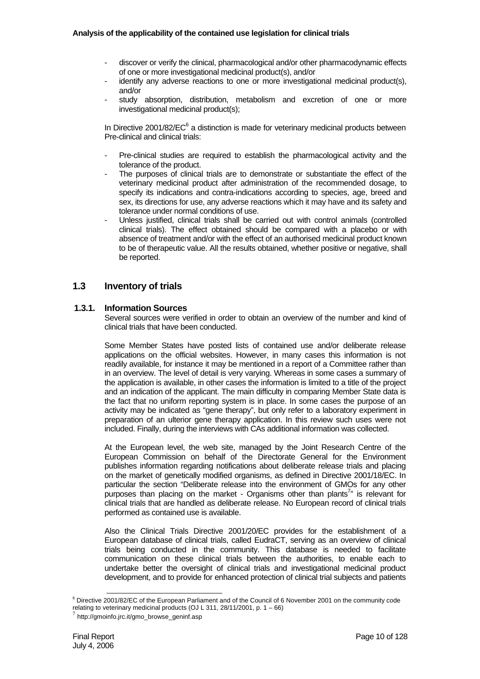- discover or verify the clinical, pharmacological and/or other pharmacodynamic effects of one or more investigational medicinal product(s), and/or
- identify any adverse reactions to one or more investigational medicinal product(s), and/or
- study absorption, distribution, metabolism and excretion of one or more investigational medicinal product(s);

In Directive 2001/82/ $EC^6$  a distinction is made for veterinary medicinal products between Pre-clinical and clinical trials:

- Pre-clinical studies are required to establish the pharmacological activity and the tolerance of the product.
- The purposes of clinical trials are to demonstrate or substantiate the effect of the veterinary medicinal product after administration of the recommended dosage, to specify its indications and contra-indications according to species, age, breed and sex, its directions for use, any adverse reactions which it may have and its safety and tolerance under normal conditions of use.
- Unless justified, clinical trials shall be carried out with control animals (controlled clinical trials). The effect obtained should be compared with a placebo or with absence of treatment and/or with the effect of an authorised medicinal product known to be of therapeutic value. All the results obtained, whether positive or negative, shall be reported.

# **1.3 Inventory of trials**

#### **1.3.1. Information Sources**

Several sources were verified in order to obtain an overview of the number and kind of clinical trials that have been conducted.

Some Member States have posted lists of contained use and/or deliberate release applications on the official websites. However, in many cases this information is not readily available, for instance it may be mentioned in a report of a Committee rather than in an overview. The level of detail is very varying. Whereas in some cases a summary of the application is available, in other cases the information is limited to a title of the project and an indication of the applicant. The main difficulty in comparing Member State data is the fact that no uniform reporting system is in place. In some cases the purpose of an activity may be indicated as "gene therapy", but only refer to a laboratory experiment in preparation of an ulterior gene therapy application. In this review such uses were not included. Finally, during the interviews with CAs additional information was collected.

At the European level, the web site, managed by the Joint Research Centre of the European Commission on behalf of the Directorate General for the Environment publishes information regarding notifications about deliberate release trials and placing on the market of genetically modified organisms, as defined in Directive 2001/18/EC. In particular the section "Deliberate release into the environment of GMOs for any other .<br>purposes than placing on the market - Organisms other than plants<sup>7</sup>" is relevant for clinical trials that are handled as deliberate release. No European record of clinical trials performed as contained use is available.

Also the Clinical Trials Directive 2001/20/EC provides for the establishment of a European database of clinical trials, called EudraCT, serving as an overview of clinical trials being conducted in the community. This database is needed to facilitate communication on these clinical trials between the authorities, to enable each to undertake better the oversight of clinical trials and investigational medicinal product development, and to provide for enhanced protection of clinical trial subjects and patients

 <sup>6</sup> Directive 2001/82/EC of the European Parliament and of the Council of 6 November 2001 on the community code relating to veterinary medicinal products (OJ L 311, 28/11/2001, p. 1 – 66)<br>
<sup>7</sup> http://gmoinfo.jrc.it/gmo\_browse\_geninf.asp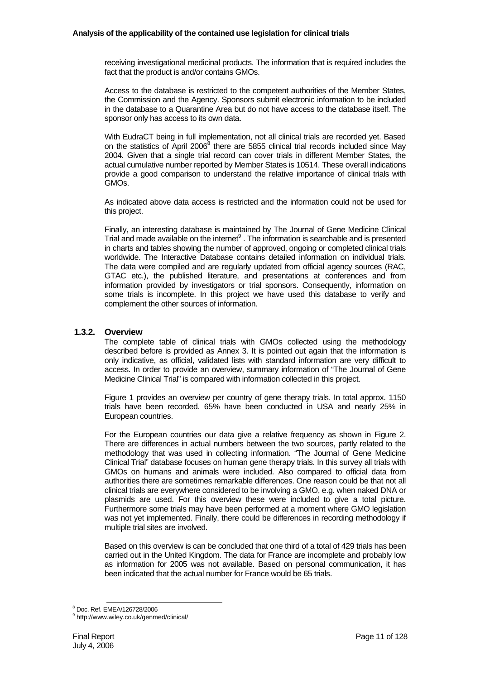#### **Analysis of the applicability of the contained use legislation for clinical trials**

receiving investigational medicinal products. The information that is required includes the fact that the product is and/or contains GMOs.

Access to the database is restricted to the competent authorities of the Member States, the Commission and the Agency. Sponsors submit electronic information to be included in the database to a Quarantine Area but do not have access to the database itself. The sponsor only has access to its own data.

With EudraCT being in full implementation, not all clinical trials are recorded yet. Based on the statistics of April 2006<sup>8</sup> there are 5855 clinical trial records included since May 2004. Given that a single trial record can cover trials in different Member States, the actual cumulative number reported by Member States is 10514. These overall indications provide a good comparison to understand the relative importance of clinical trials with GMOs.

As indicated above data access is restricted and the information could not be used for this project.

Finally, an interesting database is maintained by The Journal of Gene Medicine Clinical Trial and made available on the internet $9$ . The information is searchable and is presented in charts and tables showing the number of approved, ongoing or completed clinical trials worldwide. The Interactive Database contains detailed information on individual trials. The data were compiled and are regularly updated from official agency sources (RAC, GTAC etc.), the published literature, and presentations at conferences and from information provided by investigators or trial sponsors. Consequently, information on some trials is incomplete. In this project we have used this database to verify and complement the other sources of information.

## **1.3.2. Overview**

The complete table of clinical trials with GMOs collected using the methodology described before is provided as Annex 3. It is pointed out again that the information is only indicative, as official, validated lists with standard information are very difficult to access. In order to provide an overview, summary information of "The Journal of Gene Medicine Clinical Trial" is compared with information collected in this project.

Figure 1 provides an overview per country of gene therapy trials. In total approx. 1150 trials have been recorded. 65% have been conducted in USA and nearly 25% in European countries.

For the European countries our data give a relative frequency as shown in Figure 2. There are differences in actual numbers between the two sources, partly related to the methodology that was used in collecting information. "The Journal of Gene Medicine Clinical Trial" database focuses on human gene therapy trials. In this survey all trials with GMOs on humans and animals were included. Also compared to official data from authorities there are sometimes remarkable differences. One reason could be that not all clinical trials are everywhere considered to be involving a GMO, e.g. when naked DNA or plasmids are used. For this overview these were included to give a total picture. Furthermore some trials may have been performed at a moment where GMO legislation was not yet implemented. Finally, there could be differences in recording methodology if multiple trial sites are involved.

Based on this overview is can be concluded that one third of a total of 429 trials has been carried out in the United Kingdom. The data for France are incomplete and probably low as information for 2005 was not available. Based on personal communication, it has been indicated that the actual number for France would be 65 trials.

 <sup>8</sup> Doc. Ref. EMEA/126728/2006

<sup>9</sup> http://www.wiley.co.uk/genmed/clinical/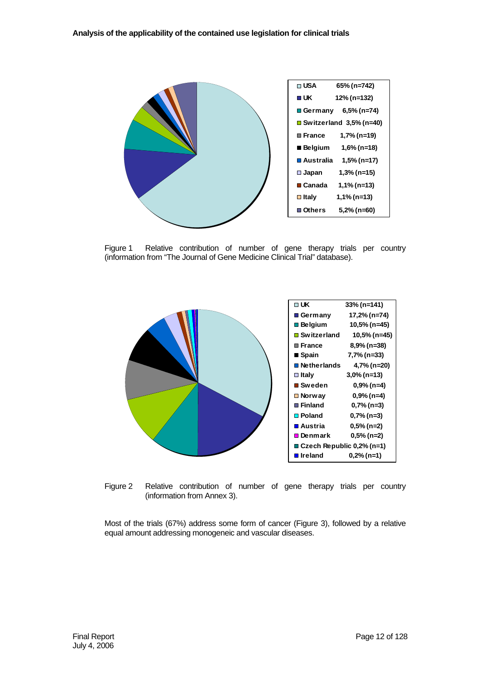

Figure 1 Relative contribution of number of gene therapy trials per country (information from "The Journal of Gene Medicine Clinical Trial" database).



Figure 2 Relative contribution of number of gene therapy trials per country (information from Annex 3).

Most of the trials (67%) address some form of cancer (Figure 3), followed by a relative equal amount addressing monogeneic and vascular diseases.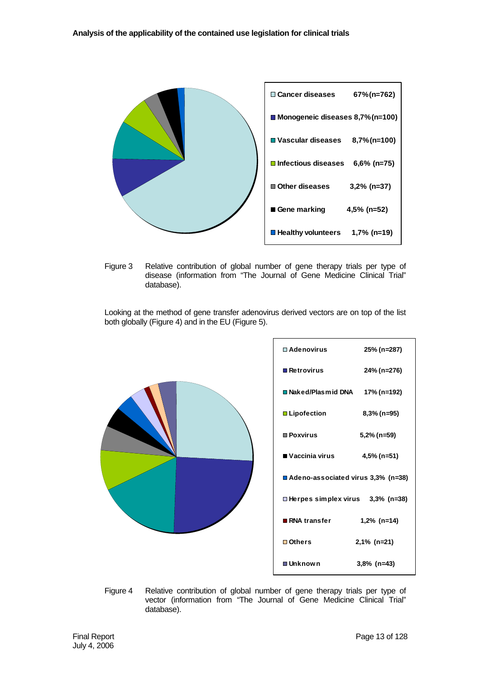

Figure 3 Relative contribution of global number of gene therapy trials per type of disease (information from "The Journal of Gene Medicine Clinical Trial" database).

Looking at the method of gene transfer adenovirus derived vectors are on top of the list both globally (Figure 4) and in the EU (Figure 5).



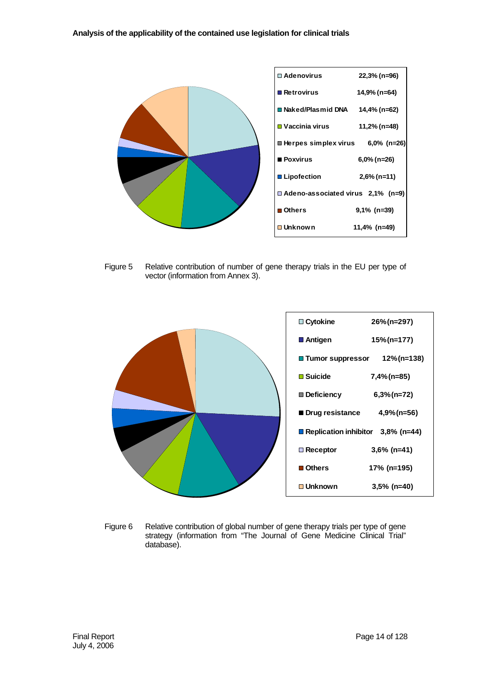

Figure 5 Relative contribution of number of gene therapy trials in the EU per type of vector (information from Annex 3).



Figure 6 Relative contribution of global number of gene therapy trials per type of gene strategy (information from "The Journal of Gene Medicine Clinical Trial" database).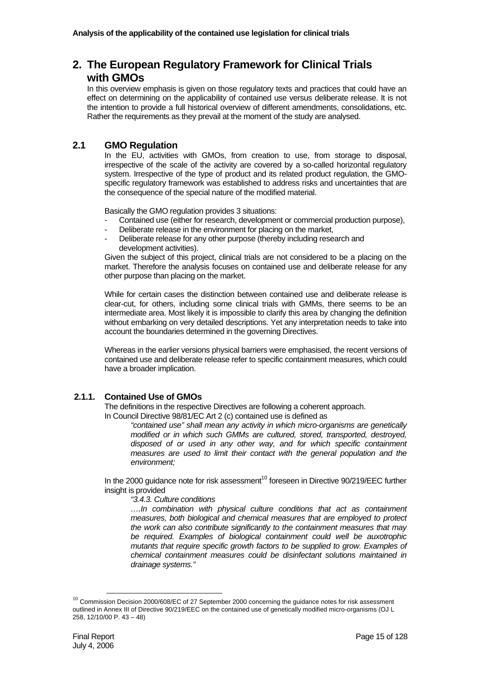# **2. The European Regulatory Framework for Clinical Trials with GMOs**

In this overview emphasis is given on those regulatory texts and practices that could have an effect on determining on the applicability of contained use versus deliberate release. It is not the intention to provide a full historical overview of different amendments, consolidations, etc. Rather the requirements as they prevail at the moment of the study are analysed.

## **2.1 GMO Regulation**

In the EU, activities with GMOs, from creation to use, from storage to disposal, irrespective of the scale of the activity are covered by a so-called horizontal regulatory system. Irrespective of the type of product and its related product regulation, the GMOspecific regulatory framework was established to address risks and uncertainties that are the consequence of the special nature of the modified material.

Basically the GMO regulation provides 3 situations:

- Contained use (either for research, development or commercial production purpose),
- Deliberate release in the environment for placing on the market,
- Deliberate release for any other purpose (thereby including research and development activities).

Given the subject of this project, clinical trials are not considered to be a placing on the market. Therefore the analysis focuses on contained use and deliberate release for any other purpose than placing on the market.

While for certain cases the distinction between contained use and deliberate release is clear-cut, for others, including some clinical trials with GMMs, there seems to be an intermediate area. Most likely it is impossible to clarify this area by changing the definition without embarking on very detailed descriptions. Yet any interpretation needs to take into account the boundaries determined in the governing Directives.

Whereas in the earlier versions physical barriers were emphasised, the recent versions of contained use and deliberate release refer to specific containment measures, which could have a broader implication.

# **2.1.1. Contained Use of GMOs**

The definitions in the respective Directives are following a coherent approach.

In Council Directive 98/81/EC Art 2 (c) contained use is defined as

*"contained use" shall mean any activity in which micro-organisms are genetically modified or in which such GMMs are cultured, stored, transported, destroyed, disposed of or used in any other way, and for which specific containment measures are used to limit their contact with the general population and the environment;* 

In the 2000 guidance note for risk assessment<sup>10</sup> foreseen in Directive  $90/219$ /EEC further insight is provided

#### *"3.4.3. Culture conditions*

*….In combination with physical culture conditions that act as containment measures, both biological and chemical measures that are employed to protect the work can also contribute significantly to the containment measures that may be required. Examples of biological containment could well be auxotrophic mutants that require specific growth factors to be supplied to grow. Examples of chemical containment measures could be disinfectant solutions maintained in drainage systems."* 

 $10$  Commission Decision 2000/608/EC of 27 September 2000 concerning the guidance notes for risk assessment outlined in Annex III of Directive 90/219/EEC on the contained use of genetically modified micro-organisms (OJ L 258, 12/10/00 P. 43 – 48)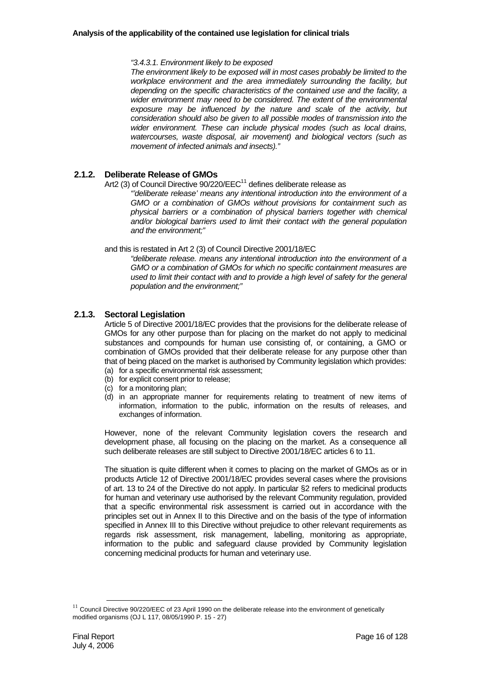*"3.4.3.1. Environment likely to be exposed* 

*The environment likely to be exposed will in most cases probably be limited to the workplace environment and the area immediately surrounding the facility, but depending on the specific characteristics of the contained use and the facility, a wider environment may need to be considered. The extent of the environmental exposure may be influenced by the nature and scale of the activity, but consideration should also be given to all possible modes of transmission into the wider environment. These can include physical modes (such as local drains, watercourses, waste disposal, air movement) and biological vectors (such as movement of infected animals and insects)."* 

#### **2.1.2. Deliberate Release of GMOs**

Art2 (3) of Council Directive  $90/220$ /EEC<sup>11</sup> defines deliberate release as

*"'deliberate release' means any intentional introduction into the environment of a GMO or a combination of GMOs without provisions for containment such as physical barriers or a combination of physical barriers together with chemical and/or biological barriers used to limit their contact with the general population and the environment;"* 

and this is restated in Art 2 (3) of Council Directive 2001/18/EC

*"deliberate release. means any intentional introduction into the environment of a GMO or a combination of GMOs for which no specific containment measures are used to limit their contact with and to provide a high level of safety for the general population and the environment;"* 

#### **2.1.3. Sectoral Legislation**

Article 5 of Directive 2001/18/EC provides that the provisions for the deliberate release of GMOs for any other purpose than for placing on the market do not apply to medicinal substances and compounds for human use consisting of, or containing, a GMO or combination of GMOs provided that their deliberate release for any purpose other than that of being placed on the market is authorised by Community legislation which provides:

- (a) for a specific environmental risk assessment;
- (b) for explicit consent prior to release;
- (c) for a monitoring plan;
- (d) in an appropriate manner for requirements relating to treatment of new items of information, information to the public, information on the results of releases, and exchanges of information.

However, none of the relevant Community legislation covers the research and development phase, all focusing on the placing on the market. As a consequence all such deliberate releases are still subject to Directive 2001/18/EC articles 6 to 11.

The situation is quite different when it comes to placing on the market of GMOs as or in products Article 12 of Directive 2001/18/EC provides several cases where the provisions of art. 13 to 24 of the Directive do not apply. In particular §2 refers to medicinal products for human and veterinary use authorised by the relevant Community regulation, provided that a specific environmental risk assessment is carried out in accordance with the principles set out in Annex II to this Directive and on the basis of the type of information specified in Annex III to this Directive without prejudice to other relevant requirements as regards risk assessment, risk management, labelling, monitoring as appropriate, information to the public and safeguard clause provided by Community legislation concerning medicinal products for human and veterinary use.

 $11$  Council Directive 90/220/EEC of 23 April 1990 on the deliberate release into the environment of genetically modified organisms (OJ L 117, 08/05/1990 P. 15 - 27)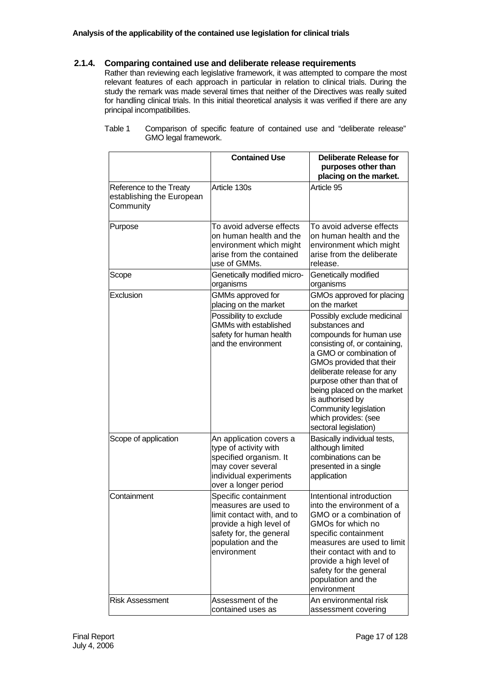## **2.1.4. Comparing contained use and deliberate release requirements**

Rather than reviewing each legislative framework, it was attempted to compare the most relevant features of each approach in particular in relation to clinical trials. During the study the remark was made several times that neither of the Directives was really suited for handling clinical trials. In this initial theoretical analysis it was verified if there are any principal incompatibilities.

|                                                                   | <b>Contained Use</b>                                                                                                                                                  | <b>Deliberate Release for</b><br>purposes other than<br>placing on the market.                                                                                                                                                                                                                                                                          |
|-------------------------------------------------------------------|-----------------------------------------------------------------------------------------------------------------------------------------------------------------------|---------------------------------------------------------------------------------------------------------------------------------------------------------------------------------------------------------------------------------------------------------------------------------------------------------------------------------------------------------|
| Reference to the Treaty<br>establishing the European<br>Community | Article 130s                                                                                                                                                          | Article 95                                                                                                                                                                                                                                                                                                                                              |
| Purpose                                                           | To avoid adverse effects<br>on human health and the<br>environment which might<br>arise from the contained<br>use of GMMs.                                            | To avoid adverse effects<br>on human health and the<br>environment which might<br>arise from the deliberate<br>release.                                                                                                                                                                                                                                 |
| Scope                                                             | Genetically modified micro-<br>organisms                                                                                                                              | Genetically modified<br>organisms                                                                                                                                                                                                                                                                                                                       |
| Exclusion                                                         | GMMs approved for<br>placing on the market                                                                                                                            | GMOs approved for placing<br>on the market                                                                                                                                                                                                                                                                                                              |
|                                                                   | Possibility to exclude<br><b>GMMs with established</b><br>safety for human health<br>and the environment                                                              | Possibly exclude medicinal<br>substances and<br>compounds for human use<br>consisting of, or containing,<br>a GMO or combination of<br>GMOs provided that their<br>deliberate release for any<br>purpose other than that of<br>being placed on the market<br>is authorised by<br>Community legislation<br>which provides: (see<br>sectoral legislation) |
| Scope of application                                              | An application covers a<br>type of activity with<br>specified organism. It<br>may cover several<br>individual experiments<br>over a longer period                     | Basically individual tests,<br>although limited<br>combinations can be<br>presented in a single<br>application                                                                                                                                                                                                                                          |
| Containment                                                       | Specific containment<br>measures are used to<br>limit contact with, and to<br>provide a high level of<br>safety for, the general<br>population and the<br>environment | Intentional introduction<br>into the environment of a<br>GMO or a combination of<br>GMOs for which no<br>specific containment<br>measures are used to limit<br>their contact with and to<br>provide a high level of<br>safety for the general<br>population and the<br>environment                                                                      |
| <b>Risk Assessment</b>                                            | Assessment of the<br>contained uses as                                                                                                                                | An environmental risk<br>assessment covering                                                                                                                                                                                                                                                                                                            |

Table 1 Comparison of specific feature of contained use and "deliberate release" GMO legal framework.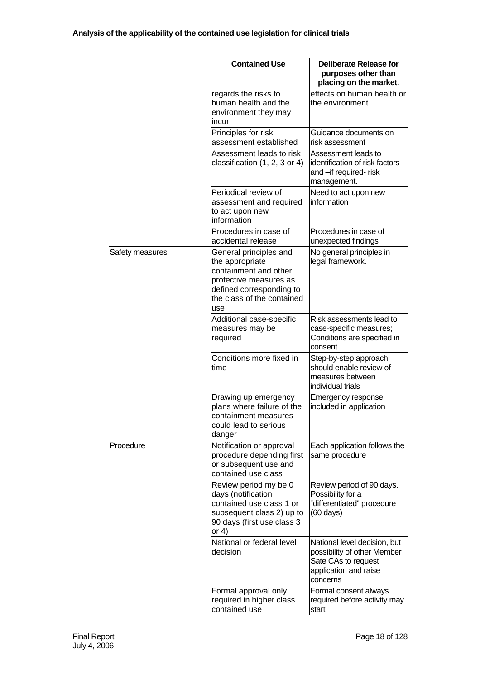|                 | <b>Contained Use</b>                                                                                                                                          | <b>Deliberate Release for</b><br>purposes other than<br>placing on the market.                                          |
|-----------------|---------------------------------------------------------------------------------------------------------------------------------------------------------------|-------------------------------------------------------------------------------------------------------------------------|
|                 | regards the risks to<br>human health and the<br>environment they may<br>incur                                                                                 | effects on human health or<br>the environment                                                                           |
|                 | Principles for risk<br>assessment established                                                                                                                 | Guidance documents on<br>risk assessment                                                                                |
|                 | Assessment leads to risk<br>classification (1, 2, 3 or 4)                                                                                                     | Assessment leads to<br>identification of risk factors<br>and -if required- risk<br>management.                          |
|                 | Periodical review of<br>assessment and required<br>to act upon new<br>information                                                                             | Need to act upon new<br>information                                                                                     |
|                 | Procedures in case of<br>accidental release                                                                                                                   | Procedures in case of<br>unexpected findings                                                                            |
| Safety measures | General principles and<br>the appropriate<br>containment and other<br>protective measures as<br>defined corresponding to<br>the class of the contained<br>use | No general principles in<br>legal framework.                                                                            |
|                 | Additional case-specific<br>measures may be<br>required                                                                                                       | Risk assessments lead to<br>case-specific measures;<br>Conditions are specified in<br>consent                           |
|                 | Conditions more fixed in<br>time                                                                                                                              | Step-by-step approach<br>should enable review of<br>measures between<br>individual trials                               |
|                 | Drawing up emergency<br>plans where failure of the<br>containment measures<br>could lead to serious<br>danger                                                 | Emergency response<br>included in application                                                                           |
| Procedure       | Notification or approval<br>procedure depending first<br>or subsequent use and<br>contained use class                                                         | Each application follows the<br>same procedure                                                                          |
|                 | Review period my be 0<br>days (notification<br>contained use class 1 or<br>subsequent class 2) up to<br>90 days (first use class 3<br>or $4)$                 | Review period of 90 days.<br>Possibility for a<br>"differentiated" procedure<br>$(60 \text{ days})$                     |
|                 | National or federal level<br>decision                                                                                                                         | National level decision, but<br>possibility of other Member<br>Sate CAs to request<br>application and raise<br>concerns |
|                 | Formal approval only<br>required in higher class<br>contained use                                                                                             | Formal consent always<br>required before activity may<br>start                                                          |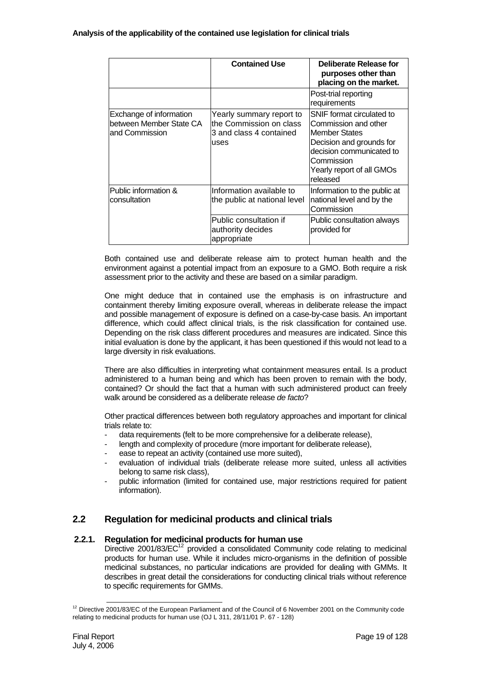|                                                                      | <b>Contained Use</b>                                                                    | Deliberate Release for<br>purposes other than<br>placing on the market.                                                                                                           |
|----------------------------------------------------------------------|-----------------------------------------------------------------------------------------|-----------------------------------------------------------------------------------------------------------------------------------------------------------------------------------|
|                                                                      |                                                                                         | Post-trial reporting<br>requirements                                                                                                                                              |
| Exchange of information<br>between Member State CA<br>and Commission | Yearly summary report to<br>lthe Commission on class<br>3 and class 4 contained<br>uses | SNIF format circulated to<br>Commission and other<br>Member States<br>Decision and grounds for<br>decision communicated to<br>Commission<br>Yearly report of all GMOs<br>released |
| Public information &<br>consultation                                 | Information available to<br>the public at national level                                | Information to the public at<br>national level and by the<br>Commission                                                                                                           |
|                                                                      | lPublic consultation if<br>authority decides<br>appropriate                             | Public consultation always<br>provided for                                                                                                                                        |

Both contained use and deliberate release aim to protect human health and the environment against a potential impact from an exposure to a GMO. Both require a risk assessment prior to the activity and these are based on a similar paradigm.

One might deduce that in contained use the emphasis is on infrastructure and containment thereby limiting exposure overall, whereas in deliberate release the impact and possible management of exposure is defined on a case-by-case basis. An important difference, which could affect clinical trials, is the risk classification for contained use. Depending on the risk class different procedures and measures are indicated. Since this initial evaluation is done by the applicant, it has been questioned if this would not lead to a large diversity in risk evaluations.

There are also difficulties in interpreting what containment measures entail. Is a product administered to a human being and which has been proven to remain with the body, contained? Or should the fact that a human with such administered product can freely walk around be considered as a deliberate release *de facto*?

Other practical differences between both regulatory approaches and important for clinical trials relate to:

- data requirements (felt to be more comprehensive for a deliberate release),
- length and complexity of procedure (more important for deliberate release),
- ease to repeat an activity (contained use more suited),
- evaluation of individual trials (deliberate release more suited, unless all activities belong to same risk class),
- public information (limited for contained use, major restrictions required for patient information).

# **2.2 Regulation for medicinal products and clinical trials**

#### **2.2.1. Regulation for medicinal products for human use**

Directive 2001/83/ $EC^{12}$  provided a consolidated Community code relating to medicinal products for human use. While it includes micro-organisms in the definition of possible medicinal substances, no particular indications are provided for dealing with GMMs. It describes in great detail the considerations for conducting clinical trials without reference to specific requirements for GMMs.

 $12$  Directive 2001/83/EC of the European Parliament and of the Council of 6 November 2001 on the Community code relating to medicinal products for human use (OJ L 311, 28/11/01 P. 67 - 128)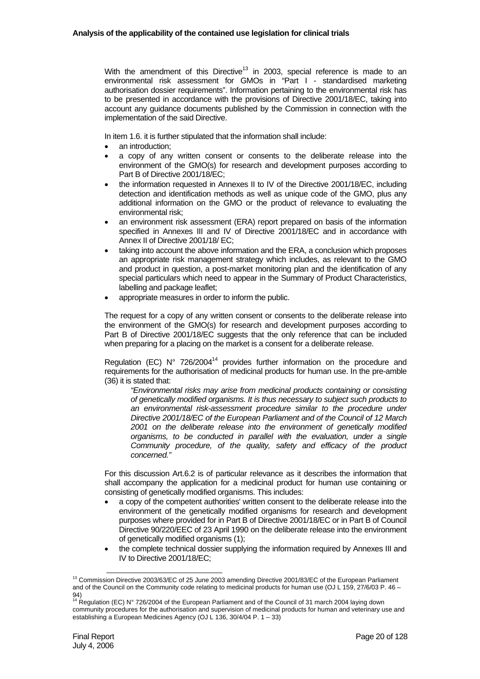With the amendment of this Directive<sup>13</sup> in 2003, special reference is made to an environmental risk assessment for GMOs in "Part I - standardised marketing authorisation dossier requirements". Information pertaining to the environmental risk has to be presented in accordance with the provisions of Directive 2001/18/EC, taking into account any guidance documents published by the Commission in connection with the implementation of the said Directive.

In item 1.6. it is further stipulated that the information shall include:

- an introduction:
- a copy of any written consent or consents to the deliberate release into the environment of the GMO(s) for research and development purposes according to Part B of Directive 2001/18/EC;
- the information requested in Annexes II to IV of the Directive 2001/18/EC, including detection and identification methods as well as unique code of the GMO, plus any additional information on the GMO or the product of relevance to evaluating the environmental risk;
- an environment risk assessment (ERA) report prepared on basis of the information specified in Annexes III and IV of Directive 2001/18/EC and in accordance with Annex II of Directive 2001/18/ EC;
- taking into account the above information and the ERA, a conclusion which proposes an appropriate risk management strategy which includes, as relevant to the GMO and product in question, a post-market monitoring plan and the identification of any special particulars which need to appear in the Summary of Product Characteristics, labelling and package leaflet;
- appropriate measures in order to inform the public.

The request for a copy of any written consent or consents to the deliberate release into the environment of the GMO(s) for research and development purposes according to Part B of Directive 2001/18/EC suggests that the only reference that can be included when preparing for a placing on the market is a consent for a deliberate release.

Regulation (EC)  $N^{\circ}$  726/2004<sup>14</sup> provides further information on the procedure and requirements for the authorisation of medicinal products for human use. In the pre-amble (36) it is stated that:

*"Environmental risks may arise from medicinal products containing or consisting of genetically modified organisms. It is thus necessary to subject such products to an environmental risk-assessment procedure similar to the procedure under Directive 2001/18/EC of the European Parliament and of the Council of 12 March 2001 on the deliberate release into the environment of genetically modified organisms, to be conducted in parallel with the evaluation, under a single Community procedure, of the quality, safety and efficacy of the product concerned."* 

For this discussion Art.6.2 is of particular relevance as it describes the information that shall accompany the application for a medicinal product for human use containing or consisting of genetically modified organisms. This includes:

- a copy of the competent authorities' written consent to the deliberate release into the environment of the genetically modified organisms for research and development purposes where provided for in Part B of Directive 2001/18/EC or in Part B of Council Directive 90/220/EEC of 23 April 1990 on the deliberate release into the environment of genetically modified organisms (1);
- the complete technical dossier supplying the information required by Annexes III and IV to Directive 2001/18/EC;

<sup>&</sup>lt;sup>13</sup> Commission Directive 2003/63/EC of 25 June 2003 amending Directive 2001/83/EC of the European Parliament and of the Council on the Community code relating to medicinal products for human use (OJ L 159, 27/6/03 P. 46 – 94)

Regulation (EC) N° 726/2004 of the European Parliament and of the Council of 31 march 2004 laying down community procedures for the authorisation and supervision of medicinal products for human and veterinary use and establishing a European Medicines Agency (OJ L 136, 30/4/04 P. 1 – 33)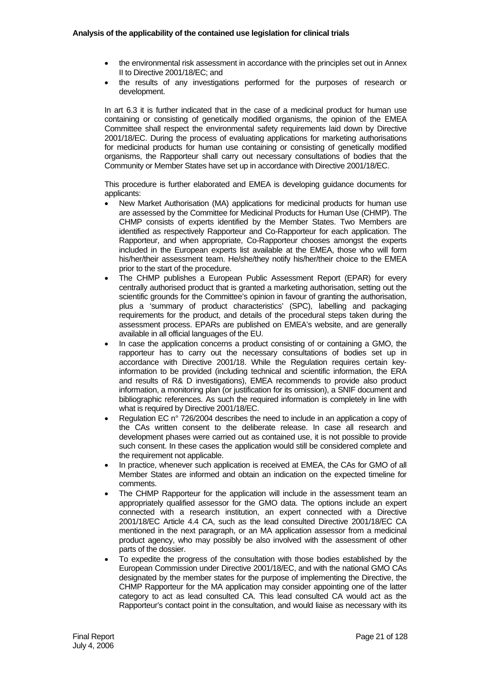- the environmental risk assessment in accordance with the principles set out in Annex II to Directive 2001/18/EC; and
- the results of any investigations performed for the purposes of research or development.

In art 6.3 it is further indicated that in the case of a medicinal product for human use containing or consisting of genetically modified organisms, the opinion of the EMEA Committee shall respect the environmental safety requirements laid down by Directive 2001/18/EC. During the process of evaluating applications for marketing authorisations for medicinal products for human use containing or consisting of genetically modified organisms, the Rapporteur shall carry out necessary consultations of bodies that the Community or Member States have set up in accordance with Directive 2001/18/EC.

This procedure is further elaborated and EMEA is developing guidance documents for applicants:

- New Market Authorisation (MA) applications for medicinal products for human use are assessed by the Committee for Medicinal Products for Human Use (CHMP). The CHMP consists of experts identified by the Member States. Two Members are identified as respectively Rapporteur and Co-Rapporteur for each application. The Rapporteur, and when appropriate, Co-Rapporteur chooses amongst the experts included in the European experts list available at the EMEA, those who will form his/her/their assessment team. He/she/they notify his/her/their choice to the EMEA prior to the start of the procedure.
- The CHMP publishes a European Public Assessment Report (EPAR) for every centrally authorised product that is granted a marketing authorisation, setting out the scientific grounds for the Committee's opinion in favour of granting the authorisation, plus a 'summary of product characteristics' (SPC), labelling and packaging requirements for the product, and details of the procedural steps taken during the assessment process. EPARs are published on EMEA's website, and are generally available in all official languages of the EU.
- In case the application concerns a product consisting of or containing a GMO, the rapporteur has to carry out the necessary consultations of bodies set up in accordance with Directive 2001/18. While the Regulation requires certain keyinformation to be provided (including technical and scientific information, the ERA and results of R& D investigations), EMEA recommends to provide also product information, a monitoring plan (or justification for its omission), a SNIF document and bibliographic references. As such the required information is completely in line with what is required by Directive 2001/18/EC.
- Regulation EC n° 726/2004 describes the need to include in an application a copy of the CAs written consent to the deliberate release. In case all research and development phases were carried out as contained use, it is not possible to provide such consent. In these cases the application would still be considered complete and the requirement not applicable.
- In practice, whenever such application is received at EMEA, the CAs for GMO of all Member States are informed and obtain an indication on the expected timeline for comments.
- The CHMP Rapporteur for the application will include in the assessment team an appropriately qualified assessor for the GMO data. The options include an expert connected with a research institution, an expert connected with a Directive 2001/18/EC Article 4.4 CA, such as the lead consulted Directive 2001/18/EC CA mentioned in the next paragraph, or an MA application assessor from a medicinal product agency, who may possibly be also involved with the assessment of other parts of the dossier.
- To expedite the progress of the consultation with those bodies established by the European Commission under Directive 2001/18/EC, and with the national GMO CAs designated by the member states for the purpose of implementing the Directive, the CHMP Rapporteur for the MA application may consider appointing one of the latter category to act as lead consulted CA. This lead consulted CA would act as the Rapporteur's contact point in the consultation, and would liaise as necessary with its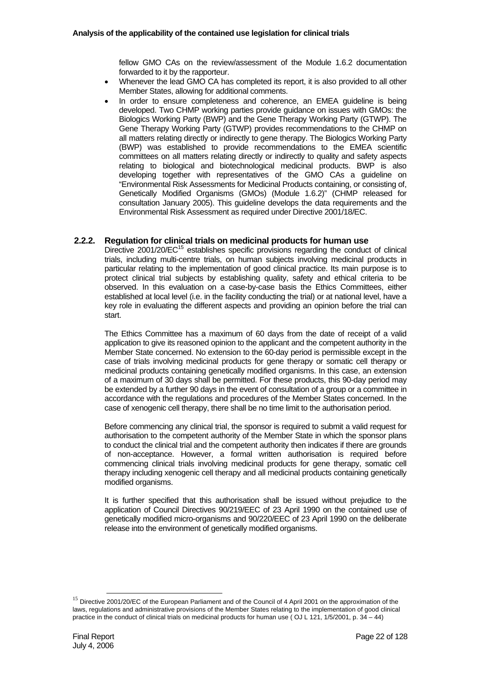fellow GMO CAs on the review/assessment of the Module 1.6.2 documentation forwarded to it by the rapporteur.

- Whenever the lead GMO CA has completed its report, it is also provided to all other Member States, allowing for additional comments.
- In order to ensure completeness and coherence, an EMEA guideline is being developed. Two CHMP working parties provide guidance on issues with GMOs: the Biologics Working Party (BWP) and the Gene Therapy Working Party (GTWP). The Gene Therapy Working Party (GTWP) provides recommendations to the CHMP on all matters relating directly or indirectly to gene therapy. The Biologics Working Party (BWP) was established to provide recommendations to the EMEA scientific committees on all matters relating directly or indirectly to quality and safety aspects relating to biological and biotechnological medicinal products. BWP is also developing together with representatives of the GMO CAs a guideline on "Environmental Risk Assessments for Medicinal Products containing, or consisting of, Genetically Modified Organisms (GMOs) (Module 1.6.2)" (CHMP released for consultation January 2005). This guideline develops the data requirements and the Environmental Risk Assessment as required under Directive 2001/18/EC.

# **2.2.2. Regulation for clinical trials on medicinal products for human use**

Directive  $2001/20$ / $EC^{15}$  establishes specific provisions regarding the conduct of clinical trials, including multi-centre trials, on human subjects involving medicinal products in particular relating to the implementation of good clinical practice. Its main purpose is to protect clinical trial subjects by establishing quality, safety and ethical criteria to be observed. In this evaluation on a case-by-case basis the Ethics Committees, either established at local level (i.e. in the facility conducting the trial) or at national level, have a key role in evaluating the different aspects and providing an opinion before the trial can start.

The Ethics Committee has a maximum of 60 days from the date of receipt of a valid application to give its reasoned opinion to the applicant and the competent authority in the Member State concerned. No extension to the 60-day period is permissible except in the case of trials involving medicinal products for gene therapy or somatic cell therapy or medicinal products containing genetically modified organisms. In this case, an extension of a maximum of 30 days shall be permitted. For these products, this 90-day period may be extended by a further 90 days in the event of consultation of a group or a committee in accordance with the regulations and procedures of the Member States concerned. In the case of xenogenic cell therapy, there shall be no time limit to the authorisation period.

Before commencing any clinical trial, the sponsor is required to submit a valid request for authorisation to the competent authority of the Member State in which the sponsor plans to conduct the clinical trial and the competent authority then indicates if there are grounds of non-acceptance. However, a formal written authorisation is required before commencing clinical trials involving medicinal products for gene therapy, somatic cell therapy including xenogenic cell therapy and all medicinal products containing genetically modified organisms.

It is further specified that this authorisation shall be issued without prejudice to the application of Council Directives 90/219/EEC of 23 April 1990 on the contained use of genetically modified micro-organisms and 90/220/EEC of 23 April 1990 on the deliberate release into the environment of genetically modified organisms.

<sup>&</sup>lt;sup>15</sup> Directive 2001/20/EC of the European Parliament and of the Council of 4 April 2001 on the approximation of the laws, regulations and administrative provisions of the Member States relating to the implementation of good clinical practice in the conduct of clinical trials on medicinal products for human use ( OJ L 121, 1/5/2001, p. 34 – 44)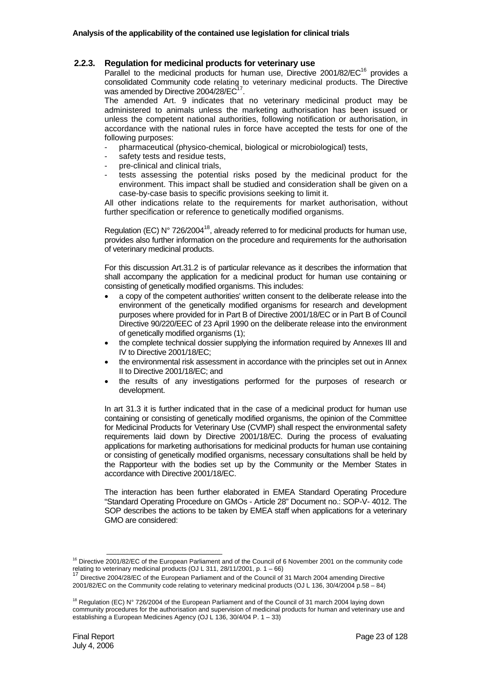#### **2.2.3. Regulation for medicinal products for veterinary use**

Parallel to the medicinal products for human use, Directive  $2001/82/EC^{16}$  provides a consolidated Community code relating to veterinary medicinal products. The Directive was amended by Directive 2004/28/EC<sup>17</sup>

The amended Art. 9 indicates that no veterinary medicinal product may be administered to animals unless the marketing authorisation has been issued or unless the competent national authorities, following notification or authorisation, in accordance with the national rules in force have accepted the tests for one of the following purposes:

- pharmaceutical (physico-chemical, biological or microbiological) tests,
- safety tests and residue tests.
- pre-clinical and clinical trials.
- tests assessing the potential risks posed by the medicinal product for the environment. This impact shall be studied and consideration shall be given on a case-by-case basis to specific provisions seeking to limit it.

All other indications relate to the requirements for market authorisation, without further specification or reference to genetically modified organisms.

Regulation (EC) N° 726/2004<sup>18</sup>, already referred to for medicinal products for human use, provides also further information on the procedure and requirements for the authorisation of veterinary medicinal products.

For this discussion Art.31.2 is of particular relevance as it describes the information that shall accompany the application for a medicinal product for human use containing or consisting of genetically modified organisms. This includes:

- a copy of the competent authorities' written consent to the deliberate release into the environment of the genetically modified organisms for research and development purposes where provided for in Part B of Directive 2001/18/EC or in Part B of Council Directive 90/220/EEC of 23 April 1990 on the deliberate release into the environment of genetically modified organisms (1);
- the complete technical dossier supplying the information required by Annexes III and IV to Directive 2001/18/EC;
- the environmental risk assessment in accordance with the principles set out in Annex II to Directive 2001/18/EC; and
- the results of any investigations performed for the purposes of research or development.

In art 31.3 it is further indicated that in the case of a medicinal product for human use containing or consisting of genetically modified organisms, the opinion of the Committee for Medicinal Products for Veterinary Use (CVMP) shall respect the environmental safety requirements laid down by Directive 2001/18/EC. During the process of evaluating applications for marketing authorisations for medicinal products for human use containing or consisting of genetically modified organisms, necessary consultations shall be held by the Rapporteur with the bodies set up by the Community or the Member States in accordance with Directive 2001/18/EC.

The interaction has been further elaborated in EMEA Standard Operating Procedure "Standard Operating Procedure on GMOs - Article 28" Document no.: SOP-V- 4012. The SOP describes the actions to be taken by EMEA staff when applications for a veterinary GMO are considered:

<sup>&</sup>lt;sup>16</sup> Directive 2001/82/EC of the European Parliament and of the Council of 6 November 2001 on the community code relating to veterinary medicinal products (OJ L 311, 28/11/2001, p. 1 – 66)<br><sup>17</sup> Directive 2004/28/EC of the European Parliament and of the Council of 31 March 2004 amending Directive

<sup>2001/82/</sup>EC on the Community code relating to veterinary medicinal products (OJ L 136, 30/4/2004 p.58 – 84)

<sup>&</sup>lt;sup>18</sup> Regulation (EC) N° 726/2004 of the European Parliament and of the Council of 31 march 2004 laying down community procedures for the authorisation and supervision of medicinal products for human and veterinary use and establishing a European Medicines Agency (OJ L 136, 30/4/04 P. 1 – 33)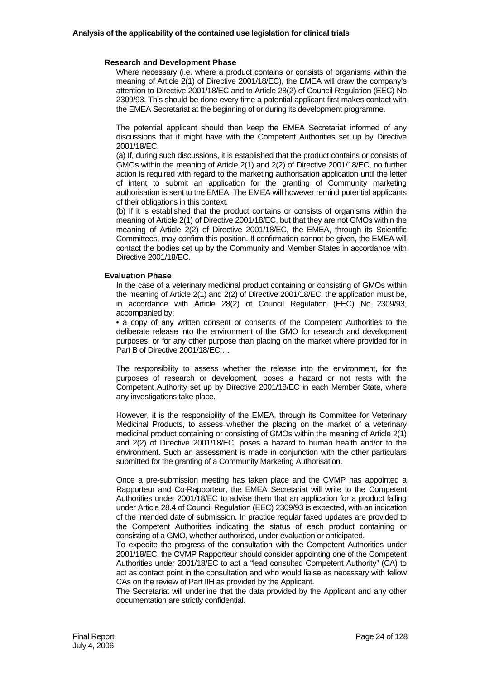#### **Research and Development Phase**

Where necessary (i.e. where a product contains or consists of organisms within the meaning of Article 2(1) of Directive 2001/18/EC), the EMEA will draw the company's attention to Directive 2001/18/EC and to Article 28(2) of Council Regulation (EEC) No 2309/93. This should be done every time a potential applicant first makes contact with the EMEA Secretariat at the beginning of or during its development programme.

The potential applicant should then keep the EMEA Secretariat informed of any discussions that it might have with the Competent Authorities set up by Directive 2001/18/EC.

(a) If, during such discussions, it is established that the product contains or consists of GMOs within the meaning of Article 2(1) and 2(2) of Directive 2001/18/EC, no further action is required with regard to the marketing authorisation application until the letter of intent to submit an application for the granting of Community marketing authorisation is sent to the EMEA. The EMEA will however remind potential applicants of their obligations in this context.

(b) If it is established that the product contains or consists of organisms within the meaning of Article 2(1) of Directive 2001/18/EC, but that they are not GMOs within the meaning of Article 2(2) of Directive 2001/18/EC, the EMEA, through its Scientific Committees, may confirm this position. If confirmation cannot be given, the EMEA will contact the bodies set up by the Community and Member States in accordance with Directive 2001/18/EC.

#### **Evaluation Phase**

In the case of a veterinary medicinal product containing or consisting of GMOs within the meaning of Article 2(1) and 2(2) of Directive 2001/18/EC, the application must be, in accordance with Article 28(2) of Council Regulation (EEC) No 2309/93, accompanied by:

• a copy of any written consent or consents of the Competent Authorities to the deliberate release into the environment of the GMO for research and development purposes, or for any other purpose than placing on the market where provided for in Part B of Directive 2001/18/EC;…

The responsibility to assess whether the release into the environment, for the purposes of research or development, poses a hazard or not rests with the Competent Authority set up by Directive 2001/18/EC in each Member State, where any investigations take place.

However, it is the responsibility of the EMEA, through its Committee for Veterinary Medicinal Products, to assess whether the placing on the market of a veterinary medicinal product containing or consisting of GMOs within the meaning of Article 2(1) and 2(2) of Directive 2001/18/EC, poses a hazard to human health and/or to the environment. Such an assessment is made in conjunction with the other particulars submitted for the granting of a Community Marketing Authorisation.

Once a pre-submission meeting has taken place and the CVMP has appointed a Rapporteur and Co-Rapporteur, the EMEA Secretariat will write to the Competent Authorities under 2001/18/EC to advise them that an application for a product falling under Article 28.4 of Council Regulation (EEC) 2309/93 is expected, with an indication of the intended date of submission. In practice regular faxed updates are provided to the Competent Authorities indicating the status of each product containing or consisting of a GMO, whether authorised, under evaluation or anticipated.

To expedite the progress of the consultation with the Competent Authorities under 2001/18/EC, the CVMP Rapporteur should consider appointing one of the Competent Authorities under 2001/18/EC to act a "lead consulted Competent Authority" (CA) to act as contact point in the consultation and who would liaise as necessary with fellow CAs on the review of Part IIH as provided by the Applicant.

The Secretariat will underline that the data provided by the Applicant and any other documentation are strictly confidential.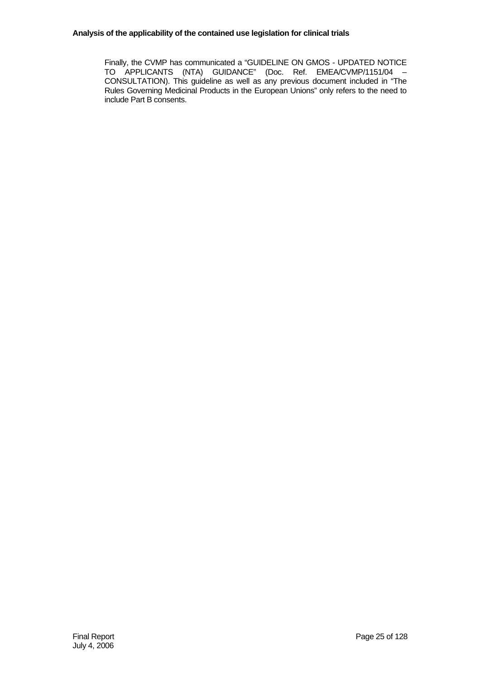#### **Analysis of the applicability of the contained use legislation for clinical trials**

Finally, the CVMP has communicated a "GUIDELINE ON GMOS - UPDATED NOTICE TO APPLICANTS (NTA) GUIDANCE" (Doc. Ref. EMEA/CVMP/1151/04 – CONSULTATION). This guideline as well as any previous document included in "The Rules Governing Medicinal Products in the European Unions" only refers to the need to include Part B consents.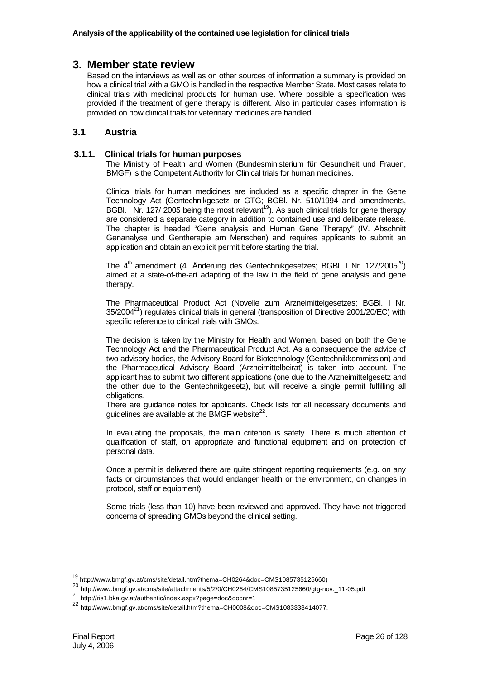# **3. Member state review**

Based on the interviews as well as on other sources of information a summary is provided on how a clinical trial with a GMO is handled in the respective Member State. Most cases relate to clinical trials with medicinal products for human use. Where possible a specification was provided if the treatment of gene therapy is different. Also in particular cases information is provided on how clinical trials for veterinary medicines are handled.

# **3.1 Austria**

#### **3.1.1. Clinical trials for human purposes**

The Ministry of Health and Women (Bundesministerium für Gesundheit und Frauen, BMGF) is the Competent Authority for Clinical trials for human medicines.

Clinical trials for human medicines are included as a specific chapter in the Gene Technology Act (Gentechnikgesetz or GTG; BGBl. Nr. 510/1994 and amendments, BGBI. I Nr. 127/ 2005 being the most relevant<sup>19</sup>). As such clinical trials for gene therapy are considered a separate category in addition to contained use and deliberate release. The chapter is headed "Gene analysis and Human Gene Therapy" (IV. Abschnitt Genanalyse und Gentherapie am Menschen) and requires applicants to submit an application and obtain an explicit permit before starting the trial.

The  $4<sup>th</sup>$  amendment (4. Änderung des Gentechnikgesetzes; BGBI. I Nr. 127/2005<sup>20</sup>) aimed at a state-of-the-art adapting of the law in the field of gene analysis and gene therapy.

The Pharmaceutical Product Act (Novelle zum Arzneimittelgesetzes; BGBl. I Nr.  $35/2004^{21}$ ) regulates clinical trials in general (transposition of Directive 2001/20/EC) with specific reference to clinical trials with GMOs.

The decision is taken by the Ministry for Health and Women, based on both the Gene Technology Act and the Pharmaceutical Product Act. As a consequence the advice of two advisory bodies, the Advisory Board for Biotechnology (Gentechnikkommission) and the Pharmaceutical Advisory Board (Arzneimittelbeirat) is taken into account. The applicant has to submit two different applications (one due to the Arzneimittelgesetz and the other due to the Gentechnikgesetz), but will receive a single permit fulfilling all obligations.

There are guidance notes for applicants. Check lists for all necessary documents and quidelines are available at the BMGF website $^{22}$ .

In evaluating the proposals, the main criterion is safety. There is much attention of qualification of staff, on appropriate and functional equipment and on protection of personal data.

Once a permit is delivered there are quite stringent reporting requirements (e.g. on any facts or circumstances that would endanger health or the environment, on changes in protocol, staff or equipment)

Some trials (less than 10) have been reviewed and approved. They have not triggered concerns of spreading GMOs beyond the clinical setting.

<sup>19</sup> http://www.bmgf.gv.at/cms/site/detail.htm?thema=CH0264&doc=CMS1085735125660)

<sup>20</sup> http://www.bmgf.gv.at/cms/site/attachments/5/2/0/CH0264/CMS1085735125660/gtg-nov.\_11-05.pdf

<sup>21</sup> http://ris1.bka.gv.at/authentic/index.aspx?page=doc&docnr=1

<sup>22</sup> http://www.bmgf.gv.at/cms/site/detail.htm?thema=CH0008&doc=CMS1083333414077.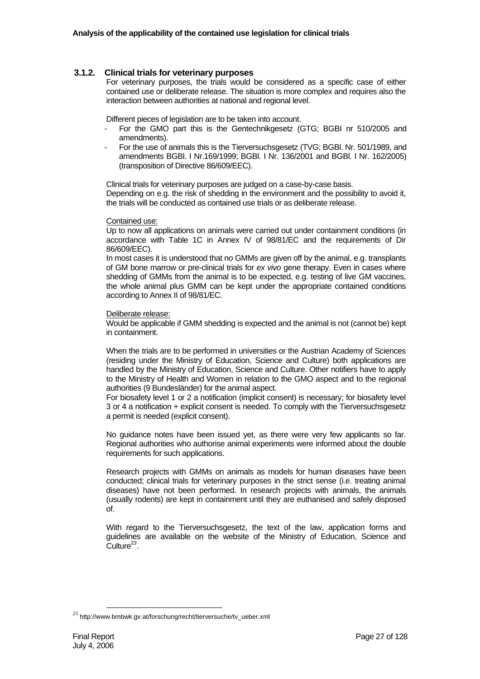#### **3.1.2. Clinical trials for veterinary purposes**

For veterinary purposes, the trials would be considered as a specific case of either contained use or deliberate release. The situation is more complex and requires also the interaction between authorities at national and regional level.

Different pieces of legislation are to be taken into account.

- For the GMO part this is the Gentechnikgesetz (GTG; BGBI nr 510/2005 and amendments).
- For the use of animals this is the Tierversuchsgesetz (TVG; BGBl. Nr. 501/1989, and amendments BGBl. I Nr.169/1999; BGBl. I Nr. 136/2001 and BGBl. I Nr. 162/2005) (transposition of Directive 86/609/EEC).

Clinical trials for veterinary purposes are judged on a case-by-case basis.

Depending on e.g. the risk of shedding in the environment and the possibility to avoid it, the trials will be conducted as contained use trials or as deliberate release.

#### Contained use:

Up to now all applications on animals were carried out under containment conditions (in accordance with Table 1C in Annex IV of 98/81/EC and the requirements of Dir 86/609/EEC).

In most cases it is understood that no GMMs are given off by the animal, e.g. transplants of GM bone marrow or pre-clinical trials for *ex vivo* gene therapy. Even in cases where shedding of GMMs from the animal is to be expected, e.g. testing of live GM vaccines, the whole animal plus GMM can be kept under the appropriate contained conditions according to Annex II of 98/81/EC.

#### Deliberate release:

Would be applicable if GMM shedding is expected and the animal is not (cannot be) kept in containment.

When the trials are to be performed in universities or the Austrian Academy of Sciences (residing under the Ministry of Education, Science and Culture) both applications are handled by the Ministry of Education, Science and Culture. Other notifiers have to apply to the Ministry of Health and Women in relation to the GMO aspect and to the regional authorities (9 Bundesländer) for the animal aspect.

For biosafety level 1 or 2 a notification (implicit consent) is necessary; for biosafety level 3 or 4 a notification + explicit consent is needed. To comply with the Tierversuchsgesetz a permit is needed (explicit consent).

No guidance notes have been issued yet, as there were very few applicants so far. Regional authorities who authorise animal experiments were informed about the double requirements for such applications.

Research projects with GMMs on animals as models for human diseases have been conducted; clinical trials for veterinary purposes in the strict sense (i.e. treating animal diseases) have not been performed. In research projects with animals, the animals (usually rodents) are kept in containment until they are euthanised and safely disposed of.

With regard to the Tierversuchsgesetz, the text of the law, application forms and guidelines are available on the website of the Ministry of Education, Science and  $Culture<sup>23</sup>$ .

 $^{23}$  http://www.bmbwk.gv.at/forschung/recht/tierversuche/tv\_ueber.xml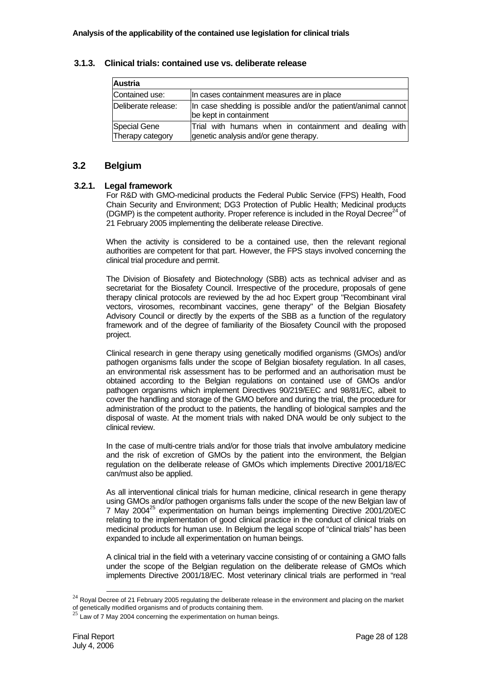| 3.1.3. | Clinical trials: contained use vs. deliberate release |
|--------|-------------------------------------------------------|
|        |                                                       |

| <b>Austria</b>                   |                                                                                                 |
|----------------------------------|-------------------------------------------------------------------------------------------------|
| Contained use:                   | In cases containment measures are in place                                                      |
| Deliberate release:              | In case shedding is possible and/or the patient/animal cannot<br>be kept in containment         |
| Special Gene<br>Therapy category | Trial with humans when in containment and dealing with<br>genetic analysis and/or gene therapy. |

## **3.2 Belgium**

#### **3.2.1. Legal framework**

For R&D with GMO-medicinal products the Federal Public Service (FPS) Health, Food Chain Security and Environment; DG3 Protection of Public Health; Medicinal products (DGMP) is the competent authority. Proper reference is included in the Royal Decree<sup>24</sup> of 21 February 2005 implementing the deliberate release Directive.

When the activity is considered to be a contained use, then the relevant regional authorities are competent for that part. However, the FPS stays involved concerning the clinical trial procedure and permit.

The Division of Biosafety and Biotechnology (SBB) acts as technical adviser and as secretariat for the Biosafety Council. Irrespective of the procedure, proposals of gene therapy clinical protocols are reviewed by the ad hoc Expert group "Recombinant viral vectors, virosomes, recombinant vaccines, gene therapy" of the Belgian Biosafety Advisory Council or directly by the experts of the SBB as a function of the regulatory framework and of the degree of familiarity of the Biosafety Council with the proposed project.

Clinical research in gene therapy using genetically modified organisms (GMOs) and/or pathogen organisms falls under the scope of Belgian biosafety regulation. In all cases, an environmental risk assessment has to be performed and an authorisation must be obtained according to the Belgian regulations on contained use of GMOs and/or pathogen organisms which implement Directives 90/219/EEC and 98/81/EC, albeit to cover the handling and storage of the GMO before and during the trial, the procedure for administration of the product to the patients, the handling of biological samples and the disposal of waste. At the moment trials with naked DNA would be only subject to the clinical review.

In the case of multi-centre trials and/or for those trials that involve ambulatory medicine and the risk of excretion of GMOs by the patient into the environment, the Belgian regulation on the deliberate release of GMOs which implements Directive 2001/18/EC can/must also be applied.

As all interventional clinical trials for human medicine, clinical research in gene therapy using GMOs and/or pathogen organisms falls under the scope of the new Belgian law of 7 May 2004<sup>25</sup> experimentation on human beings implementing Directive 2001/20/EC relating to the implementation of good clinical practice in the conduct of clinical trials on medicinal products for human use. In Belgium the legal scope of "clinical trials" has been expanded to include all experimentation on human beings.

A clinical trial in the field with a veterinary vaccine consisting of or containing a GMO falls under the scope of the Belgian regulation on the deliberate release of GMOs which implements Directive 2001/18/EC. Most veterinary clinical trials are performed in "real

 $^{24}$  Royal Decree of 21 February 2005 regulating the deliberate release in the environment and placing on the market of genetically modified organisms and of products containing them.

 $25$  Law of 7 May 2004 concerning the experimentation on human beings.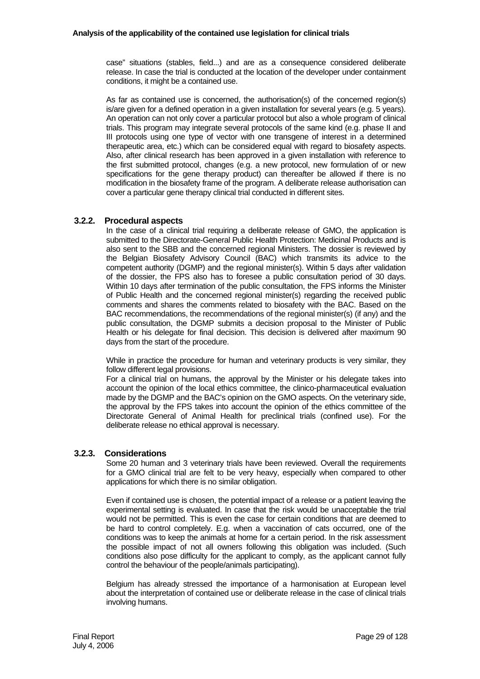case" situations (stables, field...) and are as a consequence considered deliberate release. In case the trial is conducted at the location of the developer under containment conditions, it might be a contained use.

As far as contained use is concerned, the authorisation(s) of the concerned region(s) is/are given for a defined operation in a given installation for several years (e.g. 5 years). An operation can not only cover a particular protocol but also a whole program of clinical trials. This program may integrate several protocols of the same kind (e.g. phase II and III protocols using one type of vector with one transgene of interest in a determined therapeutic area, etc.) which can be considered equal with regard to biosafety aspects. Also, after clinical research has been approved in a given installation with reference to the first submitted protocol, changes (e.g. a new protocol, new formulation of or new specifications for the gene therapy product) can thereafter be allowed if there is no modification in the biosafety frame of the program. A deliberate release authorisation can cover a particular gene therapy clinical trial conducted in different sites.

## **3.2.2. Procedural aspects**

In the case of a clinical trial requiring a deliberate release of GMO, the application is submitted to the Directorate-General Public Health Protection: Medicinal Products and is also sent to the SBB and the concerned regional Ministers. The dossier is reviewed by the Belgian Biosafety Advisory Council (BAC) which transmits its advice to the competent authority (DGMP) and the regional minister(s). Within 5 days after validation of the dossier, the FPS also has to foresee a public consultation period of 30 days. Within 10 days after termination of the public consultation, the FPS informs the Minister of Public Health and the concerned regional minister(s) regarding the received public comments and shares the comments related to biosafety with the BAC. Based on the BAC recommendations, the recommendations of the regional minister(s) (if any) and the public consultation, the DGMP submits a decision proposal to the Minister of Public Health or his delegate for final decision. This decision is delivered after maximum 90 days from the start of the procedure.

While in practice the procedure for human and veterinary products is very similar, they follow different legal provisions.

For a clinical trial on humans, the approval by the Minister or his delegate takes into account the opinion of the local ethics committee, the clinico-pharmaceutical evaluation made by the DGMP and the BAC's opinion on the GMO aspects. On the veterinary side, the approval by the FPS takes into account the opinion of the ethics committee of the Directorate General of Animal Health for preclinical trials (confined use). For the deliberate release no ethical approval is necessary.

# **3.2.3. Considerations**

Some 20 human and 3 veterinary trials have been reviewed. Overall the requirements for a GMO clinical trial are felt to be very heavy, especially when compared to other applications for which there is no similar obligation.

Even if contained use is chosen, the potential impact of a release or a patient leaving the experimental setting is evaluated. In case that the risk would be unacceptable the trial would not be permitted. This is even the case for certain conditions that are deemed to be hard to control completely. E.g. when a vaccination of cats occurred, one of the conditions was to keep the animals at home for a certain period. In the risk assessment the possible impact of not all owners following this obligation was included. (Such conditions also pose difficulty for the applicant to comply, as the applicant cannot fully control the behaviour of the people/animals participating).

Belgium has already stressed the importance of a harmonisation at European level about the interpretation of contained use or deliberate release in the case of clinical trials involving humans.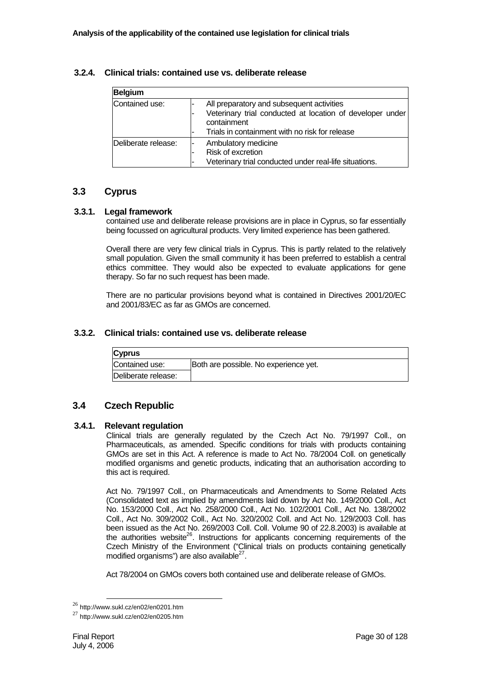| <b>Belgium</b>      |                                                                                                                                                                         |
|---------------------|-------------------------------------------------------------------------------------------------------------------------------------------------------------------------|
| Contained use:      | All preparatory and subsequent activities<br>Veterinary trial conducted at location of developer under<br>containment<br>Trials in containment with no risk for release |
| Deliberate release: | Ambulatory medicine<br>Risk of excretion<br>Veterinary trial conducted under real-life situations.                                                                      |

## **3.2.4. Clinical trials: contained use vs. deliberate release**

# **3.3 Cyprus**

## **3.3.1. Legal framework**

contained use and deliberate release provisions are in place in Cyprus, so far essentially being focussed on agricultural products. Very limited experience has been gathered.

Overall there are very few clinical trials in Cyprus. This is partly related to the relatively small population. Given the small community it has been preferred to establish a central ethics committee. They would also be expected to evaluate applications for gene therapy. So far no such request has been made.

There are no particular provisions beyond what is contained in Directives 2001/20/EC and 2001/83/EC as far as GMOs are concerned.

#### **3.3.2. Clinical trials: contained use vs. deliberate release**

| <b>Cyprus</b>       |                                       |
|---------------------|---------------------------------------|
| Contained use:      | Both are possible. No experience yet. |
| Deliberate release: |                                       |

# **3.4 Czech Republic**

#### **3.4.1. Relevant regulation**

Clinical trials are generally regulated by the Czech Act No. 79/1997 Coll., on Pharmaceuticals, as amended. Specific conditions for trials with products containing GMOs are set in this Act. A reference is made to Act No. 78/2004 Coll. on genetically modified organisms and genetic products, indicating that an authorisation according to this act is required.

Act No. 79/1997 Coll., on Pharmaceuticals and Amendments to Some Related Acts (Consolidated text as implied by amendments laid down by Act No. 149/2000 Coll., Act No. 153/2000 Coll., Act No. 258/2000 Coll., Act No. 102/2001 Coll., Act No. 138/2002 Coll., Act No. 309/2002 Coll., Act No. 320/2002 Coll. and Act No. 129/2003 Coll. has been issued as the Act No. 269/2003 Coll. Coll. Volume 90 of 22.8.2003) is available at the authorities website<sup>26</sup>. Instructions for applicants concerning requirements of the Czech Ministry of the Environment ("Clinical trials on products containing genetically modified organisms") are also available $^{27}$ .

Act 78/2004 on GMOs covers both contained use and deliberate release of GMOs.

<sup>26</sup> http://www.sukl.cz/en02/en0201.htm

<sup>27</sup> http://www.sukl.cz/en02/en0205.htm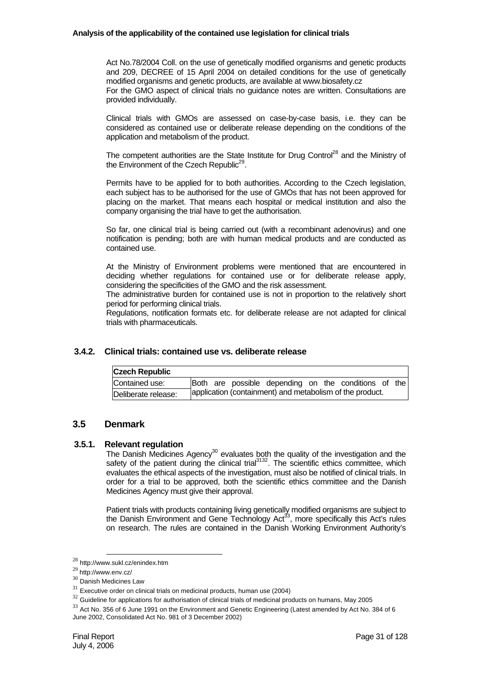#### **Analysis of the applicability of the contained use legislation for clinical trials**

Act No.78/2004 Coll. on the use of genetically modified organisms and genetic products and 209, DECREE of 15 April 2004 on detailed conditions for the use of genetically modified organisms and genetic products, are available at www.biosafety.cz For the GMO aspect of clinical trials no guidance notes are written. Consultations are provided individually.

Clinical trials with GMOs are assessed on case-by-case basis, i.e. they can be considered as contained use or deliberate release depending on the conditions of the application and metabolism of the product.

The competent authorities are the State Institute for Drug Control<sup>28</sup> and the Ministry of the Environment of the Czech Republic<sup>29</sup>.

Permits have to be applied for to both authorities. According to the Czech legislation, each subject has to be authorised for the use of GMOs that has not been approved for placing on the market. That means each hospital or medical institution and also the company organising the trial have to get the authorisation.

So far, one clinical trial is being carried out (with a recombinant adenovirus) and one notification is pending; both are with human medical products and are conducted as contained use.

At the Ministry of Environment problems were mentioned that are encountered in deciding whether regulations for contained use or for deliberate release apply, considering the specificities of the GMO and the risk assessment.

The administrative burden for contained use is not in proportion to the relatively short period for performing clinical trials.

Regulations, notification formats etc. for deliberate release are not adapted for clinical trials with pharmaceuticals.

#### **3.4.2. Clinical trials: contained use vs. deliberate release**

| <b>Czech Republic</b> |  |  |  |                                                          |  |  |  |  |  |
|-----------------------|--|--|--|----------------------------------------------------------|--|--|--|--|--|
| Contained use:        |  |  |  | Both are possible depending on the conditions of the     |  |  |  |  |  |
| Deliberate release:   |  |  |  | application (containment) and metabolism of the product. |  |  |  |  |  |

# **3.5 Denmark**

#### **3.5.1. Relevant regulation**

The Danish Medicines Agency<sup>30</sup> evaluates both the quality of the investigation and the safety of the patient during the clinical trial $3132$ . The scientific ethics committee, which evaluates the ethical aspects of the investigation, must also be notified of clinical trials. In order for a trial to be approved, both the scientific ethics committee and the Danish Medicines Agency must give their approval.

Patient trials with products containing living genetically modified organisms are subject to the Danish Environment and Gene Technology Act<sup>33</sup>, more specifically this Act's rules on research. The rules are contained in the Danish Working Environment Authority's

<sup>28</sup> http://www.sukl.cz/enindex.htm

<sup>29</sup> http://www.env.cz/

<sup>30</sup> Danish Medicines Law

 $31$  Executive order on clinical trials on medicinal products, human use (2004)

 $32$  Guideline for applications for authorisation of clinical trials of medicinal products on humans, May 2005

<sup>&</sup>lt;sup>33</sup> Act No. 356 of 6 June 1991 on the Environment and Genetic Engineering (Latest amended by Act No. 384 of 6 June 2002, Consolidated Act No. 981 of 3 December 2002)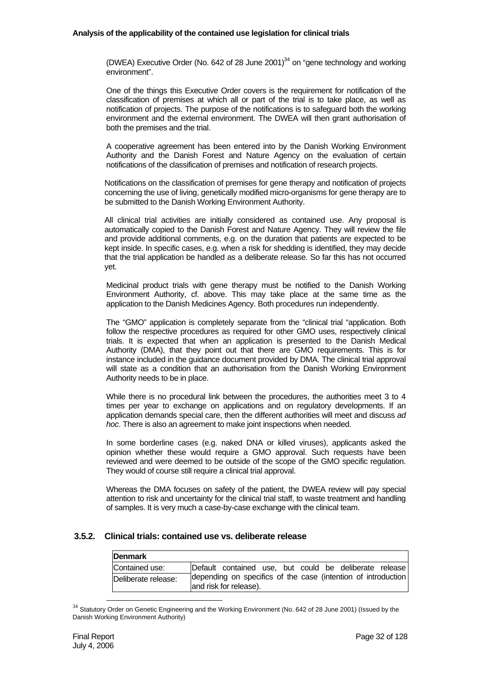#### **Analysis of the applicability of the contained use legislation for clinical trials**

(DWEA) Executive Order (No. 642 of 28 June 2001) $^{34}$  on "gene technology and working environment".

One of the things this Executive Order covers is the requirement for notification of the classification of premises at which all or part of the trial is to take place, as well as notification of projects. The purpose of the notifications is to safeguard both the working environment and the external environment. The DWEA will then grant authorisation of both the premises and the trial.

A cooperative agreement has been entered into by the Danish Working Environment Authority and the Danish Forest and Nature Agency on the evaluation of certain notifications of the classification of premises and notification of research projects.

Notifications on the classification of premises for gene therapy and notification of projects concerning the use of living, genetically modified micro-organisms for gene therapy are to be submitted to the Danish Working Environment Authority.

All clinical trial activities are initially considered as contained use. Any proposal is automatically copied to the Danish Forest and Nature Agency. They will review the file and provide additional comments, e.g. on the duration that patients are expected to be kept inside. In specific cases, e.g. when a risk for shedding is identified, they may decide that the trial application be handled as a deliberate release. So far this has not occurred yet.

Medicinal product trials with gene therapy must be notified to the Danish Working Environment Authority, cf. above. This may take place at the same time as the application to the Danish Medicines Agency. Both procedures run independently.

The "GMO" application is completely separate from the "clinical trial "application. Both follow the respective procedures as required for other GMO uses, respectively clinical trials. It is expected that when an application is presented to the Danish Medical Authority (DMA), that they point out that there are GMO requirements. This is for instance included in the guidance document provided by DMA. The clinical trial approval will state as a condition that an authorisation from the Danish Working Environment Authority needs to be in place.

While there is no procedural link between the procedures, the authorities meet 3 to 4 times per year to exchange on applications and on regulatory developments. If an application demands special care, then the different authorities will meet and discuss *ad hoc*. There is also an agreement to make joint inspections when needed.

In some borderline cases (e.g. naked DNA or killed viruses), applicants asked the opinion whether these would require a GMO approval. Such requests have been reviewed and were deemed to be outside of the scope of the GMO specific regulation. They would of course still require a clinical trial approval.

Whereas the DMA focuses on safety of the patient, the DWEA review will pay special attention to risk and uncertainty for the clinical trial staff, to waste treatment and handling of samples. It is very much a case-by-case exchange with the clinical team.

#### **3.5.2. Clinical trials: contained use vs. deliberate release**

| <b>IDenmark</b>     |                                                                                          |  |
|---------------------|------------------------------------------------------------------------------------------|--|
| Contained use:      | Default contained use, but could be deliberate release                                   |  |
| Deliberate release: | depending on specifics of the case (intention of introduction)<br>and risk for release). |  |

<sup>&</sup>lt;sup>34</sup> Statutory Order on Genetic Engineering and the Working Environment (No. 642 of 28 June 2001) (Issued by the Danish Working Environment Authority)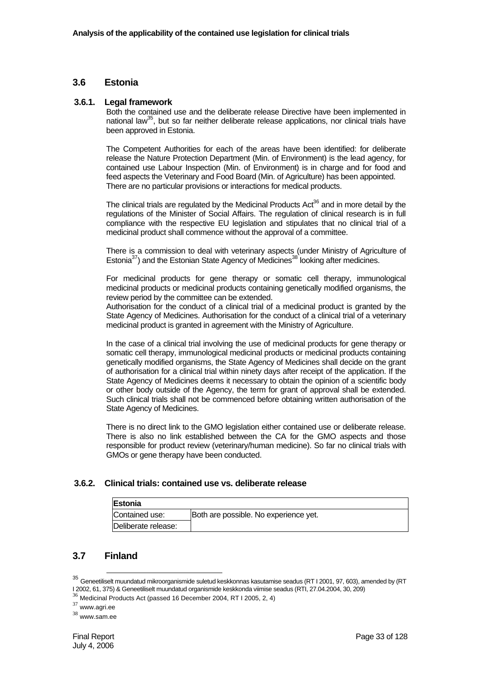## **3.6 Estonia**

#### **3.6.1. Legal framework**

Both the contained use and the deliberate release Directive have been implemented in national law<sup>35</sup>, but so far neither deliberate release applications, nor clinical trials have been approved in Estonia.

The Competent Authorities for each of the areas have been identified: for deliberate release the Nature Protection Department (Min. of Environment) is the lead agency, for contained use Labour Inspection (Min. of Environment) is in charge and for food and feed aspects the Veterinary and Food Board (Min. of Agriculture) has been appointed. There are no particular provisions or interactions for medical products.

The clinical trials are regulated by the Medicinal Products  $Act^{36}$  and in more detail by the regulations of the Minister of Social Affairs. The regulation of clinical research is in full compliance with the respective EU legislation and stipulates that no clinical trial of a medicinal product shall commence without the approval of a committee.

There is a commission to deal with veterinary aspects (under Ministry of Agriculture of Estonia<sup>37</sup>) and the Estonian State Agency of Medicines<sup>38</sup> looking after medicines.

For medicinal products for gene therapy or somatic cell therapy, immunological medicinal products or medicinal products containing genetically modified organisms, the review period by the committee can be extended.

Authorisation for the conduct of a clinical trial of a medicinal product is granted by the State Agency of Medicines. Authorisation for the conduct of a clinical trial of a veterinary medicinal product is granted in agreement with the Ministry of Agriculture.

In the case of a clinical trial involving the use of medicinal products for gene therapy or somatic cell therapy, immunological medicinal products or medicinal products containing genetically modified organisms, the State Agency of Medicines shall decide on the grant of authorisation for a clinical trial within ninety days after receipt of the application. If the State Agency of Medicines deems it necessary to obtain the opinion of a scientific body or other body outside of the Agency, the term for grant of approval shall be extended. Such clinical trials shall not be commenced before obtaining written authorisation of the State Agency of Medicines.

There is no direct link to the GMO legislation either contained use or deliberate release. There is also no link established between the CA for the GMO aspects and those responsible for product review (veterinary/human medicine). So far no clinical trials with GMOs or gene therapy have been conducted.

#### **3.6.2. Clinical trials: contained use vs. deliberate release**

| <b>IEstonia</b>     |                                       |
|---------------------|---------------------------------------|
| Contained use:      | Both are possible. No experience yet. |
| Deliberate release: |                                       |

# **3.7 Finland**

 $35$  Geneetiliselt muundatud mikroorganismide suletud keskkonnas kasutamise seadus (RT I 2001, 97, 603), amended by (RT<br>I 2002, 61, 375) & Geneetiliselt muundatud organismide keskkonda viimise seadus (RTI, 27.04.2004, 30,

16<sub>26</sub>, 51, 317, 300<br><sup>36</sup> Medicinal Products Act (passed 16 December 2004, RT I 2005, 2, 4)

<sup>37</sup> www.agri.ee

<sup>38</sup> www.sam.ee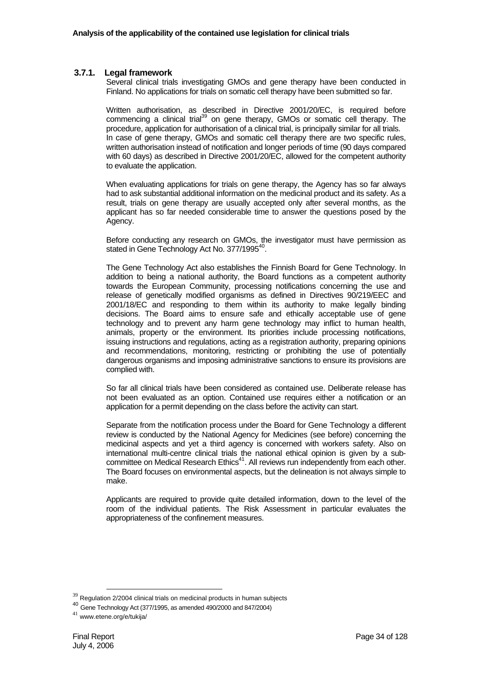#### **3.7.1. Legal framework**

Several clinical trials investigating GMOs and gene therapy have been conducted in Finland. No applications for trials on somatic cell therapy have been submitted so far.

Written authorisation, as described in Directive 2001/20/EC, is required before commencing a clinical trial<sup>39</sup> on gene therapy, GMOs or somatic cell therapy. The procedure, application for authorisation of a clinical trial, is principally similar for all trials. In case of gene therapy, GMOs and somatic cell therapy there are two specific rules, written authorisation instead of notification and longer periods of time (90 days compared with 60 days) as described in Directive 2001/20/EC, allowed for the competent authority to evaluate the application.

When evaluating applications for trials on gene therapy, the Agency has so far always had to ask substantial additional information on the medicinal product and its safety. As a result, trials on gene therapy are usually accepted only after several months, as the applicant has so far needed considerable time to answer the questions posed by the Agency.

Before conducting any research on GMOs, the investigator must have permission as stated in Gene Technology Act No. 377/1995<sup>40</sup>.

The Gene Technology Act also establishes the Finnish Board for Gene Technology. In addition to being a national authority, the Board functions as a competent authority towards the European Community, processing notifications concerning the use and release of genetically modified organisms as defined in Directives 90/219/EEC and 2001/18/EC and responding to them within its authority to make legally binding decisions. The Board aims to ensure safe and ethically acceptable use of gene technology and to prevent any harm gene technology may inflict to human health, animals, property or the environment. Its priorities include processing notifications, issuing instructions and regulations, acting as a registration authority, preparing opinions and recommendations, monitoring, restricting or prohibiting the use of potentially dangerous organisms and imposing administrative sanctions to ensure its provisions are complied with.

So far all clinical trials have been considered as contained use. Deliberate release has not been evaluated as an option. Contained use requires either a notification or an application for a permit depending on the class before the activity can start.

Separate from the notification process under the Board for Gene Technology a different review is conducted by the National Agency for Medicines (see before) concerning the medicinal aspects and yet a third agency is concerned with workers safety. Also on international multi-centre clinical trials the national ethical opinion is given by a subcommittee on Medical Research Ethics<sup>41</sup>. All reviews run independently from each other. The Board focuses on environmental aspects, but the delineation is not always simple to make.

Applicants are required to provide quite detailed information, down to the level of the room of the individual patients. The Risk Assessment in particular evaluates the appropriateness of the confinement measures.

 $39$  Regulation 2/2004 clinical trials on medicinal products in human subjects

<sup>40</sup> Gene Technology Act (377/1995, as amended 490/2000 and 847/2004)

 $41$  www.etene.org/e/tukija/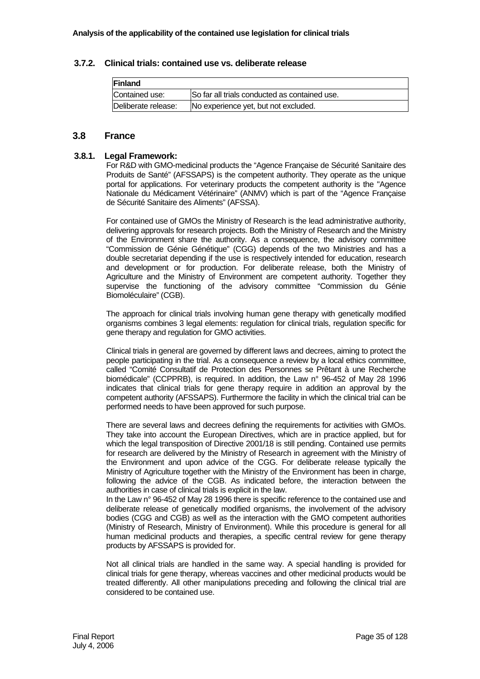#### **3.7.2. Clinical trials: contained use vs. deliberate release**

| <b>Finland</b>      |                                               |
|---------------------|-----------------------------------------------|
| Contained use:      | So far all trials conducted as contained use. |
| Deliberate release: | No experience yet, but not excluded.          |

## **3.8 France**

#### **3.8.1. Legal Framework:**

For R&D with GMO-medicinal products the "Agence Française de Sécurité Sanitaire des Produits de Santé" (AFSSAPS) is the competent authority. They operate as the unique portal for applications. For veterinary products the competent authority is the "Agence Nationale du Médicament Vétérinaire" (ANMV) which is part of the "Agence Française de Sécurité Sanitaire des Aliments" (AFSSA).

For contained use of GMOs the Ministry of Research is the lead administrative authority, delivering approvals for research projects. Both the Ministry of Research and the Ministry of the Environment share the authority. As a consequence, the advisory committee "Commission de Génie Génétique" (CGG) depends of the two Ministries and has a double secretariat depending if the use is respectively intended for education, research and development or for production. For deliberate release, both the Ministry of Agriculture and the Ministry of Environment are competent authority. Together they supervise the functioning of the advisory committee "Commission du Génie Biomoléculaire" (CGB).

The approach for clinical trials involving human gene therapy with genetically modified organisms combines 3 legal elements: regulation for clinical trials, regulation specific for gene therapy and regulation for GMO activities.

Clinical trials in general are governed by different laws and decrees, aiming to protect the people participating in the trial. As a consequence a review by a local ethics committee, called "Comité Consultatif de Protection des Personnes se Prêtant à une Recherche biomédicale" (CCPPRB), is required. In addition, the Law n° 96-452 of May 28 1996 indicates that clinical trials for gene therapy require in addition an approval by the competent authority (AFSSAPS). Furthermore the facility in which the clinical trial can be performed needs to have been approved for such purpose.

There are several laws and decrees defining the requirements for activities with GMOs. They take into account the European Directives, which are in practice applied, but for which the legal transposition of Directive 2001/18 is still pending. Contained use permits for research are delivered by the Ministry of Research in agreement with the Ministry of the Environment and upon advice of the CGG. For deliberate release typically the Ministry of Agriculture together with the Ministry of the Environment has been in charge, following the advice of the CGB. As indicated before, the interaction between the authorities in case of clinical trials is explicit in the law.

In the Law n° 96-452 of May 28 1996 there is specific reference to the contained use and deliberate release of genetically modified organisms, the involvement of the advisory bodies (CGG and CGB) as well as the interaction with the GMO competent authorities (Ministry of Research, Ministry of Environment). While this procedure is general for all human medicinal products and therapies, a specific central review for gene therapy products by AFSSAPS is provided for.

Not all clinical trials are handled in the same way. A special handling is provided for clinical trials for gene therapy, whereas vaccines and other medicinal products would be treated differently. All other manipulations preceding and following the clinical trial are considered to be contained use.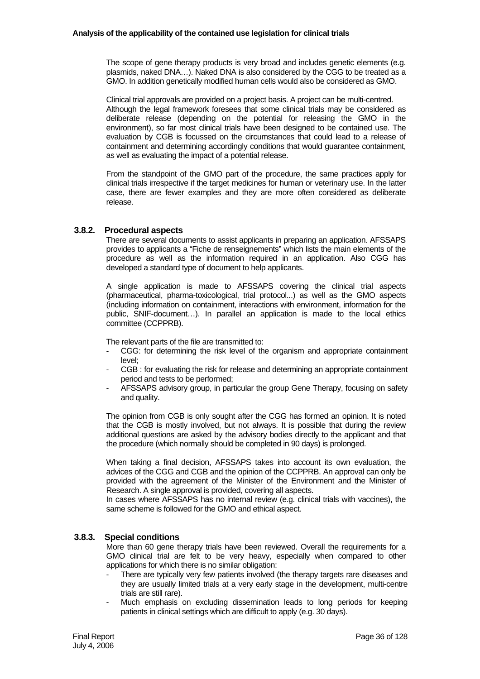The scope of gene therapy products is very broad and includes genetic elements (e.g. plasmids, naked DNA…). Naked DNA is also considered by the CGG to be treated as a GMO. In addition genetically modified human cells would also be considered as GMO.

Clinical trial approvals are provided on a project basis. A project can be multi-centred. Although the legal framework foresees that some clinical trials may be considered as deliberate release (depending on the potential for releasing the GMO in the environment), so far most clinical trials have been designed to be contained use. The evaluation by CGB is focussed on the circumstances that could lead to a release of containment and determining accordingly conditions that would guarantee containment, as well as evaluating the impact of a potential release.

From the standpoint of the GMO part of the procedure, the same practices apply for clinical trials irrespective if the target medicines for human or veterinary use. In the latter case, there are fewer examples and they are more often considered as deliberate release.

#### **3.8.2. Procedural aspects**

There are several documents to assist applicants in preparing an application. AFSSAPS provides to applicants a "Fiche de renseignements" which lists the main elements of the procedure as well as the information required in an application. Also CGG has developed a standard type of document to help applicants.

A single application is made to AFSSAPS covering the clinical trial aspects (pharmaceutical, pharma-toxicological, trial protocol...) as well as the GMO aspects (including information on containment, interactions with environment, information for the public, SNIF-document…). In parallel an application is made to the local ethics committee (CCPPRB).

The relevant parts of the file are transmitted to:

- CGG: for determining the risk level of the organism and appropriate containment level;
- CGB : for evaluating the risk for release and determining an appropriate containment period and tests to be performed;
- AFSSAPS advisory group, in particular the group Gene Therapy, focusing on safety and quality.

The opinion from CGB is only sought after the CGG has formed an opinion. It is noted that the CGB is mostly involved, but not always. It is possible that during the review additional questions are asked by the advisory bodies directly to the applicant and that the procedure (which normally should be completed in 90 days) is prolonged.

When taking a final decision, AFSSAPS takes into account its own evaluation, the advices of the CGG and CGB and the opinion of the CCPPRB. An approval can only be provided with the agreement of the Minister of the Environment and the Minister of Research. A single approval is provided, covering all aspects.

In cases where AFSSAPS has no internal review (e.g. clinical trials with vaccines), the same scheme is followed for the GMO and ethical aspect.

#### **3.8.3. Special conditions**

More than 60 gene therapy trials have been reviewed. Overall the requirements for a GMO clinical trial are felt to be very heavy, especially when compared to other applications for which there is no similar obligation:

- There are typically very few patients involved (the therapy targets rare diseases and they are usually limited trials at a very early stage in the development, multi-centre trials are still rare).
- Much emphasis on excluding dissemination leads to long periods for keeping patients in clinical settings which are difficult to apply (e.g. 30 days).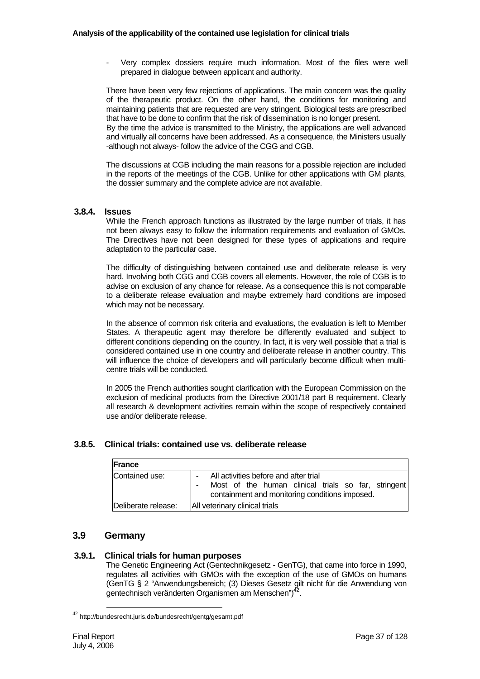Very complex dossiers require much information. Most of the files were well prepared in dialogue between applicant and authority.

There have been very few rejections of applications. The main concern was the quality of the therapeutic product. On the other hand, the conditions for monitoring and maintaining patients that are requested are very stringent. Biological tests are prescribed that have to be done to confirm that the risk of dissemination is no longer present. By the time the advice is transmitted to the Ministry, the applications are well advanced and virtually all concerns have been addressed. As a consequence, the Ministers usually -although not always- follow the advice of the CGG and CGB.

The discussions at CGB including the main reasons for a possible rejection are included in the reports of the meetings of the CGB. Unlike for other applications with GM plants, the dossier summary and the complete advice are not available.

## **3.8.4. Issues**

While the French approach functions as illustrated by the large number of trials, it has not been always easy to follow the information requirements and evaluation of GMOs. The Directives have not been designed for these types of applications and require adaptation to the particular case.

The difficulty of distinguishing between contained use and deliberate release is very hard. Involving both CGG and CGB covers all elements. However, the role of CGB is to advise on exclusion of any chance for release. As a consequence this is not comparable to a deliberate release evaluation and maybe extremely hard conditions are imposed which may not be necessary.

In the absence of common risk criteria and evaluations, the evaluation is left to Member States. A therapeutic agent may therefore be differently evaluated and subject to different conditions depending on the country. In fact, it is very well possible that a trial is considered contained use in one country and deliberate release in another country. This will influence the choice of developers and will particularly become difficult when multicentre trials will be conducted.

In 2005 the French authorities sought clarification with the European Commission on the exclusion of medicinal products from the Directive 2001/18 part B requirement. Clearly all research & development activities remain within the scope of respectively contained use and/or deliberate release.

### **3.8.5. Clinical trials: contained use vs. deliberate release**

| <b>IFrance</b>      |                                                                                                                                                |
|---------------------|------------------------------------------------------------------------------------------------------------------------------------------------|
| Contained use:      | All activities before and after trial<br>Most of the human clinical trials so far, stringent<br>containment and monitoring conditions imposed. |
| Deliberate release: | All veterinary clinical trials                                                                                                                 |

# **3.9 Germany**

### **3.9.1. Clinical trials for human purposes**

The Genetic Engineering Act (Gentechnikgesetz - GenTG), that came into force in 1990, regulates all activities with GMOs with the exception of the use of GMOs on humans (GenTG § 2 "Anwendungsbereich; (3) Dieses Gesetz gilt nicht für die Anwendung von gentechnisch veränderten Organismen am Menschen")

<sup>&</sup>lt;sup>42</sup> http://bundesrecht.juris.de/bundesrecht/gentg/gesamt.pdf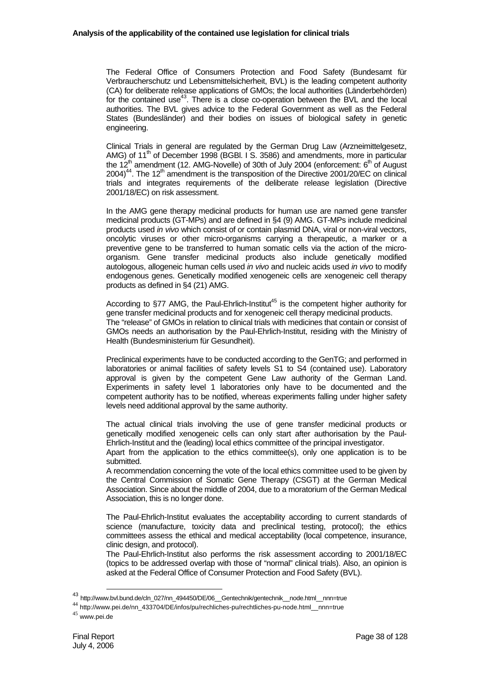The Federal Office of Consumers Protection and Food Safety (Bundesamt für Verbraucherschutz und Lebensmittelsicherheit, BVL) is the leading competent authority (CA) for deliberate release applications of GMOs; the local authorities (Länderbehörden) for the contained use<sup>43</sup>. There is a close co-operation between the BVL and the local authorities. The BVL gives advice to the Federal Government as well as the Federal States (Bundesländer) and their bodies on issues of biological safety in genetic engineering.

Clinical Trials in general are regulated by the German Drug Law (Arzneimittelgesetz, AMG) of 11<sup>th</sup> of December 1998 (BGBI. I S. 3586) and amendments, more in particular the  $12<sup>th</sup>$  amendment (12. AMG-Novelle) of 30th of July 2004 (enforcement:  $6<sup>th</sup>$  of August  $2004$ <sup>44</sup>. The 12<sup>th</sup> amendment is the transposition of the Directive 2001/20/EC on clinical trials and integrates requirements of the deliberate release legislation (Directive 2001/18/EC) on risk assessment.

In the AMG gene therapy medicinal products for human use are named gene transfer medicinal products (GT-MPs) and are defined in §4 (9) AMG. GT-MPs include medicinal products used *in vivo* which consist of or contain plasmid DNA, viral or non-viral vectors, oncolytic viruses or other micro-organisms carrying a therapeutic, a marker or a preventive gene to be transferred to human somatic cells via the action of the microorganism. Gene transfer medicinal products also include genetically modified autologous, allogeneic human cells used *in vivo* and nucleic acids used *in vivo* to modify endogenous genes. Genetically modified xenogeneic cells are xenogeneic cell therapy products as defined in §4 (21) AMG.

According to  $\S$ 77 AMG, the Paul-Ehrlich-Institut<sup>45</sup> is the competent higher authority for gene transfer medicinal products and for xenogeneic cell therapy medicinal products. The "release" of GMOs in relation to clinical trials with medicines that contain or consist of GMOs needs an authorisation by the Paul-Ehrlich-Institut, residing with the Ministry of Health (Bundesministerium für Gesundheit).

Preclinical experiments have to be conducted according to the GenTG; and performed in laboratories or animal facilities of safety levels S1 to S4 (contained use). Laboratory approval is given by the competent Gene Law authority of the German Land. Experiments in safety level 1 laboratories only have to be documented and the competent authority has to be notified, whereas experiments falling under higher safety levels need additional approval by the same authority.

The actual clinical trials involving the use of gene transfer medicinal products or genetically modified xenogeneic cells can only start after authorisation by the Paul-Ehrlich-Institut and the (leading) local ethics committee of the principal investigator.

Apart from the application to the ethics committee(s), only one application is to be submitted.

A recommendation concerning the vote of the local ethics committee used to be given by the Central Commission of Somatic Gene Therapy (CSGT) at the German Medical Association. Since about the middle of 2004, due to a moratorium of the German Medical Association, this is no longer done.

The Paul-Ehrlich-Institut evaluates the acceptability according to current standards of science (manufacture, toxicity data and preclinical testing, protocol); the ethics committees assess the ethical and medical acceptability (local competence, insurance, clinic design, and protocol).

The Paul-Ehrlich-Institut also performs the risk assessment according to 2001/18/EC (topics to be addressed overlap with those of "normal" clinical trials). Also, an opinion is asked at the Federal Office of Consumer Protection and Food Safety (BVL).

 <sup>43</sup> http://www.bvl.bund.de/cln\_027/nn\_494450/DE/06\_\_Gentechnik/gentechnik\_\_node.html\_\_nnn=true

<sup>44</sup> http://www.pei.de/nn\_433704/DE/infos/pu/rechliches-pu/rechtliches-pu-node.html\_\_nnn=true

<sup>45</sup> www.pei.de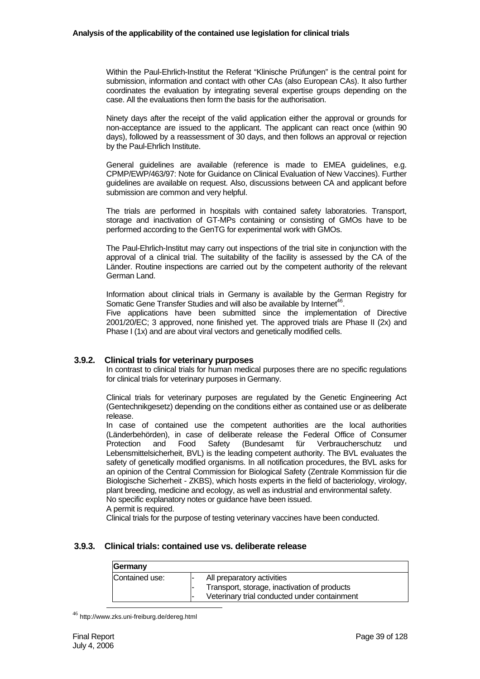Within the Paul-Ehrlich-Institut the Referat "Klinische Prüfungen" is the central point for submission, information and contact with other CAs (also European CAs). It also further coordinates the evaluation by integrating several expertise groups depending on the case. All the evaluations then form the basis for the authorisation.

Ninety days after the receipt of the valid application either the approval or grounds for non-acceptance are issued to the applicant. The applicant can react once (within 90 days), followed by a reassessment of 30 days, and then follows an approval or rejection by the Paul-Ehrlich Institute.

General guidelines are available (reference is made to EMEA guidelines, e.g. CPMP/EWP/463/97: Note for Guidance on Clinical Evaluation of New Vaccines). Further guidelines are available on request. Also, discussions between CA and applicant before submission are common and very helpful.

The trials are performed in hospitals with contained safety laboratories. Transport, storage and inactivation of GT-MPs containing or consisting of GMOs have to be performed according to the GenTG for experimental work with GMOs.

The Paul-Ehrlich-Institut may carry out inspections of the trial site in conjunction with the approval of a clinical trial. The suitability of the facility is assessed by the CA of the Länder. Routine inspections are carried out by the competent authority of the relevant German Land.

Information about clinical trials in Germany is available by the German Registry for Somatic Gene Transfer Studies and will also be available by Internet<sup>46</sup>.

Five applications have been submitted since the implementation of Directive 2001/20/EC; 3 approved, none finished yet. The approved trials are Phase II (2x) and Phase I (1x) and are about viral vectors and genetically modified cells.

### **3.9.2. Clinical trials for veterinary purposes**

In contrast to clinical trials for human medical purposes there are no specific regulations for clinical trials for veterinary purposes in Germany.

Clinical trials for veterinary purposes are regulated by the Genetic Engineering Act (Gentechnikgesetz) depending on the conditions either as contained use or as deliberate release.

In case of contained use the competent authorities are the local authorities (Länderbehörden), in case of deliberate release the Federal Office of Consumer Protection and Food Safety (Bundesamt für Verbraucherschutz und Lebensmittelsicherheit, BVL) is the leading competent authority. The BVL evaluates the safety of genetically modified organisms. In all notification procedures, the BVL asks for an opinion of the Central Commission for Biological Safety (Zentrale Kommission für die Biologische Sicherheit - ZKBS), which hosts experts in the field of bacteriology, virology, plant breeding, medicine and ecology, as well as industrial and environmental safety. No specific explanatory notes or guidance have been issued.

A permit is required.

Clinical trials for the purpose of testing veterinary vaccines have been conducted.

## **3.9.3. Clinical trials: contained use vs. deliberate release**

| Germany        |                                                                                                                            |
|----------------|----------------------------------------------------------------------------------------------------------------------------|
| Contained use: | All preparatory activities<br>Transport, storage, inactivation of products<br>Veterinary trial conducted under containment |

<sup>46</sup> http://www.zks.uni-freiburg.de/dereg.html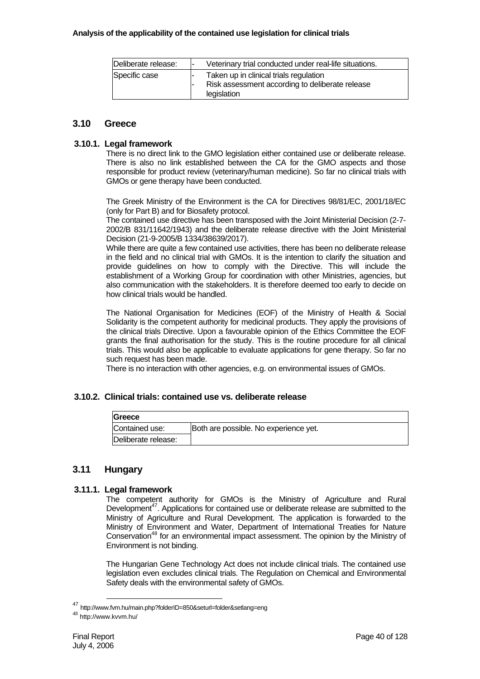| Deliberate release: | Veterinary trial conducted under real-life situations.                                                   |
|---------------------|----------------------------------------------------------------------------------------------------------|
| Specific case       | Taken up in clinical trials regulation<br>Risk assessment according to deliberate release<br>legislation |

# **3.10 Greece**

## **3.10.1. Legal framework**

There is no direct link to the GMO legislation either contained use or deliberate release. There is also no link established between the CA for the GMO aspects and those responsible for product review (veterinary/human medicine). So far no clinical trials with GMOs or gene therapy have been conducted.

The Greek Ministry of the Environment is the CA for Directives 98/81/EC, 2001/18/EC (only for Part B) and for Biosafety protocol.

The contained use directive has been transposed with the Joint Ministerial Decision (2-7- 2002/B 831/11642/1943) and the deliberate release directive with the Joint Ministerial Decision (21-9-2005/B 1334/38639/2017).

While there are quite a few contained use activities, there has been no deliberate release in the field and no clinical trial with GMOs. It is the intention to clarify the situation and provide guidelines on how to comply with the Directive. This will include the establishment of a Working Group for coordination with other Ministries, agencies, but also communication with the stakeholders. It is therefore deemed too early to decide on how clinical trials would be handled.

The National Organisation for Medicines (EOF) of the Ministry of Health & Social Solidarity is the competent authority for medicinal products. They apply the provisions of the clinical trials Directive. Upon a favourable opinion of the Ethics Committee the EOF grants the final authorisation for the study. This is the routine procedure for all clinical trials. This would also be applicable to evaluate applications for gene therapy. So far no such request has been made.

There is no interaction with other agencies, e.g. on environmental issues of GMOs.

# **3.10.2. Clinical trials: contained use vs. deliberate release**

| <b>IGreece</b>      |                                       |
|---------------------|---------------------------------------|
| Contained use:      | Both are possible. No experience yet. |
| Deliberate release: |                                       |

# **3.11 Hungary**

# **3.11.1. Legal framework**

The competent authority for GMOs is the Ministry of Agriculture and Rural Development<sup>47</sup>. Applications for contained use or deliberate release are submitted to the Ministry of Agriculture and Rural Development. The application is forwarded to the Ministry of Environment and Water, Department of International Treaties for Nature Conservation48 for an environmental impact assessment. The opinion by the Ministry of Environment is not binding.

The Hungarian Gene Technology Act does not include clinical trials. The contained use legislation even excludes clinical trials. The Regulation on Chemical and Environmental Safety deals with the environmental safety of GMOs.

 <sup>47</sup> http://www.fvm.hu/main.php?folderID=850&seturl=folder&setlang=eng

<sup>48</sup> http://www.kvvm.hu/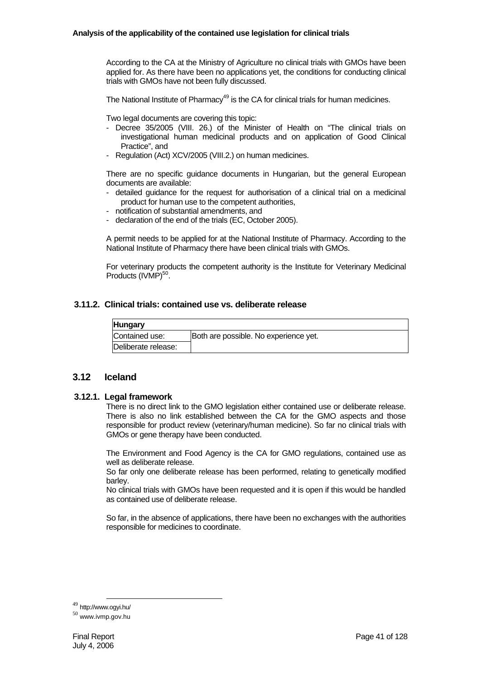According to the CA at the Ministry of Agriculture no clinical trials with GMOs have been applied for. As there have been no applications yet, the conditions for conducting clinical trials with GMOs have not been fully discussed.

The National Institute of Pharmacy<sup>49</sup> is the CA for clinical trials for human medicines.

Two legal documents are covering this topic:

- Decree 35/2005 (VIII. 26.) of the Minister of Health on "The clinical trials on investigational human medicinal products and on application of Good Clinical Practice", and
- Regulation (Act) XCV/2005 (VIII.2.) on human medicines.

There are no specific guidance documents in Hungarian, but the general European documents are available:

- detailed guidance for the request for authorisation of a clinical trial on a medicinal product for human use to the competent authorities,
- notification of substantial amendments, and
- declaration of the end of the trials (EC, October 2005).

A permit needs to be applied for at the National Institute of Pharmacy. According to the National Institute of Pharmacy there have been clinical trials with GMOs.

For veterinary products the competent authority is the Institute for Veterinary Medicinal Products (IVMP)<sup>50</sup>.

# **3.11.2. Clinical trials: contained use vs. deliberate release**

| <b>Hungary</b>      |                                       |
|---------------------|---------------------------------------|
| Contained use:      | Both are possible. No experience yet. |
| Deliberate release: |                                       |

## **3.12 Iceland**

### **3.12.1. Legal framework**

There is no direct link to the GMO legislation either contained use or deliberate release. There is also no link established between the CA for the GMO aspects and those responsible for product review (veterinary/human medicine). So far no clinical trials with GMOs or gene therapy have been conducted.

The Environment and Food Agency is the CA for GMO regulations, contained use as well as deliberate release.

So far only one deliberate release has been performed, relating to genetically modified barley.

No clinical trials with GMOs have been requested and it is open if this would be handled as contained use of deliberate release.

So far, in the absence of applications, there have been no exchanges with the authorities responsible for medicines to coordinate.

<sup>49</sup> http://www.ogyi.hu/

<sup>50</sup> www.ivmp.gov.hu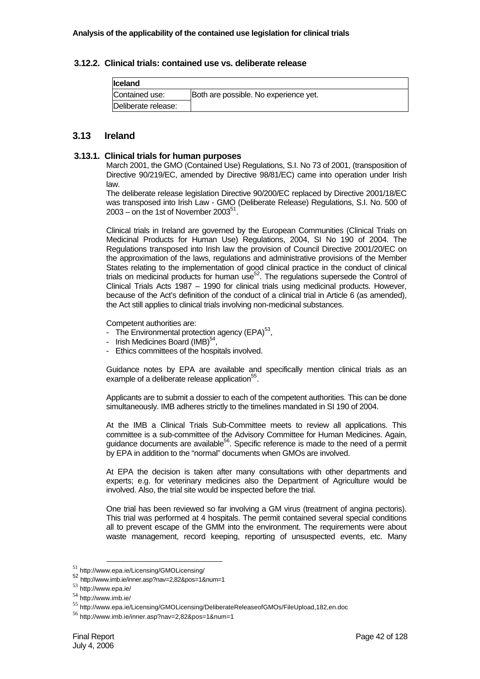## **3.12.2. Clinical trials: contained use vs. deliberate release**

| <b>Iceland</b>      |                                       |
|---------------------|---------------------------------------|
| Contained use:      | Both are possible. No experience yet. |
| Deliberate release: |                                       |

# **3.13 Ireland**

### **3.13.1. Clinical trials for human purposes**

March 2001, the GMO (Contained Use) Regulations, S.I. No 73 of 2001, (transposition of Directive 90/219/EC, amended by Directive 98/81/EC) came into operation under Irish law.

The deliberate release legislation Directive 90/200/EC replaced by Directive 2001/18/EC was transposed into Irish Law - GMO (Deliberate Release) Regulations, S.I. No. 500 of  $2003$  – on the 1st of November 2003<sup>51</sup>.

Clinical trials in Ireland are governed by the European Communities (Clinical Trials on Medicinal Products for Human Use) Regulations, 2004, SI No 190 of 2004. The Regulations transposed into Irish law the provision of Council Directive 2001/20/EC on the approximation of the laws, regulations and administrative provisions of the Member States relating to the implementation of good clinical practice in the conduct of clinical trials on medicinal products for human use $52$ . The regulations supersede the Control of Clinical Trials Acts 1987 – 1990 for clinical trials using medicinal products. However, because of the Act's definition of the conduct of a clinical trial in Article 6 (as amended), the Act still applies to clinical trials involving non-medicinal substances.

Competent authorities are:

- The Environmental protection agency  $(EPA)^{53}$ ,
- Irish Medicines Board (IMB)<sup>54</sup>,
- Ethics committees of the hospitals involved.

Guidance notes by EPA are available and specifically mention clinical trials as an example of a deliberate release application<sup>55</sup>.

Applicants are to submit a dossier to each of the competent authorities. This can be done simultaneously. IMB adheres strictly to the timelines mandated in SI 190 of 2004.

At the IMB a Clinical Trials Sub-Committee meets to review all applications. This committee is a sub-committee of the Advisory Committee for Human Medicines. Again, guidance documents are available<sup>56</sup>. Specific reference is made to the need of a permit by EPA in addition to the "normal" documents when GMOs are involved.

At EPA the decision is taken after many consultations with other departments and experts; e.g. for veterinary medicines also the Department of Agriculture would be involved. Also, the trial site would be inspected before the trial.

One trial has been reviewed so far involving a GM virus (treatment of angina pectoris). This trial was performed at 4 hospitals. The permit contained several special conditions all to prevent escape of the GMM into the environment. The requirements were about waste management, record keeping, reporting of unsuspected events, etc. Many

<sup>51</sup> http://www.epa.ie/Licensing/GMOLicensing/

<sup>52</sup> http://www.imb.ie/inner.asp?nav=2,82&pos=1&num=1

<sup>53</sup> http://www.epa.ie/

<sup>54</sup> http://www.imb.ie/

<sup>55</sup> http://www.epa.ie/Licensing/GMOLicensing/DeliberateReleaseofGMOs/FileUpload,182,en.doc

<sup>56</sup> http://www.imb.ie/inner.asp?nav=2,82&pos=1&num=1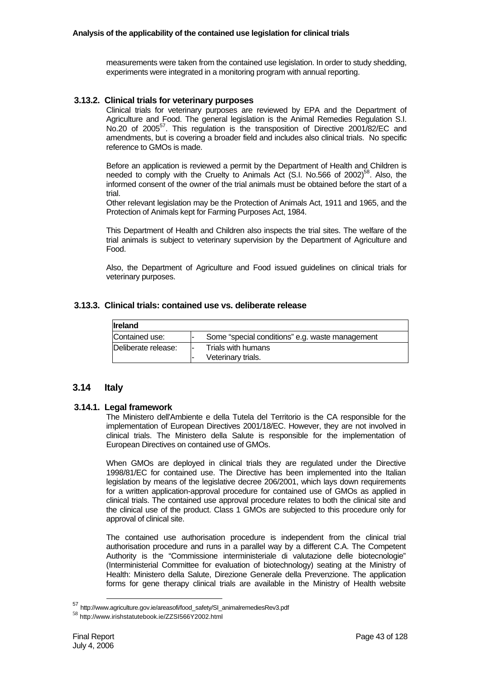measurements were taken from the contained use legislation. In order to study shedding, experiments were integrated in a monitoring program with annual reporting.

# **3.13.2. Clinical trials for veterinary purposes**

Clinical trials for veterinary purposes are reviewed by EPA and the Department of Agriculture and Food. The general legislation is the Animal Remedies Regulation S.I. No.20 of 2005<sup>57</sup>. This regulation is the transposition of Directive 2001/82/EC and amendments, but is covering a broader field and includes also clinical trials. No specific reference to GMOs is made.

Before an application is reviewed a permit by the Department of Health and Children is needed to comply with the Cruelty to Animals Act  $(S.I.$  No.566 of 2002)<sup>58</sup>. Also, the informed consent of the owner of the trial animals must be obtained before the start of a trial.

Other relevant legislation may be the Protection of Animals Act, 1911 and 1965, and the Protection of Animals kept for Farming Purposes Act, 1984.

This Department of Health and Children also inspects the trial sites. The welfare of the trial animals is subject to veterinary supervision by the Department of Agriculture and Food.

Also, the Department of Agriculture and Food issued guidelines on clinical trials for veterinary purposes.

# **3.13.3. Clinical trials: contained use vs. deliberate release**

| <b>Ireland</b>      |                                                 |
|---------------------|-------------------------------------------------|
| Contained use:      | Some "special conditions" e.g. waste management |
| Deliberate release: | Trials with humans<br>Veterinary trials.        |

# **3.14 Italy**

# **3.14.1. Legal framework**

The Ministero dell'Ambiente e della Tutela del Territorio is the CA responsible for the implementation of European Directives 2001/18/EC. However, they are not involved in clinical trials. The Ministero della Salute is responsible for the implementation of European Directives on contained use of GMOs.

When GMOs are deployed in clinical trials they are regulated under the Directive 1998/81/EC for contained use. The Directive has been implemented into the Italian legislation by means of the legislative decree 206/2001, which lays down requirements for a written application-approval procedure for contained use of GMOs as applied in clinical trials. The contained use approval procedure relates to both the clinical site and the clinical use of the product. Class 1 GMOs are subjected to this procedure only for approval of clinical site.

The contained use authorisation procedure is independent from the clinical trial authorisation procedure and runs in a parallel way by a different C.A. The Competent Authority is the "Commissione interministeriale di valutazione delle biotecnologie" (Interministerial Committee for evaluation of biotechnology) seating at the Ministry of Health: Ministero della Salute, Direzione Generale della Prevenzione. The application forms for gene therapy clinical trials are available in the Ministry of Health website

 <sup>57</sup> http://www.agriculture.gov.ie/areasofi/food\_safety/SI\_animalremediesRev3.pdf

<sup>58</sup> http://www.irishstatutebook.ie/ZZSI566Y2002.html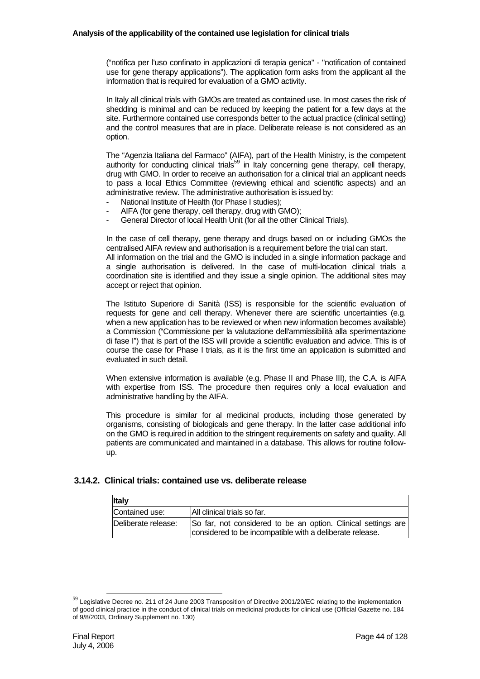("notifica per l'uso confinato in applicazioni di terapia genica" - "notification of contained use for gene therapy applications"). The application form asks from the applicant all the information that is required for evaluation of a GMO activity.

In Italy all clinical trials with GMOs are treated as contained use. In most cases the risk of shedding is minimal and can be reduced by keeping the patient for a few days at the site. Furthermore contained use corresponds better to the actual practice (clinical setting) and the control measures that are in place. Deliberate release is not considered as an option.

The "Agenzia Italiana del Farmaco" (AIFA), part of the Health Ministry, is the competent authority for conducting clinical trials<sup>59</sup> in Italy concerning gene therapy, cell therapy, drug with GMO. In order to receive an authorisation for a clinical trial an applicant needs to pass a local Ethics Committee (reviewing ethical and scientific aspects) and an administrative review. The administrative authorisation is issued by:

- National Institute of Health (for Phase I studies):
- AIFA (for gene therapy, cell therapy, drug with GMO);
- General Director of local Health Unit (for all the other Clinical Trials).

In the case of cell therapy, gene therapy and drugs based on or including GMOs the centralised AIFA review and authorisation is a requirement before the trial can start.

All information on the trial and the GMO is included in a single information package and a single authorisation is delivered. In the case of multi-location clinical trials a coordination site is identified and they issue a single opinion. The additional sites may accept or reject that opinion.

The Istituto Superiore di Sanità (ISS) is responsible for the scientific evaluation of requests for gene and cell therapy. Whenever there are scientific uncertainties (e.g. when a new application has to be reviewed or when new information becomes available) a Commission ("Commissione per la valutazione dell'ammissibilità alla sperimentazione di fase I") that is part of the ISS will provide a scientific evaluation and advice. This is of course the case for Phase I trials, as it is the first time an application is submitted and evaluated in such detail.

When extensive information is available (e.g. Phase II and Phase III), the C.A. is AIFA with expertise from ISS. The procedure then requires only a local evaluation and administrative handling by the AIFA.

This procedure is similar for al medicinal products, including those generated by organisms, consisting of biologicals and gene therapy. In the latter case additional info on the GMO is required in addition to the stringent requirements on safety and quality. All patients are communicated and maintained in a database. This allows for routine followup.

# **3.14.2. Clinical trials: contained use vs. deliberate release**

| <b>Italy</b>        |                                                                                                                           |
|---------------------|---------------------------------------------------------------------------------------------------------------------------|
| Contained use:      | All clinical trials so far.                                                                                               |
| Deliberate release: | So far, not considered to be an option. Clinical settings are<br>considered to be incompatible with a deliberate release. |

 $59$  Legislative Decree no. 211 of 24 June 2003 Transposition of Directive 2001/20/EC relating to the implementation of good clinical practice in the conduct of clinical trials on medicinal products for clinical use (Official Gazette no. 184 of 9/8/2003, Ordinary Supplement no. 130)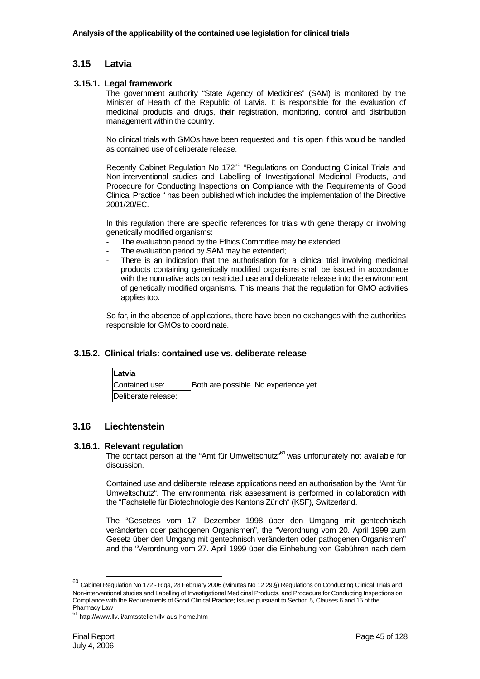# **3.15 Latvia**

## **3.15.1. Legal framework**

The government authority "State Agency of Medicines" (SAM) is monitored by the Minister of Health of the Republic of Latvia. It is responsible for the evaluation of medicinal products and drugs, their registration, monitoring, control and distribution management within the country.

No clinical trials with GMOs have been requested and it is open if this would be handled as contained use of deliberate release.

Recently Cabinet Regulation No 172<sup>60</sup> "Regulations on Conducting Clinical Trials and Non-interventional studies and Labelling of Investigational Medicinal Products, and Procedure for Conducting Inspections on Compliance with the Requirements of Good Clinical Practice " has been published which includes the implementation of the Directive 2001/20/EC.

In this regulation there are specific references for trials with gene therapy or involving genetically modified organisms:

- The evaluation period by the Ethics Committee may be extended;
- The evaluation period by SAM may be extended;
- There is an indication that the authorisation for a clinical trial involving medicinal products containing genetically modified organisms shall be issued in accordance with the normative acts on restricted use and deliberate release into the environment of genetically modified organisms. This means that the regulation for GMO activities applies too.

So far, in the absence of applications, there have been no exchanges with the authorities responsible for GMOs to coordinate.

### **3.15.2. Clinical trials: contained use vs. deliberate release**

| Latvia              |                                       |
|---------------------|---------------------------------------|
| Contained use:      | Both are possible. No experience yet. |
| Deliberate release: |                                       |

# **3.16 Liechtenstein**

### **3.16.1. Relevant regulation**

The contact person at the "Amt für Umweltschutz"<sup>61</sup> was unfortunately not available for discussion.

Contained use and deliberate release applications need an authorisation by the "Amt für Umweltschutz". The environmental risk assessment is performed in collaboration with the "Fachstelle für Biotechnologie des Kantons Zürich" (KSF), Switzerland.

The "Gesetzes vom 17. Dezember 1998 über den Umgang mit gentechnisch veränderten oder pathogenen Organismen", the "Verordnung vom 20. April 1999 zum Gesetz über den Umgang mit gentechnisch veränderten oder pathogenen Organismen" and the "Verordnung vom 27. April 1999 über die Einhebung von Gebühren nach dem

 $^{60}$  Cabinet Regulation No 172 - Riga, 28 February 2006 (Minutes No 12 29.§) Regulations on Conducting Clinical Trials and Non-interventional studies and Labelling of Investigational Medicinal Products, and Procedure for Conducting Inspections on Compliance with the Requirements of Good Clinical Practice; Issued pursuant to Section 5, Clauses 6 and 15 of the Pharmacy Law

 $61$  http://www.llv.li/amtsstellen/llv-aus-home.htm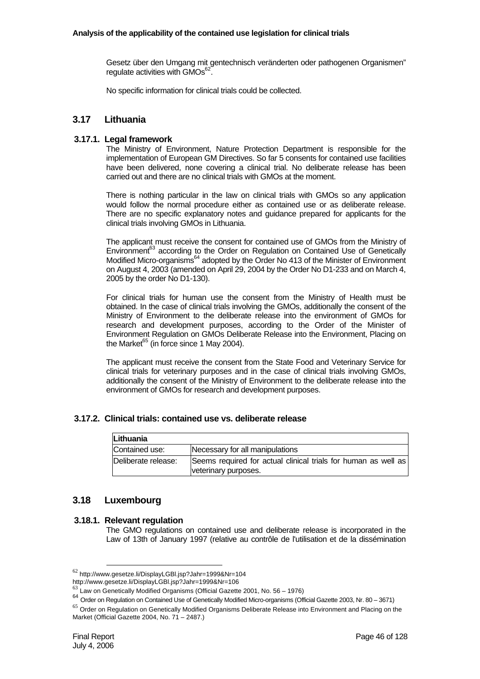Gesetz über den Umgang mit gentechnisch veränderten oder pathogenen Organismen" regulate activities with GMOs<sup>62</sup>.

No specific information for clinical trials could be collected.

# **3.17 Lithuania**

# **3.17.1. Legal framework**

The Ministry of Environment, Nature Protection Department is responsible for the implementation of European GM Directives. So far 5 consents for contained use facilities have been delivered, none covering a clinical trial. No deliberate release has been carried out and there are no clinical trials with GMOs at the moment.

There is nothing particular in the law on clinical trials with GMOs so any application would follow the normal procedure either as contained use or as deliberate release. There are no specific explanatory notes and guidance prepared for applicants for the clinical trials involving GMOs in Lithuania.

The applicant must receive the consent for contained use of GMOs from the Ministry of Environment<sup>63</sup> according to the Order on Regulation on Contained Use of Genetically Modified Micro-organisms<sup>64</sup> adopted by the Order No 413 of the Minister of Environment on August 4, 2003 (amended on April 29, 2004 by the Order No D1-233 and on March 4, 2005 by the order No D1-130).

For clinical trials for human use the consent from the Ministry of Health must be obtained. In the case of clinical trials involving the GMOs, additionally the consent of the Ministry of Environment to the deliberate release into the environment of GMOs for research and development purposes, according to the Order of the Minister of Environment Regulation on GMOs Deliberate Release into the Environment, Placing on the Market $65$  (in force since 1 May 2004).

The applicant must receive the consent from the State Food and Veterinary Service for clinical trials for veterinary purposes and in the case of clinical trials involving GMOs, additionally the consent of the Ministry of Environment to the deliberate release into the environment of GMOs for research and development purposes.

# **3.17.2. Clinical trials: contained use vs. deliberate release**

| Lithuania           |                                                                                        |  |  |
|---------------------|----------------------------------------------------------------------------------------|--|--|
| Contained use:      | Necessary for all manipulations                                                        |  |  |
| Deliberate release: | Seems required for actual clinical trials for human as well as<br>veterinary purposes. |  |  |

# **3.18 Luxembourg**

# **3.18.1. Relevant regulation**

The GMO regulations on contained use and deliberate release is incorporated in the Law of 13th of January 1997 (relative au contrôle de l'utilisation et de la dissémination

<sup>62</sup> http://www.gesetze.li/DisplayLGBl.jsp?Jahr=1999&Nr=104

http://www.gesetze.li/DisplayLGBl.jsp?Jahr=1999&Nr=106

Law on Genetically Modified Organisms (Official Gazette 2001, No. 56 – 1976)

<sup>64</sup> Order on Regulation on Contained Use of Genetically Modified Micro-organisms (Official Gazette 2003, Nr. 80 – 3671)

<sup>&</sup>lt;sup>65</sup> Order on Regulation on Genetically Modified Organisms Deliberate Release into Environment and Placing on the Market (Official Gazette 2004, No. 71 – 2487.)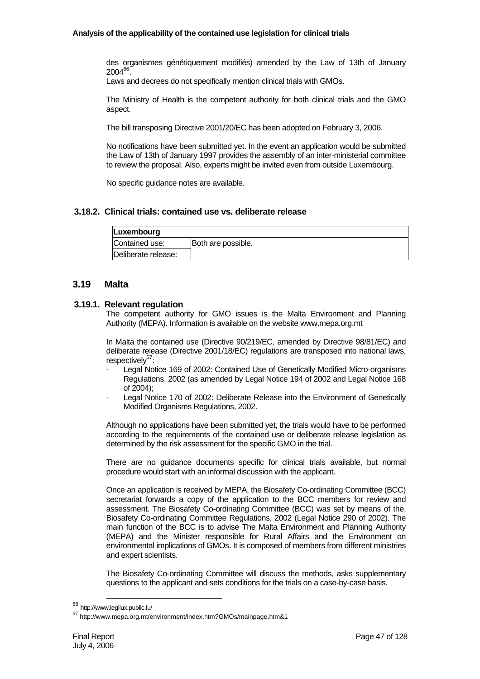des organismes génétiquement modifiés) amended by the Law of 13th of January 200466

Laws and decrees do not specifically mention clinical trials with GMOs.

The Ministry of Health is the competent authority for both clinical trials and the GMO aspect.

The bill transposing Directive 2001/20/EC has been adopted on February 3, 2006.

No notifications have been submitted yet. In the event an application would be submitted the Law of 13th of January 1997 provides the assembly of an inter-ministerial committee to review the proposal. Also, experts might be invited even from outside Luxembourg.

No specific guidance notes are available.

## **3.18.2. Clinical trials: contained use vs. deliberate release**

| Luxembourg          |                    |
|---------------------|--------------------|
| Contained use:      | Both are possible. |
| Deliberate release: |                    |

## **3.19 Malta**

### **3.19.1. Relevant regulation**

The competent authority for GMO issues is the Malta Environment and Planning Authority (MEPA). Information is available on the website www.mepa.org.mt

In Malta the contained use (Directive 90/219/EC, amended by Directive 98/81/EC) and deliberate release (Directive 2001/18/EC) regulations are transposed into national laws, respectively $67$ :

- Legal Notice 169 of 2002: Contained Use of Genetically Modified Micro-organisms Regulations, 2002 (as amended by Legal Notice 194 of 2002 and Legal Notice 168 of 2004);
- Legal Notice 170 of 2002: Deliberate Release into the Environment of Genetically Modified Organisms Regulations, 2002.

Although no applications have been submitted yet, the trials would have to be performed according to the requirements of the contained use or deliberate release legislation as determined by the risk assessment for the specific GMO in the trial.

There are no guidance documents specific for clinical trials available, but normal procedure would start with an informal discussion with the applicant.

Once an application is received by MEPA, the Biosafety Co-ordinating Committee (BCC) secretariat forwards a copy of the application to the BCC members for review and assessment. The Biosafety Co-ordinating Committee (BCC) was set by means of the, Biosafety Co-ordinating Committee Regulations, 2002 (Legal Notice 290 of 2002). The main function of the BCC is to advise The Malta Environment and Planning Authority (MEPA) and the Minister responsible for Rural Affairs and the Environment on environmental implications of GMOs. It is composed of members from different ministries and expert scientists.

The Biosafety Co-ordinating Committee will discuss the methods, asks supplementary questions to the applicant and sets conditions for the trials on a case-by-case basis.

 <sup>66</sup> http://www.legilux.public.lu/

 $67$  http://www.mepa.org.mt/environment/index.htm?GMOs/mainpage.htm&1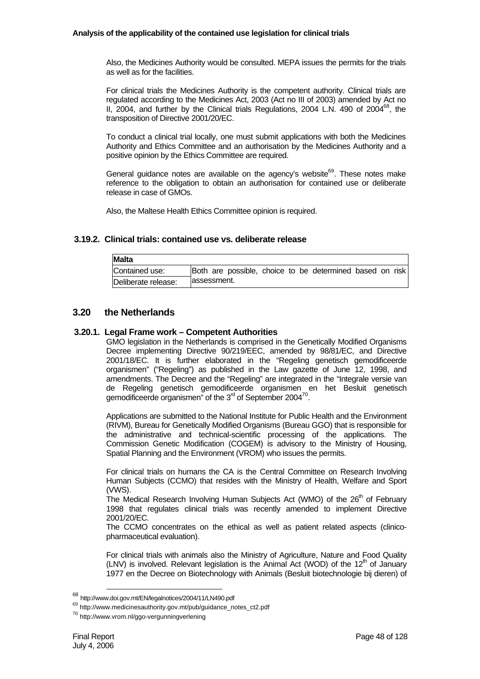Also, the Medicines Authority would be consulted. MEPA issues the permits for the trials as well as for the facilities.

For clinical trials the Medicines Authority is the competent authority. Clinical trials are regulated according to the Medicines Act, 2003 (Act no III of 2003) amended by Act no II, 2004, and further by the Clinical trials Regulations, 2004 L.N. 490 of  $2004^{68}$ , the transposition of Directive 2001/20/EC.

To conduct a clinical trial locally, one must submit applications with both the Medicines Authority and Ethics Committee and an authorisation by the Medicines Authority and a positive opinion by the Ethics Committee are required.

General guidance notes are available on the agency's website<sup>69</sup>. These notes make reference to the obligation to obtain an authorisation for contained use or deliberate release in case of GMOs.

Also, the Maltese Health Ethics Committee opinion is required.

# **3.19.2. Clinical trials: contained use vs. deliberate release**

| Malta               |              |  |  |                                                          |  |  |
|---------------------|--------------|--|--|----------------------------------------------------------|--|--|
| Contained use:      |              |  |  | Both are possible, choice to be determined based on risk |  |  |
| Deliberate release: | lassessment. |  |  |                                                          |  |  |

# **3.20 the Netherlands**

### **3.20.1. Legal Frame work – Competent Authorities**

GMO legislation in the Netherlands is comprised in the Genetically Modified Organisms Decree implementing Directive 90/219/EEC, amended by 98/81/EC, and Directive 2001/18/EC. It is further elaborated in the "Regeling genetisch gemodificeerde organismen" ("Regeling") as published in the Law gazette of June 12, 1998, and amendments. The Decree and the "Regeling" are integrated in the "Integrale versie van de Regeling genetisch gemodificeerde organismen en het Besluit genetisch gemodificeerde organismen" of the  $3<sup>rd</sup>$  of September 2004<sup>70</sup>.

Applications are submitted to the National Institute for Public Health and the Environment (RIVM), Bureau for Genetically Modified Organisms (Bureau GGO) that is responsible for the administrative and technical-scientific processing of the applications. The Commission Genetic Modification (COGEM) is advisory to the Ministry of Housing, Spatial Planning and the Environment (VROM) who issues the permits.

For clinical trials on humans the CA is the Central Committee on Research Involving Human Subjects (CCMO) that resides with the Ministry of Health, Welfare and Sport (VWS).

The Medical Research Involving Human Subjects Act (WMO) of the 26<sup>th</sup> of February 1998 that regulates clinical trials was recently amended to implement Directive 2001/20/EC.

The CCMO concentrates on the ethical as well as patient related aspects (clinicopharmaceutical evaluation).

For clinical trials with animals also the Ministry of Agriculture, Nature and Food Quality (LNV) is involved. Relevant legislation is the Animal Act (WOD) of the  $12<sup>th</sup>$  of January 1977 en the Decree on Biotechnology with Animals (Besluit biotechnologie bij dieren) of

 <sup>68</sup> http://www.doi.gov.mt/EN/legalnotices/2004/11/LN490.pdf

<sup>69</sup> http://www.medicinesauthority.gov.mt/pub/guidance\_notes\_ct2.pdf

 $^{70}$  http://www.vrom.nl/ggo-vergunningverlening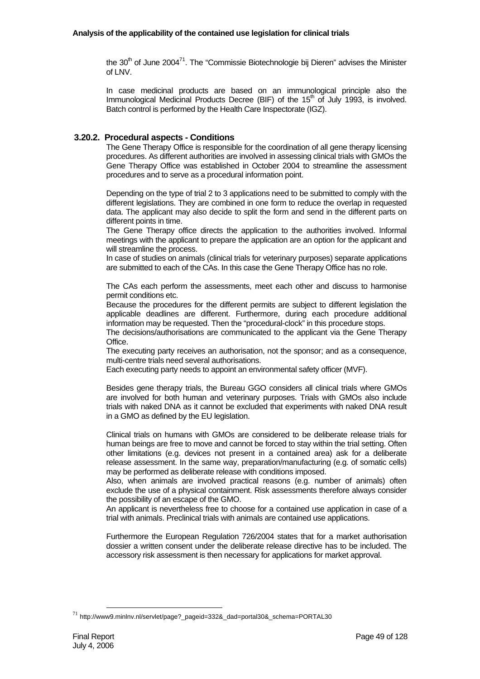the  $30<sup>th</sup>$  of June 2004<sup>71</sup>. The "Commissie Biotechnologie bij Dieren" advises the Minister of LNV.

In case medicinal products are based on an immunological principle also the Immunological Medicinal Products Decree (BIF) of the 15<sup>th</sup> of July 1993, is involved. Batch control is performed by the Health Care Inspectorate (IGZ).

# **3.20.2. Procedural aspects - Conditions**

The Gene Therapy Office is responsible for the coordination of all gene therapy licensing procedures. As different authorities are involved in assessing clinical trials with GMOs the Gene Therapy Office was established in October 2004 to streamline the assessment procedures and to serve as a procedural information point.

Depending on the type of trial 2 to 3 applications need to be submitted to comply with the different legislations. They are combined in one form to reduce the overlap in requested data. The applicant may also decide to split the form and send in the different parts on different points in time.

The Gene Therapy office directs the application to the authorities involved. Informal meetings with the applicant to prepare the application are an option for the applicant and will streamline the process.

In case of studies on animals (clinical trials for veterinary purposes) separate applications are submitted to each of the CAs. In this case the Gene Therapy Office has no role.

The CAs each perform the assessments, meet each other and discuss to harmonise permit conditions etc.

Because the procedures for the different permits are subject to different legislation the applicable deadlines are different. Furthermore, during each procedure additional information may be requested. Then the "procedural-clock" in this procedure stops.

The decisions/authorisations are communicated to the applicant via the Gene Therapy **Office** 

The executing party receives an authorisation, not the sponsor; and as a consequence, multi-centre trials need several authorisations.

Each executing party needs to appoint an environmental safety officer (MVF).

Besides gene therapy trials, the Bureau GGO considers all clinical trials where GMOs are involved for both human and veterinary purposes. Trials with GMOs also include trials with naked DNA as it cannot be excluded that experiments with naked DNA result in a GMO as defined by the EU legislation.

Clinical trials on humans with GMOs are considered to be deliberate release trials for human beings are free to move and cannot be forced to stay within the trial setting. Often other limitations (e.g. devices not present in a contained area) ask for a deliberate release assessment. In the same way, preparation/manufacturing (e.g. of somatic cells) may be performed as deliberate release with conditions imposed.

Also, when animals are involved practical reasons (e.g. number of animals) often exclude the use of a physical containment. Risk assessments therefore always consider the possibility of an escape of the GMO.

An applicant is nevertheless free to choose for a contained use application in case of a trial with animals. Preclinical trials with animals are contained use applications.

Furthermore the European Regulation 726/2004 states that for a market authorisation dossier a written consent under the deliberate release directive has to be included. The accessory risk assessment is then necessary for applications for market approval.

<sup>71</sup> http://www9.minlnv.nl/servlet/page?\_pageid=332&\_dad=portal30&\_schema=PORTAL30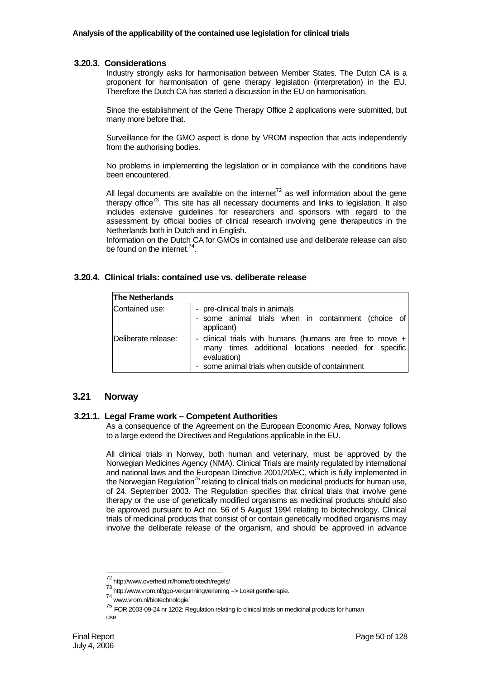### **3.20.3. Considerations**

Industry strongly asks for harmonisation between Member States. The Dutch CA is a proponent for harmonisation of gene therapy legislation (interpretation) in the EU. Therefore the Dutch CA has started a discussion in the EU on harmonisation.

Since the establishment of the Gene Therapy Office 2 applications were submitted, but many more before that.

Surveillance for the GMO aspect is done by VROM inspection that acts independently from the authorising bodies.

No problems in implementing the legislation or in compliance with the conditions have been encountered.

All legal documents are available on the internet<sup>72</sup> as well information about the gene therapy office<sup>73</sup>. This site has all necessary documents and links to legislation. It also includes extensive guidelines for researchers and sponsors with regard to the assessment by official bodies of clinical research involving gene therapeutics in the Netherlands both in Dutch and in English.

Information on the Dutch CA for GMOs in contained use and deliberate release can also be found on the internet.<sup>74</sup>

## **3.20.4. Clinical trials: contained use vs. deliberate release**

| <b>The Netherlands</b> |                                                                                                                                                                                       |
|------------------------|---------------------------------------------------------------------------------------------------------------------------------------------------------------------------------------|
| Contained use:         | - pre-clinical trials in animals<br>- some animal trials when in containment (choice of<br>applicant)                                                                                 |
| Deliberate release:    | - clinical trials with humans (humans are free to move $+ $<br>many times additional locations needed for specific<br>evaluation)<br>- some animal trials when outside of containment |

## **3.21 Norway**

#### **3.21.1. Legal Frame work – Competent Authorities**

As a consequence of the Agreement on the European Economic Area, Norway follows to a large extend the Directives and Regulations applicable in the EU.

All clinical trials in Norway, both human and veterinary, must be approved by the Norwegian Medicines Agency (NMA). Clinical Trials are mainly regulated by international and national laws and the European Directive 2001/20/EC, which is fully implemented in the Norwegian Regulation<sup>75</sup> relating to clinical trials on medicinal products for human use, of 24. September 2003. The Regulation specifies that clinical trials that involve gene therapy or the use of genetically modified organisms as medicinal products should also be approved pursuant to Act no. 56 of 5 August 1994 relating to biotechnology. Clinical trials of medicinal products that consist of or contain genetically modified organisms may involve the deliberate release of the organism, and should be approved in advance

l

<sup>72</sup> http://www.overheid.nl/home/biotech/regels/

<sup>73</sup> http:/www.vrom.nl/ggo-vergunningverlening => Loket gentherapie.

<sup>74</sup> www.vrom.nl/biotechnologie.

 $75$  FOR 2003-09-24 nr 1202: Regulation relating to clinical trials on medicinal products for human use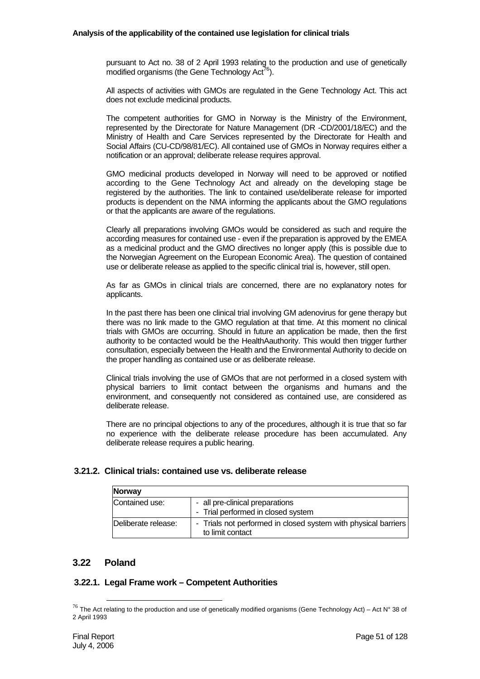pursuant to Act no. 38 of 2 April 1993 relating to the production and use of genetically modified organisms (the Gene Technology Act<sup>76</sup>).

All aspects of activities with GMOs are regulated in the Gene Technology Act. This act does not exclude medicinal products.

The competent authorities for GMO in Norway is the Ministry of the Environment, represented by the Directorate for Nature Management (DR -CD/2001/18/EC) and the Ministry of Health and Care Services represented by the Directorate for Health and Social Affairs (CU-CD/98/81/EC). All contained use of GMOs in Norway requires either a notification or an approval; deliberate release requires approval.

GMO medicinal products developed in Norway will need to be approved or notified according to the Gene Technology Act and already on the developing stage be registered by the authorities. The link to contained use/deliberate release for imported products is dependent on the NMA informing the applicants about the GMO regulations or that the applicants are aware of the regulations.

Clearly all preparations involving GMOs would be considered as such and require the according measures for contained use - even if the preparation is approved by the EMEA as a medicinal product and the GMO directives no longer apply (this is possible due to the Norwegian Agreement on the European Economic Area). The question of contained use or deliberate release as applied to the specific clinical trial is, however, still open.

As far as GMOs in clinical trials are concerned, there are no explanatory notes for applicants.

In the past there has been one clinical trial involving GM adenovirus for gene therapy but there was no link made to the GMO regulation at that time. At this moment no clinical trials with GMOs are occurring. Should in future an application be made, then the first authority to be contacted would be the HealthAauthority. This would then trigger further consultation, especially between the Health and the Environmental Authority to decide on the proper handling as contained use or as deliberate release.

Clinical trials involving the use of GMOs that are not performed in a closed system with physical barriers to limit contact between the organisms and humans and the environment, and consequently not considered as contained use, are considered as deliberate release.

There are no principal objections to any of the procedures, although it is true that so far no experience with the deliberate release procedure has been accumulated. Any deliberate release requires a public hearing.

# **3.21.2. Clinical trials: contained use vs. deliberate release**

| <b>Norway</b>       |                                                                                    |
|---------------------|------------------------------------------------------------------------------------|
| Contained use:      | - all pre-clinical preparations<br>- Trial performed in closed system              |
| Deliberate release: | - Trials not performed in closed system with physical barriers<br>to limit contact |

# **3.22 Poland**

# **3.22.1. Legal Frame work – Competent Authorities**

 $^{76}$  The Act relating to the production and use of genetically modified organisms (Gene Technology Act) – Act N° 38 of 2 April 1993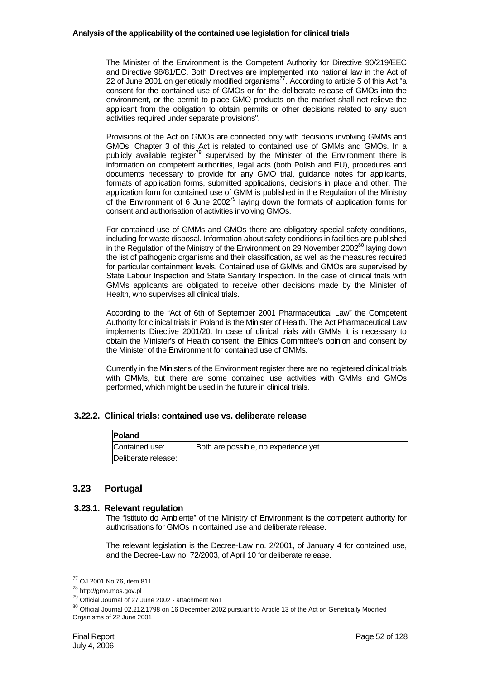The Minister of the Environment is the Competent Authority for Directive 90/219/EEC and Directive 98/81/EC. Both Directives are implemented into national law in the Act of 22 of June 2001 on genetically modified organisms<sup>77</sup>. According to article 5 of this Act "a consent for the contained use of GMOs or for the deliberate release of GMOs into the environment, or the permit to place GMO products on the market shall not relieve the applicant from the obligation to obtain permits or other decisions related to any such activities required under separate provisions".

Provisions of the Act on GMOs are connected only with decisions involving GMMs and GMOs. Chapter 3 of this Act is related to contained use of GMMs and GMOs. In a publicly available register<sup>78</sup> supervised by the Minister of the Environment there is information on competent authorities, legal acts (both Polish and EU), procedures and documents necessary to provide for any GMO trial, guidance notes for applicants, formats of application forms, submitted applications, decisions in place and other. The application form for contained use of GMM is published in the Regulation of the Ministry of the Environment of 6 June 2002<sup>79</sup> laying down the formats of application forms for consent and authorisation of activities involving GMOs.

For contained use of GMMs and GMOs there are obligatory special safety conditions, including for waste disposal. Information about safety conditions in facilities are published in the Regulation of the Ministry of the Environment on 29 November 2002<sup>80</sup> laying down the list of pathogenic organisms and their classification, as well as the measures required for particular containment levels. Contained use of GMMs and GMOs are supervised by State Labour Inspection and State Sanitary Inspection. In the case of clinical trials with GMMs applicants are obligated to receive other decisions made by the Minister of Health, who supervises all clinical trials.

According to the "Act of 6th of September 2001 Pharmaceutical Law" the Competent Authority for clinical trials in Poland is the Minister of Health. The Act Pharmaceutical Law implements Directive 2001/20. In case of clinical trials with GMMs it is necessary to obtain the Minister's of Health consent, the Ethics Committee's opinion and consent by the Minister of the Environment for contained use of GMMs.

Currently in the Minister's of the Environment register there are no registered clinical trials with GMMs, but there are some contained use activities with GMMs and GMOs performed, which might be used in the future in clinical trials.

### **3.22.2. Clinical trials: contained use vs. deliberate release**

| Poland              |                                       |
|---------------------|---------------------------------------|
| Contained use:      | Both are possible, no experience yet. |
| Deliberate release: |                                       |

# **3.23 Portugal**

### **3.23.1. Relevant regulation**

The "Istituto do Ambiente" of the Ministry of Environment is the competent authority for authorisations for GMOs in contained use and deliberate release.

The relevant legislation is the Decree-Law no. 2/2001, of January 4 for contained use, and the Decree-Law no. 72/2003, of April 10 for deliberate release.

<sup>77</sup> OJ 2001 No 76, item 811

<sup>78</sup> http://gmo.mos.gov.pl

<sup>79</sup> Official Journal of 27 June 2002 - attachment No1

 $80$  Official Journal 02.212.1798 on 16 December 2002 pursuant to Article 13 of the Act on Genetically Modified Organisms of 22 June 2001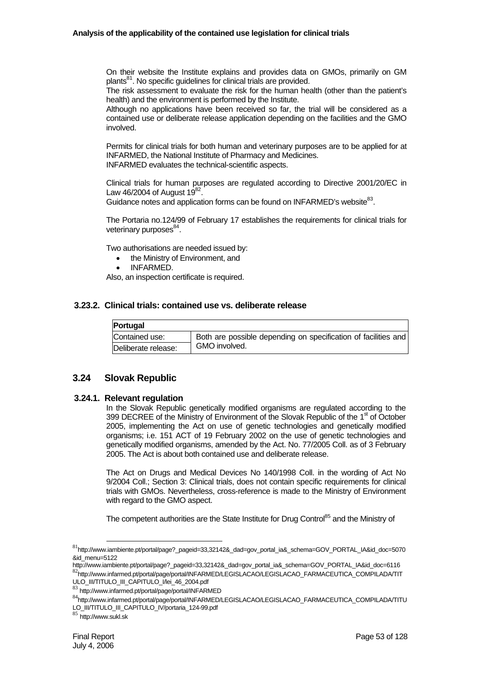On their website the Institute explains and provides data on GMOs, primarily on GM plants<sup>81</sup>. No specific guidelines for clinical trials are provided.

The risk assessment to evaluate the risk for the human health (other than the patient's health) and the environment is performed by the Institute.

Although no applications have been received so far, the trial will be considered as a contained use or deliberate release application depending on the facilities and the GMO involved.

Permits for clinical trials for both human and veterinary purposes are to be applied for at INFARMED, the National Institute of Pharmacy and Medicines. INFARMED evaluates the technical-scientific aspects.

Clinical trials for human purposes are regulated according to Directive 2001/20/EC in Law 46/2004 of August  $19^{82}$ .

Guidance notes and application forms can be found on INFARMED's website<sup>83</sup>.

The Portaria no.124/99 of February 17 establishes the requirements for clinical trials for veterinary purposes $^{84}$ .

Two authorisations are needed issued by:

- the Ministry of Environment, and
- INFARMED.

Also, an inspection certificate is required.

#### **3.23.2. Clinical trials: contained use vs. deliberate release**

| <b>Portugal</b>     |                                                                |
|---------------------|----------------------------------------------------------------|
| Contained use:      | Both are possible depending on specification of facilities and |
| Deliberate release: | GMO involved.                                                  |

# **3.24 Slovak Republic**

#### **3.24.1. Relevant regulation**

In the Slovak Republic genetically modified organisms are regulated according to the 399 DECREE of the Ministry of Environment of the Slovak Republic of the 1<sup>st</sup> of October 2005, implementing the Act on use of genetic technologies and genetically modified organisms; i.e. 151 ACT of 19 February 2002 on the use of genetic technologies and genetically modified organisms, amended by the Act. No. 77/2005 Coll. as of 3 February 2005. The Act is about both contained use and deliberate release.

The Act on Drugs and Medical Devices No 140/1998 Coll. in the wording of Act No 9/2004 Coll.; Section 3: Clinical trials, does not contain specific requirements for clinical trials with GMOs. Nevertheless, cross-reference is made to the Ministry of Environment with regard to the GMO aspect.

The competent authorities are the State Institute for Drug Control<sup>85</sup> and the Ministry of

<sup>81</sup>http://www.iambiente.pt/portal/page?\_pageid=33,32142&\_dad=gov\_portal\_ia&\_schema=GOV\_PORTAL\_IA&id\_doc=5070 &id\_menu=5122

http://www.iambiente.pt/portal/page?\_pageid=33,32142&\_dad=gov\_portal\_ia&\_schema=GOV\_PORTAL\_IA&id\_doc=6116<br><sup>82</sup>http://www.infarmed.pt/portal/page/portal/INFARMED/LEGISLACAO/LEGISLACAO\_FARMACEUTICA\_COMPILADA/TIT ULO III/TITULO III CAPITULO I/lei 46 2004.pdf

<sup>83</sup> http://www.infarmed.pt/portal/page/portal/INFARMED

<sup>84</sup>http://www.infarmed.pt/portal/page/portal/INFARMED/LEGISLACAO/LEGISLACAO\_FARMACEUTICA\_COMPILADA/TITU LO\_III/TITULO\_III\_CAPITULO\_IV/portaria\_124-99.pdf

<sup>85</sup> http://www.sukl.sk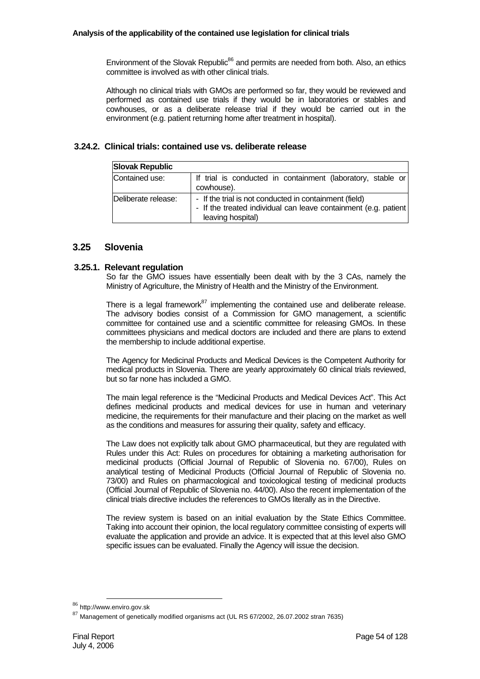Environment of the Slovak Republic<sup>86</sup> and permits are needed from both. Also, an ethics committee is involved as with other clinical trials.

Although no clinical trials with GMOs are performed so far, they would be reviewed and performed as contained use trials if they would be in laboratories or stables and cowhouses, or as a deliberate release trial if they would be carried out in the environment (e.g. patient returning home after treatment in hospital).

# **3.24.2. Clinical trials: contained use vs. deliberate release**

| <b>Slovak Republic</b> |                                                                                                                                                |
|------------------------|------------------------------------------------------------------------------------------------------------------------------------------------|
| Contained use:         | If trial is conducted in containment (laboratory, stable or<br>cowhouse).                                                                      |
| Deliberate release:    | - If the trial is not conducted in containment (field)<br>- If the treated individual can leave containment (e.g. patient<br>leaving hospital) |

# **3.25 Slovenia**

# **3.25.1. Relevant regulation**

So far the GMO issues have essentially been dealt with by the 3 CAs, namely the Ministry of Agriculture, the Ministry of Health and the Ministry of the Environment.

There is a legal framework $87$  implementing the contained use and deliberate release. The advisory bodies consist of a Commission for GMO management, a scientific committee for contained use and a scientific committee for releasing GMOs. In these committees physicians and medical doctors are included and there are plans to extend the membership to include additional expertise.

The Agency for Medicinal Products and Medical Devices is the Competent Authority for medical products in Slovenia. There are yearly approximately 60 clinical trials reviewed, but so far none has included a GMO.

The main legal reference is the "Medicinal Products and Medical Devices Act". This Act defines medicinal products and medical devices for use in human and veterinary medicine, the requirements for their manufacture and their placing on the market as well as the conditions and measures for assuring their quality, safety and efficacy.

The Law does not explicitly talk about GMO pharmaceutical, but they are regulated with Rules under this Act: Rules on procedures for obtaining a marketing authorisation for medicinal products (Official Journal of Republic of Slovenia no. 67/00), Rules on analytical testing of Medicinal Products (Official Journal of Republic of Slovenia no. 73/00) and Rules on pharmacological and toxicological testing of medicinal products (Official Journal of Republic of Slovenia no. 44/00). Also the recent implementation of the clinical trials directive includes the references to GMOs literally as in the Directive.

The review system is based on an initial evaluation by the State Ethics Committee. Taking into account their opinion, the local regulatory committee consisting of experts will evaluate the application and provide an advice. It is expected that at this level also GMO specific issues can be evaluated. Finally the Agency will issue the decision.

<sup>86</sup> http://www.enviro.gov.sk

 $87$  Management of genetically modified organisms act (UL RS 67/2002, 26.07.2002 stran 7635)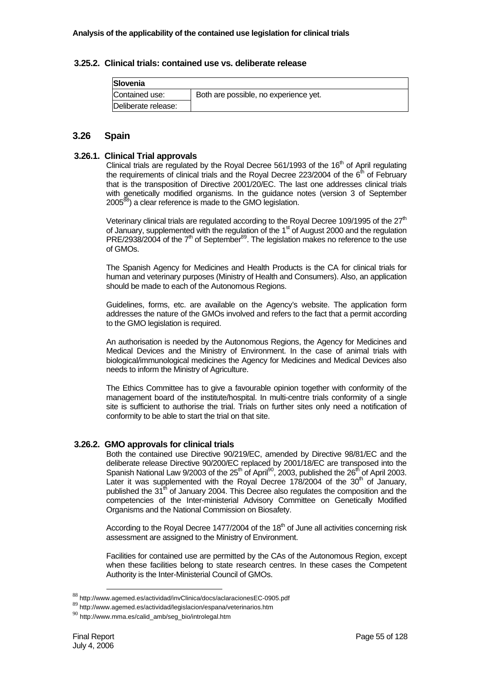## **3.25.2. Clinical trials: contained use vs. deliberate release**

| Slovenia            |                                       |
|---------------------|---------------------------------------|
| Contained use:      | Both are possible, no experience yet. |
| Deliberate release: |                                       |

# **3.26 Spain**

## **3.26.1. Clinical Trial approvals**

Clinical trials are regulated by the Royal Decree 561/1993 of the  $16<sup>th</sup>$  of April regulating the requirements of clinical trials and the Royal Decree 223/2004 of the  $6<sup>th</sup>$  of February that is the transposition of Directive 2001/20/EC. The last one addresses clinical trials with genetically modified organisms. In the guidance notes (version 3 of September 2005<sup>88</sup>) a clear reference is made to the GMO legislation.

Veterinary clinical trials are regulated according to the Royal Decree 109/1995 of the  $27<sup>th</sup>$ of January, supplemented with the regulation of the  $1<sup>st</sup>$  of August 2000 and the regulation  $PRE/2938/2004$  of the  $7<sup>th</sup>$  of September $89$ . The legislation makes no reference to the use of GMOs.

The Spanish Agency for Medicines and Health Products is the CA for clinical trials for human and veterinary purposes (Ministry of Health and Consumers). Also, an application should be made to each of the Autonomous Regions.

Guidelines, forms, etc. are available on the Agency's website. The application form addresses the nature of the GMOs involved and refers to the fact that a permit according to the GMO legislation is required.

An authorisation is needed by the Autonomous Regions, the Agency for Medicines and Medical Devices and the Ministry of Environment. In the case of animal trials with biological/immunological medicines the Agency for Medicines and Medical Devices also needs to inform the Ministry of Agriculture.

The Ethics Committee has to give a favourable opinion together with conformity of the management board of the institute/hospital. In multi-centre trials conformity of a single site is sufficient to authorise the trial. Trials on further sites only need a notification of conformity to be able to start the trial on that site.

# **3.26.2. GMO approvals for clinical trials**

Both the contained use Directive 90/219/EC, amended by Directive 98/81/EC and the deliberate release Directive 90/200/EC replaced by 2001/18/EC are transposed into the Spanish National Law 9/2003 of the  $25<sup>th</sup>$  of April<sup>90</sup>, 2003, published the  $26<sup>th</sup>$  of April 2003. Later it was supplemented with the Royal Decree 178/2004 of the  $30<sup>th</sup>$  of January, published the  $31<sup>th</sup>$  of January 2004. This Decree also regulates the composition and the competencies of the Inter-ministerial Advisory Committee on Genetically Modified Organisms and the National Commission on Biosafety.

According to the Royal Decree 1477/2004 of the  $18<sup>th</sup>$  of June all activities concerning risk assessment are assigned to the Ministry of Environment.

Facilities for contained use are permitted by the CAs of the Autonomous Region, except when these facilities belong to state research centres. In these cases the Competent Authority is the Inter-Ministerial Council of GMOs.

<sup>88</sup> http://www.agemed.es/actividad/invClinica/docs/aclaracionesEC-0905.pdf

<sup>89</sup> http://www.agemed.es/actividad/legislacion/espana/veterinarios.htm

<sup>90</sup> http://www.mma.es/calid\_amb/seg\_bio/introlegal.htm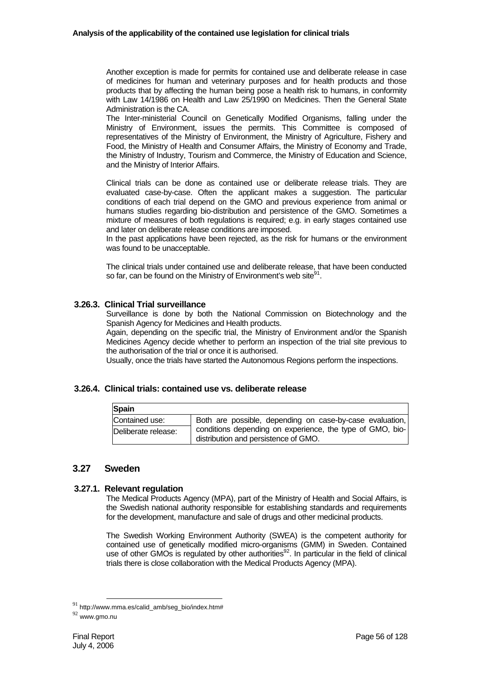Another exception is made for permits for contained use and deliberate release in case of medicines for human and veterinary purposes and for health products and those products that by affecting the human being pose a health risk to humans, in conformity with Law 14/1986 on Health and Law 25/1990 on Medicines. Then the General State Administration is the CA.

The Inter-ministerial Council on Genetically Modified Organisms, falling under the Ministry of Environment, issues the permits. This Committee is composed of representatives of the Ministry of Environment, the Ministry of Agriculture, Fishery and Food, the Ministry of Health and Consumer Affairs, the Ministry of Economy and Trade, the Ministry of Industry, Tourism and Commerce, the Ministry of Education and Science, and the Ministry of Interior Affairs.

Clinical trials can be done as contained use or deliberate release trials. They are evaluated case-by-case. Often the applicant makes a suggestion. The particular conditions of each trial depend on the GMO and previous experience from animal or humans studies regarding bio-distribution and persistence of the GMO. Sometimes a mixture of measures of both regulations is required; e.g. in early stages contained use and later on deliberate release conditions are imposed.

In the past applications have been rejected, as the risk for humans or the environment was found to be unacceptable.

The clinical trials under contained use and deliberate release, that have been conducted so far, can be found on the Ministry of Environment's web site $91$ .

## **3.26.3. Clinical Trial surveillance**

Surveillance is done by both the National Commission on Biotechnology and the Spanish Agency for Medicines and Health products.

Again, depending on the specific trial, the Ministry of Environment and/or the Spanish Medicines Agency decide whether to perform an inspection of the trial site previous to the authorisation of the trial or once it is authorised.

Usually, once the trials have started the Autonomous Regions perform the inspections.

### **3.26.4. Clinical trials: contained use vs. deliberate release**

| Spain               |                                                                                                   |
|---------------------|---------------------------------------------------------------------------------------------------|
| Contained use:      | Both are possible, depending on case-by-case evaluation,                                          |
| Deliberate release: | conditions depending on experience, the type of GMO, bio-<br>distribution and persistence of GMO. |

# **3.27 Sweden**

### **3.27.1. Relevant regulation**

The Medical Products Agency (MPA), part of the Ministry of Health and Social Affairs, is the Swedish national authority responsible for establishing standards and requirements for the development, manufacture and sale of drugs and other medicinal products.

The Swedish Working Environment Authority (SWEA) is the competent authority for contained use of genetically modified micro-organisms (GMM) in Sweden. Contained use of other GMOs is regulated by other authorities $92$ . In particular in the field of clinical trials there is close collaboration with the Medical Products Agency (MPA).

 $91$  http://www.mma.es/calid\_amb/seg\_bio/index.htm#

 $92$  www.gmo.nu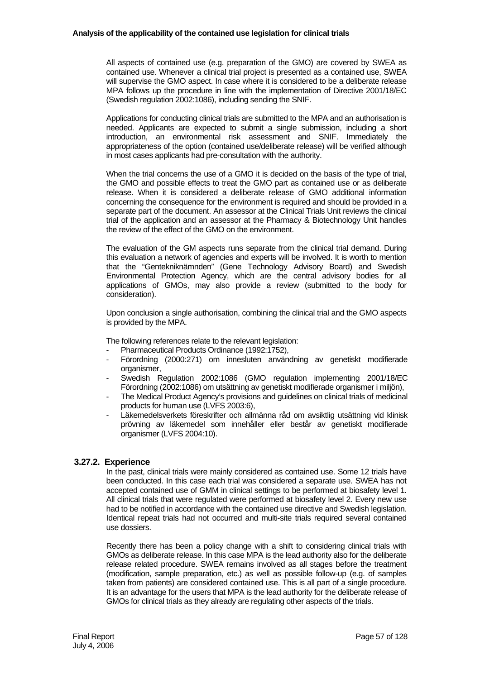All aspects of contained use (e.g. preparation of the GMO) are covered by SWEA as contained use. Whenever a clinical trial project is presented as a contained use, SWEA will supervise the GMO aspect. In case where it is considered to be a deliberate release MPA follows up the procedure in line with the implementation of Directive 2001/18/EC (Swedish regulation 2002:1086), including sending the SNIF.

Applications for conducting clinical trials are submitted to the MPA and an authorisation is needed. Applicants are expected to submit a single submission, including a short introduction, an environmental risk assessment and SNIF. Immediately the appropriateness of the option (contained use/deliberate release) will be verified although in most cases applicants had pre-consultation with the authority.

When the trial concerns the use of a GMO it is decided on the basis of the type of trial, the GMO and possible effects to treat the GMO part as contained use or as deliberate release. When it is considered a deliberate release of GMO additional information concerning the consequence for the environment is required and should be provided in a separate part of the document. An assessor at the Clinical Trials Unit reviews the clinical trial of the application and an assessor at the Pharmacy & Biotechnology Unit handles the review of the effect of the GMO on the environment.

The evaluation of the GM aspects runs separate from the clinical trial demand. During this evaluation a network of agencies and experts will be involved. It is worth to mention that the "Gentekniknämnden" (Gene Technology Advisory Board) and Swedish Environmental Protection Agency, which are the central advisory bodies for all applications of GMOs, may also provide a review (submitted to the body for consideration).

Upon conclusion a single authorisation, combining the clinical trial and the GMO aspects is provided by the MPA.

The following references relate to the relevant legislation:

- Pharmaceutical Products Ordinance (1992:1752),
- Förordning (2000:271) om innesluten användning av genetiskt modifierade organismer,
- Swedish Regulation 2002:1086 (GMO regulation implementing 2001/18/EC Förordning (2002:1086) om utsättning av genetiskt modifierade organismer i miljön),
- The Medical Product Agency's provisions and guidelines on clinical trials of medicinal products for human use (LVFS 2003:6),
- Läkemedelsverkets föreskrifter och allmänna råd om avsiktlig utsättning vid klinisk prövning av läkemedel som innehåller eller består av genetiskt modifierade organismer (LVFS 2004:10).

### **3.27.2. Experience**

In the past, clinical trials were mainly considered as contained use. Some 12 trials have been conducted. In this case each trial was considered a separate use. SWEA has not accepted contained use of GMM in clinical settings to be performed at biosafety level 1. All clinical trials that were regulated were performed at biosafety level 2. Every new use had to be notified in accordance with the contained use directive and Swedish legislation. Identical repeat trials had not occurred and multi-site trials required several contained use dossiers.

Recently there has been a policy change with a shift to considering clinical trials with GMOs as deliberate release. In this case MPA is the lead authority also for the deliberate release related procedure. SWEA remains involved as all stages before the treatment (modification, sample preparation, etc.) as well as possible follow-up (e.g. of samples taken from patients) are considered contained use. This is all part of a single procedure. It is an advantage for the users that MPA is the lead authority for the deliberate release of GMOs for clinical trials as they already are regulating other aspects of the trials.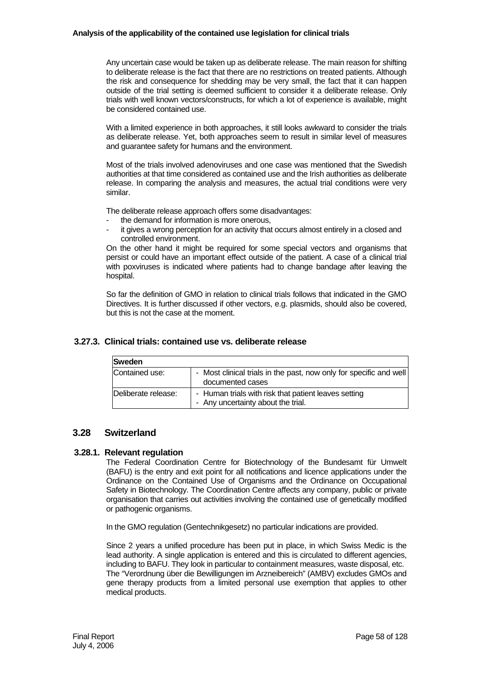Any uncertain case would be taken up as deliberate release. The main reason for shifting to deliberate release is the fact that there are no restrictions on treated patients. Although the risk and consequence for shedding may be very small, the fact that it can happen outside of the trial setting is deemed sufficient to consider it a deliberate release. Only trials with well known vectors/constructs, for which a lot of experience is available, might be considered contained use.

With a limited experience in both approaches, it still looks awkward to consider the trials as deliberate release. Yet, both approaches seem to result in similar level of measures and guarantee safety for humans and the environment.

Most of the trials involved adenoviruses and one case was mentioned that the Swedish authorities at that time considered as contained use and the Irish authorities as deliberate release. In comparing the analysis and measures, the actual trial conditions were very similar.

The deliberate release approach offers some disadvantages:

- the demand for information is more onerous.
- it gives a wrong perception for an activity that occurs almost entirely in a closed and controlled environment.

On the other hand it might be required for some special vectors and organisms that persist or could have an important effect outside of the patient. A case of a clinical trial with poxviruses is indicated where patients had to change bandage after leaving the hospital.

So far the definition of GMO in relation to clinical trials follows that indicated in the GMO Directives. It is further discussed if other vectors, e.g. plasmids, should also be covered, but this is not the case at the moment.

# **3.27.3. Clinical trials: contained use vs. deliberate release**

| <b>Sweden</b>       |                                                                                            |
|---------------------|--------------------------------------------------------------------------------------------|
| Contained use:      | - Most clinical trials in the past, now only for specific and well<br>documented cases     |
| Deliberate release: | - Human trials with risk that patient leaves setting<br>- Any uncertainty about the trial. |

# **3.28 Switzerland**

# **3.28.1. Relevant regulation**

The Federal Coordination Centre for Biotechnology of the Bundesamt für Umwelt (BAFU) is the entry and exit point for all notifications and licence applications under the Ordinance on the Contained Use of Organisms and the Ordinance on Occupational Safety in Biotechnology. The Coordination Centre affects any company, public or private organisation that carries out activities involving the contained use of genetically modified or pathogenic organisms.

In the GMO regulation (Gentechnikgesetz) no particular indications are provided.

Since 2 years a unified procedure has been put in place, in which Swiss Medic is the lead authority. A single application is entered and this is circulated to different agencies, including to BAFU. They look in particular to containment measures, waste disposal, etc. The "Verordnung über die Bewilligungen im Arzneibereich" (AMBV) excludes GMOs and gene therapy products from a limited personal use exemption that applies to other medical products.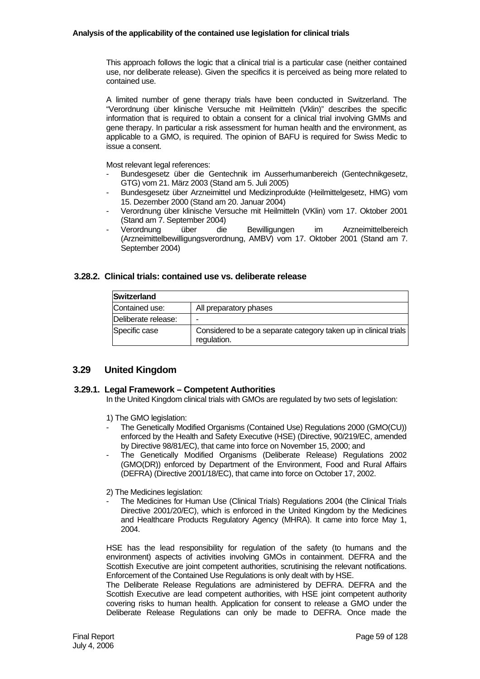This approach follows the logic that a clinical trial is a particular case (neither contained use, nor deliberate release). Given the specifics it is perceived as being more related to contained use.

A limited number of gene therapy trials have been conducted in Switzerland. The "Verordnung über klinische Versuche mit Heilmitteln (Vklin)" describes the specific information that is required to obtain a consent for a clinical trial involving GMMs and gene therapy. In particular a risk assessment for human health and the environment, as applicable to a GMO, is required. The opinion of BAFU is required for Swiss Medic to issue a consent.

Most relevant legal references:

- Bundesgesetz über die Gentechnik im Ausserhumanbereich (Gentechnikgesetz, GTG) vom 21. März 2003 (Stand am 5. Juli 2005)
- Bundesgesetz über Arzneimittel und Medizinprodukte (Heilmittelgesetz, HMG) vom 15. Dezember 2000 (Stand am 20. Januar 2004)
- Verordnung über klinische Versuche mit Heilmitteln (VKlin) vom 17. Oktober 2001 (Stand am 7. September 2004)
- Verordnung über die Bewilligungen im Arzneimittelbereich (Arzneimittelbewilligungsverordnung, AMBV) vom 17. Oktober 2001 (Stand am 7. September 2004)

# **3.28.2. Clinical trials: contained use vs. deliberate release**

| <b>Switzerland</b>  |                                                                                 |
|---------------------|---------------------------------------------------------------------------------|
| Contained use:      | All preparatory phases                                                          |
| Deliberate release: | -                                                                               |
| Specific case       | Considered to be a separate category taken up in clinical trials<br>regulation. |

# **3.29 United Kingdom**

# **3.29.1. Legal Framework – Competent Authorities**

In the United Kingdom clinical trials with GMOs are regulated by two sets of legislation:

- 1) The GMO legislation:
- The Genetically Modified Organisms (Contained Use) Regulations 2000 (GMO(CU)) enforced by the Health and Safety Executive (HSE) (Directive, 90/219/EC, amended by Directive 98/81/EC), that came into force on November 15, 2000; and
- The Genetically Modified Organisms (Deliberate Release) Regulations 2002 (GMO(DR)) enforced by Department of the Environment, Food and Rural Affairs (DEFRA) (Directive 2001/18/EC), that came into force on October 17, 2002.

2) The Medicines legislation:

- The Medicines for Human Use (Clinical Trials) Regulations 2004 (the Clinical Trials Directive 2001/20/EC), which is enforced in the United Kingdom by the Medicines and Healthcare Products Regulatory Agency (MHRA). It came into force May 1, 2004.

HSE has the lead responsibility for regulation of the safety (to humans and the environment) aspects of activities involving GMOs in containment. DEFRA and the Scottish Executive are joint competent authorities, scrutinising the relevant notifications. Enforcement of the Contained Use Regulations is only dealt with by HSE.

The Deliberate Release Regulations are administered by DEFRA. DEFRA and the Scottish Executive are lead competent authorities, with HSE joint competent authority covering risks to human health. Application for consent to release a GMO under the Deliberate Release Regulations can only be made to DEFRA. Once made the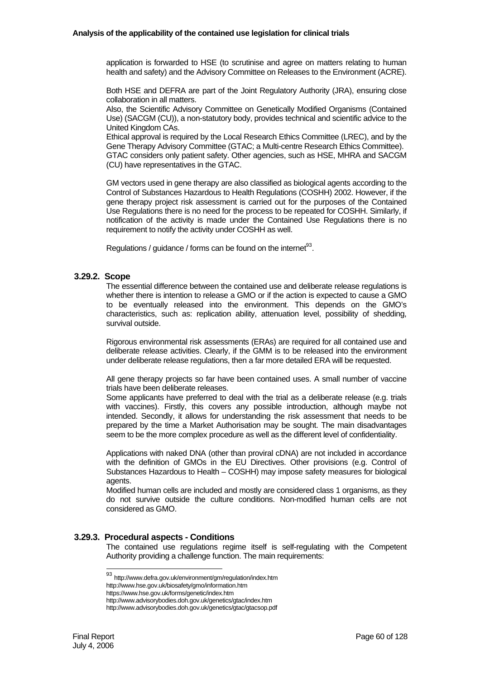application is forwarded to HSE (to scrutinise and agree on matters relating to human health and safety) and the Advisory Committee on Releases to the Environment (ACRE).

Both HSE and DEFRA are part of the Joint Regulatory Authority (JRA), ensuring close collaboration in all matters.

Also, the Scientific Advisory Committee on Genetically Modified Organisms (Contained Use) (SACGM (CU)), a non-statutory body, provides technical and scientific advice to the United Kingdom CAs.

Ethical approval is required by the Local Research Ethics Committee (LREC), and by the Gene Therapy Advisory Committee (GTAC; a Multi-centre Research Ethics Committee). GTAC considers only patient safety. Other agencies, such as HSE, MHRA and SACGM

(CU) have representatives in the GTAC.

GM vectors used in gene therapy are also classified as biological agents according to the Control of Substances Hazardous to Health Regulations (COSHH) 2002. However, if the gene therapy project risk assessment is carried out for the purposes of the Contained Use Regulations there is no need for the process to be repeated for COSHH. Similarly, if notification of the activity is made under the Contained Use Regulations there is no requirement to notify the activity under COSHH as well.

Regulations / guidance / forms can be found on the internet $^{93}$ .

### **3.29.2. Scope**

The essential difference between the contained use and deliberate release regulations is whether there is intention to release a GMO or if the action is expected to cause a GMO to be eventually released into the environment. This depends on the GMO's characteristics, such as: replication ability, attenuation level, possibility of shedding, survival outside.

Rigorous environmental risk assessments (ERAs) are required for all contained use and deliberate release activities. Clearly, if the GMM is to be released into the environment under deliberate release regulations, then a far more detailed ERA will be requested.

All gene therapy projects so far have been contained uses. A small number of vaccine trials have been deliberate releases.

Some applicants have preferred to deal with the trial as a deliberate release (e.g. trials with vaccines). Firstly, this covers any possible introduction, although maybe not intended. Secondly, it allows for understanding the risk assessment that needs to be prepared by the time a Market Authorisation may be sought. The main disadvantages seem to be the more complex procedure as well as the different level of confidentiality.

Applications with naked DNA (other than proviral cDNA) are not included in accordance with the definition of GMOs in the EU Directives. Other provisions (e.g. Control of Substances Hazardous to Health – COSHH) may impose safety measures for biological agents.

Modified human cells are included and mostly are considered class 1 organisms, as they do not survive outside the culture conditions. Non-modified human cells are not considered as GMO.

### **3.29.3. Procedural aspects - Conditions**

The contained use regulations regime itself is self-regulating with the Competent Authority providing a challenge function. The main requirements:

l

<sup>93</sup> http://www.defra.gov.uk/environment/gm/regulation/index.htm

http://www.hse.gov.uk/biosafety/gmo/information.htm

https://www.hse.gov.uk/forms/genetic/index.htm

http://www.advisorybodies.doh.gov.uk/genetics/gtac/index.htm

http://www.advisorybodies.doh.gov.uk/genetics/gtac/gtacsop.pdf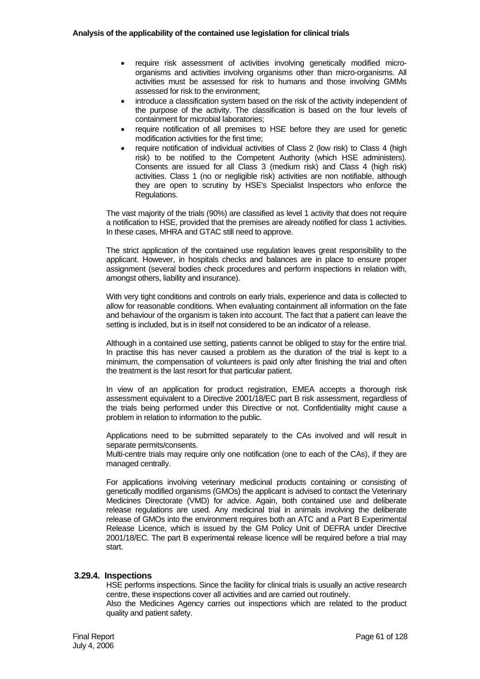- require risk assessment of activities involving genetically modified microorganisms and activities involving organisms other than micro-organisms. All activities must be assessed for risk to humans and those involving GMMs assessed for risk to the environment;
- introduce a classification system based on the risk of the activity independent of the purpose of the activity. The classification is based on the four levels of containment for microbial laboratories;
- require notification of all premises to HSE before they are used for genetic modification activities for the first time;
- require notification of individual activities of Class 2 (low risk) to Class 4 (high risk) to be notified to the Competent Authority (which HSE administers). Consents are issued for all Class 3 (medium risk) and Class 4 (high risk) activities. Class 1 (no or negligible risk) activities are non notifiable, although they are open to scrutiny by HSE's Specialist Inspectors who enforce the Regulations.

The vast majority of the trials (90%) are classified as level 1 activity that does not require a notification to HSE, provided that the premises are already notified for class 1 activities. In these cases, MHRA and GTAC still need to approve.

The strict application of the contained use regulation leaves great responsibility to the applicant. However, in hospitals checks and balances are in place to ensure proper assignment (several bodies check procedures and perform inspections in relation with, amongst others, liability and insurance).

With very tight conditions and controls on early trials, experience and data is collected to allow for reasonable conditions. When evaluating containment all information on the fate and behaviour of the organism is taken into account. The fact that a patient can leave the setting is included, but is in itself not considered to be an indicator of a release.

Although in a contained use setting, patients cannot be obliged to stay for the entire trial. In practise this has never caused a problem as the duration of the trial is kept to a minimum, the compensation of volunteers is paid only after finishing the trial and often the treatment is the last resort for that particular patient.

In view of an application for product registration, EMEA accepts a thorough risk assessment equivalent to a Directive 2001/18/EC part B risk assessment, regardless of the trials being performed under this Directive or not. Confidentiality might cause a problem in relation to information to the public.

Applications need to be submitted separately to the CAs involved and will result in separate permits/consents.

Multi-centre trials may require only one notification (one to each of the CAs), if they are managed centrally.

For applications involving veterinary medicinal products containing or consisting of genetically modified organisms (GMOs) the applicant is advised to contact the Veterinary Medicines Directorate (VMD) for advice. Again, both contained use and deliberate release regulations are used. Any medicinal trial in animals involving the deliberate release of GMOs into the environment requires both an ATC and a Part B Experimental Release Licence, which is issued by the GM Policy Unit of DEFRA under Directive 2001/18/EC. The part B experimental release licence will be required before a trial may start.

### **3.29.4. Inspections**

HSE performs inspections. Since the facility for clinical trials is usually an active research centre, these inspections cover all activities and are carried out routinely.

Also the Medicines Agency carries out inspections which are related to the product quality and patient safety.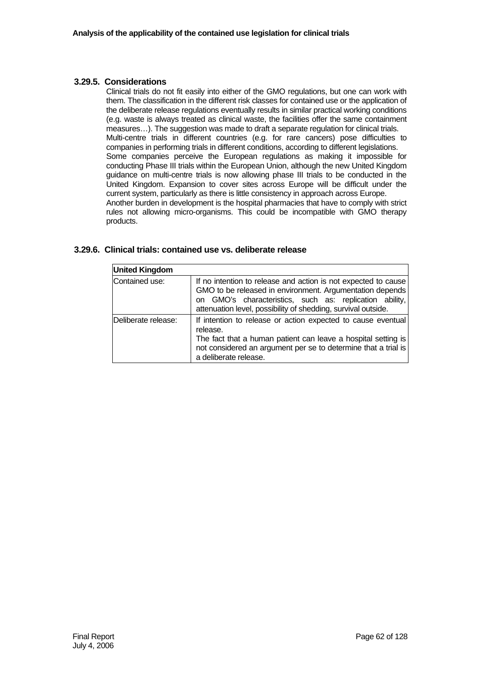# **3.29.5. Considerations**

Clinical trials do not fit easily into either of the GMO regulations, but one can work with them. The classification in the different risk classes for contained use or the application of the deliberate release regulations eventually results in similar practical working conditions (e.g. waste is always treated as clinical waste, the facilities offer the same containment measures...). The suggestion was made to draft a separate regulation for clinical trials. Multi-centre trials in different countries (e.g. for rare cancers) pose difficulties to companies in performing trials in different conditions, according to different legislations. Some companies perceive the European regulations as making it impossible for conducting Phase III trials within the European Union, although the new United Kingdom guidance on multi-centre trials is now allowing phase III trials to be conducted in the United Kingdom. Expansion to cover sites across Europe will be difficult under the current system, particularly as there is little consistency in approach across Europe. Another burden in development is the hospital pharmacies that have to comply with strict rules not allowing micro-organisms. This could be incompatible with GMO therapy products.

| <b>United Kingdom</b> |                                                                                                                                                                                                                                                        |
|-----------------------|--------------------------------------------------------------------------------------------------------------------------------------------------------------------------------------------------------------------------------------------------------|
| Contained use:        | If no intention to release and action is not expected to cause<br>GMO to be released in environment. Argumentation depends<br>on GMO's characteristics, such as: replication ability,<br>attenuation level, possibility of shedding, survival outside. |
| Deliberate release:   | If intention to release or action expected to cause eventual<br>release.<br>The fact that a human patient can leave a hospital setting is<br>not considered an argument per se to determine that a trial is<br>a deliberate release.                   |

## **3.29.6. Clinical trials: contained use vs. deliberate release**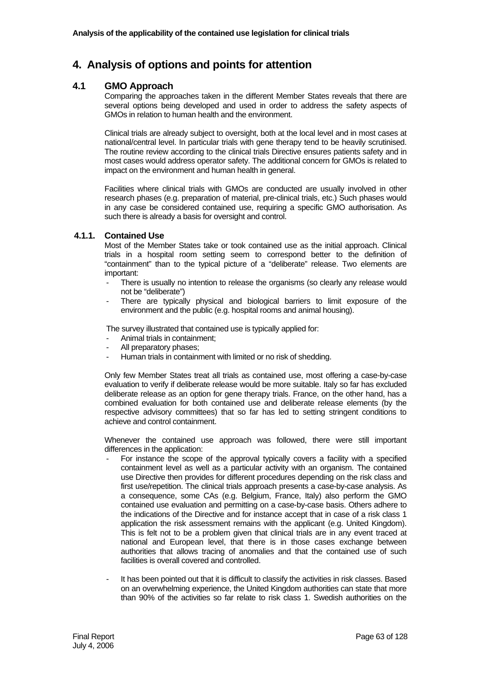# **4. Analysis of options and points for attention**

# **4.1 GMO Approach**

Comparing the approaches taken in the different Member States reveals that there are several options being developed and used in order to address the safety aspects of GMOs in relation to human health and the environment.

Clinical trials are already subject to oversight, both at the local level and in most cases at national/central level. In particular trials with gene therapy tend to be heavily scrutinised. The routine review according to the clinical trials Directive ensures patients safety and in most cases would address operator safety. The additional concern for GMOs is related to impact on the environment and human health in general.

Facilities where clinical trials with GMOs are conducted are usually involved in other research phases (e.g. preparation of material, pre-clinical trials, etc.) Such phases would in any case be considered contained use, requiring a specific GMO authorisation. As such there is already a basis for oversight and control.

# **4.1.1. Contained Use**

Most of the Member States take or took contained use as the initial approach. Clinical trials in a hospital room setting seem to correspond better to the definition of "containment" than to the typical picture of a "deliberate" release. Two elements are important:

- There is usually no intention to release the organisms (so clearly any release would not be "deliberate")
- There are typically physical and biological barriers to limit exposure of the environment and the public (e.g. hospital rooms and animal housing).

The survey illustrated that contained use is typically applied for:

- Animal trials in containment;
- All preparatory phases;
- Human trials in containment with limited or no risk of shedding.

Only few Member States treat all trials as contained use, most offering a case-by-case evaluation to verify if deliberate release would be more suitable. Italy so far has excluded deliberate release as an option for gene therapy trials. France, on the other hand, has a combined evaluation for both contained use and deliberate release elements (by the respective advisory committees) that so far has led to setting stringent conditions to achieve and control containment.

Whenever the contained use approach was followed, there were still important differences in the application:

- For instance the scope of the approval typically covers a facility with a specified containment level as well as a particular activity with an organism. The contained use Directive then provides for different procedures depending on the risk class and first use/repetition. The clinical trials approach presents a case-by-case analysis. As a consequence, some CAs (e.g. Belgium, France, Italy) also perform the GMO contained use evaluation and permitting on a case-by-case basis. Others adhere to the indications of the Directive and for instance accept that in case of a risk class 1 application the risk assessment remains with the applicant (e.g. United Kingdom). This is felt not to be a problem given that clinical trials are in any event traced at national and European level, that there is in those cases exchange between authorities that allows tracing of anomalies and that the contained use of such facilities is overall covered and controlled.
- It has been pointed out that it is difficult to classify the activities in risk classes. Based on an overwhelming experience, the United Kingdom authorities can state that more than 90% of the activities so far relate to risk class 1. Swedish authorities on the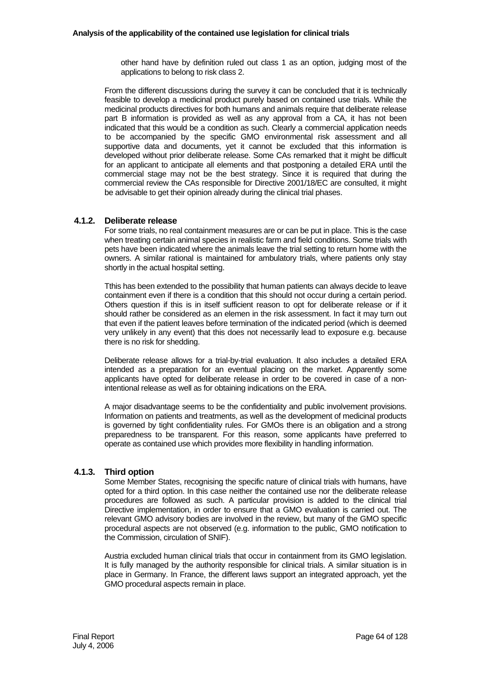other hand have by definition ruled out class 1 as an option, judging most of the applications to belong to risk class 2.

From the different discussions during the survey it can be concluded that it is technically feasible to develop a medicinal product purely based on contained use trials. While the medicinal products directives for both humans and animals require that deliberate release part B information is provided as well as any approval from a CA, it has not been indicated that this would be a condition as such. Clearly a commercial application needs to be accompanied by the specific GMO environmental risk assessment and all supportive data and documents, yet it cannot be excluded that this information is developed without prior deliberate release. Some CAs remarked that it might be difficult for an applicant to anticipate all elements and that postponing a detailed ERA until the commercial stage may not be the best strategy. Since it is required that during the commercial review the CAs responsible for Directive 2001/18/EC are consulted, it might be advisable to get their opinion already during the clinical trial phases.

## **4.1.2. Deliberate release**

For some trials, no real containment measures are or can be put in place. This is the case when treating certain animal species in realistic farm and field conditions. Some trials with pets have been indicated where the animals leave the trial setting to return home with the owners. A similar rational is maintained for ambulatory trials, where patients only stay shortly in the actual hospital setting.

Tthis has been extended to the possibility that human patients can always decide to leave containment even if there is a condition that this should not occur during a certain period. Others question if this is in itself sufficient reason to opt for deliberate release or if it should rather be considered as an elemen in the risk assessment. In fact it may turn out that even if the patient leaves before termination of the indicated period (which is deemed very unlikely in any event) that this does not necessarily lead to exposure e.g. because there is no risk for shedding.

Deliberate release allows for a trial-by-trial evaluation. It also includes a detailed ERA intended as a preparation for an eventual placing on the market. Apparently some applicants have opted for deliberate release in order to be covered in case of a nonintentional release as well as for obtaining indications on the ERA.

A major disadvantage seems to be the confidentiality and public involvement provisions. Information on patients and treatments, as well as the development of medicinal products is governed by tight confidentiality rules. For GMOs there is an obligation and a strong preparedness to be transparent. For this reason, some applicants have preferred to operate as contained use which provides more flexibility in handling information.

# **4.1.3. Third option**

Some Member States, recognising the specific nature of clinical trials with humans, have opted for a third option. In this case neither the contained use nor the deliberate release procedures are followed as such. A particular provision is added to the clinical trial Directive implementation, in order to ensure that a GMO evaluation is carried out. The relevant GMO advisory bodies are involved in the review, but many of the GMO specific procedural aspects are not observed (e.g. information to the public, GMO notification to the Commission, circulation of SNIF).

Austria excluded human clinical trials that occur in containment from its GMO legislation. It is fully managed by the authority responsible for clinical trials. A similar situation is in place in Germany. In France, the different laws support an integrated approach, yet the GMO procedural aspects remain in place.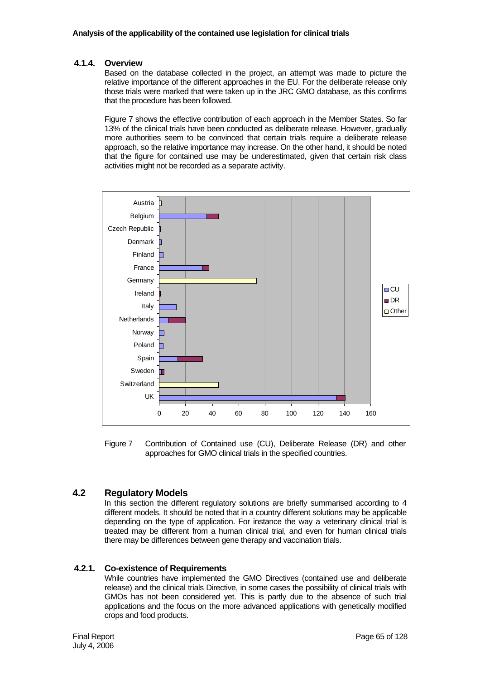# **4.1.4. Overview**

Based on the database collected in the project, an attempt was made to picture the relative importance of the different approaches in the EU. For the deliberate release only those trials were marked that were taken up in the JRC GMO database, as this confirms that the procedure has been followed.

Figure 7 shows the effective contribution of each approach in the Member States. So far 13% of the clinical trials have been conducted as deliberate release. However, gradually more authorities seem to be convinced that certain trials require a deliberate release approach, so the relative importance may increase. On the other hand, it should be noted that the figure for contained use may be underestimated, given that certain risk class activities might not be recorded as a separate activity.



Figure 7 Contribution of Contained use (CU), Deliberate Release (DR) and other approaches for GMO clinical trials in the specified countries.

# **4.2 Regulatory Models**

In this section the different regulatory solutions are briefly summarised according to 4 different models. It should be noted that in a country different solutions may be applicable depending on the type of application. For instance the way a veterinary clinical trial is treated may be different from a human clinical trial, and even for human clinical trials there may be differences between gene therapy and vaccination trials.

# **4.2.1. Co-existence of Requirements**

While countries have implemented the GMO Directives (contained use and deliberate release) and the clinical trials Directive, in some cases the possibility of clinical trials with GMOs has not been considered yet. This is partly due to the absence of such trial applications and the focus on the more advanced applications with genetically modified crops and food products.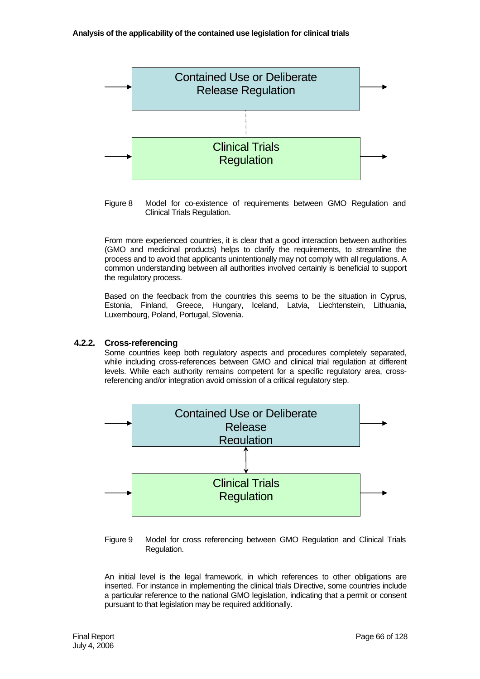

Figure 8 Model for co-existence of requirements between GMO Regulation and Clinical Trials Regulation.

From more experienced countries, it is clear that a good interaction between authorities (GMO and medicinal products) helps to clarify the requirements, to streamline the process and to avoid that applicants unintentionally may not comply with all regulations. A common understanding between all authorities involved certainly is beneficial to support the regulatory process.

Based on the feedback from the countries this seems to be the situation in Cyprus, Estonia, Finland, Greece, Hungary, Iceland, Latvia, Liechtenstein, Lithuania, Luxembourg, Poland, Portugal, Slovenia.

## **4.2.2. Cross-referencing**

Some countries keep both regulatory aspects and procedures completely separated, while including cross-references between GMO and clinical trial regulation at different levels. While each authority remains competent for a specific regulatory area, crossreferencing and/or integration avoid omission of a critical regulatory step.



Figure 9 Model for cross referencing between GMO Regulation and Clinical Trials Regulation.

An initial level is the legal framework, in which references to other obligations are inserted. For instance in implementing the clinical trials Directive, some countries include a particular reference to the national GMO legislation, indicating that a permit or consent pursuant to that legislation may be required additionally.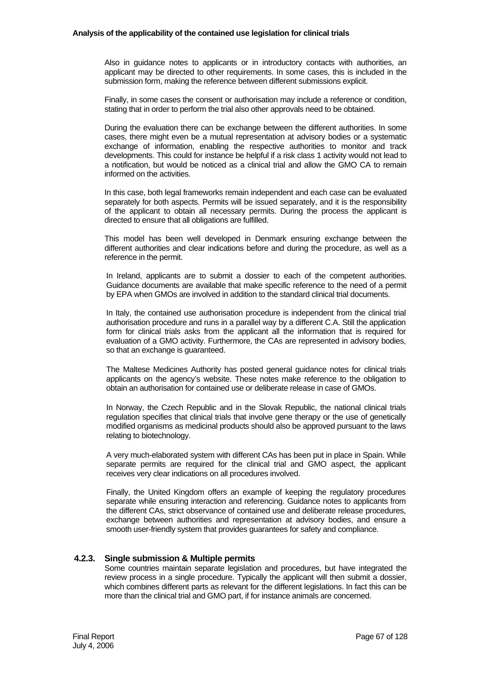Also in guidance notes to applicants or in introductory contacts with authorities, an applicant may be directed to other requirements. In some cases, this is included in the submission form, making the reference between different submissions explicit.

Finally, in some cases the consent or authorisation may include a reference or condition, stating that in order to perform the trial also other approvals need to be obtained.

During the evaluation there can be exchange between the different authorities. In some cases, there might even be a mutual representation at advisory bodies or a systematic exchange of information, enabling the respective authorities to monitor and track developments. This could for instance be helpful if a risk class 1 activity would not lead to a notification, but would be noticed as a clinical trial and allow the GMO CA to remain informed on the activities.

In this case, both legal frameworks remain independent and each case can be evaluated separately for both aspects. Permits will be issued separately, and it is the responsibility of the applicant to obtain all necessary permits. During the process the applicant is directed to ensure that all obligations are fulfilled.

This model has been well developed in Denmark ensuring exchange between the different authorities and clear indications before and during the procedure, as well as a reference in the permit.

In Ireland, applicants are to submit a dossier to each of the competent authorities. Guidance documents are available that make specific reference to the need of a permit by EPA when GMOs are involved in addition to the standard clinical trial documents.

In Italy, the contained use authorisation procedure is independent from the clinical trial authorisation procedure and runs in a parallel way by a different C.A. Still the application form for clinical trials asks from the applicant all the information that is required for evaluation of a GMO activity. Furthermore, the CAs are represented in advisory bodies, so that an exchange is guaranteed.

The Maltese Medicines Authority has posted general guidance notes for clinical trials applicants on the agency's website. These notes make reference to the obligation to obtain an authorisation for contained use or deliberate release in case of GMOs.

In Norway, the Czech Republic and in the Slovak Republic, the national clinical trials regulation specifies that clinical trials that involve gene therapy or the use of genetically modified organisms as medicinal products should also be approved pursuant to the laws relating to biotechnology.

A very much-elaborated system with different CAs has been put in place in Spain. While separate permits are required for the clinical trial and GMO aspect, the applicant receives very clear indications on all procedures involved.

Finally, the United Kingdom offers an example of keeping the regulatory procedures separate while ensuring interaction and referencing. Guidance notes to applicants from the different CAs, strict observance of contained use and deliberate release procedures, exchange between authorities and representation at advisory bodies, and ensure a smooth user-friendly system that provides guarantees for safety and compliance.

### **4.2.3. Single submission & Multiple permits**

Some countries maintain separate legislation and procedures, but have integrated the review process in a single procedure. Typically the applicant will then submit a dossier, which combines different parts as relevant for the different legislations. In fact this can be more than the clinical trial and GMO part, if for instance animals are concerned.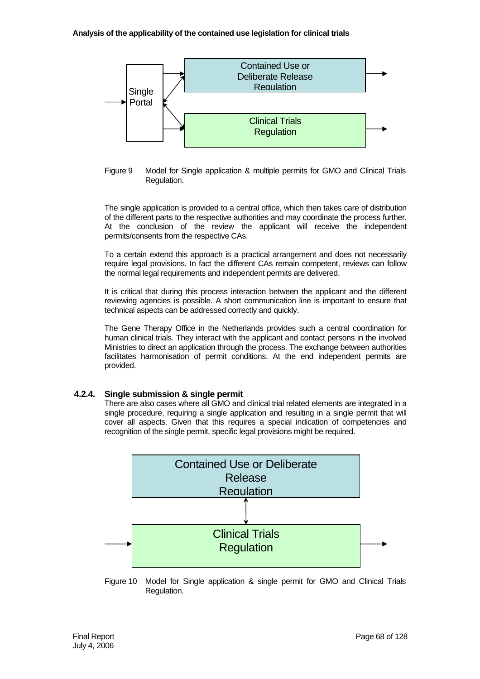



The single application is provided to a central office, which then takes care of distribution of the different parts to the respective authorities and may coordinate the process further. At the conclusion of the review the applicant will receive the independent permits/consents from the respective CAs.

To a certain extend this approach is a practical arrangement and does not necessarily require legal provisions. In fact the different CAs remain competent, reviews can follow the normal legal requirements and independent permits are delivered.

It is critical that during this process interaction between the applicant and the different reviewing agencies is possible. A short communication line is important to ensure that technical aspects can be addressed correctly and quickly.

The Gene Therapy Office in the Netherlands provides such a central coordination for human clinical trials. They interact with the applicant and contact persons in the involved Ministries to direct an application through the process. The exchange between authorities facilitates harmonisation of permit conditions. At the end independent permits are provided.

# **4.2.4. Single submission & single permit**

There are also cases where all GMO and clinical trial related elements are integrated in a single procedure, requiring a single application and resulting in a single permit that will cover all aspects. Given that this requires a special indication of competencies and recognition of the single permit, specific legal provisions might be required.



Figure 10 Model for Single application & single permit for GMO and Clinical Trials Regulation.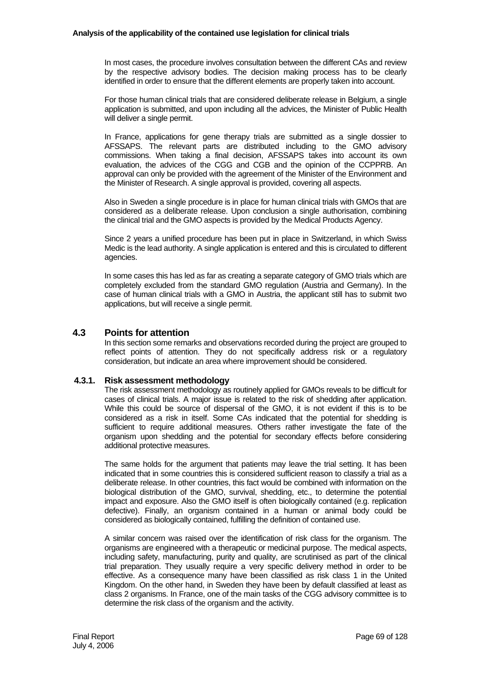In most cases, the procedure involves consultation between the different CAs and review by the respective advisory bodies. The decision making process has to be clearly identified in order to ensure that the different elements are properly taken into account.

For those human clinical trials that are considered deliberate release in Belgium, a single application is submitted, and upon including all the advices, the Minister of Public Health will deliver a single permit.

In France, applications for gene therapy trials are submitted as a single dossier to AFSSAPS. The relevant parts are distributed including to the GMO advisory commissions. When taking a final decision, AFSSAPS takes into account its own evaluation, the advices of the CGG and CGB and the opinion of the CCPPRB. An approval can only be provided with the agreement of the Minister of the Environment and the Minister of Research. A single approval is provided, covering all aspects.

Also in Sweden a single procedure is in place for human clinical trials with GMOs that are considered as a deliberate release. Upon conclusion a single authorisation, combining the clinical trial and the GMO aspects is provided by the Medical Products Agency.

Since 2 years a unified procedure has been put in place in Switzerland, in which Swiss Medic is the lead authority. A single application is entered and this is circulated to different agencies.

In some cases this has led as far as creating a separate category of GMO trials which are completely excluded from the standard GMO regulation (Austria and Germany). In the case of human clinical trials with a GMO in Austria, the applicant still has to submit two applications, but will receive a single permit.

# **4.3 Points for attention**

In this section some remarks and observations recorded during the project are grouped to reflect points of attention. They do not specifically address risk or a regulatory consideration, but indicate an area where improvement should be considered.

# **4.3.1. Risk assessment methodology**

The risk assessment methodology as routinely applied for GMOs reveals to be difficult for cases of clinical trials. A major issue is related to the risk of shedding after application. While this could be source of dispersal of the GMO, it is not evident if this is to be considered as a risk in itself. Some CAs indicated that the potential for shedding is sufficient to require additional measures. Others rather investigate the fate of the organism upon shedding and the potential for secondary effects before considering additional protective measures.

The same holds for the argument that patients may leave the trial setting. It has been indicated that in some countries this is considered sufficient reason to classify a trial as a deliberate release. In other countries, this fact would be combined with information on the biological distribution of the GMO, survival, shedding, etc., to determine the potential impact and exposure. Also the GMO itself is often biologically contained (e.g. replication defective). Finally, an organism contained in a human or animal body could be considered as biologically contained, fulfilling the definition of contained use.

A similar concern was raised over the identification of risk class for the organism. The organisms are engineered with a therapeutic or medicinal purpose. The medical aspects, including safety, manufacturing, purity and quality, are scrutinised as part of the clinical trial preparation. They usually require a very specific delivery method in order to be effective. As a consequence many have been classified as risk class 1 in the United Kingdom. On the other hand, in Sweden they have been by default classified at least as class 2 organisms. In France, one of the main tasks of the CGG advisory committee is to determine the risk class of the organism and the activity.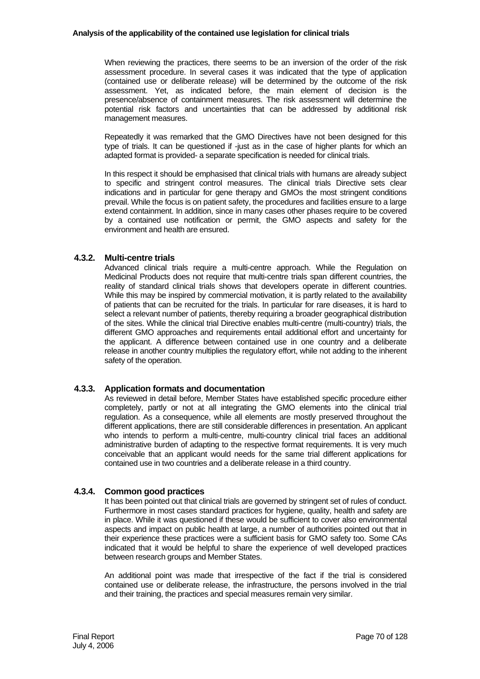When reviewing the practices, there seems to be an inversion of the order of the risk assessment procedure. In several cases it was indicated that the type of application (contained use or deliberate release) will be determined by the outcome of the risk assessment. Yet, as indicated before, the main element of decision is the presence/absence of containment measures. The risk assessment will determine the potential risk factors and uncertainties that can be addressed by additional risk management measures.

Repeatedly it was remarked that the GMO Directives have not been designed for this type of trials. It can be questioned if -just as in the case of higher plants for which an adapted format is provided- a separate specification is needed for clinical trials.

In this respect it should be emphasised that clinical trials with humans are already subject to specific and stringent control measures. The clinical trials Directive sets clear indications and in particular for gene therapy and GMOs the most stringent conditions prevail. While the focus is on patient safety, the procedures and facilities ensure to a large extend containment. In addition, since in many cases other phases require to be covered by a contained use notification or permit, the GMO aspects and safety for the environment and health are ensured.

# **4.3.2. Multi-centre trials**

Advanced clinical trials require a multi-centre approach. While the Regulation on Medicinal Products does not require that multi-centre trials span different countries, the reality of standard clinical trials shows that developers operate in different countries. While this may be inspired by commercial motivation, it is partly related to the availability of patients that can be recruited for the trials. In particular for rare diseases, it is hard to select a relevant number of patients, thereby requiring a broader geographical distribution of the sites. While the clinical trial Directive enables multi-centre (multi-country) trials, the different GMO approaches and requirements entail additional effort and uncertainty for the applicant. A difference between contained use in one country and a deliberate release in another country multiplies the regulatory effort, while not adding to the inherent safety of the operation.

# **4.3.3. Application formats and documentation**

As reviewed in detail before, Member States have established specific procedure either completely, partly or not at all integrating the GMO elements into the clinical trial regulation. As a consequence, while all elements are mostly preserved throughout the different applications, there are still considerable differences in presentation. An applicant who intends to perform a multi-centre, multi-country clinical trial faces an additional administrative burden of adapting to the respective format requirements. It is very much conceivable that an applicant would needs for the same trial different applications for contained use in two countries and a deliberate release in a third country.

# **4.3.4. Common good practices**

It has been pointed out that clinical trials are governed by stringent set of rules of conduct. Furthermore in most cases standard practices for hygiene, quality, health and safety are in place. While it was questioned if these would be sufficient to cover also environmental aspects and impact on public health at large, a number of authorities pointed out that in their experience these practices were a sufficient basis for GMO safety too. Some CAs indicated that it would be helpful to share the experience of well developed practices between research groups and Member States.

An additional point was made that irrespective of the fact if the trial is considered contained use or deliberate release, the infrastructure, the persons involved in the trial and their training, the practices and special measures remain very similar.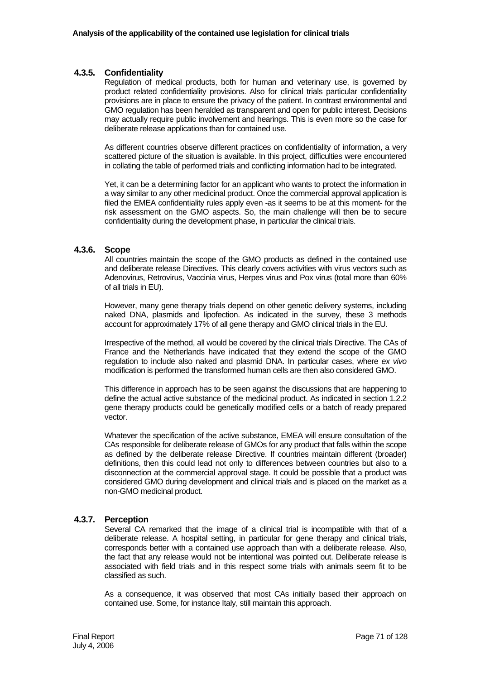## **4.3.5. Confidentiality**

Regulation of medical products, both for human and veterinary use, is governed by product related confidentiality provisions. Also for clinical trials particular confidentiality provisions are in place to ensure the privacy of the patient. In contrast environmental and GMO regulation has been heralded as transparent and open for public interest. Decisions may actually require public involvement and hearings. This is even more so the case for deliberate release applications than for contained use.

As different countries observe different practices on confidentiality of information, a very scattered picture of the situation is available. In this project, difficulties were encountered in collating the table of performed trials and conflicting information had to be integrated.

Yet, it can be a determining factor for an applicant who wants to protect the information in a way similar to any other medicinal product. Once the commercial approval application is filed the EMEA confidentiality rules apply even -as it seems to be at this moment- for the risk assessment on the GMO aspects. So, the main challenge will then be to secure confidentiality during the development phase, in particular the clinical trials.

## **4.3.6. Scope**

All countries maintain the scope of the GMO products as defined in the contained use and deliberate release Directives. This clearly covers activities with virus vectors such as Adenovirus, Retrovirus, Vaccinia virus, Herpes virus and Pox virus (total more than 60% of all trials in EU).

However, many gene therapy trials depend on other genetic delivery systems, including naked DNA, plasmids and lipofection. As indicated in the survey, these 3 methods account for approximately 17% of all gene therapy and GMO clinical trials in the EU.

Irrespective of the method, all would be covered by the clinical trials Directive. The CAs of France and the Netherlands have indicated that they extend the scope of the GMO regulation to include also naked and plasmid DNA. In particular cases, where *ex vivo* modification is performed the transformed human cells are then also considered GMO.

This difference in approach has to be seen against the discussions that are happening to define the actual active substance of the medicinal product. As indicated in section 1.2.2 gene therapy products could be genetically modified cells or a batch of ready prepared vector.

Whatever the specification of the active substance, EMEA will ensure consultation of the CAs responsible for deliberate release of GMOs for any product that falls within the scope as defined by the deliberate release Directive. If countries maintain different (broader) definitions, then this could lead not only to differences between countries but also to a disconnection at the commercial approval stage. It could be possible that a product was considered GMO during development and clinical trials and is placed on the market as a non-GMO medicinal product.

# **4.3.7. Perception**

Several CA remarked that the image of a clinical trial is incompatible with that of a deliberate release. A hospital setting, in particular for gene therapy and clinical trials, corresponds better with a contained use approach than with a deliberate release. Also, the fact that any release would not be intentional was pointed out. Deliberate release is associated with field trials and in this respect some trials with animals seem fit to be classified as such.

As a consequence, it was observed that most CAs initially based their approach on contained use. Some, for instance Italy, still maintain this approach.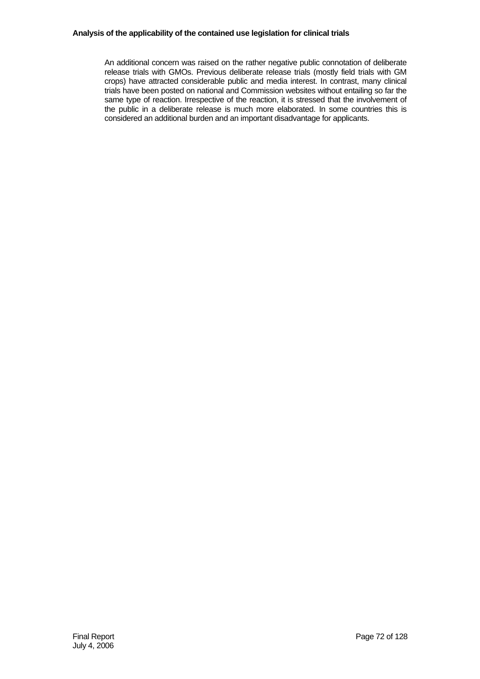An additional concern was raised on the rather negative public connotation of deliberate release trials with GMOs. Previous deliberate release trials (mostly field trials with GM crops) have attracted considerable public and media interest. In contrast, many clinical trials have been posted on national and Commission websites without entailing so far the same type of reaction. Irrespective of the reaction, it is stressed that the involvement of the public in a deliberate release is much more elaborated. In some countries this is considered an additional burden and an important disadvantage for applicants.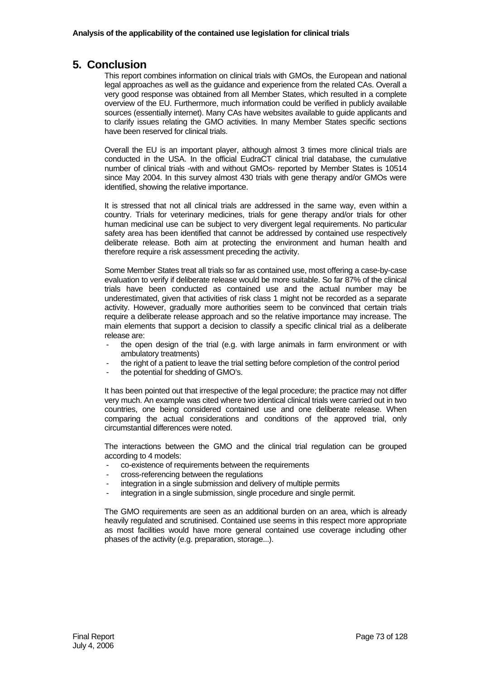## **5. Conclusion**

This report combines information on clinical trials with GMOs, the European and national legal approaches as well as the guidance and experience from the related CAs. Overall a very good response was obtained from all Member States, which resulted in a complete overview of the EU. Furthermore, much information could be verified in publicly available sources (essentially internet). Many CAs have websites available to guide applicants and to clarify issues relating the GMO activities. In many Member States specific sections have been reserved for clinical trials.

Overall the EU is an important player, although almost 3 times more clinical trials are conducted in the USA. In the official EudraCT clinical trial database, the cumulative number of clinical trials -with and without GMOs- reported by Member States is 10514 since May 2004. In this survey almost 430 trials with gene therapy and/or GMOs were identified, showing the relative importance.

It is stressed that not all clinical trials are addressed in the same way, even within a country. Trials for veterinary medicines, trials for gene therapy and/or trials for other human medicinal use can be subject to very divergent legal requirements. No particular safety area has been identified that cannot be addressed by contained use respectively deliberate release. Both aim at protecting the environment and human health and therefore require a risk assessment preceding the activity.

Some Member States treat all trials so far as contained use, most offering a case-by-case evaluation to verify if deliberate release would be more suitable. So far 87% of the clinical trials have been conducted as contained use and the actual number may be underestimated, given that activities of risk class 1 might not be recorded as a separate activity. However, gradually more authorities seem to be convinced that certain trials require a deliberate release approach and so the relative importance may increase. The main elements that support a decision to classify a specific clinical trial as a deliberate release are:

- the open design of the trial (e.g. with large animals in farm environment or with ambulatory treatments)
- the right of a patient to leave the trial setting before completion of the control period
- the potential for shedding of GMO's.

It has been pointed out that irrespective of the legal procedure; the practice may not differ very much. An example was cited where two identical clinical trials were carried out in two countries, one being considered contained use and one deliberate release. When comparing the actual considerations and conditions of the approved trial, only circumstantial differences were noted.

The interactions between the GMO and the clinical trial regulation can be grouped according to 4 models:

- co-existence of requirements between the requirements
- cross-referencing between the regulations
- integration in a single submission and delivery of multiple permits
- integration in a single submission, single procedure and single permit.

The GMO requirements are seen as an additional burden on an area, which is already heavily regulated and scrutinised. Contained use seems in this respect more appropriate as most facilities would have more general contained use coverage including other phases of the activity (e.g. preparation, storage...).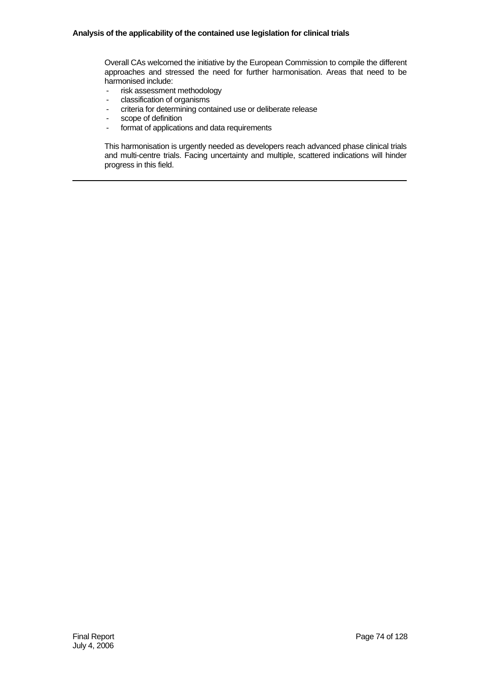Overall CAs welcomed the initiative by the European Commission to compile the different approaches and stressed the need for further harmonisation. Areas that need to be harmonised include:

- risk assessment methodology
- classification of organisms
- criteria for determining contained use or deliberate release
- scope of definition
- format of applications and data requirements

This harmonisation is urgently needed as developers reach advanced phase clinical trials and multi-centre trials. Facing uncertainty and multiple, scattered indications will hinder progress in this field.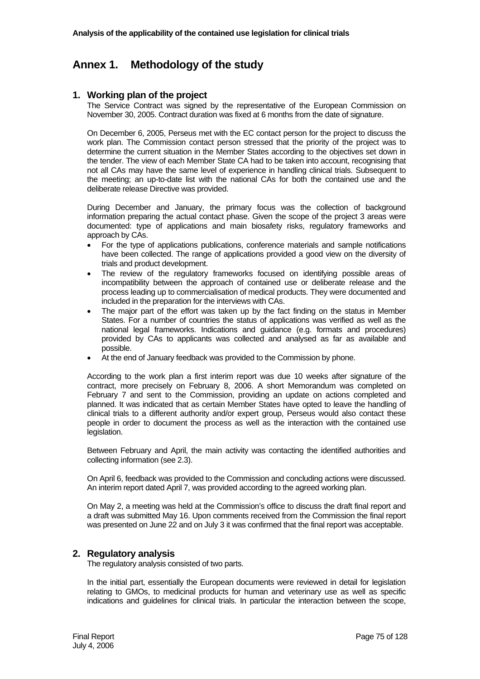# **Annex 1. Methodology of the study**

### **1. Working plan of the project**

The Service Contract was signed by the representative of the European Commission on November 30, 2005. Contract duration was fixed at 6 months from the date of signature.

On December 6, 2005, Perseus met with the EC contact person for the project to discuss the work plan. The Commission contact person stressed that the priority of the project was to determine the current situation in the Member States according to the objectives set down in the tender. The view of each Member State CA had to be taken into account, recognising that not all CAs may have the same level of experience in handling clinical trials. Subsequent to the meeting; an up-to-date list with the national CAs for both the contained use and the deliberate release Directive was provided.

During December and January, the primary focus was the collection of background information preparing the actual contact phase. Given the scope of the project 3 areas were documented: type of applications and main biosafety risks, regulatory frameworks and approach by CAs.

- For the type of applications publications, conference materials and sample notifications have been collected. The range of applications provided a good view on the diversity of trials and product development.
- The review of the regulatory frameworks focused on identifying possible areas of incompatibility between the approach of contained use or deliberate release and the process leading up to commercialisation of medical products. They were documented and included in the preparation for the interviews with CAs.
- The major part of the effort was taken up by the fact finding on the status in Member States. For a number of countries the status of applications was verified as well as the national legal frameworks. Indications and guidance (e.g. formats and procedures) provided by CAs to applicants was collected and analysed as far as available and possible.
- At the end of January feedback was provided to the Commission by phone.

According to the work plan a first interim report was due 10 weeks after signature of the contract, more precisely on February 8, 2006. A short Memorandum was completed on February 7 and sent to the Commission, providing an update on actions completed and planned. It was indicated that as certain Member States have opted to leave the handling of clinical trials to a different authority and/or expert group, Perseus would also contact these people in order to document the process as well as the interaction with the contained use legislation.

Between February and April, the main activity was contacting the identified authorities and collecting information (see 2.3).

On April 6, feedback was provided to the Commission and concluding actions were discussed. An interim report dated April 7, was provided according to the agreed working plan.

On May 2, a meeting was held at the Commission's office to discuss the draft final report and a draft was submitted May 16. Upon comments received from the Commission the final report was presented on June 22 and on July 3 it was confirmed that the final report was acceptable.

#### **2. Regulatory analysis**

The regulatory analysis consisted of two parts.

In the initial part, essentially the European documents were reviewed in detail for legislation relating to GMOs, to medicinal products for human and veterinary use as well as specific indications and guidelines for clinical trials. In particular the interaction between the scope,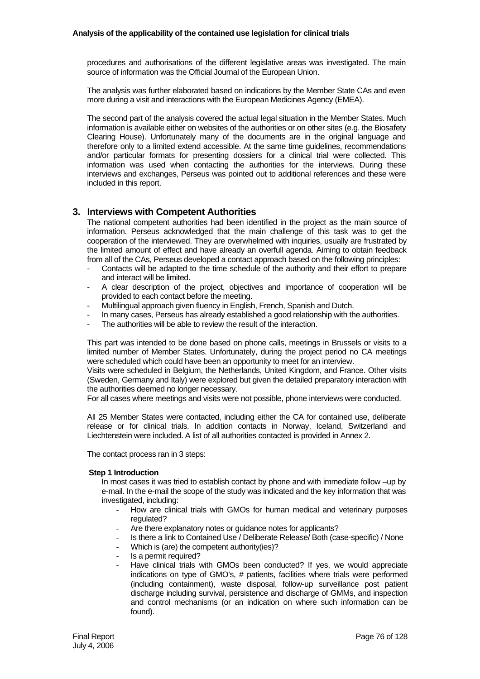procedures and authorisations of the different legislative areas was investigated. The main source of information was the Official Journal of the European Union.

The analysis was further elaborated based on indications by the Member State CAs and even more during a visit and interactions with the European Medicines Agency (EMEA).

The second part of the analysis covered the actual legal situation in the Member States. Much information is available either on websites of the authorities or on other sites (e.g. the Biosafety Clearing House). Unfortunately many of the documents are in the original language and therefore only to a limited extend accessible. At the same time guidelines, recommendations and/or particular formats for presenting dossiers for a clinical trial were collected. This information was used when contacting the authorities for the interviews. During these interviews and exchanges, Perseus was pointed out to additional references and these were included in this report.

## **3. Interviews with Competent Authorities**

The national competent authorities had been identified in the project as the main source of information. Perseus acknowledged that the main challenge of this task was to get the cooperation of the interviewed. They are overwhelmed with inquiries, usually are frustrated by the limited amount of effect and have already an overfull agenda. Aiming to obtain feedback from all of the CAs, Perseus developed a contact approach based on the following principles:

- Contacts will be adapted to the time schedule of the authority and their effort to prepare and interact will be limited.
- A clear description of the project, objectives and importance of cooperation will be provided to each contact before the meeting.
- Multilingual approach given fluency in English, French, Spanish and Dutch.
- In many cases, Perseus has already established a good relationship with the authorities.
- The authorities will be able to review the result of the interaction

This part was intended to be done based on phone calls, meetings in Brussels or visits to a limited number of Member States. Unfortunately, during the project period no CA meetings were scheduled which could have been an opportunity to meet for an interview.

Visits were scheduled in Belgium, the Netherlands, United Kingdom, and France. Other visits (Sweden, Germany and Italy) were explored but given the detailed preparatory interaction with the authorities deemed no longer necessary.

For all cases where meetings and visits were not possible, phone interviews were conducted.

All 25 Member States were contacted, including either the CA for contained use, deliberate release or for clinical trials. In addition contacts in Norway, Iceland, Switzerland and Liechtenstein were included. A list of all authorities contacted is provided in Annex 2.

The contact process ran in 3 steps:

#### **Step 1 Introduction**

In most cases it was tried to establish contact by phone and with immediate follow –up by e-mail. In the e-mail the scope of the study was indicated and the key information that was investigated, including:

- How are clinical trials with GMOs for human medical and veterinary purposes regulated?
- Are there explanatory notes or guidance notes for applicants?
- Is there a link to Contained Use / Deliberate Release/ Both (case-specific) / None
- Which is (are) the competent authority(ies)?
- Is a permit required?
- Have clinical trials with GMOs been conducted? If yes, we would appreciate indications on type of GMO's, # patients, facilities where trials were performed (including containment), waste disposal, follow-up surveillance post patient discharge including survival, persistence and discharge of GMMs, and inspection and control mechanisms (or an indication on where such information can be found).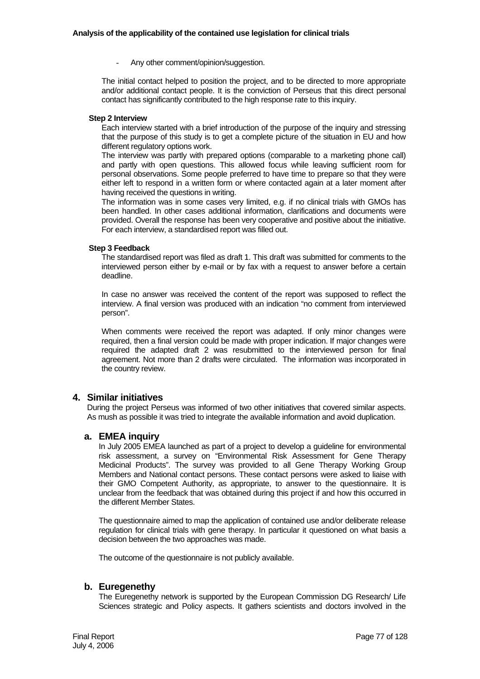Any other comment/opinion/suggestion.

The initial contact helped to position the project, and to be directed to more appropriate and/or additional contact people. It is the conviction of Perseus that this direct personal contact has significantly contributed to the high response rate to this inquiry.

### **Step 2 Interview**

Each interview started with a brief introduction of the purpose of the inquiry and stressing that the purpose of this study is to get a complete picture of the situation in EU and how different regulatory options work.

The interview was partly with prepared options (comparable to a marketing phone call) and partly with open questions. This allowed focus while leaving sufficient room for personal observations. Some people preferred to have time to prepare so that they were either left to respond in a written form or where contacted again at a later moment after having received the questions in writing.

The information was in some cases very limited, e.g. if no clinical trials with GMOs has been handled. In other cases additional information, clarifications and documents were provided. Overall the response has been very cooperative and positive about the initiative. For each interview, a standardised report was filled out.

#### **Step 3 Feedback**

The standardised report was filed as draft 1. This draft was submitted for comments to the interviewed person either by e-mail or by fax with a request to answer before a certain deadline.

In case no answer was received the content of the report was supposed to reflect the interview. A final version was produced with an indication "no comment from interviewed person".

When comments were received the report was adapted. If only minor changes were required, then a final version could be made with proper indication. If major changes were required the adapted draft 2 was resubmitted to the interviewed person for final agreement. Not more than 2 drafts were circulated. The information was incorporated in the country review.

## **4. Similar initiatives**

During the project Perseus was informed of two other initiatives that covered similar aspects. As mush as possible it was tried to integrate the available information and avoid duplication.

#### **a. EMEA inquiry**

In July 2005 EMEA launched as part of a project to develop a guideline for environmental risk assessment, a survey on "Environmental Risk Assessment for Gene Therapy Medicinal Products". The survey was provided to all Gene Therapy Working Group Members and National contact persons. These contact persons were asked to liaise with their GMO Competent Authority, as appropriate, to answer to the questionnaire. It is unclear from the feedback that was obtained during this project if and how this occurred in the different Member States.

The questionnaire aimed to map the application of contained use and/or deliberate release regulation for clinical trials with gene therapy. In particular it questioned on what basis a decision between the two approaches was made.

The outcome of the questionnaire is not publicly available.

#### **b. Euregenethy**

The Euregenethy network is supported by the European Commission DG Research/ Life Sciences strategic and Policy aspects. It gathers scientists and doctors involved in the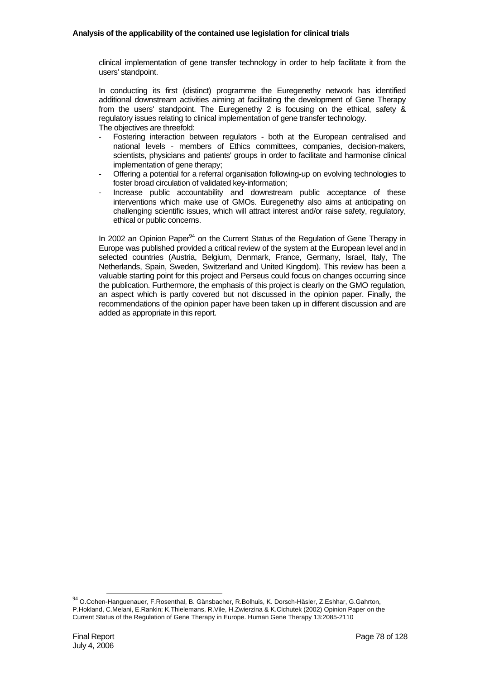clinical implementation of gene transfer technology in order to help facilitate it from the users' standpoint.

In conducting its first (distinct) programme the Euregenethy network has identified additional downstream activities aiming at facilitating the development of Gene Therapy from the users' standpoint. The Euregenethy 2 is focusing on the ethical, safety & regulatory issues relating to clinical implementation of gene transfer technology. The objectives are threefold:

- Fostering interaction between regulators both at the European centralised and national levels - members of Ethics committees, companies, decision-makers, scientists, physicians and patients' groups in order to facilitate and harmonise clinical implementation of gene therapy;
- Offering a potential for a referral organisation following-up on evolving technologies to foster broad circulation of validated key-information;
- Increase public accountability and downstream public acceptance of these interventions which make use of GMOs. Euregenethy also aims at anticipating on challenging scientific issues, which will attract interest and/or raise safety, regulatory, ethical or public concerns.

In 2002 an Opinion Paper $94$  on the Current Status of the Regulation of Gene Therapy in Europe was published provided a critical review of the system at the European level and in selected countries (Austria, Belgium, Denmark, France, Germany, Israel, Italy, The Netherlands, Spain, Sweden, Switzerland and United Kingdom). This review has been a valuable starting point for this project and Perseus could focus on changes occurring since the publication. Furthermore, the emphasis of this project is clearly on the GMO regulation, an aspect which is partly covered but not discussed in the opinion paper. Finally, the recommendations of the opinion paper have been taken up in different discussion and are added as appropriate in this report.

<sup>94</sup> O.Cohen-Hanguenauer, F.Rosenthal, B. Gänsbacher, R.Bolhuis, K. Dorsch-Häsler, Z.Eshhar, G.Gahrton, P.Hokland, C.Melani, E.Rankin; K.Thielemans, R.Vile, H.Zwierzina & K.Cichutek (2002) Opinion Paper on the Current Status of the Regulation of Gene Therapy in Europe. Human Gene Therapy 13:2085-2110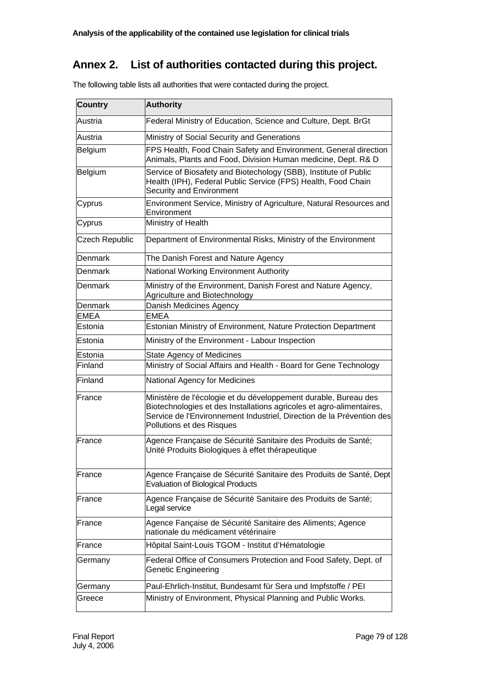# **Annex 2. List of authorities contacted during this project.**

| <b>Country</b> | <b>Authority</b>                                                                                                                                                                                                                              |
|----------------|-----------------------------------------------------------------------------------------------------------------------------------------------------------------------------------------------------------------------------------------------|
| Austria        | Federal Ministry of Education, Science and Culture, Dept. BrGt                                                                                                                                                                                |
| Austria        | Ministry of Social Security and Generations                                                                                                                                                                                                   |
| Belgium        | FPS Health, Food Chain Safety and Environment, General direction<br>Animals, Plants and Food, Division Human medicine, Dept. R& D                                                                                                             |
| Belgium        | Service of Biosafety and Biotechology (SBB), Institute of Public<br>Health (IPH), Federal Public Service (FPS) Health, Food Chain<br>Security and Environment                                                                                 |
| Cyprus         | Environment Service, Ministry of Agriculture, Natural Resources and<br>Environment                                                                                                                                                            |
| Cyprus         | Ministry of Health                                                                                                                                                                                                                            |
| Czech Republic | Department of Environmental Risks, Ministry of the Environment                                                                                                                                                                                |
| Denmark        | The Danish Forest and Nature Agency                                                                                                                                                                                                           |
| Denmark        | National Working Environment Authority                                                                                                                                                                                                        |
| Denmark        | Ministry of the Environment, Danish Forest and Nature Agency,<br>Agriculture and Biotechnology                                                                                                                                                |
| Denmark        | Danish Medicines Agency                                                                                                                                                                                                                       |
| EMEA           | <b>EMEA</b>                                                                                                                                                                                                                                   |
| Estonia        | Estonian Ministry of Environment, Nature Protection Department                                                                                                                                                                                |
| Estonia        | Ministry of the Environment - Labour Inspection                                                                                                                                                                                               |
| Estonia        | <b>State Agency of Medicines</b>                                                                                                                                                                                                              |
| Finland        | Ministry of Social Affairs and Health - Board for Gene Technology                                                                                                                                                                             |
| Finland        | National Agency for Medicines                                                                                                                                                                                                                 |
| France         | Ministère de l'écologie et du développement durable, Bureau des<br>Biotechnologies et des Installations agricoles et agro-alimentaires,<br>Service de l'Environnement Industriel, Direction de la Prévention des<br>Pollutions et des Risques |
| France         | Agence Française de Sécurité Sanitaire des Produits de Santé;<br>Unité Produits Biologiques à effet thérapeutique                                                                                                                             |
| France         | Agence Française de Sécurité Sanitaire des Produits de Santé, Dept<br><b>Evaluation of Biological Products</b>                                                                                                                                |
| France         | Agence Française de Sécurité Sanitaire des Produits de Santé;<br>Legal service                                                                                                                                                                |
| France         | Agence Fançaise de Sécurité Sanitaire des Aliments; Agence<br>nationale du médicament vétérinaire                                                                                                                                             |
| France         | Hôpital Saint-Louis TGOM - Institut d'Hématologie                                                                                                                                                                                             |
| Germany        | Federal Office of Consumers Protection and Food Safety, Dept. of<br>Genetic Engineering                                                                                                                                                       |
| Germany        | Paul-Ehrlich-Institut, Bundesamt für Sera und Impfstoffe / PEI                                                                                                                                                                                |
| Greece         | Ministry of Environment, Physical Planning and Public Works.                                                                                                                                                                                  |

The following table lists all authorities that were contacted during the project.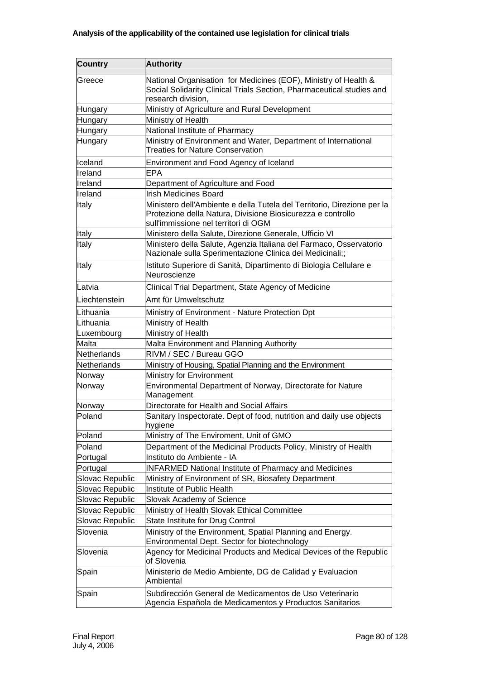| <b>Country</b>     | <b>Authority</b>                                                                                                                                                               |
|--------------------|--------------------------------------------------------------------------------------------------------------------------------------------------------------------------------|
| Greece             | National Organisation for Medicines (EOF), Ministry of Health &<br>Social Solidarity Clinical Trials Section, Pharmaceutical studies and<br>research division,                 |
| Hungary            | Ministry of Agriculture and Rural Development                                                                                                                                  |
| Hungary            | Ministry of Health                                                                                                                                                             |
| Hungary            | National Institute of Pharmacy                                                                                                                                                 |
| Hungary            | Ministry of Environment and Water, Department of International<br><b>Treaties for Nature Conservation</b>                                                                      |
| Iceland            | Environment and Food Agency of Iceland                                                                                                                                         |
| Ireland            | <b>EPA</b>                                                                                                                                                                     |
| Ireland            | Department of Agriculture and Food                                                                                                                                             |
| Ireland            | <b>Irish Medicines Board</b>                                                                                                                                                   |
| Italy              | Ministero dell'Ambiente e della Tutela del Territorio, Direzione per la<br>Protezione della Natura, Divisione Biosicurezza e controllo<br>sull'immissione nel territori di OGM |
| Italy              | Ministero della Salute, Direzione Generale, Ufficio VI                                                                                                                         |
| Italy              | Ministero della Salute, Agenzia Italiana del Farmaco, Osservatorio<br>Nazionale sulla Sperimentazione Clinica dei Medicinali;;                                                 |
| Italy              | Istituto Superiore di Sanità, Dipartimento di Biologia Cellulare e<br>Neuroscienze                                                                                             |
| Latvia             | Clinical Trial Department, State Agency of Medicine                                                                                                                            |
| Liechtenstein      | Amt für Umweltschutz                                                                                                                                                           |
| Lithuania          | Ministry of Environment - Nature Protection Dpt                                                                                                                                |
| Lithuania          | Ministry of Health                                                                                                                                                             |
| Luxembourg         | Ministry of Health                                                                                                                                                             |
| Malta              | Malta Environment and Planning Authority                                                                                                                                       |
| <b>Netherlands</b> | RIVM / SEC / Bureau GGO                                                                                                                                                        |
| Netherlands        | Ministry of Housing, Spatial Planning and the Environment                                                                                                                      |
| Norway             | Ministry for Environment                                                                                                                                                       |
| Norway             | Environmental Department of Norway, Directorate for Nature<br>Management                                                                                                       |
| Norway             | Directorate for Health and Social Affairs                                                                                                                                      |
| Poland             | Sanitary Inspectorate. Dept of food, nutrition and daily use objects<br>hygiene                                                                                                |
| Poland             | Ministry of The Enviroment, Unit of GMO                                                                                                                                        |
| Poland             | Department of the Medicinal Products Policy, Ministry of Health                                                                                                                |
| Portugal           | Instituto do Ambiente - IA                                                                                                                                                     |
| Portugal           | <b>INFARMED National Institute of Pharmacy and Medicines</b>                                                                                                                   |
| Slovac Republic    | Ministry of Environment of SR, Biosafety Department                                                                                                                            |
| Slovac Republic    | Institute of Public Health                                                                                                                                                     |
| Slovac Republic    | Slovak Academy of Science                                                                                                                                                      |
| Slovac Republic    | Ministry of Health Slovak Ethical Committee                                                                                                                                    |
| Slovac Republic    | State Institute for Drug Control                                                                                                                                               |
| Slovenia           | Ministry of the Environment, Spatial Planning and Energy.<br>Environmental Dept. Sector for biotechnology                                                                      |
| Slovenia           | Agency for Medicinal Products and Medical Devices of the Republic<br>of Slovenia                                                                                               |
| Spain              | Ministerio de Medio Ambiente, DG de Calidad y Evaluacion<br>Ambiental                                                                                                          |
| Spain              | Subdirección General de Medicamentos de Uso Veterinario<br>Agencia Española de Medicamentos y Productos Sanitarios                                                             |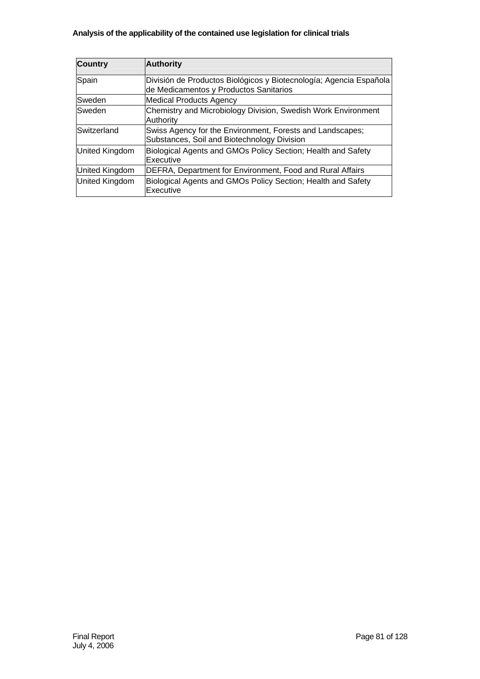| <b>Country</b>        | <b>Authority</b>                                                                                             |
|-----------------------|--------------------------------------------------------------------------------------------------------------|
| Spain                 | División de Productos Biológicos y Biotecnología; Agencia Española<br>de Medicamentos y Productos Sanitarios |
| Sweden                | <b>Medical Products Agency</b>                                                                               |
| <b>Sweden</b>         | Chemistry and Microbiology Division, Swedish Work Environment<br>Authority                                   |
| Switzerland           | Swiss Agency for the Environment, Forests and Landscapes;<br>Substances, Soil and Biotechnology Division     |
| <b>United Kingdom</b> | Biological Agents and GMOs Policy Section; Health and Safety<br>Executive                                    |
| United Kingdom        | DEFRA, Department for Environment, Food and Rural Affairs                                                    |
| United Kingdom        | Biological Agents and GMOs Policy Section; Health and Safety<br>Executive                                    |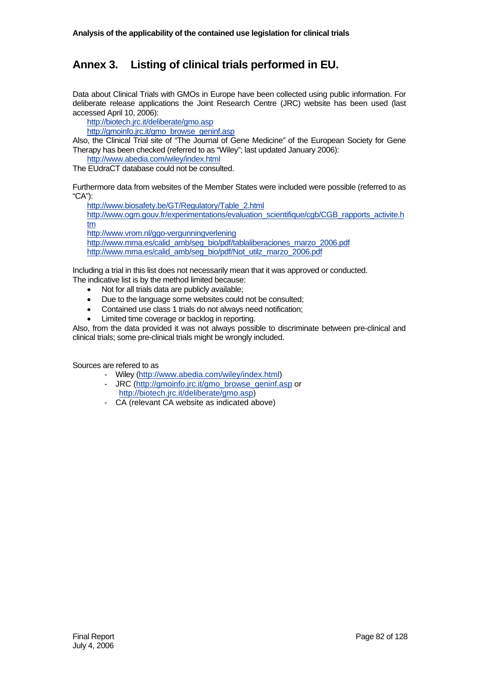# **Annex 3. Listing of clinical trials performed in EU.**

Data about Clinical Trials with GMOs in Europe have been collected using public information. For deliberate release applications the Joint Research Centre (JRC) website has been used (last accessed April 10, 2006):

http://biotech.jrc.it/deliberate/gmo.asp

http://gmoinfo.jrc.it/gmo\_browse\_geninf.asp

Also, the Clinical Trial site of "The Journal of Gene Medicine" of the European Society for Gene Therapy has been checked (referred to as "Wiley"; last updated January 2006):

http://www.abedia.com/wiley/index.html

The EUdraCT database could not be consulted.

Furthermore data from websites of the Member States were included were possible (referred to as "CA"):

http://www.biosafety.be/GT/Regulatory/Table\_2.html http://www.ogm.gouv.fr/experimentations/evaluation\_scientifique/cgb/CGB\_rapports\_activite.h tm http://www.vrom.nl/ggo-vergunningverlening http://www.mma.es/calid\_amb/seg\_bio/pdf/tablaliberaciones\_marzo\_2006.pdf http://www.mma.es/calid\_amb/seg\_bio/pdf/Not\_utilz\_marzo\_2006.pdf

Including a trial in this list does not necessarily mean that it was approved or conducted. The indicative list is by the method limited because:

- Not for all trials data are publicly available;
- Due to the language some websites could not be consulted;
- Contained use class 1 trials do not always need notification;
- Limited time coverage or backlog in reporting.

Also, from the data provided it was not always possible to discriminate between pre-clinical and clinical trials; some pre-clinical trials might be wrongly included.

Sources are refered to as

- Wiley (http://www.abedia.com/wiley/index.html)
- JRC (http://gmoinfo.jrc.it/gmo\_browse\_geninf.asp or http://biotech.jrc.it/deliberate/gmo.asp)
- CA (relevant CA website as indicated above)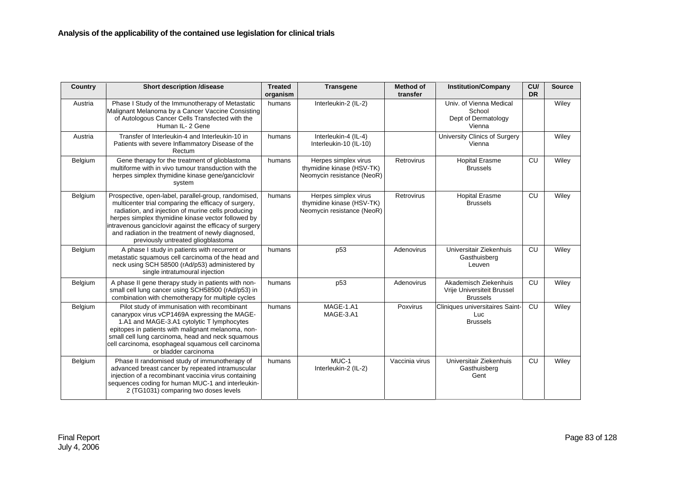| Country | <b>Short description /disease</b>                                                                                                                                                                                                                                                                                                                                               | <b>Treated</b><br>organism | <b>Transgene</b>                                                                | <b>Method of</b><br>transfer | <b>Institution/Company</b>                                             | CU/<br><b>DR</b> | <b>Source</b> |
|---------|---------------------------------------------------------------------------------------------------------------------------------------------------------------------------------------------------------------------------------------------------------------------------------------------------------------------------------------------------------------------------------|----------------------------|---------------------------------------------------------------------------------|------------------------------|------------------------------------------------------------------------|------------------|---------------|
| Austria | Phase I Study of the Immunotherapy of Metastatic<br>Malignant Melanoma by a Cancer Vaccine Consisting<br>of Autologous Cancer Cells Transfected with the<br>Human IL- 2 Gene                                                                                                                                                                                                    | humans                     | Interleukin-2 (IL-2)                                                            |                              | Univ. of Vienna Medical<br>School<br>Dept of Dermatology<br>Vienna     |                  | Wiley         |
| Austria | Transfer of Interleukin-4 and Interleukin-10 in<br>Patients with severe Inflammatory Disease of the<br>Rectum                                                                                                                                                                                                                                                                   | humans                     | Interleukin-4 (IL-4)<br>Interleukin-10 (IL-10)                                  |                              | University Clinics of Surgery<br>Vienna                                |                  | Wiley         |
| Belgium | Gene therapy for the treatment of glioblastoma<br>multiforme with in vivo tumour transduction with the<br>herpes simplex thymidine kinase gene/ganciclovir<br>system                                                                                                                                                                                                            | humans                     | Herpes simplex virus<br>thymidine kinase (HSV-TK)<br>Neomycin resistance (NeoR) | Retrovirus                   | <b>Hopital Erasme</b><br><b>Brussels</b>                               | CU               | Wiley         |
| Belgium | Prospective, open-label, parallel-group, randomised,<br>multicenter trial comparing the efficacy of surgery,<br>radiation, and injection of murine cells producing<br>herpes simplex thymidine kinase vector followed by<br>intravenous ganciclovir against the efficacy of surgery<br>and radiation in the treatment of newly diagnosed,<br>previously untreated gliogblastoma | humans                     | Herpes simplex virus<br>thymidine kinase (HSV-TK)<br>Neomycin resistance (NeoR) | Retrovirus                   | <b>Hopital Erasme</b><br><b>Brussels</b>                               | CU               | Wiley         |
| Belgium | A phase I study in patients with recurrent or<br>metastatic squamous cell carcinoma of the head and<br>neck using SCH 58500 (rAd/p53) administered by<br>single intratumoural injection                                                                                                                                                                                         | humans                     | p <sub>53</sub>                                                                 | Adenovirus                   | Universitair Ziekenhuis<br>Gasthuisberg<br>Leuven                      | CU               | Wiley         |
| Belgium | A phase II gene therapy study in patients with non-<br>small cell lung cancer using SCH58500 (rAd/p53) in<br>combination with chemotherapy for multiple cycles                                                                                                                                                                                                                  | humans                     | p <sub>53</sub>                                                                 | Adenovirus                   | Akademisch Ziekenhuis<br>Vrije Universiteit Brussel<br><b>Brussels</b> | CU               | Wiley         |
| Belgium | Pilot study of immunisation with recombinant<br>canarypox virus vCP1469A expressing the MAGE-<br>1.A1 and MAGE-3.A1 cytolytic T lymphocytes<br>epitopes in patients with malignant melanoma, non-<br>small cell lung carcinoma, head and neck squamous<br>cell carcinoma, esophageal squamous cell carcinoma<br>or bladder carcinoma                                            | humans                     | MAGE-1.A1<br>MAGE-3.A1                                                          | Poxvirus                     | Cliniques universitaires Saint-<br>Luc<br><b>Brussels</b>              | CU               | Wiley         |
| Belgium | Phase II randomised study of immunotherapy of<br>advanced breast cancer by repeated intramuscular<br>injection of a recombinant vaccinia virus containing<br>sequences coding for human MUC-1 and interleukin-<br>2 (TG1031) comparing two doses levels                                                                                                                         | humans                     | MUC-1<br>Interleukin-2 (IL-2)                                                   | Vaccinia virus               | Universitair Ziekenhuis<br>Gasthuisberg<br>Gent                        | CU               | Wiley         |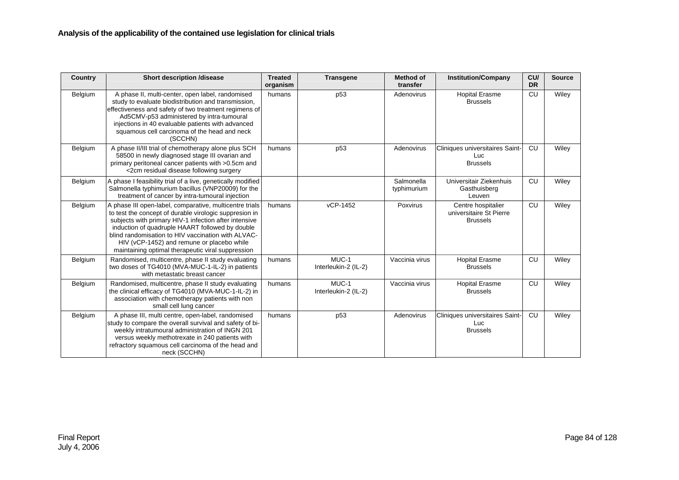| <b>Country</b> | <b>Short description /disease</b>                                                                                                                                                                                                                                                                                                                                                      | <b>Treated</b><br>organism | <b>Transgene</b>              | <b>Method of</b><br>transfer | <b>Institution/Company</b>                                       | CU/<br><b>DR</b> | <b>Source</b> |
|----------------|----------------------------------------------------------------------------------------------------------------------------------------------------------------------------------------------------------------------------------------------------------------------------------------------------------------------------------------------------------------------------------------|----------------------------|-------------------------------|------------------------------|------------------------------------------------------------------|------------------|---------------|
| Belgium        | A phase II, multi-center, open label, randomised<br>study to evaluate biodistribution and transmission,<br>effectiveness and safety of two treatment regimens of<br>Ad5CMV-p53 administered by intra-tumoural<br>injections in 40 evaluable patients with advanced<br>squamous cell carcinoma of the head and neck<br>(SCCHN)                                                          | humans                     | p <sub>53</sub>               | Adenovirus                   | <b>Hopital Erasme</b><br><b>Brussels</b>                         | CU               | Wiley         |
| Belgium        | A phase II/III trial of chemotherapy alone plus SCH<br>58500 in newly diagnosed stage III ovarian and<br>primary peritoneal cancer patients with >0.5cm and<br><2cm residual disease following surgery                                                                                                                                                                                 | humans                     | p <sub>53</sub>               | Adenovirus                   | Cliniques universitaires Saint-<br><b>Luc</b><br><b>Brussels</b> | CU               | Wiley         |
| Belgium        | A phase I feasibility trial of a live, genetically modified<br>Salmonella typhimurium bacillus (VNP20009) for the<br>treatment of cancer by intra-tumoural injection                                                                                                                                                                                                                   |                            |                               | Salmonella<br>typhimurium    | Universitair Ziekenhuis<br>Gasthuisberg<br>Leuven                | CU               | Wiley         |
| Belgium        | A phase III open-label, comparative, multicentre trials<br>to test the concept of durable virologic suppresion in<br>subjects with primary HIV-1 infection after intensive<br>induction of quadruple HAART followed by double<br>blind randomisation to HIV vaccination with ALVAC-<br>HIV (vCP-1452) and remune or placebo while<br>maintaining optimal therapeutic viral suppression | humans                     | vCP-1452                      | Poxvirus                     | Centre hospitalier<br>universitaire St Pierre<br><b>Brussels</b> | CU               | Wiley         |
| Belgium        | Randomised, multicentre, phase II study evaluating<br>two doses of TG4010 (MVA-MUC-1-IL-2) in patients<br>with metastatic breast cancer                                                                                                                                                                                                                                                | humans                     | MUC-1<br>Interleukin-2 (IL-2) | Vaccinia virus               | <b>Hopital Erasme</b><br><b>Brussels</b>                         | CU               | Wiley         |
| Belgium        | Randomised, multicentre, phase II study evaluating<br>the clinical efficacy of TG4010 (MVA-MUC-1-IL-2) in<br>association with chemotherapy patients with non<br>small cell lung cancer                                                                                                                                                                                                 | humans                     | MUC-1<br>Interleukin-2 (IL-2) | Vaccinia virus               | <b>Hopital Erasme</b><br><b>Brussels</b>                         | CU               | Wiley         |
| Belgium        | A phase III, multi centre, open-label, randomised<br>study to compare the overall survival and safety of bi-<br>weekly intratumoural administration of INGN 201<br>versus weekly methotrexate in 240 patients with<br>refractory squamous cell carcinoma of the head and<br>neck (SCCHN)                                                                                               | humans                     | p <sub>53</sub>               | Adenovirus                   | Cliniques universitaires Saint-<br>Luc<br><b>Brussels</b>        | CU               | Wiley         |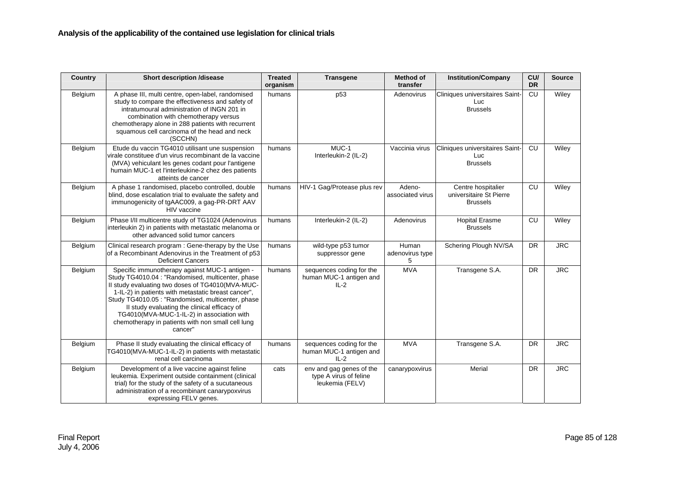| Country | <b>Short description /disease</b>                                                                                                                                                                                                                                                                                                                                                                                                 | <b>Treated</b><br>organism | <b>Transgene</b>                                                      | <b>Method of</b><br>transfer  | <b>Institution/Company</b>                                       | CU/<br><b>DR</b> | <b>Source</b> |
|---------|-----------------------------------------------------------------------------------------------------------------------------------------------------------------------------------------------------------------------------------------------------------------------------------------------------------------------------------------------------------------------------------------------------------------------------------|----------------------------|-----------------------------------------------------------------------|-------------------------------|------------------------------------------------------------------|------------------|---------------|
| Belgium | A phase III, multi centre, open-label, randomised<br>study to compare the effectiveness and safety of<br>intratumoural administration of INGN 201 in<br>combination with chemotherapy versus<br>chemotherapy alone in 288 patients with recurrent<br>squamous cell carcinoma of the head and neck<br>(SCCHN)                                                                                                                      | humans                     | p53                                                                   | Adenovirus                    | Cliniques universitaires Saint-<br>Luc<br><b>Brussels</b>        | CU               | Wiley         |
| Belgium | Etude du vaccin TG4010 utilisant une suspension<br>virale constituee d'un virus recombinant de la vaccine<br>(MVA) vehiculant les genes codant pour l'antigene<br>humain MUC-1 et l'interleukine-2 chez des patients<br>atteints de cancer                                                                                                                                                                                        | humans                     | MUC-1<br>Interleukin-2 (IL-2)                                         | Vaccinia virus                | Cliniques universitaires Saint-<br>Luc<br><b>Brussels</b>        | CU               | Wiley         |
| Belgium | A phase 1 randomised, placebo controlled, double<br>blind, dose escalation trial to evaluate the safety and<br>immunogenicity of tgAAC009, a gag-PR-DRT AAV<br>HIV vaccine                                                                                                                                                                                                                                                        | humans                     | HIV-1 Gag/Protease plus rev                                           | Adeno-<br>associated virus    | Centre hospitalier<br>universitaire St Pierre<br><b>Brussels</b> | CU               | Wiley         |
| Belgium | Phase I/II multicentre study of TG1024 (Adenovirus<br>interleukin 2) in patients with metastatic melanoma or<br>other advanced solid tumor cancers                                                                                                                                                                                                                                                                                | humans                     | Interleukin-2 (IL-2)                                                  | Adenovirus                    | <b>Hopital Erasme</b><br><b>Brussels</b>                         | CU               | Wiley         |
| Belgium | Clinical research program: Gene-therapy by the Use<br>of a Recombinant Adenovirus in the Treatment of p53<br><b>Deficient Cancers</b>                                                                                                                                                                                                                                                                                             | humans                     | wild-type p53 tumor<br>suppressor gene                                | Human<br>adenovirus type<br>5 | Schering Plough NV/SA                                            | <b>DR</b>        | <b>JRC</b>    |
| Belgium | Specific immunotherapy against MUC-1 antigen -<br>Study TG4010.04 : "Randomised, multicenter, phase<br>II study evaluating two doses of TG4010(MVA-MUC-<br>1-IL-2) in patients with metastatic breast cancer",<br>Study TG4010.05 : "Randomised, multicenter, phase<br>II study evaluating the clinical efficacy of<br>TG4010(MVA-MUC-1-IL-2) in association with<br>chemotherapy in patients with non small cell lung<br>cancer" | humans                     | sequences coding for the<br>human MUC-1 antigen and<br>$IL-2$         | <b>MVA</b>                    | Transgene S.A.                                                   | <b>DR</b>        | <b>JRC</b>    |
| Belgium | Phase II study evaluating the clinical efficacy of<br>TG4010(MVA-MUC-1-IL-2) in patients with metastatic<br>renal cell carcinoma                                                                                                                                                                                                                                                                                                  | humans                     | sequences coding for the<br>human MUC-1 antigen and<br>$IL-2$         | <b>MVA</b>                    | Transgene S.A.                                                   | <b>DR</b>        | <b>JRC</b>    |
| Belgium | Development of a live vaccine against feline<br>leukemia. Experiment outside containment (clinical<br>trial) for the study of the safety of a sucutaneous<br>administration of a recombinant canarypoxvirus<br>expressing FELV genes.                                                                                                                                                                                             | cats                       | env and gag genes of the<br>type A virus of feline<br>leukemia (FELV) | canarypoxvirus                | Merial                                                           | <b>DR</b>        | <b>JRC</b>    |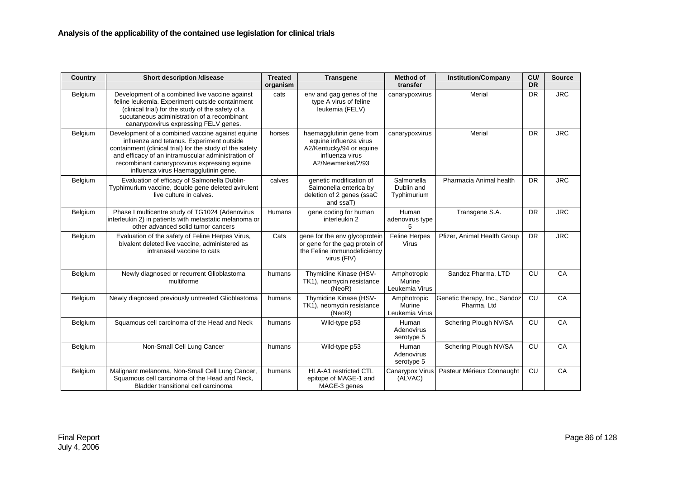| Country | <b>Short description /disease</b>                                                                                                                                                                                                                                                                       | <b>Treated</b><br>organism | <b>Transgene</b>                                                                                                       | <b>Method of</b><br>transfer            | <b>Institution/Company</b>                   | CU/<br><b>DR</b> | <b>Source</b> |
|---------|---------------------------------------------------------------------------------------------------------------------------------------------------------------------------------------------------------------------------------------------------------------------------------------------------------|----------------------------|------------------------------------------------------------------------------------------------------------------------|-----------------------------------------|----------------------------------------------|------------------|---------------|
| Belgium | Development of a combined live vaccine against<br>feline leukemia. Experiment outside containment<br>(clinical trial) for the study of the safety of a<br>sucutaneous administration of a recombinant<br>canarypoxvirus expressing FELV genes.                                                          | cats                       | env and gag genes of the<br>type A virus of feline<br>leukemia (FELV)                                                  | canarypoxvirus                          | Merial                                       | <b>DR</b>        | <b>JRC</b>    |
| Belgium | Development of a combined vaccine against equine<br>influenza and tetanus. Experiment outside<br>containment (clinical trial) for the study of the safety<br>and efficacy of an intramuscular administration of<br>recombinant canarypoxvirus expressing equine<br>influenza virus Haemagglutinin gene. | horses                     | haemagglutinin gene from<br>equine influenza virus<br>A2/Kentucky/94 or equine<br>influenza virus<br>A2/Newmarket/2/93 | canarypoxvirus                          | Merial                                       | <b>DR</b>        | <b>JRC</b>    |
| Belgium | Evaluation of efficacy of Salmonella Dublin-<br>Typhimurium vaccine, double gene deleted avirulent<br>live culture in calves.                                                                                                                                                                           | calves                     | genetic modification of<br>Salmonella enterica by<br>deletion of 2 genes (ssaC<br>and ssaT)                            | Salmonella<br>Dublin and<br>Typhimurium | Pharmacia Animal health                      | <b>DR</b>        | <b>JRC</b>    |
| Belgium | Phase I multicentre study of TG1024 (Adenovirus<br>interleukin 2) in patients with metastatic melanoma or<br>other advanced solid tumor cancers                                                                                                                                                         | Humans                     | gene coding for human<br>interleukin 2                                                                                 | Human<br>adenovirus type<br>5           | Transgene S.A.                               | <b>DR</b>        | <b>JRC</b>    |
| Belgium | Evaluation of the safety of Feline Herpes Virus,<br>bivalent deleted live vaccine, administered as<br>intranasal vaccine to cats                                                                                                                                                                        | Cats                       | gene for the env glycoprotein<br>or gene for the gag protein of<br>the Feline immunodeficiency<br>virus (FIV)          | <b>Feline Herpes</b><br><b>Virus</b>    | Pfizer, Animal Health Group                  | <b>DR</b>        | <b>JRC</b>    |
| Belgium | Newly diagnosed or recurrent Glioblastoma<br>multiforme                                                                                                                                                                                                                                                 | humans                     | Thymidine Kinase (HSV-<br>TK1), neomycin resistance<br>(NeoR)                                                          | Amphotropic<br>Murine<br>Leukemia Virus | Sandoz Pharma, LTD                           | CU               | CA            |
| Belgium | Newly diagnosed previously untreated Glioblastoma                                                                                                                                                                                                                                                       | humans                     | Thymidine Kinase (HSV-<br>TK1), neomycin resistance<br>(NeoR)                                                          | Amphotropic<br>Murine<br>Leukemia Virus | Genetic therapy, Inc., Sandoz<br>Pharma, Ltd | CU               | CA            |
| Belgium | Squamous cell carcinoma of the Head and Neck                                                                                                                                                                                                                                                            | humans                     | Wild-type p53                                                                                                          | Human<br>Adenovirus<br>serotype 5       | Schering Plough NV/SA                        | CU               | CA            |
| Belgium | Non-Small Cell Lung Cancer                                                                                                                                                                                                                                                                              | humans                     | Wild-type p53                                                                                                          | Human<br>Adenovirus<br>serotype 5       | Schering Plough NV/SA                        | CU               | CA            |
| Belgium | Malignant melanoma, Non-Small Cell Lung Cancer,<br>Squamous cell carcinoma of the Head and Neck,<br>Bladder transitional cell carcinoma                                                                                                                                                                 | humans                     | <b>HLA-A1</b> restricted CTL<br>epitope of MAGE-1 and<br>MAGE-3 genes                                                  | Canarypox Virus<br>(ALVAC)              | Pasteur Mérieux Connaught                    | CU               | CA            |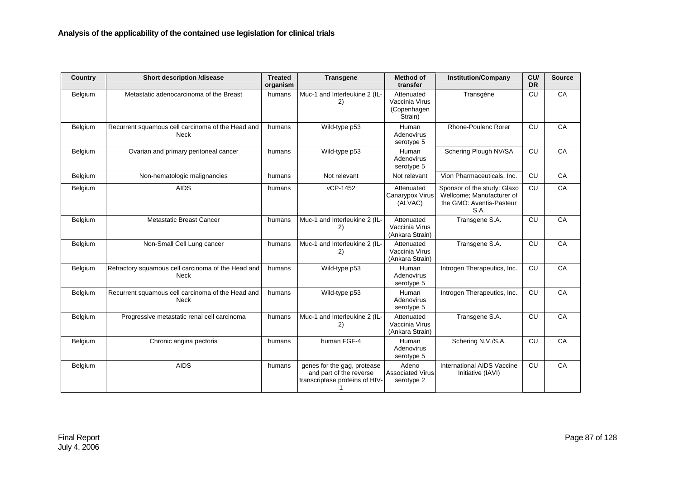| Country        | <b>Short description /disease</b>                                 | <b>Treated</b><br>organism | <b>Transgene</b>                                                                         | <b>Method of</b><br>transfer                           | <b>Institution/Company</b>                                                                   | CU/<br><b>DR</b> | <b>Source</b> |
|----------------|-------------------------------------------------------------------|----------------------------|------------------------------------------------------------------------------------------|--------------------------------------------------------|----------------------------------------------------------------------------------------------|------------------|---------------|
| Belgium        | Metastatic adenocarcinoma of the Breast                           | humans                     | Muc-1 and Interleukine 2 (IL-<br>2)                                                      | Attenuated<br>Vaccinia Virus<br>(Copenhagen<br>Strain) | Transgène                                                                                    | CU               | CA            |
| Belgium        | Recurrent squamous cell carcinoma of the Head and<br><b>Neck</b>  | humans                     | Wild-type p53                                                                            | Human<br>Adenovirus<br>serotype 5                      | <b>Rhone-Poulenc Rorer</b>                                                                   | CU               | CA            |
| <b>Belgium</b> | Ovarian and primary peritoneal cancer                             | humans                     | Wild-type p53                                                                            | Human<br>Adenovirus<br>serotype 5                      | Schering Plough NV/SA                                                                        | <b>CU</b>        | CA            |
| Belgium        | Non-hematologic malignancies                                      | humans                     | Not relevant                                                                             | Not relevant                                           | Vion Pharmaceuticals, Inc.                                                                   | <b>CU</b>        | CA            |
| Belgium        | <b>AIDS</b>                                                       | humans                     | vCP-1452                                                                                 | Attenuated<br>Canarypox Virus<br>(ALVAC)               | Sponsor of the study: Glaxo<br>Wellcome; Manufacturer of<br>the GMO: Aventis-Pasteur<br>S.A. | <b>CU</b>        | CA            |
| Belgium        | <b>Metastatic Breast Cancer</b>                                   | humans                     | Muc-1 and Interleukine 2 (IL-<br>2)                                                      | Attenuated<br>Vaccinia Virus<br>(Ankara Strain)        | Transgene S.A.                                                                               | <b>CU</b>        | CA            |
| Belgium        | Non-Small Cell Lung cancer                                        | humans                     | Muc-1 and Interleukine 2 (IL-<br>2)                                                      | Attenuated<br>Vaccinia Virus<br>(Ankara Strain)        | Transgene S.A.                                                                               | CU               | CA            |
| Belgium        | Refractory squamous cell carcinoma of the Head and<br><b>Neck</b> | humans                     | Wild-type p53                                                                            | Human<br>Adenovirus<br>serotype 5                      | Introgen Therapeutics, Inc.                                                                  | <b>CU</b>        | CA            |
| Belgium        | Recurrent squamous cell carcinoma of the Head and<br><b>Neck</b>  | humans                     | Wild-type p53                                                                            | Human<br>Adenovirus<br>serotype 5                      | Introgen Therapeutics, Inc.                                                                  | CU               | CA            |
| Belgium        | Progressive metastatic renal cell carcinoma                       | humans                     | Muc-1 and Interleukine 2 (IL-<br>2)                                                      | Attenuated<br>Vaccinia Virus<br>(Ankara Strain)        | Transgene S.A.                                                                               | CU               | CA            |
| Belgium        | Chronic angina pectoris                                           | humans                     | human FGF-4                                                                              | Human<br>Adenovirus<br>serotype 5                      | Schering N.V./S.A.                                                                           | <b>CU</b>        | CA            |
| Belgium        | <b>AIDS</b>                                                       | humans                     | genes for the gag, protease<br>and part of the reverse<br>transcriptase proteins of HIV- | Adeno<br><b>Associated Virus</b><br>serotype 2         | <b>International AIDS Vaccine</b><br>Initiative (IAVI)                                       | CU               | CA            |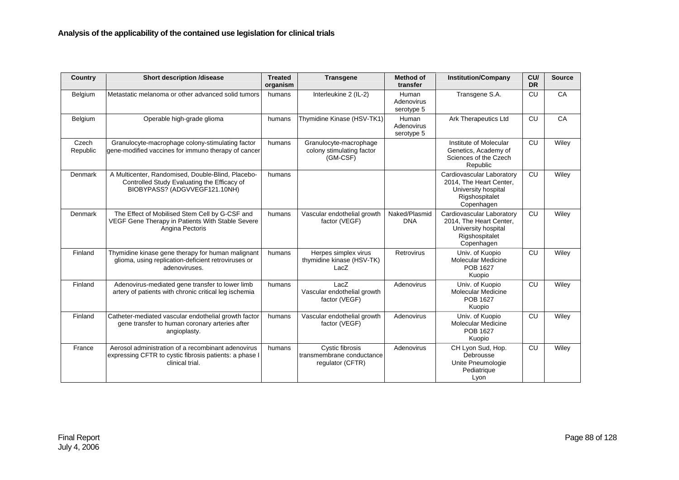| <b>Country</b>    | <b>Short description /disease</b>                                                                                                 | <b>Treated</b><br>organism | <b>Transgene</b>                                                 | <b>Method of</b><br>transfer      | <b>Institution/Company</b>                                                                                  | CU/<br><b>DR</b> | <b>Source</b> |
|-------------------|-----------------------------------------------------------------------------------------------------------------------------------|----------------------------|------------------------------------------------------------------|-----------------------------------|-------------------------------------------------------------------------------------------------------------|------------------|---------------|
| Belgium           | Metastatic melanoma or other advanced solid tumors                                                                                | humans                     | Interleukine 2 (IL-2)                                            | Human<br>Adenovirus<br>serotype 5 | Transgene S.A.                                                                                              | CU               | CA            |
| Belgium           | Operable high-grade glioma                                                                                                        | humans                     | Thymidine Kinase (HSV-TK1)                                       | Human<br>Adenovirus<br>serotype 5 | <b>Ark Therapeutics Ltd</b>                                                                                 | CU               | CA            |
| Czech<br>Republic | Granulocyte-macrophage colony-stimulating factor<br>gene-modified vaccines for immuno therapy of cancer                           | humans                     | Granulocyte-macrophage<br>colony stimulating factor<br>(GM-CSF)  |                                   | Institute of Molecular<br>Genetics, Academy of<br>Sciences of the Czech<br>Republic                         | CU               | Wiley         |
| Denmark           | A Multicenter, Randomised, Double-Blind, Placebo-<br>Controlled Study Evaluating the Efficacy of<br>BIOBYPASS? (ADGVVEGF121.10NH) | humans                     |                                                                  |                                   | Cardiovascular Laboratory<br>2014, The Heart Center,<br>University hospital<br>Rigshospitalet<br>Copenhagen | CU               | Wiley         |
| Denmark           | The Effect of Mobilised Stem Cell by G-CSF and<br>VEGF Gene Therapy in Patients With Stable Severe<br>Angina Pectoris             | humans                     | Vascular endothelial growth<br>factor (VEGF)                     | Naked/Plasmid<br><b>DNA</b>       | Cardiovascular Laboratory<br>2014, The Heart Center,<br>University hospital<br>Rigshospitalet<br>Copenhagen | CU               | Wiley         |
| Finland           | Thymidine kinase gene therapy for human malignant<br>glioma, using replication-deficient retroviruses or<br>adenoviruses.         | humans                     | Herpes simplex virus<br>thymidine kinase (HSV-TK)<br>LacZ        | Retrovirus                        | Univ. of Kuopio<br>Molecular Medicine<br>POB 1627<br>Kuopio                                                 | CU               | Wiley         |
| Finland           | Adenovirus-mediated gene transfer to lower limb<br>artery of patients with chronic critical leg ischemia                          | humans                     | LacZ<br>Vascular endothelial growth<br>factor (VEGF)             | Adenovirus                        | Univ. of Kuopio<br><b>Molecular Medicine</b><br><b>POB 1627</b><br>Kuopio                                   | CU               | Wiley         |
| Finland           | Catheter-mediated vascular endothelial growth factor<br>gene transfer to human coronary arteries after<br>angioplasty.            | humans                     | Vascular endothelial growth<br>factor (VEGF)                     | Adenovirus                        | Univ. of Kuopio<br><b>Molecular Medicine</b><br><b>POB 1627</b><br>Kuopio                                   | CU               | Wiley         |
| France            | Aerosol administration of a recombinant adenovirus<br>expressing CFTR to cystic fibrosis patients: a phase I<br>clinical trial.   | humans                     | Cystic fibrosis<br>transmembrane conductance<br>regulator (CFTR) | Adenovirus                        | CH Lyon Sud, Hop.<br>Debrousse<br>Unite Pneumologie<br>Pediatrique<br>Lyon                                  | CU               | Wiley         |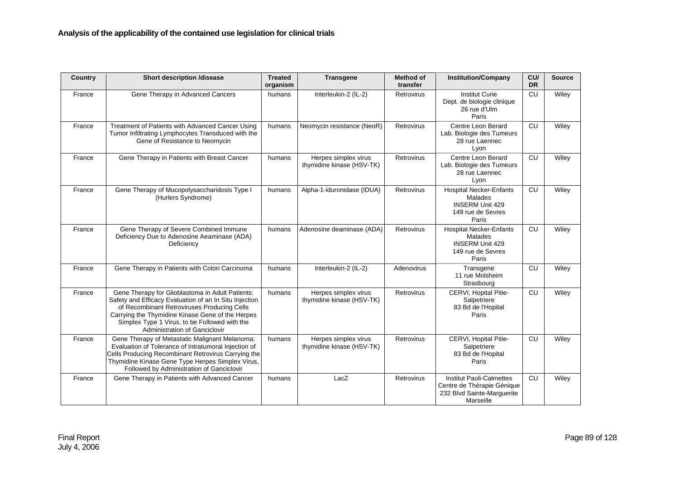| Country | <b>Short description /disease</b>                                                                                                                                                                                                                                                               | <b>Treated</b><br>organism | <b>Transgene</b>                                  | <b>Method of</b><br>transfer | <b>Institution/Company</b>                                                                               | CU/<br><b>DR</b> | <b>Source</b> |
|---------|-------------------------------------------------------------------------------------------------------------------------------------------------------------------------------------------------------------------------------------------------------------------------------------------------|----------------------------|---------------------------------------------------|------------------------------|----------------------------------------------------------------------------------------------------------|------------------|---------------|
| France  | Gene Therapy in Advanced Cancers                                                                                                                                                                                                                                                                | humans                     | Interleukin-2 (IL-2)                              | Retrovirus                   | <b>Institut Curie</b><br>Dept. de biologie clinique<br>26 rue d'Ulm<br>Paris                             | CU               | Wiley         |
| France  | Treatment of Patients with Advanced Cancer Using<br>Tumor Infiltrating Lymphocytes Transduced with the<br>Gene of Resistance to Neomycin                                                                                                                                                        | humans                     | Neomycin resistance (NeoR)                        | Retrovirus                   | Centre Leon Berard<br>Lab. Biologie des Tumeurs<br>28 rue Laennec<br>Lyon                                | CU               | Wiley         |
| France  | Gene Therapy in Patients with Breast Cancer                                                                                                                                                                                                                                                     | humans                     | Herpes simplex virus<br>thymidine kinase (HSV-TK) | Retrovirus                   | Centre Leon Berard<br>Lab. Biologie des Tumeurs<br>28 rue Laennec<br>Lyon                                | CU               | Wiley         |
| France  | Gene Therapy of Mucopolysaccharidosis Type I<br>(Hurlers Syndrome)                                                                                                                                                                                                                              | humans                     | Alpha-1-iduronidase (IDUA)                        | Retrovirus                   | <b>Hospital Necker-Enfants</b><br>Malades<br><b>INSERM Unit 429</b><br>149 rue de Sevres<br>Paris        | CU               | Wiley         |
| France  | Gene Therapy of Severe Combined Immune<br>Deficiency Due to Adenosine Aeaminase (ADA)<br>Deficiency                                                                                                                                                                                             | humans                     | Adenosine deaminase (ADA)                         | Retrovirus                   | <b>Hospital Necker-Enfants</b><br>Malades<br><b>INSERM Unit 429</b><br>149 rue de Sevres<br>Paris        | CU               | Wiley         |
| France  | Gene Therapy in Patients with Colon Carcinoma                                                                                                                                                                                                                                                   | humans                     | Interleukin-2 (IL-2)                              | Adenovirus                   | Transgene<br>11 rue Molsheim<br>Strasbourg                                                               | CU               | Wiley         |
| France  | Gene Therapy for Glioblastoma in Adult Patients:<br>Safety and Efficacy Evaluation of an In Situ Injection<br>of Recombinant Retroviruses Producing Cells<br>Carrying the Thymidine Kinase Gene of the Herpes<br>Simplex Type 1 Virus, to be Followed with the<br>Administration of Ganciclovir | humans                     | Herpes simplex virus<br>thymidine kinase (HSV-TK) | Retrovirus                   | CERVI, Hopital Pitie-<br>Salpetriere<br>83 Bd de l'Hopital<br>Paris                                      | CU               | Wiley         |
| France  | Gene Therapy of Metastatic Malignant Melanoma:<br>Evaluation of Tolerance of Intratumoral Injection of<br>Cells Producing Recombinant Retrovirus Carrying the<br>Thymidine Kinase Gene Type Herpes Simplex Virus,<br>Followed by Administration of Ganciclovir                                  | humans                     | Herpes simplex virus<br>thymidine kinase (HSV-TK) | Retrovirus                   | CERVI, Hopital Pitie-<br>Salpetriere<br>83 Bd de l'Hopital<br>Paris                                      | CU               | Wiley         |
| France  | Gene Therapy in Patients with Advanced Cancer                                                                                                                                                                                                                                                   | humans                     | LacZ                                              | Retrovirus                   | <b>Institut Paoli-Calmettes</b><br>Centre de Thérapie Génique<br>232 Blvd Sainte-Marguerite<br>Marseille | CU               | Wiley         |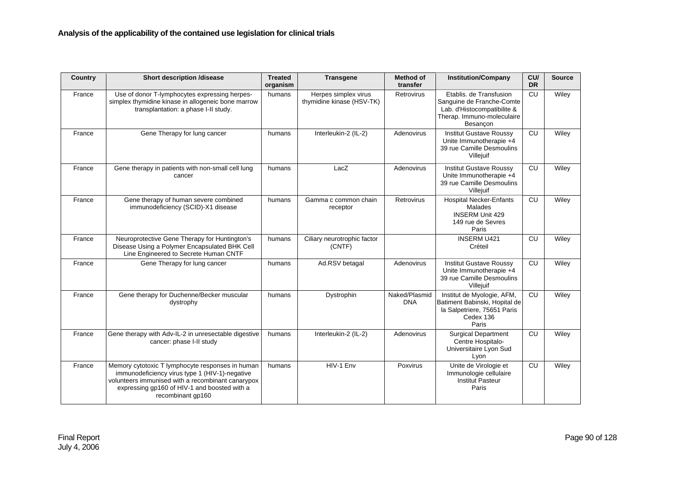| Country | <b>Short description /disease</b>                                                                                                                                                                                            | <b>Treated</b><br>organism | <b>Transgene</b>                                  | <b>Method of</b><br>transfer | <b>Institution/Company</b>                                                                                                    | CU/<br><b>DR</b> | <b>Source</b> |
|---------|------------------------------------------------------------------------------------------------------------------------------------------------------------------------------------------------------------------------------|----------------------------|---------------------------------------------------|------------------------------|-------------------------------------------------------------------------------------------------------------------------------|------------------|---------------|
| France  | Use of donor T-lymphocytes expressing herpes-<br>simplex thymidine kinase in allogeneic bone marrow<br>transplantation: a phase I-II study.                                                                                  | humans                     | Herpes simplex virus<br>thymidine kinase (HSV-TK) | <b>Retrovirus</b>            | Etablis, de Transfusion<br>Sanguine de Franche-Comte<br>Lab. d'Histocompatibilite &<br>Therap. Immuno-moleculaire<br>Besançon | <b>CU</b>        | Wiley         |
| France  | Gene Therapy for lung cancer                                                                                                                                                                                                 | humans                     | Interleukin-2 (IL-2)                              | Adenovirus                   | <b>Institut Gustave Roussy</b><br>Unite Immunotherapie +4<br>39 rue Camille Desmoulins<br>Villejuif                           | <b>CU</b>        | Wiley         |
| France  | Gene therapy in patients with non-small cell lung<br>cancer                                                                                                                                                                  | humans                     | LacZ                                              | Adenovirus                   | <b>Institut Gustave Roussy</b><br>Unite Immunotherapie +4<br>39 rue Camille Desmoulins<br>Villejuif                           | <b>CU</b>        | Wiley         |
| France  | Gene therapy of human severe combined<br>immunodeficiency (SCID)-X1 disease                                                                                                                                                  | humans                     | Gamma c common chain<br>receptor                  | Retrovirus                   | <b>Hospital Necker-Enfants</b><br>Malades<br><b>INSERM Unit 429</b><br>149 rue de Sevres<br>Paris                             | <b>CU</b>        | Wiley         |
| France  | Neuroprotective Gene Therapy for Huntington's<br>Disease Using a Polymer Encapsulated BHK Cell<br>Line Engineered to Secrete Human CNTF                                                                                      | humans                     | Ciliary neurotrophic factor<br>(CNTF)             |                              | <b>INSERM U421</b><br>Créteil                                                                                                 | CU               | Wiley         |
| France  | Gene Therapy for lung cancer                                                                                                                                                                                                 | humans                     | Ad.RSV betagal                                    | Adenovirus                   | <b>Institut Gustave Roussy</b><br>Unite Immunotherapie +4<br>39 rue Camille Desmoulins<br>Villejuif                           | <b>CU</b>        | Wiley         |
| France  | Gene therapy for Duchenne/Becker muscular<br>dystrophy                                                                                                                                                                       | humans                     | Dystrophin                                        | Naked/Plasmid<br><b>DNA</b>  | Institut de Myologie, AFM,<br>Batiment Babinski, Hopital de<br>la Salpetriere, 75651 Paris<br>Cedex 136<br>Paris              | <b>CU</b>        | Wiley         |
| France  | Gene therapy with Adv-IL-2 in unresectable digestive<br>cancer: phase I-II study                                                                                                                                             | humans                     | Interleukin-2 (IL-2)                              | Adenovirus                   | <b>Surgical Department</b><br>Centre Hospitalo-<br>Universitaire Lyon Sud<br>Lyon                                             | <b>CU</b>        | Wiley         |
| France  | Memory cytotoxic T lymphocyte responses in human<br>immunodeficiency virus type 1 (HIV-1)-negative<br>volunteers immunised with a recombinant canarypox<br>expressing gp160 of HIV-1 and boosted with a<br>recombinant gp160 | humans                     | HIV-1 Env                                         | Poxvirus                     | Unite de Virologie et<br>Immunologie cellulaire<br><b>Institut Pasteur</b><br>Paris                                           | <b>CU</b>        | Wiley         |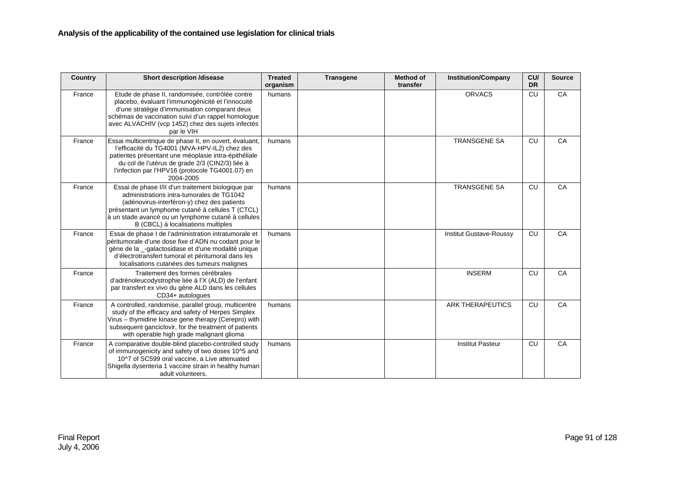| <b>Country</b> | <b>Short description /disease</b>                                                                                                                                                                                                                                                               | <b>Treated</b><br>organism | <b>Transgene</b> | <b>Method of</b><br>transfer | <b>Institution/Company</b>     | CU<br><b>DR</b> | <b>Source</b> |
|----------------|-------------------------------------------------------------------------------------------------------------------------------------------------------------------------------------------------------------------------------------------------------------------------------------------------|----------------------------|------------------|------------------------------|--------------------------------|-----------------|---------------|
| France         | Etude de phase II, randomisée, contrôlée contre<br>placebo, évaluant l'immunogénicité et l'innocuité<br>d'une stratégie d'immunisation comparant deux<br>schémas de vaccination suivi d'un rappel homologue<br>avec ALVACHIV (vcp 1452) chez des sujets infectés<br>par le VIH                  | humans                     |                  |                              | <b>ORVACS</b>                  | <b>CU</b>       | CA            |
| France         | Essai multicentrique de phase II, en ouvert, évaluant,<br>l'efficacité du TG4001 (MVA-HPV-IL2) chez des<br>patientes présentant une méoplasie intra-épithéliale<br>du col de l'utérus de grade 2/3 (CIN2/3) liée à<br>l'infection par l'HPV16 (protocole TG4001.07) en<br>2004-2005             | humans                     |                  |                              | <b>TRANSGENE SA</b>            | <b>CU</b>       | CA            |
| France         | Essai de phase I/II d'un traitement biologique par<br>administrations intra-tumorales de TG1042<br>(adénovirus-interféron-y) chez des patients<br>présentant un lymphome cutané à cellules T (CTCL)<br>à un stade avancé ou un lymphome cutané à cellules<br>B (CBCL) à localisations multiples | humans                     |                  |                              | <b>TRANSGENE SA</b>            | <b>CU</b>       | CA            |
| France         | Essai de phase I de l'administration intratumorale et<br>péritumorale d'une dose fixe d'ADN nu codant pour le<br>gène de la -galactosidase et d'une modalité unique<br>d'électrotransfert tumoral et péritumoral dans les<br>localisations cutanées des tumeurs malignes                        | humans                     |                  |                              | <b>Institut Gustave-Roussy</b> | <b>CU</b>       | CA            |
| France         | Traitement des formes cérébrales<br>d'adrénoleucodystrophie liée à l'X (ALD) de l'enfant<br>par transfert ex vivo du gène ALD dans les cellules<br>CD34+ autologues                                                                                                                             |                            |                  |                              | <b>INSERM</b>                  | <b>CU</b>       | CA            |
| France         | A controlled, randomise, parallel group, multicentre<br>study of the efficacy and safety of Herpes Simplex<br>Virus - thymidine kinase gene therapy (Cerepro) with<br>subsequent ganciclovir, for the treatment of patients<br>with operable high grade malignant glioma                        | humans                     |                  |                              | <b>ARK THERAPEUTICS</b>        | <b>CU</b>       | CA            |
| France         | A comparative double-blind placebo-controlled study<br>of immunogenicity and safety of two doses 10^5 and<br>10^7 of SC599 oral vaccine, a Live attenuated<br>Shigella dysenteria 1 vaccine strain in healthy human<br>adult volunteers.                                                        | humans                     |                  |                              | <b>Institut Pasteur</b>        | <b>CU</b>       | CA            |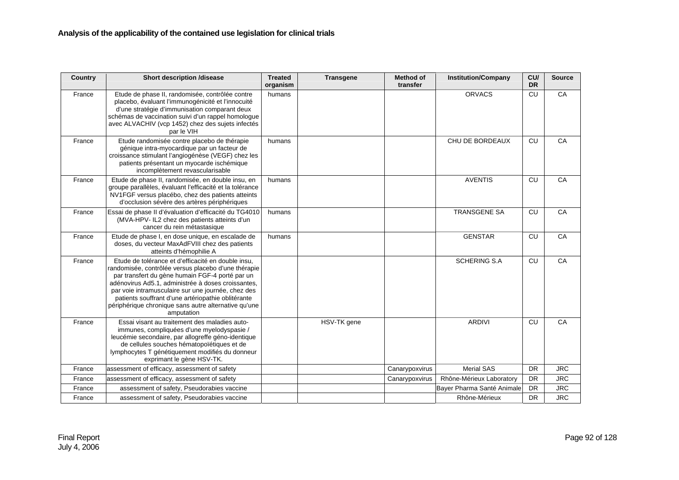| <b>Country</b> | <b>Short description /disease</b>                                                                                                                                                                                                                                                                                                                                                                    | <b>Treated</b><br>organism | <b>Transgene</b> | <b>Method of</b><br>transfer | <b>Institution/Company</b> | CU/<br><b>DR</b> | <b>Source</b> |
|----------------|------------------------------------------------------------------------------------------------------------------------------------------------------------------------------------------------------------------------------------------------------------------------------------------------------------------------------------------------------------------------------------------------------|----------------------------|------------------|------------------------------|----------------------------|------------------|---------------|
| France         | Etude de phase II, randomisée, contrôlée contre<br>placebo, évaluant l'immunogénicité et l'innocuité<br>d'une stratégie d'immunisation comparant deux<br>schémas de vaccination suivi d'un rappel homologue<br>avec ALVACHIV (vcp 1452) chez des sujets infectés<br>par le VIH                                                                                                                       | humans                     |                  |                              | <b>ORVACS</b>              | CU               | CA            |
| France         | Etude randomisée contre placebo de thérapie<br>génique intra-myocardique par un facteur de<br>croissance stimulant l'angiogénèse (VEGF) chez les<br>patients présentant un myocarde ischémique<br>incomplètement revascularisable                                                                                                                                                                    | humans                     |                  |                              | CHU DE BORDEAUX            | CU               | CA            |
| France         | Etude de phase II, randomisée, en double insu, en<br>groupe parallèles, évaluant l'efficacité et la tolérance<br>NV1FGF versus placébo, chez des patients atteints<br>d'occlusion sévère des artères périphériques                                                                                                                                                                                   | humans                     |                  |                              | <b>AVENTIS</b>             | CU               | CA            |
| France         | Essai de phase II d'évaluation d'efficacité du TG4010<br>(MVA-HPV- IL2 chez des patients atteints d'un<br>cancer du rein métastasique                                                                                                                                                                                                                                                                | humans                     |                  |                              | <b>TRANSGENE SA</b>        | CU               | CA            |
| France         | Etude de phase I, en dose unique, en escalade de<br>doses, du vecteur MaxAdFVIII chez des patients<br>atteints d'hémophilie A                                                                                                                                                                                                                                                                        | humans                     |                  |                              | <b>GENSTAR</b>             | CU               | CA            |
| France         | Etude de tolérance et d'efficacité en double insu,<br>randomisée, contrôlée versus placebo d'une thérapie<br>par transfert du gène humain FGF-4 porté par un<br>adénovirus Ad5.1, administrée à doses croissantes,<br>par voie intramusculaire sur une journée, chez des<br>patients souffrant d'une artériopathie oblitérante<br>périphérique chronique sans autre alternative qu'une<br>amputation |                            |                  |                              | <b>SCHERING S.A</b>        | CU               | CA            |
| France         | Essai visant au traitement des maladies auto-<br>immunes, compliquées d'une myelodyspasie /<br>leucémie secondaire, par allogreffe géno-identique<br>de cellules souches hématopoïétiques et de<br>lymphocytes T génétiquement modifiés du donneur<br>exprimant le gène HSV-TK.                                                                                                                      |                            | HSV-TK gene      |                              | <b>ARDIVI</b>              | CU               | CA            |
| France         | assessment of efficacy, assessment of safety                                                                                                                                                                                                                                                                                                                                                         |                            |                  | Canarypoxvirus               | <b>Merial SAS</b>          | <b>DR</b>        | <b>JRC</b>    |
| France         | assessment of efficacy, assessment of safety                                                                                                                                                                                                                                                                                                                                                         |                            |                  | Canarypoxvirus               | Rhône-Mérieux Laboratory   | <b>DR</b>        | <b>JRC</b>    |
| France         | assessment of safety, Pseudorabies vaccine                                                                                                                                                                                                                                                                                                                                                           |                            |                  |                              | Bayer Pharma Santé Animale | <b>DR</b>        | <b>JRC</b>    |
| France         | assessment of safety, Pseudorabies vaccine                                                                                                                                                                                                                                                                                                                                                           |                            |                  |                              | Rhône-Mérieux              | <b>DR</b>        | <b>JRC</b>    |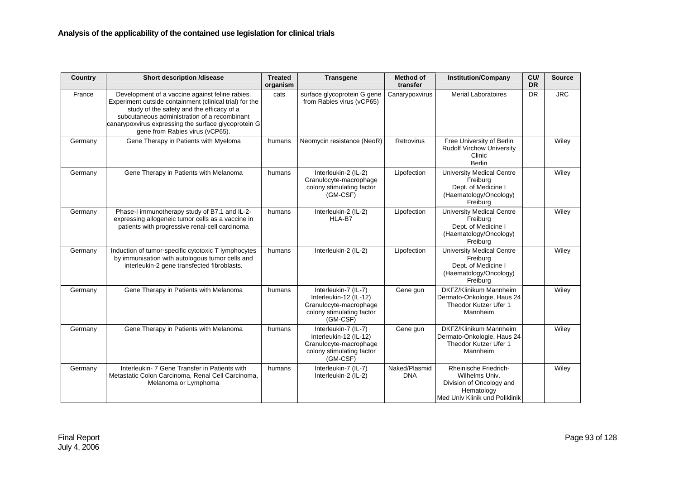| Country | <b>Short description /disease</b>                                                                                                                                                                                                                                                                  | <b>Treated</b><br>organism | <b>Transgene</b>                                                                                                  | <b>Method of</b><br>transfer | <b>Institution/Company</b>                                                                                          | CU<br><b>DR</b> | <b>Source</b> |
|---------|----------------------------------------------------------------------------------------------------------------------------------------------------------------------------------------------------------------------------------------------------------------------------------------------------|----------------------------|-------------------------------------------------------------------------------------------------------------------|------------------------------|---------------------------------------------------------------------------------------------------------------------|-----------------|---------------|
| France  | Development of a vaccine against feline rabies.<br>Experiment outside containment (clinical trial) for the<br>study of the safety and the efficacy of a<br>subcutaneous administration of a recombinant<br>canarypoxvirus expressing the surface glycoprotein G<br>gene from Rabies virus (vCP65). | cats                       | surface glycoprotein G gene<br>from Rabies virus (vCP65)                                                          | Canarypoxvirus               | <b>Merial Laboratoires</b>                                                                                          | <b>DR</b>       | <b>JRC</b>    |
| Germany | Gene Therapy in Patients with Myeloma                                                                                                                                                                                                                                                              | humans                     | Neomycin resistance (NeoR)                                                                                        | Retrovirus                   | Free University of Berlin<br><b>Rudolf Virchow University</b><br>Clinic<br><b>Berlin</b>                            |                 | Wiley         |
| Germany | Gene Therapy in Patients with Melanoma                                                                                                                                                                                                                                                             | humans                     | Interleukin-2 (IL-2)<br>Granulocyte-macrophage<br>colony stimulating factor<br>(GM-CSF)                           | Lipofection                  | <b>University Medical Centre</b><br>Freiburg<br>Dept. of Medicine I<br>(Haematology/Oncology)<br>Freiburg           |                 | Wiley         |
| Germany | Phase-I immunotherapy study of B7.1 and IL-2-<br>expressing allogeneic tumor cells as a vaccine in<br>patients with progressive renal-cell carcinoma                                                                                                                                               | humans                     | Interleukin-2 (IL-2)<br>HLA-B7                                                                                    | Lipofection                  | <b>University Medical Centre</b><br>Freiburg<br>Dept. of Medicine I<br>(Haematology/Oncology)<br>Freiburg           |                 | Wiley         |
| Germany | Induction of tumor-specific cytotoxic T lymphocytes<br>by immunisation with autologous tumor cells and<br>interleukin-2 gene transfected fibroblasts.                                                                                                                                              | humans                     | Interleukin-2 (IL-2)                                                                                              | Lipofection                  | <b>University Medical Centre</b><br>Freiburg<br>Dept. of Medicine I<br>(Haematology/Oncology)<br>Freiburg           |                 | Wiley         |
| Germany | Gene Therapy in Patients with Melanoma                                                                                                                                                                                                                                                             | humans                     | Interleukin-7 (IL-7)<br>Interleukin-12 (IL-12)<br>Granulocyte-macrophage<br>colony stimulating factor<br>(GM-CSF) | Gene gun                     | DKFZ/Klinikum Mannheim<br>Dermato-Onkologie, Haus 24<br>Theodor Kutzer Ufer 1<br>Mannheim                           |                 | Wiley         |
| Germany | Gene Therapy in Patients with Melanoma                                                                                                                                                                                                                                                             | humans                     | Interleukin-7 (IL-7)<br>Interleukin-12 (IL-12)<br>Granulocyte-macrophage<br>colony stimulating factor<br>(GM-CSF) | Gene gun                     | DKFZ/Klinikum Mannheim<br>Dermato-Onkologie, Haus 24<br>Theodor Kutzer Ufer 1<br>Mannheim                           |                 | Wiley         |
| Germany | Interleukin- 7 Gene Transfer in Patients with<br>Metastatic Colon Carcinoma, Renal Cell Carcinoma,<br>Melanoma or Lymphoma                                                                                                                                                                         | humans                     | Interleukin-7 (IL-7)<br>Interleukin-2 (IL-2)                                                                      | Naked/Plasmid<br><b>DNA</b>  | Rheinische Friedrich-<br>Wilhelms Univ.<br>Division of Oncology and<br>Hematology<br>Med Univ Klinik und Poliklinik |                 | Wiley         |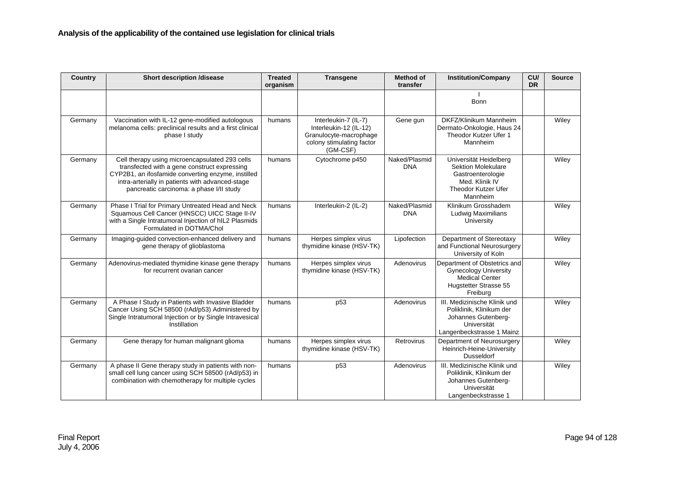| Country | <b>Short description /disease</b>                                                                                                                                                                                                                    | <b>Treated</b><br>organism | <b>Transgene</b>                                                                                                  | <b>Method of</b><br>transfer | <b>Institution/Company</b>                                                                                                    | CU/<br><b>DR</b> | <b>Source</b> |
|---------|------------------------------------------------------------------------------------------------------------------------------------------------------------------------------------------------------------------------------------------------------|----------------------------|-------------------------------------------------------------------------------------------------------------------|------------------------------|-------------------------------------------------------------------------------------------------------------------------------|------------------|---------------|
|         |                                                                                                                                                                                                                                                      |                            |                                                                                                                   |                              | Bonn                                                                                                                          |                  |               |
| Germany | Vaccination with IL-12 gene-modified autologous<br>melanoma cells: preclinical results and a first clinical<br>phase I study                                                                                                                         | humans                     | Interleukin-7 (IL-7)<br>Interleukin-12 (IL-12)<br>Granulocyte-macrophage<br>colony stimulating factor<br>(GM-CSF) | Gene gun                     | DKFZ/Klinikum Mannheim<br>Dermato-Onkologie, Haus 24<br>Theodor Kutzer Ufer 1<br>Mannheim                                     |                  | Wiley         |
| Germany | Cell therapy using microencapsulated 293 cells<br>transfected with a gene construct expressing<br>CYP2B1, an ifosfamide converting enzyme, instilled<br>intra-arterially in patients with advanced-stage<br>pancreatic carcinoma: a phase I/II study | humans                     | Cytochrome p450                                                                                                   | Naked/Plasmid<br><b>DNA</b>  | Universität Heidelberg<br>Sektion Molekulare<br>Gastroenterologie<br>Med. Klinik IV<br><b>Theodor Kutzer Ufer</b><br>Mannheim |                  | Wiley         |
| Germany | Phase I Trial for Primary Untreated Head and Neck<br>Squamous Cell Cancer (HNSCC) UICC Stage II-IV<br>with a Single Intratumoral Injection of hIL2 Plasmids<br>Formulated in DOTMA/Chol                                                              | humans                     | Interleukin-2 (IL-2)                                                                                              | Naked/Plasmid<br><b>DNA</b>  | Klinikum Grosshadem<br><b>Ludwig Maximilians</b><br>University                                                                |                  | Wiley         |
| Germany | Imaging-guided convection-enhanced delivery and<br>gene therapy of glioblastoma                                                                                                                                                                      | humans                     | Herpes simplex virus<br>thymidine kinase (HSV-TK)                                                                 | Lipofection                  | Department of Stereotaxy<br>and Functional Neurosurgery<br>University of Koln                                                 |                  | Wiley         |
| Germany | Adenovirus-mediated thymidine kinase gene therapy<br>for recurrent ovarian cancer                                                                                                                                                                    | humans                     | Herpes simplex virus<br>thymidine kinase (HSV-TK)                                                                 | Adenovirus                   | Department of Obstetrics and<br><b>Gynecology University</b><br><b>Medical Center</b><br>Hugstetter Strasse 55<br>Freiburg    |                  | Wiley         |
| Germany | A Phase I Study in Patients with Invasive Bladder<br>Cancer Using SCH 58500 (rAd/p53) Administered by<br>Single Intratumoral Injection or by Single Intravesical<br>Instillation                                                                     | humans                     | p <sub>53</sub>                                                                                                   | Adenovirus                   | III. Medizinische Klinik und<br>Poliklinik, Klinikum der<br>Johannes Gutenberg-<br>Universität<br>Langenbeckstrasse 1 Mainz   |                  | Wiley         |
| Germany | Gene therapy for human malignant glioma                                                                                                                                                                                                              | humans                     | Herpes simplex virus<br>thymidine kinase (HSV-TK)                                                                 | Retrovirus                   | Department of Neurosurgery<br>Heinrich-Heine-University<br><b>Dusseldorf</b>                                                  |                  | Wiley         |
| Germany | A phase II Gene therapy study in patients with non-<br>small cell lung cancer using SCH 58500 (rAd/p53) in<br>combination with chemotherapy for multiple cycles                                                                                      | humans                     | p <sub>53</sub>                                                                                                   | Adenovirus                   | III. Medizinische Klinik und<br>Poliklinik, Klinikum der<br>Johannes Gutenberg-<br>Universität<br>Langenbeckstrasse 1         |                  | Wiley         |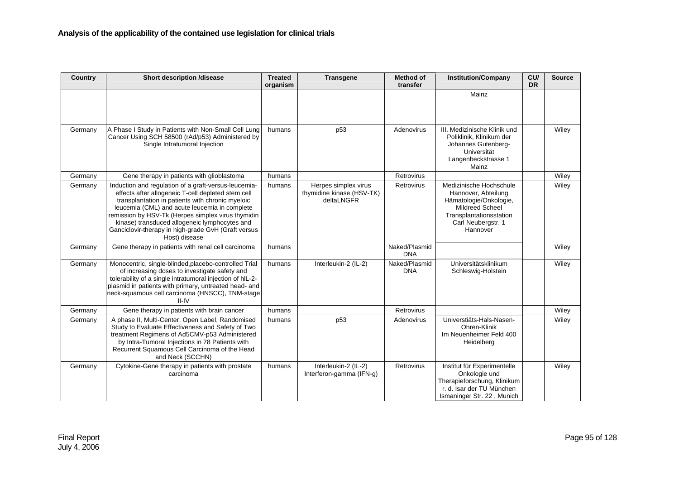| Country | <b>Short description /disease</b>                                                                                                                                                                                                                                                                                                                                                              | <b>Treated</b><br>organism | <b>Transgene</b>                                                | <b>Method of</b><br>transfer | <b>Institution/Company</b>                                                                                                                                      | CU/<br><b>DR</b> | <b>Source</b> |
|---------|------------------------------------------------------------------------------------------------------------------------------------------------------------------------------------------------------------------------------------------------------------------------------------------------------------------------------------------------------------------------------------------------|----------------------------|-----------------------------------------------------------------|------------------------------|-----------------------------------------------------------------------------------------------------------------------------------------------------------------|------------------|---------------|
|         |                                                                                                                                                                                                                                                                                                                                                                                                |                            |                                                                 |                              | Mainz                                                                                                                                                           |                  |               |
| Germany | A Phase I Study in Patients with Non-Small Cell Lung<br>Cancer Using SCH 58500 (rAd/p53) Administered by<br>Single Intratumoral Injection                                                                                                                                                                                                                                                      | humans                     | p <sub>53</sub>                                                 | Adenovirus                   | III. Medizinische Klinik und<br>Poliklinik, Klinikum der<br>Johannes Gutenberg-<br>Universität<br>Langenbeckstrasse 1<br>Mainz                                  |                  | Wiley         |
| Germany | Gene therapy in patients with glioblastoma                                                                                                                                                                                                                                                                                                                                                     | humans                     |                                                                 | Retrovirus                   |                                                                                                                                                                 |                  | Wiley         |
| Germany | Induction and regulation of a graft-versus-leucemia-<br>effects after allogeneic T-cell depleted stem cell<br>transplantation in patients with chronic myeloic<br>leucemia (CML) and acute leucemia in complete<br>remission by HSV-Tk (Herpes simplex virus thymidin<br>kinase) transduced allogeneic lymphocytes and<br>Ganciclovir-therapy in high-grade GvH (Graft versus<br>Host) disease | humans                     | Herpes simplex virus<br>thymidine kinase (HSV-TK)<br>deltaLNGFR | Retrovirus                   | Medizinische Hochschule<br>Hannover, Abteilung<br>Hämatologie/Onkologie,<br><b>Mildreed Scheel</b><br>Transplantationsstation<br>Carl Neubergstr. 1<br>Hannover |                  | Wiley         |
| Germany | Gene therapy in patients with renal cell carcinoma                                                                                                                                                                                                                                                                                                                                             | humans                     |                                                                 | Naked/Plasmid<br><b>DNA</b>  |                                                                                                                                                                 |                  | Wiley         |
| Germany | Monocentric, single-blinded, placebo-controlled Trial<br>of increasing doses to investigate safety and<br>tolerability of a single intratumoral injection of hlL-2-<br>plasmid in patients with primary, untreated head- and<br>neck-squamous cell carcinoma (HNSCC), TNM-stage<br>II-IV                                                                                                       | humans                     | Interleukin-2 (IL-2)                                            | Naked/Plasmid<br><b>DNA</b>  | Universitätsklinikum<br>Schleswig-Holstein                                                                                                                      |                  | Wiley         |
| Germany | Gene therapy in patients with brain cancer                                                                                                                                                                                                                                                                                                                                                     | humans                     |                                                                 | Retrovirus                   |                                                                                                                                                                 |                  | Wiley         |
| Germany | A phase II, Multi-Center, Open Label, Randomised<br>Study to Evaluate Effectiveness and Safety of Two<br>treatment Regimens of Ad5CMV-p53 Administered<br>by Intra-Tumoral Injections in 78 Patients with<br>Recurrent Squamous Cell Carcinoma of the Head<br>and Neck (SCCHN)                                                                                                                 | humans                     | p <sub>53</sub>                                                 | Adenovirus                   | Universtiäts-Hals-Nasen-<br>Ohren-Klinik<br>Im Neuenheimer Feld 400<br>Heidelberg                                                                               |                  | Wiley         |
| Germany | Cytokine-Gene therapy in patients with prostate<br>carcinoma                                                                                                                                                                                                                                                                                                                                   | humans                     | Interleukin-2 (IL-2)<br>Interferon-gamma (IFN-g)                | Retrovirus                   | Institut für Experimentelle<br>Onkologie und<br>Therapieforschung, Klinikum<br>r. d. Isar der TU München<br>Ismaninger Str. 22, Munich                          |                  | Wiley         |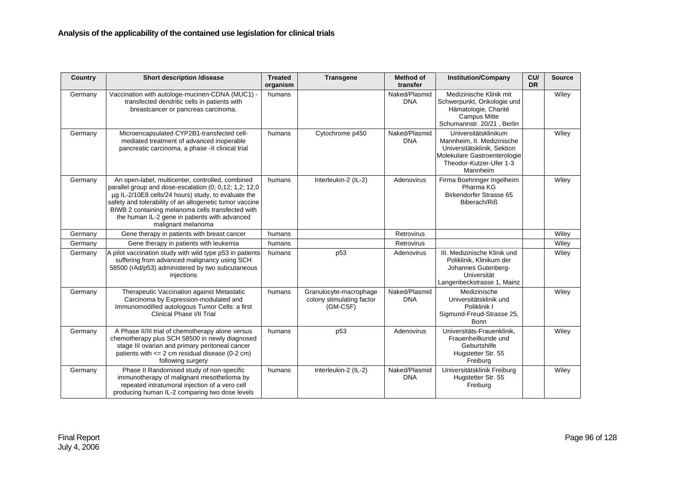| Country | <b>Short description /disease</b>                                                                                                                                                                                                                                                                                                                        | <b>Treated</b><br>organism | <b>Transgene</b>                                                | <b>Method of</b><br>transfer | <b>Institution/Company</b>                                                                                                                               | CU/<br><b>DR</b> | <b>Source</b> |
|---------|----------------------------------------------------------------------------------------------------------------------------------------------------------------------------------------------------------------------------------------------------------------------------------------------------------------------------------------------------------|----------------------------|-----------------------------------------------------------------|------------------------------|----------------------------------------------------------------------------------------------------------------------------------------------------------|------------------|---------------|
| Germany | Vaccination with autologe-mucinen-CDNA (MUC1) -<br>transfected dendritic cells in patients with<br>breastcancer or pancreas carcinoma.                                                                                                                                                                                                                   | humans                     |                                                                 | Naked/Plasmid<br><b>DNA</b>  | Medizinische Klinik mit<br>Schwerpunkt, Onkologie und<br>Hämatologie, Charité<br>Campus Mitte<br>Schumannstr. 20/21, Berlin                              |                  | Wiley         |
| Germany | Microencapsulated CYP2B1-transfected cell-<br>mediated treatment of advanced inoperable<br>pancreatic carcinoma, a phase -II clinical trial                                                                                                                                                                                                              | humans                     | Cytochrome p450                                                 | Naked/Plasmid<br><b>DNA</b>  | Universitätsklinikum<br>Mannheim, II. Medizinische<br>Universitätsklinik, Sektion<br>Molekulare Gastroenterologie<br>Theodor-Kutzer-Ufer 1-3<br>Mannheim |                  | Wiley         |
| Germany | An open-label, multicenter, controlled, combined<br>parallel group and dose-escalation (0; 0,12; 1,2; 12,0<br>µg IL-2/10E8 cells/24 hours) study, to evaluate the<br>safety and tolerability of an allogenetic tumor vaccine<br>BIWB 2 containing melanoma cells transfected with<br>the human IL-2 gene in patients with advanced<br>malignant melanoma | humans                     | Interleukin-2 (IL-2)                                            | Adenovirus                   | Firma Boehringer Ingelheim<br>Pharma KG<br><b>Birkendorfer Strasse 65</b><br>Biberach/Riß                                                                |                  | Wiley         |
| Germany | Gene therapy in patients with breast cancer                                                                                                                                                                                                                                                                                                              | humans                     |                                                                 | Retrovirus                   |                                                                                                                                                          |                  | Wiley         |
| Germany | Gene therapy in patients with leukemia                                                                                                                                                                                                                                                                                                                   | humans                     |                                                                 | <b>Retrovirus</b>            |                                                                                                                                                          |                  | Wiley         |
| Germany | A pilot vaccination study with wild type p53 in patients<br>suffering from advanced malignancy using SCH<br>58500 (rAd/p53) administered by two subcutaneous<br>injections                                                                                                                                                                               | humans                     | p <sub>53</sub>                                                 | Adenovirus                   | III. Medizinische Klinik und<br>Poliklinik, Klinikum der<br>Johannes Gutenberg-<br>Universität<br>Langenbeckstrasse 1, Mainz                             |                  | Wiley         |
| Germany | Therapeutic Vaccination against Metastatic<br>Carcinoma by Expression-modulated and<br>Immunomodified autologous Tumor Cells: a first<br>Clinical Phase I/II Trial                                                                                                                                                                                       | humans                     | Granulocyte-macrophage<br>colony stimulating factor<br>(GM-CSF) | Naked/Plasmid<br><b>DNA</b>  | Medizinische<br>Universitätsklinik und<br>Poliklinik I<br>Sigmund-Freud-Strasse 25,<br><b>Bonn</b>                                                       |                  | Wiley         |
| Germany | A Phase II/III trial of chemotherapy alone versus<br>chemotherapy plus SCH 58500 in newly diagnosed<br>stage III ovarian and primary peritoneal cancer<br>patients with $\leq$ 2 cm residual disease (0-2 cm)<br>following surgery                                                                                                                       | humans                     | p <sub>53</sub>                                                 | Adenovirus                   | Universitäts-Frauenklinik,<br>Frauenheilkunde und<br>Geburtshilfe<br>Hugstetter Str. 55<br>Freiburg                                                      |                  | Wiley         |
| Germany | Phase II Randomised study of non-specific<br>immunotherapy of malignant mesothelioma by<br>repeated intratumoral injection of a vero cell<br>producing human IL-2 comparing two dose levels                                                                                                                                                              | humans                     | Interleukin-2 (IL-2)                                            | Naked/Plasmid<br><b>DNA</b>  | Universitätsklinik Freiburg<br>Hugstetter Str. 55<br>Freiburg                                                                                            |                  | Wiley         |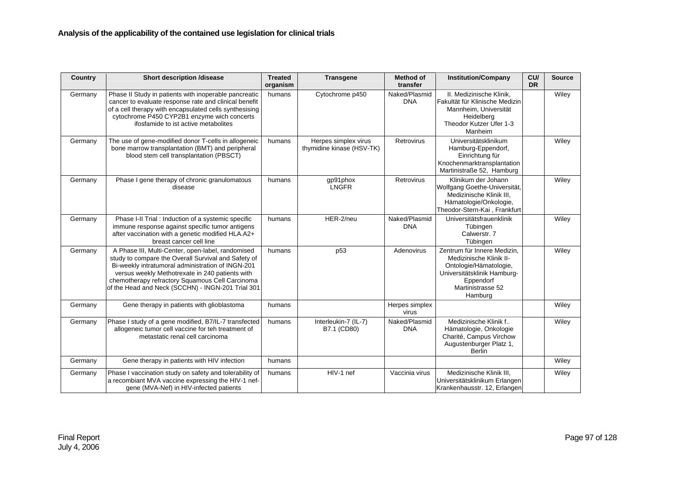| Country | <b>Short description /disease</b>                                                                                                                                                                                                                                                                                        | <b>Treated</b><br>organism | <b>Transgene</b>                                  | <b>Method of</b><br>transfer | <b>Institution/Company</b>                                                                                                                                   | CU/<br><b>DR</b> | <b>Source</b> |
|---------|--------------------------------------------------------------------------------------------------------------------------------------------------------------------------------------------------------------------------------------------------------------------------------------------------------------------------|----------------------------|---------------------------------------------------|------------------------------|--------------------------------------------------------------------------------------------------------------------------------------------------------------|------------------|---------------|
| Germany | Phase II Study in patients with inoperable pancreatic<br>cancer to evaluate response rate and clinical benefit<br>of a cell therapy with encapsulated cells synthesising<br>cytochrome P450 CYP2B1 enzyme wich concerts<br>ifosfamide to ist active metabolites                                                          | humans                     | Cytochrome p450                                   | Naked/Plasmid<br><b>DNA</b>  | II. Medizinische Klinik.<br>Fakultät für Klinische Medizin<br>Mannheim, Universität<br>Heidelberg<br>Theodor Kutzer Ufer 1-3<br>Manheim                      |                  | Wiley         |
| Germany | The use of gene-modified donor T-cells in allogeneic<br>bone marrow transplantation (BMT) and peripheral<br>blood stem cell transplantation (PBSCT)                                                                                                                                                                      | humans                     | Herpes simplex virus<br>thymidine kinase (HSV-TK) | <b>Retrovirus</b>            | Universitätsklinikum<br>Hamburg-Eppendorf,<br>Einrichtung für<br>Knochenmarktransplantation<br>Martinistraße 52, Hamburg                                     |                  | Wiley         |
| Germany | Phase I gene therapy of chronic granulomatous<br>disease                                                                                                                                                                                                                                                                 | humans                     | gp91phox<br><b>LNGFR</b>                          | <b>Retrovirus</b>            | Klinikum der Johann<br>Wolfgang Goethe-Universität,<br>Medizinische Klinik III,<br>Hämatologie/Onkologie,<br>Theodor-Stern-Kai, Frankfurt                    |                  | Wiley         |
| Germany | Phase I-II Trial : Induction of a systemic specific<br>immune response against specific tumor antigens<br>after vaccination with a genetic modified HLA.A2+<br>breast cancer cell line                                                                                                                                   | humans                     | HER-2/neu                                         | Naked/Plasmid<br><b>DNA</b>  | Universitätsfrauenklinik<br>Tübingen<br>Calwerstr. 7<br>Tübingen                                                                                             |                  | Wiley         |
| Germany | A Phase III, Multi-Center, open-label, randomised<br>study to compare the Overall Survival and Safety of<br>Bi-weekly intratumoral administration of INGN-201<br>versus weekly Methotrexate in 240 patients with<br>chemotherapy refractory Squamous Cell Carcinoma<br>of the Head and Neck (SCCHN) - INGN-201 Trial 301 | humans                     | p <sub>53</sub>                                   | Adenovirus                   | Zentrum für Innere Medizin.<br>Medizinische Klinik II-<br>Ontologie/Hämatologie,<br>Universitätsklinik Hamburg-<br>Eppendorf<br>Martinistrasse 52<br>Hamburg |                  | Wiley         |
| Germany | Gene therapy in patients with glioblastoma                                                                                                                                                                                                                                                                               | humans                     |                                                   | Herpes simplex<br>virus      |                                                                                                                                                              |                  | Wiley         |
| Germany | Phase I study of a gene modified, B7/IL-7 transfected<br>allogeneic tumor cell vaccine for teh treatment of<br>metastatic renal cell carcinoma                                                                                                                                                                           | humans                     | Interleukin-7 (IL-7)<br>B7.1 (CD80)               | Naked/Plasmid<br><b>DNA</b>  | Medizinische Klinik f<br>Hämatologie, Onkologie<br>Charité, Campus Virchow<br>Augustenburger Platz 1,<br>Berlin                                              |                  | Wiley         |
| Germany | Gene therapy in patients with HIV infection                                                                                                                                                                                                                                                                              | humans                     |                                                   |                              |                                                                                                                                                              |                  | Wiley         |
| Germany | Phase I vaccination study on safety and tolerability of<br>a recombiant MVA vaccine expressing the HIV-1 nef-<br>gene (MVA-Nef) in HIV-infected patients                                                                                                                                                                 | humans                     | HIV-1 nef                                         | Vaccinia virus               | Medizinische Klinik III.<br>Universitätsklinikum Erlangen<br>Krankenhausstr. 12, Erlangen                                                                    |                  | Wiley         |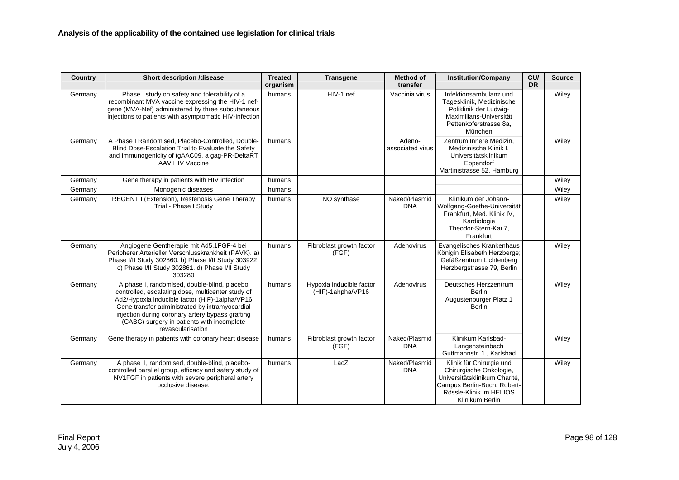| <b>Country</b> | <b>Short description /disease</b>                                                                                                                                                                                                                                                                                            | <b>Treated</b><br>organism | <b>Transgene</b>                              | <b>Method of</b><br>transfer | <b>Institution/Company</b>                                                                                                                                        | CU/<br><b>DR</b> | <b>Source</b> |
|----------------|------------------------------------------------------------------------------------------------------------------------------------------------------------------------------------------------------------------------------------------------------------------------------------------------------------------------------|----------------------------|-----------------------------------------------|------------------------------|-------------------------------------------------------------------------------------------------------------------------------------------------------------------|------------------|---------------|
| Germany        | Phase I study on safety and tolerability of a<br>recombinant MVA vaccine expressing the HIV-1 nef-<br>gene (MVA-Nef) administered by three subcutaneous<br>injections to patients with asymptomatic HIV-Infection                                                                                                            | humans                     | HIV-1 nef                                     | Vaccinia virus               | Infektionsambulanz und<br>Tagesklinik, Medizinische<br>Poliklinik der Ludwig-<br>Maximilians-Universität<br>Pettenkoferstrasse 8a,<br>München                     |                  | Wiley         |
| Germany        | A Phase I Randomised, Placebo-Controlled, Double-<br>Blind Dose-Escalation Trial to Evaluate the Safety<br>and Immunogenicity of tgAAC09, a gag-PR-DeltaRT<br>AAV HIV Vaccine                                                                                                                                                | humans                     |                                               | Adeno-<br>associated virus   | Zentrum Innere Medizin,<br>Medizinische Klinik I.<br>Universitätsklinikum<br>Eppendorf<br>Martinistrasse 52, Hamburg                                              |                  | Wiley         |
| Germany        | Gene therapy in patients with HIV infection                                                                                                                                                                                                                                                                                  | humans                     |                                               |                              |                                                                                                                                                                   |                  | Wiley         |
| Germany        | Monogenic diseases                                                                                                                                                                                                                                                                                                           | humans                     |                                               |                              |                                                                                                                                                                   |                  | Wiley         |
| Germany        | REGENT I (Extension), Restenosis Gene Therapy<br>Trial - Phase I Study                                                                                                                                                                                                                                                       | humans                     | NO synthase                                   | Naked/Plasmid<br><b>DNA</b>  | Klinikum der Johann-<br>Wolfgang-Goethe-Universität<br>Frankfurt, Med. Klinik IV,<br>Kardiologie<br>Theodor-Stern-Kai 7,<br>Frankfurt                             |                  | Wiley         |
| Germany        | Angiogene Gentherapie mit Ad5.1FGF-4 bei<br>Peripherer Arterieller Verschlusskrankheit (PAVK). a)<br>Phase I/II Study 302860. b) Phase I/II Study 303922.<br>c) Phase I/II Study 302861. d) Phase I/II Study<br>303280                                                                                                       | humans                     | Fibroblast growth factor<br>(FGF)             | Adenovirus                   | Evangelisches Krankenhaus<br>Königin Elisabeth Herzberge;<br>Gefäßzentrum Lichtenberg<br>Herzbergstrasse 79, Berlin                                               |                  | Wiley         |
| Germany        | A phase I, randomised, double-blind, placebo<br>controlled, escalating dose, multicenter study of<br>Ad2/Hypoxia inducible factor (HIF)-1alpha/VP16<br>Gene transfer administrated by intramyocardial<br>injection during coronary artery bypass grafting<br>(CABG) surgery in patients with incomplete<br>revascularisation | humans                     | Hypoxia inducible factor<br>(HIF)-1ahpha/VP16 | Adenovirus                   | Deutsches Herzzentrum<br><b>Berlin</b><br>Augustenburger Platz 1<br><b>Berlin</b>                                                                                 |                  | Wiley         |
| Germany        | Gene therapy in patients with coronary heart disease                                                                                                                                                                                                                                                                         | humans                     | Fibroblast growth factor<br>(FGF)             | Naked/Plasmid<br><b>DNA</b>  | Klinikum Karlsbad-<br>Langensteinbach<br>Guttmannstr. 1, Karlsbad                                                                                                 |                  | Wiley         |
| Germany        | A phase II, randomised, double-blind, placebo-<br>controlled parallel group, efficacy and safety study of<br>NV1FGF in patients with severe peripheral artery<br>occlusive disease.                                                                                                                                          | humans                     | LacZ                                          | Naked/Plasmid<br><b>DNA</b>  | Klinik für Chirurgie und<br>Chirurgische Onkologie,<br>Universitätsklinikum Charité,<br>Campus Berlin-Buch, Robert-<br>Rössle-Klinik im HELIOS<br>Klinikum Berlin |                  | Wiley         |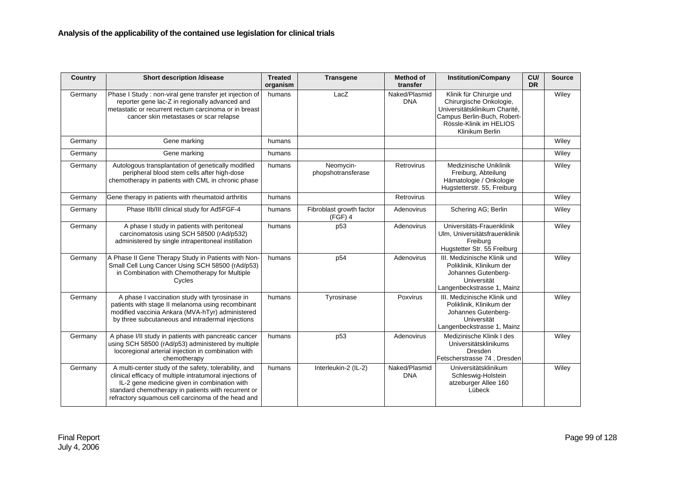| Country | <b>Short description /disease</b>                                                                                                                                                                                                                                              | <b>Treated</b><br>organism | <b>Transgene</b>                      | <b>Method of</b><br>transfer | <b>Institution/Company</b>                                                                                                                                        | CU/<br><b>DR</b> | <b>Source</b> |
|---------|--------------------------------------------------------------------------------------------------------------------------------------------------------------------------------------------------------------------------------------------------------------------------------|----------------------------|---------------------------------------|------------------------------|-------------------------------------------------------------------------------------------------------------------------------------------------------------------|------------------|---------------|
| Germany | Phase I Study : non-viral gene transfer jet injection of<br>reporter gene lac-Z in regionally advanced and<br>metastatic or recurrent rectum carcinoma or in breast<br>cancer skin metastases or scar relapse                                                                  | humans                     | LacZ                                  | Naked/Plasmid<br><b>DNA</b>  | Klinik für Chirurgie und<br>Chirurgische Onkologie,<br>Universitätsklinikum Charité,<br>Campus Berlin-Buch, Robert-<br>Rössle-Klinik im HELIOS<br>Klinikum Berlin |                  | Wiley         |
| Germany | Gene marking                                                                                                                                                                                                                                                                   | humans                     |                                       |                              |                                                                                                                                                                   |                  | Wiley         |
| Germany | Gene marking                                                                                                                                                                                                                                                                   | humans                     |                                       |                              |                                                                                                                                                                   |                  | Wiley         |
| Germany | Autologous transplantation of genetically modified<br>peripheral blood stem cells after high-dose<br>chemotherapy in patients with CML in chronic phase                                                                                                                        | humans                     | Neomycin-<br>phopshotransferase       | Retrovirus                   | Medizinische Uniklinik<br>Freiburg, Abteilung<br>Hämatologie / Onkologie<br>Hugstetterstr. 55, Freiburg                                                           |                  | Wiley         |
| Germany | Gene therapy in patients with rheumatoid arthritis                                                                                                                                                                                                                             | humans                     |                                       | Retrovirus                   |                                                                                                                                                                   |                  | Wiley         |
| Germany | Phase IIb/III clinical study for Ad5FGF-4                                                                                                                                                                                                                                      | humans                     | Fibroblast growth factor<br>$(FGF)$ 4 | Adenovirus                   | Schering AG; Berlin                                                                                                                                               |                  | Wiley         |
| Germany | A phase I study in patients with peritoneal<br>carcinomatosis using SCH 58500 (rAd/p532)<br>administered by single intraperitoneal instillation                                                                                                                                | humans                     | p53                                   | Adenovirus                   | Universitäts-Frauenklinik<br>Ulm, Universitätsfrauenklinik<br>Freiburg<br>Hugstetter Str. 55 Freiburg                                                             |                  | Wiley         |
| Germany | A Phase II Gene Therapy Study in Patients with Non-<br>Small Cell Lung Cancer Using SCH 58500 (rAd/p53)<br>in Combination with Chemotherapy for Multiple<br>Cycles                                                                                                             | humans                     | p54                                   | Adenovirus                   | III. Medizinische Klinik und<br>Poliklinik, Klinikum der<br>Johannes Gutenberg-<br>Universität<br>Langenbeckstrasse 1, Mainz                                      |                  | Wiley         |
| Germany | A phase I vaccination study with tyrosinase in<br>patients with stage II melanoma using recombinant<br>modified vaccinia Ankara (MVA-hTyr) administered<br>by three subcutaneous and intradermal injections                                                                    | humans                     | Tyrosinase                            | Poxvirus                     | III. Medizinische Klinik und<br>Poliklinik, Klinikum der<br>Johannes Gutenberg-<br>Universität<br>Langenbeckstrasse 1, Mainz                                      |                  | Wiley         |
| Germany | A phase I/II study in patients with pancreatic cancer<br>using SCH 58500 (rAd/p53) administered by multiple<br>locoregional arterial injection in combination with<br>chemotherapy                                                                                             | humans                     | p <sub>53</sub>                       | Adenovirus                   | Medizinische Klinik I des<br>Universitätsklinikums<br>Dresden<br>Fetscherstrasse 74, Dresden                                                                      |                  | Wiley         |
| Germany | A multi-center study of the safety, tolerability, and<br>clinical efficacy of multiple intratumoral injections of<br>IL-2 gene medicine given in combination with<br>standard chemotherapy in patients with recurrent or<br>refractory squamous cell carcinoma of the head and | humans                     | Interleukin-2 (IL-2)                  | Naked/Plasmid<br><b>DNA</b>  | Universitätsklinikum<br>Schleswig-Holstein<br>atzeburger Allee 160<br>Lübeck                                                                                      |                  | Wiley         |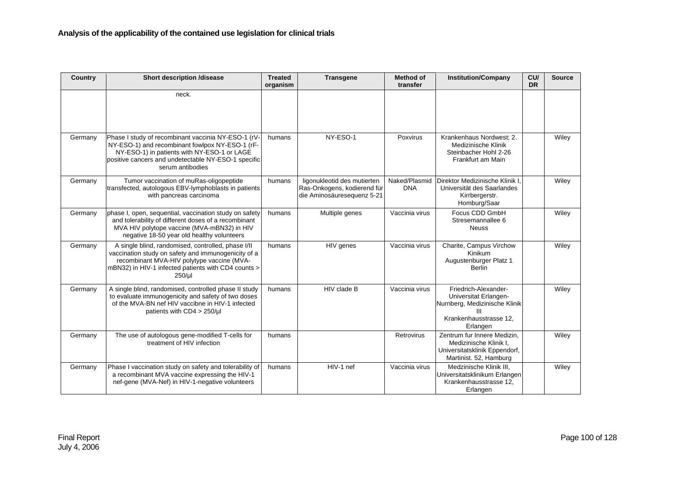| Country | <b>Short description /disease</b>                                                                                                                                                                                                | <b>Treated</b><br>organism | <b>Transgene</b>                                                                         | <b>Method of</b><br>transfer | <b>Institution/Company</b>                                                                                           | CU/<br><b>DR</b> | <b>Source</b> |
|---------|----------------------------------------------------------------------------------------------------------------------------------------------------------------------------------------------------------------------------------|----------------------------|------------------------------------------------------------------------------------------|------------------------------|----------------------------------------------------------------------------------------------------------------------|------------------|---------------|
|         | neck.                                                                                                                                                                                                                            |                            |                                                                                          |                              |                                                                                                                      |                  |               |
| Germany | Phase I study of recombinant vaccinia NY-ESO-1 (rV-<br>NY-ESO-1) and recombinant fowlpox NY-ESO-1 (rF-<br>NY-ESO-1) in patients with NY-ESO-1 or LAGE<br>positive cancers and undetectable NY-ESO-1 specific<br>serum antibodies | humans                     | NY-ESO-1                                                                                 | Poxvirus                     | Krankenhaus Nordwest; 2.<br>Medizinische Klinik<br>Steinbacher Hohl 2-26<br>Frankfurt am Main                        |                  | Wiley         |
| Germany | Tumor vaccination of muRas-oligopeptide<br>transfected, autologous EBV-lymphoblasts in patients<br>with pancreas carcinoma                                                                                                       | humans                     | ligonukleotid des mutierten<br>Ras-Onkogens, kodierend für<br>die Aminosäuresequenz 5-21 | Naked/Plasmid<br><b>DNA</b>  | Direktor Medizinische Klinik I<br>Universität des Saarlandes<br>Kirrbergerstr.<br>Homburg/Saar                       |                  | Wiley         |
| Germany | phase I, open, sequential, vaccination study on safety<br>and tolerability of different doses of a recombinant<br>MVA HIV polytope vaccine (MVA-mBN32) in HIV<br>negative 18-50 year old healthy volunteers                      | humans                     | Multiple genes                                                                           | Vaccinia virus               | Focus CDD GmbH<br>Stresemannallee 6<br><b>Neuss</b>                                                                  |                  | Wiley         |
| Germany | A single blind, randomised, controlled, phase I/II<br>vaccination study on safety and immunogenicity of a<br>recombinant MVA-HIV polytype vaccine (MVA-<br>mBN32) in HIV-1 infected patients with CD4 counts ><br>$250/\mu$      | humans                     | HIV genes                                                                                | Vaccinia virus               | Charite, Campus Virchow<br>Kinikum<br>Augustenburger Platz 1<br><b>Berlin</b>                                        |                  | Wiley         |
| Germany | A single blind, randomised, controlled phase II study<br>to evaluate immunogenicity and safety of two doses<br>of the MVA-BN nef HIV vaccibne in HIV-1 infected<br>patients with $CD4 > 250/\mu l$                               | humans                     | HIV clade B                                                                              | Vaccinia virus               | Friedrich-Alexander-<br>Universitat Erlangen-<br>Nurnberg, Medizinische Klinik<br>Krankenhausstrasse 12.<br>Erlangen |                  | Wiley         |
| Germany | The use of autologous gene-modified T-cells for<br>treatment of HIV infection                                                                                                                                                    | humans                     |                                                                                          | Retrovirus                   | Zentrum fur Innere Medizin.<br>Medizinische Klinik I,<br>Universitatsklinik Eppendorf,<br>Martinist. 52, Hamburg     |                  | Wiley         |
| Germany | Phase I vaccination study on safety and tolerability of<br>a recombinant MVA vaccine expressing the HIV-1<br>nef-gene (MVA-Nef) in HIV-1-negative volunteers                                                                     | humans                     | HIV-1 nef                                                                                | Vaccinia virus               | Medzinische Klinik III.<br>Universitatsklinikum Erlangen<br>Krankenhausstrasse 12.<br>Erlangen                       |                  | Wiley         |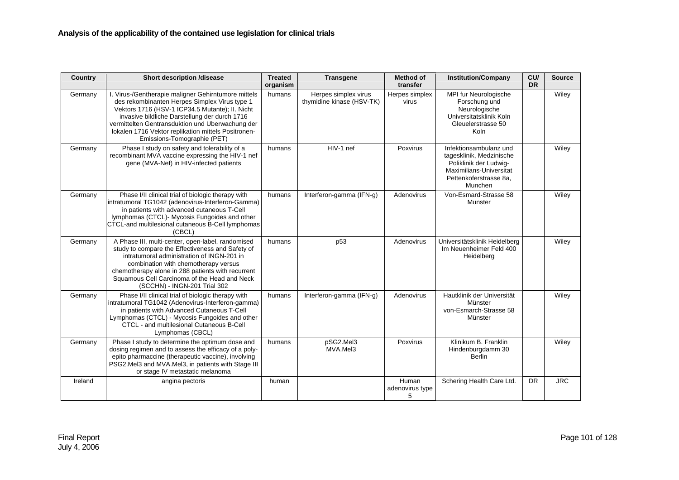| Country | <b>Short description /disease</b>                                                                                                                                                                                                                                                                                                                  | <b>Treated</b><br>organism | <b>Transgene</b>                                  | <b>Method of</b><br>transfer  | <b>Institution/Company</b>                                                                                                                   | CU/<br><b>DR</b> | <b>Source</b> |
|---------|----------------------------------------------------------------------------------------------------------------------------------------------------------------------------------------------------------------------------------------------------------------------------------------------------------------------------------------------------|----------------------------|---------------------------------------------------|-------------------------------|----------------------------------------------------------------------------------------------------------------------------------------------|------------------|---------------|
| Germany | I. Virus-/Gentherapie maligner Gehirntumore mittels<br>des rekombinanten Herpes Simplex Virus type 1<br>Vektors 1716 (HSV-1 ICP34.5 Mutante); II. Nicht<br>invasive bildliche Darstellung der durch 1716<br>vermittelten Gentransduktion und Uberwachung der<br>lokalen 1716 Vektor replikation mittels Positronen-<br>Emissions-Tomographie (PET) | humans                     | Herpes simplex virus<br>thymidine kinase (HSV-TK) | Herpes simplex<br>virus       | MPI fur Neurologische<br>Forschung und<br>Neurologische<br>Universitatsklinik Koln<br>Gleuelerstrasse 50<br>Koln                             |                  | Wiley         |
| Germany | Phase I study on safety and tolerability of a<br>recombinant MVA vaccine expressing the HIV-1 nef<br>gene (MVA-Nef) in HIV-infected patients                                                                                                                                                                                                       | humans                     | HIV-1 nef                                         | Poxvirus                      | Infektionsambulanz und<br>tagesklinik, Medzinische<br>Poliklinik der Ludwig-<br>Maximilians-Universitat<br>Pettenkoferstrasse 8a,<br>Munchen |                  | Wiley         |
| Germany | Phase I/II clinical trial of biologic therapy with<br>intratumoral TG1042 (adenovirus-Interferon-Gamma)<br>in patients with advanced cutaneous T-Cell<br>lymphomas (CTCL)- Mycosis Fungoides and other<br>CTCL-and multilesional cutaneous B-Cell lymphomas<br>(CBCL)                                                                              | humans                     | Interferon-gamma (IFN-g)                          | Adenovirus                    | Von-Esmard-Strasse 58<br>Munster                                                                                                             |                  | Wiley         |
| Germany | A Phase III, multi-center, open-label, randomised<br>study to compare the Effectiveness and Safety of<br>intratumoral administration of INGN-201 in<br>combination with chemotherapy versus<br>chemotherapy alone in 288 patients with recurrent<br>Squamous Cell Carcinoma of the Head and Neck<br>(SCCHN) - INGN-201 Trial 302                   | humans                     | p53                                               | Adenovirus                    | Universitätsklinik Heidelberg<br>Im Neuenheimer Feld 400<br>Heidelberg                                                                       |                  | Wiley         |
| Germany | Phase I/II clinical trial of biologic therapy with<br>intratumoral TG1042 (Adenovirus-Interferon-gamma)<br>in patients with Advanced Cutaneous T-Cell<br>Lymphomas (CTCL) - Mycosis Fungoides and other<br>CTCL - and multilesional Cutaneous B-Cell<br>Lymphomas (CBCL)                                                                           | humans                     | Interferon-gamma (IFN-g)                          | Adenovirus                    | Hautklinik der Universität<br>Münster<br>von-Esmarch-Strasse 58<br>Münster                                                                   |                  | Wiley         |
| Germany | Phase I study to determine the optimum dose and<br>dosing regimen and to assess the efficacy of a poly-<br>epito pharmaccine (therapeutic vaccine), involving<br>PSG2.Mel3 and MVA.Mel3, in patients with Stage III<br>or stage IV metastatic melanoma                                                                                             | humans                     | pSG2.Mel3<br>MVA.Mel3                             | Poxvirus                      | Klinikum B. Franklin<br>Hindenburgdamm 30<br><b>Berlin</b>                                                                                   |                  | Wiley         |
| Ireland | angina pectoris                                                                                                                                                                                                                                                                                                                                    | human                      |                                                   | Human<br>adenovirus type<br>5 | Schering Health Care Ltd.                                                                                                                    | <b>DR</b>        | <b>JRC</b>    |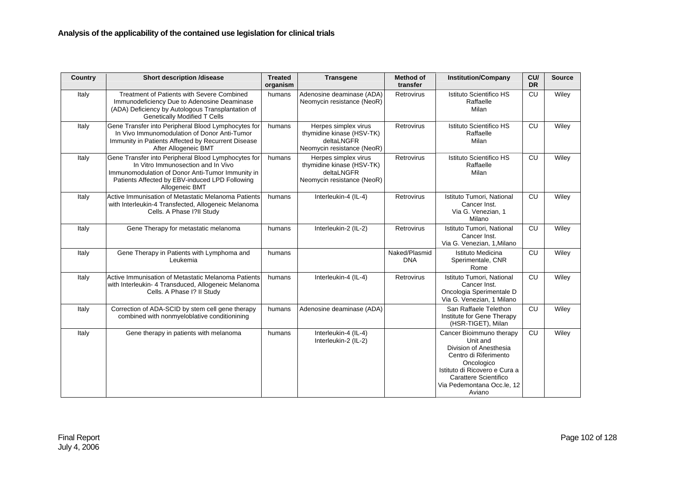| Country | <b>Short description /disease</b>                                                                                                                                                                                 | <b>Treated</b><br>organism | <b>Transgene</b>                                                                              | <b>Method of</b><br>transfer | <b>Institution/Company</b>                                                                                                                                                                              | CU/<br><b>DR</b> | <b>Source</b> |
|---------|-------------------------------------------------------------------------------------------------------------------------------------------------------------------------------------------------------------------|----------------------------|-----------------------------------------------------------------------------------------------|------------------------------|---------------------------------------------------------------------------------------------------------------------------------------------------------------------------------------------------------|------------------|---------------|
| Italy   | <b>Treatment of Patients with Severe Combined</b><br>Immunodeficiency Due to Adenosine Deaminase<br>(ADA) Deficiency by Autologous Transplantation of<br><b>Genetically Modified T Cells</b>                      | humans                     | Adenosine deaminase (ADA)<br>Neomycin resistance (NeoR)                                       | Retrovirus                   | Istituto Scientifico HS<br>Raffaelle<br>Milan                                                                                                                                                           | CU               | Wiley         |
| Italy   | Gene Transfer into Peripheral Blood Lymphocytes for<br>In Vivo Immunomodulation of Donor Anti-Tumor<br>Immunity in Patients Affected by Recurrent Disease<br>After Allogeneic BMT                                 | humans                     | Herpes simplex virus<br>thymidine kinase (HSV-TK)<br>deltaLNGFR<br>Neomycin resistance (NeoR) | Retrovirus                   | Istituto Scientifico HS<br>Raffaelle<br>Milan                                                                                                                                                           | CU               | Wiley         |
| Italy   | Gene Transfer into Peripheral Blood Lymphocytes for<br>In Vitro Immunosection and In Vivo<br>Immunomodulation of Donor Anti-Tumor Immunity in<br>Patients Affected by EBV-induced LPD Following<br>Allogeneic BMT | humans                     | Herpes simplex virus<br>thymidine kinase (HSV-TK)<br>deltaLNGFR<br>Neomycin resistance (NeoR) | Retrovirus                   | Istituto Scientifico HS<br>Raffaelle<br>Milan                                                                                                                                                           | CU               | Wiley         |
| Italy   | Active Immunisation of Metastatic Melanoma Patients<br>with Interleukin-4 Transfected, Allogeneic Melanoma<br>Cells. A Phase I?II Study                                                                           | humans                     | Interleukin-4 (IL-4)                                                                          | Retrovirus                   | Istituto Tumori, National<br>Cancer Inst.<br>Via G. Venezian, 1<br>Milano                                                                                                                               | <b>CU</b>        | Wiley         |
| Italy   | Gene Therapy for metastatic melanoma                                                                                                                                                                              | humans                     | Interleukin-2 (IL-2)                                                                          | Retrovirus                   | Istituto Tumori, National<br>Cancer Inst.<br>Via G. Venezian, 1, Milano                                                                                                                                 | CU               | Wiley         |
| Italy   | Gene Therapy in Patients with Lymphoma and<br>Leukemia                                                                                                                                                            | humans                     |                                                                                               | Naked/Plasmid<br><b>DNA</b>  | Istituto Medicina<br>Sperimentale, CNR<br>Rome                                                                                                                                                          | <b>CU</b>        | Wiley         |
| Italy   | Active Immunisation of Metastatic Melanoma Patients<br>with Interleukin- 4 Transduced, Allogeneic Melanoma<br>Cells. A Phase I? II Study                                                                          | humans                     | Interleukin-4 (IL-4)                                                                          | Retrovirus                   | Istituto Tumori, National<br>Cancer Inst.<br>Oncologia Sperimentale D<br>Via G. Venezian, 1 Milano                                                                                                      | CU               | Wiley         |
| Italy   | Correction of ADA-SCID by stem cell gene therapy<br>combined with nonmyeloblative conditionining                                                                                                                  | humans                     | Adenosine deaminase (ADA)                                                                     |                              | San Raffaele Telethon<br>Institute for Gene Therapy<br>(HSR-TIGET), Milan                                                                                                                               | CU               | Wiley         |
| Italy   | Gene therapy in patients with melanoma                                                                                                                                                                            | humans                     | Interleukin-4 (IL-4)<br>Interleukin-2 (IL-2)                                                  |                              | Cancer Bioimmuno therapy<br>Unit and<br>Division of Anesthesia<br>Centro di Riferimento<br>Oncologico<br>Istituto di Ricovero e Cura a<br>Carattere Scientifico<br>Via Pedemontana Occ.le, 12<br>Aviano | <b>CU</b>        | Wiley         |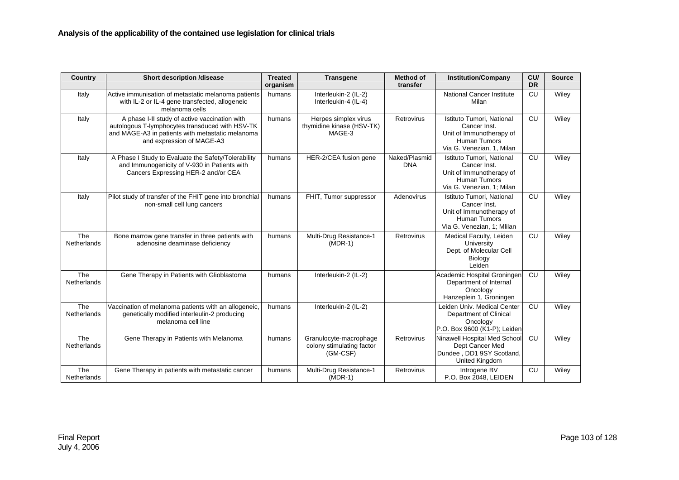| <b>Country</b>            | <b>Short description /disease</b>                                                                                                                                                 | <b>Treated</b><br>organism | <b>Transgene</b>                                                | <b>Method of</b><br>transfer | <b>Institution/Company</b>                                                                                                 | CU/<br><b>DR</b> | <b>Source</b> |
|---------------------------|-----------------------------------------------------------------------------------------------------------------------------------------------------------------------------------|----------------------------|-----------------------------------------------------------------|------------------------------|----------------------------------------------------------------------------------------------------------------------------|------------------|---------------|
| Italy                     | Active immunisation of metastatic melanoma patients<br>with IL-2 or IL-4 gene transfected, allogeneic<br>melanoma cells                                                           | humans                     | Interleukin-2 (IL-2)<br>Interleukin-4 (IL-4)                    |                              | <b>National Cancer Institute</b><br>Milan                                                                                  | CU               | Wiley         |
| Italy                     | A phase I-II study of active vaccination with<br>autologous T-lymphocytes transduced with HSV-TK<br>and MAGE-A3 in patients with metastatic melanoma<br>and expression of MAGE-A3 | humans                     | Herpes simplex virus<br>thymidine kinase (HSV-TK)<br>MAGE-3     | Retrovirus                   | Istituto Tumori. National<br>Cancer Inst.<br>Unit of Immunotherapy of<br><b>Human Tumors</b><br>Via G. Venezian, 1, Milan  | CU               | Wiley         |
| Italy                     | A Phase I Study to Evaluate the Safety/Tolerability<br>and Immunogenicity of V-930 in Patients with<br>Cancers Expressing HER-2 and/or CEA                                        | humans                     | HER-2/CEA fusion gene                                           | Naked/Plasmid<br><b>DNA</b>  | Istituto Tumori. National<br>Cancer Inst.<br>Unit of Immunotherapy of<br><b>Human Tumors</b><br>Via G. Venezian, 1; Milan  | CU               | Wiley         |
| Italy                     | Pilot study of transfer of the FHIT gene into bronchial<br>non-small cell lung cancers                                                                                            | humans                     | FHIT, Tumor suppressor                                          | Adenovirus                   | Istituto Tumori, National<br>Cancer Inst.<br>Unit of Immunotherapy of<br><b>Human Tumors</b><br>Via G. Venezian, 1; Mlilan | CU               | Wiley         |
| The<br>Netherlands        | Bone marrow gene transfer in three patients with<br>adenosine deaminase deficiency                                                                                                | humans                     | Multi-Drug Resistance-1<br>$(MDR-1)$                            | Retrovirus                   | Medical Faculty, Leiden<br>University<br>Dept. of Molecular Cell<br>Biology<br>Leiden                                      | CU               | Wiley         |
| The<br>Netherlands        | Gene Therapy in Patients with Glioblastoma                                                                                                                                        | humans                     | Interleukin-2 (IL-2)                                            |                              | Academic Hospital Groningen<br>Department of Internal<br>Oncology<br>Hanzeplein 1, Groningen                               | CU               | Wiley         |
| The<br><b>Netherlands</b> | Vaccination of melanoma patients with an allogeneic,<br>genetically modified interleulin-2 producing<br>melanoma cell line                                                        | humans                     | Interleukin-2 (IL-2)                                            |                              | Leiden Univ. Medical Center<br>Department of Clinical<br>Oncology<br>P.O. Box 9600 (K1-P); Leiden                          | CU               | Wiley         |
| The<br>Netherlands        | Gene Therapy in Patients with Melanoma                                                                                                                                            | humans                     | Granulocyte-macrophage<br>colony stimulating factor<br>(GM-CSF) | Retrovirus                   | Ninawell Hospital Med School<br>Dept Cancer Med<br>Dundee, DD1 9SY Scotland,<br>United Kingdom                             | CU               | Wiley         |
| The<br><b>Netherlands</b> | Gene Therapy in patients with metastatic cancer                                                                                                                                   | humans                     | Multi-Drug Resistance-1<br>$(MDR-1)$                            | Retrovirus                   | Introgene BV<br>P.O. Box 2048, LEIDEN                                                                                      | CU               | Wiley         |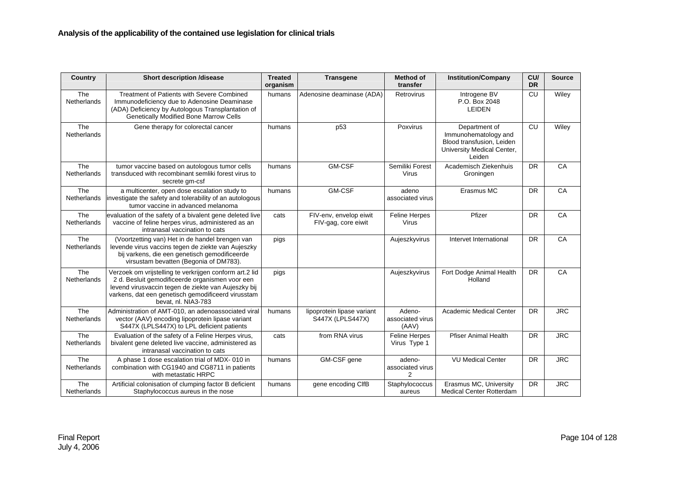| Country                   | <b>Short description /disease</b>                                                                                                                                                                                                              | <b>Treated</b><br>organism | <b>Transgene</b>                               | <b>Method of</b><br>transfer        | <b>Institution/Company</b>                                                                                 | CU/<br><b>DR</b> | <b>Source</b> |
|---------------------------|------------------------------------------------------------------------------------------------------------------------------------------------------------------------------------------------------------------------------------------------|----------------------------|------------------------------------------------|-------------------------------------|------------------------------------------------------------------------------------------------------------|------------------|---------------|
| The<br><b>Netherlands</b> | Treatment of Patients with Severe Combined<br>Immunodeficiency due to Adenosine Deaminase<br>(ADA) Deficiency by Autologous Transplantation of<br><b>Genetically Modified Bone Marrow Cells</b>                                                | humans                     | Adenosine deaminase (ADA)                      | Retrovirus                          | Introgene BV<br>P.O. Box 2048<br>LEIDEN                                                                    | CU               | Wiley         |
| The<br>Netherlands        | Gene therapy for colorectal cancer                                                                                                                                                                                                             | humans                     | p <sub>53</sub>                                | Poxvirus                            | Department of<br>Immunohematology and<br>Blood transfusion, Leiden<br>University Medical Center,<br>Leiden | CU               | Wiley         |
| The<br>Netherlands        | tumor vaccine based on autologous tumor cells<br>transduced with recombinant semliki forest virus to<br>secrete gm-csf                                                                                                                         | humans                     | <b>GM-CSF</b>                                  | Semiliki Forest<br>Virus            | Academisch Ziekenhuis<br>Groningen                                                                         | <b>DR</b>        | CA            |
| The<br><b>Netherlands</b> | a multicenter, open dose escalation study to<br>investigate the safety and tolerability of an autologous<br>tumor vaccine in advanced melanoma                                                                                                 | humans                     | <b>GM-CSF</b>                                  | adeno<br>associated virus           | Erasmus MC                                                                                                 | <b>DR</b>        | CA            |
| The<br><b>Netherlands</b> | evaluation of the safety of a bivalent gene deleted live<br>vaccine of feline herpes virus, administered as an<br>intranasal vaccination to cats                                                                                               | cats                       | FIV-env, envelop eiwit<br>FIV-gag, core eiwit  | <b>Feline Herpes</b><br>Virus       | Pfizer                                                                                                     | <b>DR</b>        | CA            |
| The<br>Netherlands        | (Voortzetting van) Het in de handel brengen van<br>levende virus vaccins tegen de ziekte van Aujeszky<br>bij varkens, die een genetisch gemodificeerde<br>virsustam bevatten (Begonia of DM783).                                               | pigs                       |                                                | Aujeszkyvirus                       | Intervet International                                                                                     | <b>DR</b>        | CA            |
| The<br><b>Netherlands</b> | Verzoek om vrijstelling te verkrijgen conform art.2 lid<br>2 d. Besluit gemodificeerde organismen voor een<br>levend virusvaccin tegen de ziekte van Aujeszky bij<br>varkens, dat een genetisch gemodificeerd virusstam<br>bevat. nl. NIA3-783 | pigs                       |                                                | Aujeszkyvirus                       | Fort Dodge Animal Health<br>Holland                                                                        | <b>DR</b>        | CA            |
| The<br><b>Netherlands</b> | Administration of AMT-010, an adenoassociated viral<br>vector (AAV) encoding lipoprotein lipase variant<br>S447X (LPLS447X) to LPL deficient patients                                                                                          | humans                     | lipoprotein lipase variant<br>S447X (LPLS447X) | Adeno-<br>associated virus<br>(AAV) | Academic Medical Center                                                                                    | <b>DR</b>        | <b>JRC</b>    |
| The<br>Netherlands        | Evaluation of the safety of a Feline Herpes virus,<br>bivalent gene deleted live vaccine, administered as<br>intranasal vaccination to cats                                                                                                    | cats                       | from RNA virus                                 | Feline Herpes<br>Virus Type 1       | <b>Pfiser Animal Health</b>                                                                                | <b>DR</b>        | <b>JRC</b>    |
| The<br>Netherlands        | A phase 1 dose escalation trial of MDX- 010 in<br>combination with CG1940 and CG8711 in patients<br>with metastatic HRPC                                                                                                                       | humans                     | GM-CSF gene                                    | adeno-<br>associated virus<br>2     | <b>VU Medical Center</b>                                                                                   | <b>DR</b>        | <b>JRC</b>    |
| The<br>Netherlands        | Artificial colonisation of clumping factor B deficient<br>Staphylococcus aureus in the nose                                                                                                                                                    | humans                     | gene encoding ClfB                             | Staphylococcus<br>aureus            | Erasmus MC, University<br><b>Medical Center Rotterdam</b>                                                  | <b>DR</b>        | <b>JRC</b>    |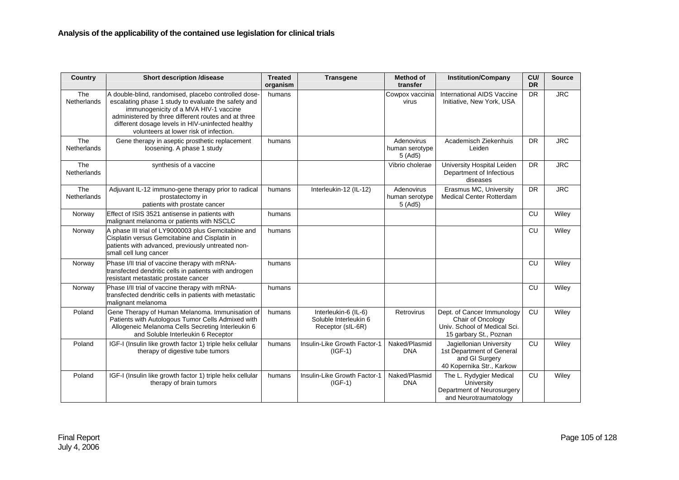| Country                   | <b>Short description /disease</b>                                                                                                                                                                                                                                                                          | <b>Treated</b><br>organism | <b>Transgene</b>                                                   | <b>Method of</b><br>transfer           | <b>Institution/Company</b>                                                                                | CU/<br><b>DR</b> | <b>Source</b> |
|---------------------------|------------------------------------------------------------------------------------------------------------------------------------------------------------------------------------------------------------------------------------------------------------------------------------------------------------|----------------------------|--------------------------------------------------------------------|----------------------------------------|-----------------------------------------------------------------------------------------------------------|------------------|---------------|
| The<br>Netherlands        | A double-blind, randomised, placebo controlled dose-<br>escalating phase 1 study to evaluate the safety and<br>immunogenicity of a MVA HIV-1 vaccine<br>administered by three different routes and at three<br>different dosage levels in HIV-uninfected healthy<br>volunteers at lower risk of infection. | humans                     |                                                                    | Cowpox vaccinia<br>virus               | International AIDS Vaccine<br>Initiative, New York, USA                                                   | <b>DR</b>        | <b>JRC</b>    |
| The<br><b>Netherlands</b> | Gene therapy in aseptic prosthetic replacement<br>loosening. A phase 1 study                                                                                                                                                                                                                               | humans                     |                                                                    | Adenovirus<br>human serotype<br>5(Ad5) | Academisch Ziekenhuis<br>Leiden                                                                           | <b>DR</b>        | <b>JRC</b>    |
| The<br>Netherlands        | synthesis of a vaccine                                                                                                                                                                                                                                                                                     |                            |                                                                    | Vibrio cholerae                        | University Hospital Leiden<br>Department of Infectious<br>diseases                                        | DR               | <b>JRC</b>    |
| The<br><b>Netherlands</b> | Adjuvant IL-12 immuno-gene therapy prior to radical<br>prostatectomy in<br>patients with prostate cancer                                                                                                                                                                                                   | humans                     | Interleukin-12 (IL-12)                                             | Adenovirus<br>human serotype<br>5(Ad5) | Erasmus MC, University<br>Medical Center Rotterdam                                                        | <b>DR</b>        | <b>JRC</b>    |
| Norway                    | Effect of ISIS 3521 antisense in patients with<br>malignant melanoma or patients with NSCLC                                                                                                                                                                                                                | humans                     |                                                                    |                                        |                                                                                                           | CU               | Wiley         |
| Norway                    | A phase III trial of LY9000003 plus Gemcitabine and<br>Cisplatin versus Gemcitabine and Cisplatin in<br>patients with advanced, previously untreated non-<br>small cell lung cancer                                                                                                                        | humans                     |                                                                    |                                        |                                                                                                           | CU               | Wiley         |
| Norway                    | Phase I/II trial of vaccine therapy with mRNA-<br>transfected dendritic cells in patients with androgen<br>resistant metastatic prostate cancer                                                                                                                                                            | humans                     |                                                                    |                                        |                                                                                                           | CU               | Wiley         |
| Norway                    | Phase I/II trial of vaccine therapy with mRNA-<br>transfected dendritic cells in patients with metastatic<br>malignant melanoma                                                                                                                                                                            | humans                     |                                                                    |                                        |                                                                                                           | CU               | Wiley         |
| Poland                    | Gene Therapy of Human Melanoma. Immunisation of<br>Patients with Autologous Tumor Cells Admixed with<br>Allogeneic Melanoma Cells Secreting Interleukin 6<br>and Soluble Interleukin 6 Receptor                                                                                                            | humans                     | Interleukin-6 (IL-6)<br>Soluble Interleukin 6<br>Receptor (sIL-6R) | <b>Retrovirus</b>                      | Dept. of Cancer Immunology<br>Chair of Oncology<br>Univ. School of Medical Sci.<br>15 garbary St., Poznan | CU               | Wiley         |
| Poland                    | IGF-I (Insulin like growth factor 1) triple helix cellular<br>therapy of digestive tube tumors                                                                                                                                                                                                             | humans                     | Insulin-Like Growth Factor-1<br>$(IGF-1)$                          | Naked/Plasmid<br><b>DNA</b>            | Jagiellonian University<br>1st Department of General<br>and GI Surgery<br>40 Kopernika Str., Karkow       | CU               | Wiley         |
| Poland                    | IGF-I (Insulin like growth factor 1) triple helix cellular<br>therapy of brain tumors                                                                                                                                                                                                                      | humans                     | Insulin-Like Growth Factor-1<br>$(IGF-1)$                          | Naked/Plasmid<br><b>DNA</b>            | The L. Rydygier Medical<br>University<br>Department of Neurosurgery<br>and Neurotraumatology              | CU               | Wiley         |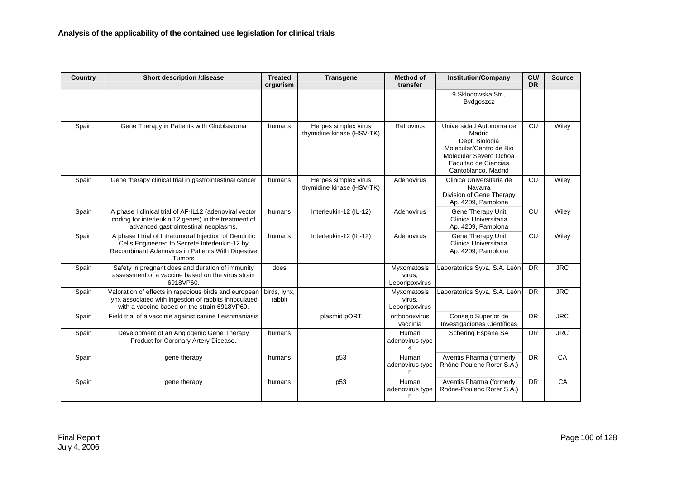| Country | <b>Short description /disease</b>                                                                                                                                      | <b>Treated</b><br>organism | <b>Transgene</b>                                  | <b>Method of</b><br>transfer            | <b>Institution/Company</b>                                                                                                                                     | CU/<br><b>DR</b> | <b>Source</b> |
|---------|------------------------------------------------------------------------------------------------------------------------------------------------------------------------|----------------------------|---------------------------------------------------|-----------------------------------------|----------------------------------------------------------------------------------------------------------------------------------------------------------------|------------------|---------------|
|         |                                                                                                                                                                        |                            |                                                   |                                         | 9 Sklodowska Str.,<br>Bydgoszcz                                                                                                                                |                  |               |
| Spain   | Gene Therapy in Patients with Glioblastoma                                                                                                                             | humans                     | Herpes simplex virus<br>thymidine kinase (HSV-TK) | Retrovirus                              | Universidad Autonoma de<br>Madrid<br>Dept. Biologia<br>Molecular/Centro de Bio<br>Molecular Severo Ochoa<br><b>Facultad de Ciencias</b><br>Cantoblanco, Madrid | CU               | Wiley         |
| Spain   | Gene therapy clinical trial in gastrointestinal cancer                                                                                                                 | humans                     | Herpes simplex virus<br>thymidine kinase (HSV-TK) | Adenovirus                              | Clinica Universitaria de<br>Navarra<br>Division of Gene Therapy<br>Ap. 4209, Pamplona                                                                          | CU               | Wiley         |
| Spain   | A phase I clinical trial of AF-IL12 (adenoviral vector<br>coding for interleukin 12 genes) in the treatment of<br>advanced gastrointestinal neoplasms.                 | humans                     | Interleukin-12 (IL-12)                            | Adenovirus                              | Gene Therapy Unit<br>Clinica Universitaria<br>Ap. 4209, Pamplona                                                                                               | CU               | Wiley         |
| Spain   | A phase I trial of Intratumoral Injection of Dendritic<br>Cells Engineered to Secrete Interleukin-12 by<br>Recombinant Adenovirus in Patients With Digestive<br>Tumors | humans                     | Interleukin-12 (IL-12)                            | Adenovirus                              | Gene Therapy Unit<br>Clinica Universitaria<br>Ap. 4209, Pamplona                                                                                               | CU               | Wiley         |
| Spain   | Safety in pregnant does and duration of immunity<br>assessment of a vaccine based on the virus strain<br>6918VP60.                                                     | does                       |                                                   | Myxomatosis<br>virus,<br>Leporipoxvirus | Laboratorios Syva, S.A. León                                                                                                                                   | <b>DR</b>        | <b>JRC</b>    |
| Spain   | Valoration of effects in rapacious birds and european<br>lynx associated with ingestion of rabbits innoculated<br>with a vaccine based on the strain 6918VP60.         | birds, lynx,<br>rabbit     |                                                   | Myxomatosis<br>virus,<br>Leporipoxvirus | Laboratorios Syva, S.A. León                                                                                                                                   | <b>DR</b>        | <b>JRC</b>    |
| Spain   | Field trial of a vaccinie against canine Leishmaniasis                                                                                                                 |                            | plasmid pORT                                      | orthopoxvirus<br>vaccinia               | Consejo Superior de<br>Investigaciones Científicas                                                                                                             | <b>DR</b>        | <b>JRC</b>    |
| Spain   | Development of an Angiogenic Gene Therapy<br>Product for Coronary Artery Disease.                                                                                      | humans                     |                                                   | Human<br>adenovirus type<br>4           | Schering Espana SA                                                                                                                                             | <b>DR</b>        | <b>JRC</b>    |
| Spain   | gene therapy                                                                                                                                                           | humans                     | p53                                               | Human<br>adenovirus type<br>5           | Aventis Pharma (formerly<br>Rhône-Poulenc Rorer S.A.)                                                                                                          | <b>DR</b>        | CA            |
| Spain   | gene therapy                                                                                                                                                           | humans                     | p <sub>53</sub>                                   | Human<br>adenovirus type<br>5           | Aventis Pharma (formerly<br>Rhône-Poulenc Rorer S.A.)                                                                                                          | <b>DR</b>        | CA            |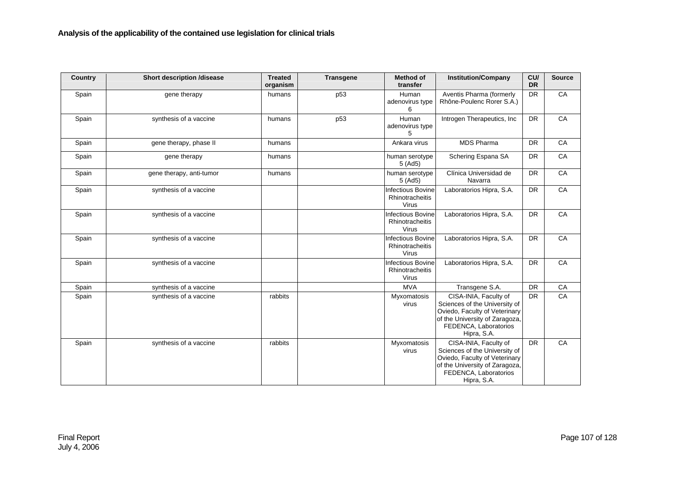| <b>Country</b> | <b>Short description /disease</b> | <b>Treated</b><br>organism | <b>Transgene</b> | <b>Method of</b><br>transfer                                | <b>Institution/Company</b>                                                                                                                                        | CU/<br><b>DR</b> | <b>Source</b> |
|----------------|-----------------------------------|----------------------------|------------------|-------------------------------------------------------------|-------------------------------------------------------------------------------------------------------------------------------------------------------------------|------------------|---------------|
| Spain          | gene therapy                      | humans                     | p <sub>53</sub>  | Human<br>adenovirus type<br>6                               | Aventis Pharma (formerly<br>Rhône-Poulenc Rorer S.A.)                                                                                                             | <b>DR</b>        | CA            |
| Spain          | synthesis of a vaccine            | humans                     | p53              | Human<br>adenovirus type<br>5                               | Introgen Therapeutics, Inc                                                                                                                                        | DR               | CA            |
| Spain          | gene therapy, phase II            | humans                     |                  | Ankara virus                                                | <b>MDS Pharma</b>                                                                                                                                                 | <b>DR</b>        | CA            |
| Spain          | gene therapy                      | humans                     |                  | human serotype<br>5(Ad5)                                    | Schering Espana SA                                                                                                                                                | <b>DR</b>        | CA            |
| Spain          | gene therapy, anti-tumor          | humans                     |                  | human serotype<br>5(Ad5)                                    | Clínica Universidad de<br>Navarra                                                                                                                                 | <b>DR</b>        | CA            |
| Spain          | synthesis of a vaccine            |                            |                  | <b>Infectious Bovine</b><br>Rhinotracheitis<br>Virus        | Laboratorios Hipra, S.A.                                                                                                                                          | <b>DR</b>        | CA            |
| Spain          | synthesis of a vaccine            |                            |                  | <b>Infectious Bovine</b><br>Rhinotracheitis<br>Virus        | Laboratorios Hipra, S.A.                                                                                                                                          | <b>DR</b>        | CA            |
| Spain          | synthesis of a vaccine            |                            |                  | <b>Infectious Bovine</b><br>Rhinotracheitis<br><b>Virus</b> | Laboratorios Hipra, S.A.                                                                                                                                          | <b>DR</b>        | CA            |
| Spain          | synthesis of a vaccine            |                            |                  | <b>Infectious Bovine</b><br>Rhinotracheitis<br>Virus        | Laboratorios Hipra, S.A.                                                                                                                                          | <b>DR</b>        | CA            |
| Spain          | synthesis of a vaccine            |                            |                  | <b>MVA</b>                                                  | Transgene S.A.                                                                                                                                                    | <b>DR</b>        | CA            |
| Spain          | synthesis of a vaccine            | rabbits                    |                  | Myxomatosis<br>virus                                        | CISA-INIA, Faculty of<br>Sciences of the University of<br>Oviedo, Faculty of Veterinary<br>of the University of Zaragoza,<br>FEDENCA, Laboratorios<br>Hipra, S.A. | <b>DR</b>        | CA            |
| Spain          | synthesis of a vaccine            | rabbits                    |                  | Myxomatosis<br>virus                                        | CISA-INIA, Faculty of<br>Sciences of the University of<br>Oviedo, Faculty of Veterinary<br>of the University of Zaragoza,<br>FEDENCA, Laboratorios<br>Hipra, S.A. | <b>DR</b>        | CA            |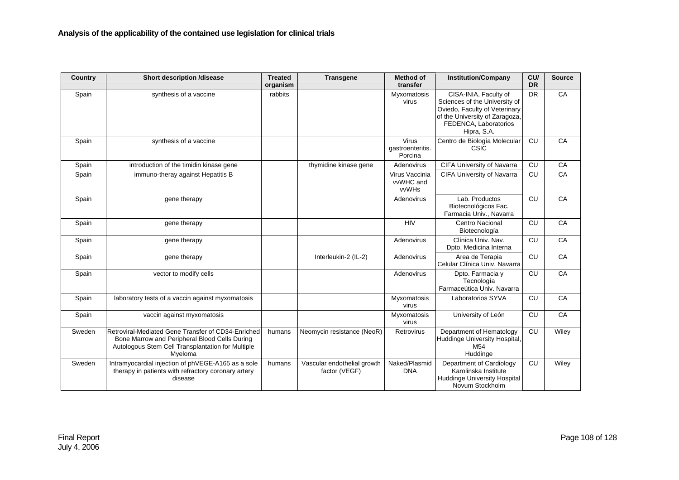| Country | <b>Short description /disease</b>                                                                                                                                   | <b>Treated</b><br>organism | <b>Transgene</b>                             | <b>Method of</b><br>transfer         | <b>Institution/Company</b>                                                                                                                                        | CU/<br><b>DR</b> | <b>Source</b> |
|---------|---------------------------------------------------------------------------------------------------------------------------------------------------------------------|----------------------------|----------------------------------------------|--------------------------------------|-------------------------------------------------------------------------------------------------------------------------------------------------------------------|------------------|---------------|
| Spain   | synthesis of a vaccine                                                                                                                                              | rabbits                    |                                              | Myxomatosis<br>virus                 | CISA-INIA, Faculty of<br>Sciences of the University of<br>Oviedo, Faculty of Veterinary<br>of the University of Zaragoza,<br>FEDENCA, Laboratorios<br>Hipra, S.A. | <b>DR</b>        | CA            |
| Spain   | synthesis of a vaccine                                                                                                                                              |                            |                                              | Virus<br>gastroenteritis.<br>Porcina | Centro de Biología Molecular<br><b>CSIC</b>                                                                                                                       | CU               | CA            |
| Spain   | introduction of the timidin kinase gene                                                                                                                             |                            | thymidine kinase gene                        | Adenovirus                           | CIFA University of Navarra                                                                                                                                        | CU               | CA            |
| Spain   | immuno-theray against Hepatitis B                                                                                                                                   |                            |                                              | Virus Vaccinia<br>vvWHC and<br>vvWHs | <b>CIFA University of Navarra</b>                                                                                                                                 | CU               | CA            |
| Spain   | gene therapy                                                                                                                                                        |                            |                                              | Adenovirus                           | Lab. Productos<br>Biotecnológicos Fac.<br>Farmacia Univ., Navarra                                                                                                 | CU               | CA            |
| Spain   | gene therapy                                                                                                                                                        |                            |                                              | <b>HIV</b>                           | <b>Centro Nacional</b><br>Biotecnología                                                                                                                           | CU               | CA            |
| Spain   | gene therapy                                                                                                                                                        |                            |                                              | Adenovirus                           | Clínica Univ. Nav.<br>Dpto. Medicina Interna                                                                                                                      | CU               | CA            |
| Spain   | gene therapy                                                                                                                                                        |                            | Interleukin-2 (IL-2)                         | Adenovirus                           | Area de Terapia<br>Celular Clínica Univ. Navarra                                                                                                                  | CU               | CA            |
| Spain   | vector to modify cells                                                                                                                                              |                            |                                              | Adenovirus                           | Dpto. Farmacia y<br>Tecnología<br>Farmaceútica Univ. Navarra                                                                                                      | CU               | CA            |
| Spain   | laboratory tests of a vaccin against myxomatosis                                                                                                                    |                            |                                              | Myxomatosis<br>virus                 | Laboratorios SYVA                                                                                                                                                 | CU               | CA            |
| Spain   | vaccin against myxomatosis                                                                                                                                          |                            |                                              | Myxomatosis<br>virus                 | University of León                                                                                                                                                | CU               | CA            |
| Sweden  | Retroviral-Mediated Gene Transfer of CD34-Enriched<br>Bone Marrow and Peripheral Blood Cells During<br>Autologous Stem Cell Transplantation for Multiple<br>Mveloma | humans                     | Neomycin resistance (NeoR)                   | Retrovirus                           | Department of Hematology<br>Huddinge University Hospital,<br>M54<br>Huddinge                                                                                      | CU               | Wiley         |
| Sweden  | Intramyocardial injection of phVEGE-A165 as a sole<br>therapy in patients with refractory coronary artery<br>disease                                                | humans                     | Vascular endothelial growth<br>factor (VEGF) | Naked/Plasmid<br><b>DNA</b>          | Department of Cardiology<br>Karolinska Institute<br><b>Huddinge University Hospital</b><br>Novum Stockholm                                                        | CU               | Wiley         |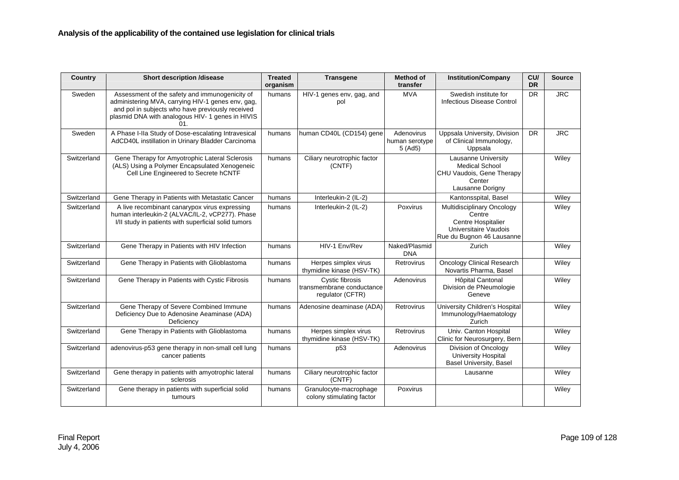| Country     | <b>Short description /disease</b>                                                                                                                                                                                  | <b>Treated</b><br>organism | <b>Transgene</b>                                                 | <b>Method of</b><br>transfer           | <b>Institution/Company</b>                                                                                                     | CU/<br><b>DR</b> | <b>Source</b> |
|-------------|--------------------------------------------------------------------------------------------------------------------------------------------------------------------------------------------------------------------|----------------------------|------------------------------------------------------------------|----------------------------------------|--------------------------------------------------------------------------------------------------------------------------------|------------------|---------------|
| Sweden      | Assessment of the safety and immunogenicity of<br>administering MVA, carrying HIV-1 genes env, gag,<br>and pol in subjects who have previously received<br>plasmid DNA with analogous HIV- 1 genes in HIVIS<br>01. | humans                     | HIV-1 genes env, gag, and<br>pol                                 | <b>MVA</b>                             | Swedish institute for<br>Infectious Disease Control                                                                            | <b>DR</b>        | <b>JRC</b>    |
| Sweden      | A Phase I-IIa Study of Dose-escalating Intravesical<br>AdCD40L instillation in Urinary Bladder Carcinoma                                                                                                           | humans                     | human CD40L (CD154) gene                                         | Adenovirus<br>human serotype<br>5(Ad5) | Uppsala University, Division<br>of Clinical Immunology,<br>Uppsala                                                             | <b>DR</b>        | <b>JRC</b>    |
| Switzerland | Gene Therapy for Amyotrophic Lateral Sclerosis<br>(ALS) Using a Polymer Encapsulated Xenogeneic<br>Cell Line Engineered to Secrete hCNTF                                                                           | humans                     | Ciliary neurotrophic factor<br>(CNTF)                            |                                        | Lausanne University<br><b>Medical School</b><br>CHU Vaudois, Gene Therapy<br>Center<br>Lausanne Dorigny                        |                  | Wiley         |
| Switzerland | Gene Therapy in Patients with Metastatic Cancer                                                                                                                                                                    | humans                     | Interleukin-2 (IL-2)                                             |                                        | Kantonsspital, Basel                                                                                                           |                  | Wiley         |
| Switzerland | A live recombinant canarypox virus expressing<br>human interleukin-2 (ALVAC/IL-2, vCP277). Phase<br>I/II study in patients with superficial solid tumors                                                           | humans                     | Interleukin-2 (IL-2)                                             | Poxvirus                               | <b>Multidisciplinary Oncology</b><br>Centre<br><b>Centre Hospitalier</b><br>Universitaire Vaudois<br>Rue du Bugnon 46 Lausanne |                  | Wiley         |
| Switzerland | Gene Therapy in Patients with HIV Infection                                                                                                                                                                        | humans                     | HIV-1 Env/Rev                                                    | Naked/Plasmid<br><b>DNA</b>            | Zurich                                                                                                                         |                  | Wiley         |
| Switzerland | Gene Therapy in Patients with Glioblastoma                                                                                                                                                                         | humans                     | Herpes simplex virus<br>thymidine kinase (HSV-TK)                | Retrovirus                             | <b>Oncology Clinical Research</b><br>Novartis Pharma, Basel                                                                    |                  | Wiley         |
| Switzerland | Gene Therapy in Patients with Cystic Fibrosis                                                                                                                                                                      | humans                     | Cystic fibrosis<br>transmembrane conductance<br>regulator (CFTR) | Adenovirus                             | Hôpital Cantonal<br>Division de PNeumologie<br>Geneve                                                                          |                  | Wiley         |
| Switzerland | Gene Therapy of Severe Combined Immune<br>Deficiency Due to Adenosine Aeaminase (ADA)<br>Deficiency                                                                                                                | humans                     | Adenosine deaminase (ADA)                                        | Retrovirus                             | University Children's Hospital<br>Immunology/Haematology<br>Zurich                                                             |                  | Wiley         |
| Switzerland | Gene Therapy in Patients with Glioblastoma                                                                                                                                                                         | humans                     | Herpes simplex virus<br>thymidine kinase (HSV-TK)                | Retrovirus                             | Univ. Canton Hospital<br>Clinic for Neurosurgery, Bern                                                                         |                  | Wiley         |
| Switzerland | adenovirus-p53 gene therapy in non-small cell lung<br>cancer patients                                                                                                                                              | humans                     | p <sub>53</sub>                                                  | Adenovirus                             | Division of Oncology<br><b>University Hospital</b><br><b>Basel University, Basel</b>                                           |                  | Wiley         |
| Switzerland | Gene therapy in patients with amyotrophic lateral<br>sclerosis                                                                                                                                                     | humans                     | Ciliary neurotrophic factor<br>(CNTF)                            |                                        | Lausanne                                                                                                                       |                  | Wiley         |
| Switzerland | Gene therapy in patients with superficial solid<br>tumours                                                                                                                                                         | humans                     | Granulocyte-macrophage<br>colony stimulating factor              | Poxvirus                               |                                                                                                                                |                  | Wiley         |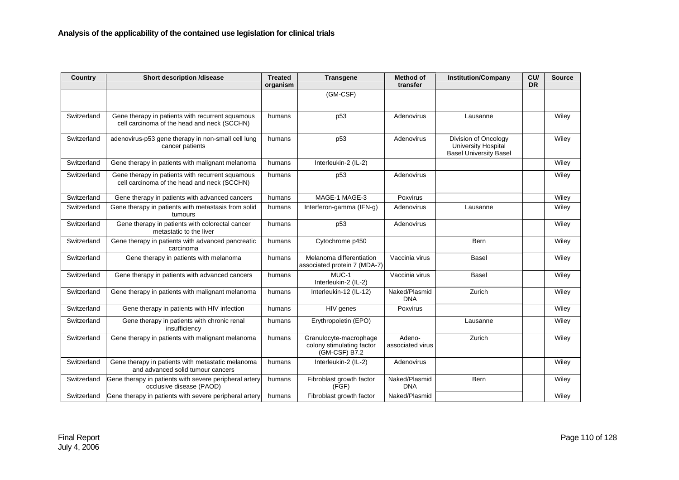| Country     | <b>Short description /disease</b>                                                               | <b>Treated</b><br>organism | <b>Transgene</b>                                                     | <b>Method of</b><br>transfer | <b>Institution/Company</b>                                                          | CU/<br><b>DR</b> | <b>Source</b> |
|-------------|-------------------------------------------------------------------------------------------------|----------------------------|----------------------------------------------------------------------|------------------------------|-------------------------------------------------------------------------------------|------------------|---------------|
|             |                                                                                                 |                            | (GM-CSF)                                                             |                              |                                                                                     |                  |               |
| Switzerland | Gene therapy in patients with recurrent squamous<br>cell carcinoma of the head and neck (SCCHN) | humans                     | p <sub>53</sub>                                                      | Adenovirus                   | Lausanne                                                                            |                  | Wiley         |
| Switzerland | adenovirus-p53 gene therapy in non-small cell lung<br>cancer patients                           | humans                     | p <sub>53</sub>                                                      | Adenovirus                   | Division of Oncology<br><b>University Hospital</b><br><b>Basel University Basel</b> |                  | Wiley         |
| Switzerland | Gene therapy in patients with malignant melanoma                                                | humans                     | Interleukin-2 (IL-2)                                                 |                              |                                                                                     |                  | Wiley         |
| Switzerland | Gene therapy in patients with recurrent squamous<br>cell carcinoma of the head and neck (SCCHN) | humans                     | p <sub>53</sub>                                                      | Adenovirus                   |                                                                                     |                  | Wiley         |
| Switzerland | Gene therapy in patients with advanced cancers                                                  | humans                     | MAGE-1 MAGE-3                                                        | Poxvirus                     |                                                                                     |                  | Wiley         |
| Switzerland | Gene therapy in patients with metastasis from solid<br>tumours                                  | humans                     | Interferon-gamma (IFN-g)                                             | Adenovirus                   | Lausanne                                                                            |                  | Wiley         |
| Switzerland | Gene therapy in patients with colorectal cancer<br>metastatic to the liver                      | humans                     | p <sub>53</sub>                                                      | Adenovirus                   |                                                                                     |                  | Wiley         |
| Switzerland | Gene therapy in patients with advanced pancreatic<br>carcinoma                                  | humans                     | Cytochrome p450                                                      |                              | Bern                                                                                |                  | Wiley         |
| Switzerland | Gene therapy in patients with melanoma                                                          | humans                     | Melanoma differentiation<br>associated protein 7 (MDA-7)             | Vaccinia virus               | Basel                                                                               |                  | Wiley         |
| Switzerland | Gene therapy in patients with advanced cancers                                                  | humans                     | MUC-1<br>Interleukin-2 (IL-2)                                        | Vaccinia virus               | <b>Basel</b>                                                                        |                  | Wiley         |
| Switzerland | Gene therapy in patients with malignant melanoma                                                | humans                     | Interleukin-12 (IL-12)                                               | Naked/Plasmid<br><b>DNA</b>  | Zurich                                                                              |                  | Wiley         |
| Switzerland | Gene therapy in patients with HIV infection                                                     | humans                     | HIV genes                                                            | Poxvirus                     |                                                                                     |                  | Wiley         |
| Switzerland | Gene therapy in patients with chronic renal<br>insufficiency                                    | humans                     | Erythropoietin (EPO)                                                 |                              | Lausanne                                                                            |                  | Wiley         |
| Switzerland | Gene therapy in patients with malignant melanoma                                                | humans                     | Granulocyte-macrophage<br>colony stimulating factor<br>(GM-CSF) B7.2 | Adeno-<br>associated virus   | Zurich                                                                              |                  | Wiley         |
| Switzerland | Gene therapy in patients with metastatic melanoma<br>and advanced solid tumour cancers          | humans                     | Interleukin-2 (IL-2)                                                 | Adenovirus                   |                                                                                     |                  | Wiley         |
| Switzerland | Gene therapy in patients with severe peripheral artery<br>occlusive disease (PAOD)              | humans                     | Fibroblast growth factor<br>(FGF)                                    | Naked/Plasmid<br><b>DNA</b>  | Bern                                                                                |                  | Wiley         |
| Switzerland | Gene therapy in patients with severe peripheral artery                                          | humans                     | Fibroblast growth factor                                             | Naked/Plasmid                |                                                                                     |                  | Wiley         |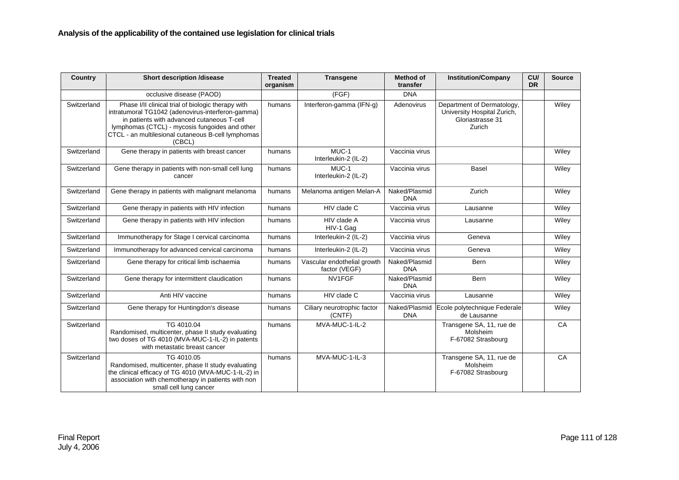| Country     | <b>Short description /disease</b>                                                                                                                                                                                                                                       | <b>Treated</b><br>organism | <b>Transgene</b>                             | <b>Method of</b><br>transfer | <b>Institution/Company</b>                                                              | CU/<br><b>DR</b> | <b>Source</b> |
|-------------|-------------------------------------------------------------------------------------------------------------------------------------------------------------------------------------------------------------------------------------------------------------------------|----------------------------|----------------------------------------------|------------------------------|-----------------------------------------------------------------------------------------|------------------|---------------|
|             | occlusive disease (PAOD)                                                                                                                                                                                                                                                |                            | (FGF)                                        | <b>DNA</b>                   |                                                                                         |                  |               |
| Switzerland | Phase I/II clinical trial of biologic therapy with<br>intratumoral TG1042 (adenovirus-interferon-gamma)<br>in patients with advanced cutaneous T-cell<br>lymphomas (CTCL) - mycosis fungoides and other<br>CTCL - an multilesional cutaneous B-cell lymphomas<br>(CBCL) | humans                     | Interferon-gamma (IFN-g)                     | Adenovirus                   | Department of Dermatology,<br>University Hospital Zurich,<br>Gloriastrasse 31<br>Zurich |                  | Wiley         |
| Switzerland | Gene therapy in patients with breast cancer                                                                                                                                                                                                                             | humans                     | MUC-1<br>Interleukin-2 (IL-2)                | Vaccinia virus               |                                                                                         |                  | Wiley         |
| Switzerland | Gene therapy in patients with non-small cell lung<br>cancer                                                                                                                                                                                                             | humans                     | MUC-1<br>Interleukin-2 (IL-2)                | Vaccinia virus               | <b>Basel</b>                                                                            |                  | Wiley         |
| Switzerland | Gene therapy in patients with malignant melanoma                                                                                                                                                                                                                        | humans                     | Melanoma antigen Melan-A                     | Naked/Plasmid<br><b>DNA</b>  | Zurich                                                                                  |                  | Wiley         |
| Switzerland | Gene therapy in patients with HIV infection                                                                                                                                                                                                                             | humans                     | HIV clade C                                  | Vaccinia virus               | Lausanne                                                                                |                  | Wiley         |
| Switzerland | Gene therapy in patients with HIV infection                                                                                                                                                                                                                             | humans                     | HIV clade A<br>HIV-1 Gag                     | Vaccinia virus               | Lausanne                                                                                |                  | Wiley         |
| Switzerland | Immunotherapy for Stage I cervical carcinoma                                                                                                                                                                                                                            | humans                     | Interleukin-2 (IL-2)                         | Vaccinia virus               | Geneva                                                                                  |                  | Wiley         |
| Switzerland | Immunotherapy for advanced cervical carcinoma                                                                                                                                                                                                                           | humans                     | Interleukin-2 (IL-2)                         | Vaccinia virus               | Geneva                                                                                  |                  | Wiley         |
| Switzerland | Gene therapy for critical limb ischaemia                                                                                                                                                                                                                                | humans                     | Vascular endothelial growth<br>factor (VEGF) | Naked/Plasmid<br><b>DNA</b>  | Bern                                                                                    |                  | Wiley         |
| Switzerland | Gene therapy for intermittent claudication                                                                                                                                                                                                                              | humans                     | NV1FGF                                       | Naked/Plasmid<br><b>DNA</b>  | Bern                                                                                    |                  | Wiley         |
| Switzerland | Anti HIV vaccine                                                                                                                                                                                                                                                        | humans                     | HIV clade C                                  | Vaccinia virus               | Lausanne                                                                                |                  | Wiley         |
| Switzerland | Gene therapy for Huntingdon's disease                                                                                                                                                                                                                                   | humans                     | Ciliary neurotrophic factor<br>(CNTF)        | Naked/Plasmid<br><b>DNA</b>  | Ecole polytechnique Federale<br>de Lausanne                                             |                  | Wiley         |
| Switzerland | TG 4010.04<br>Randomised, multicenter, phase II study evaluating<br>two doses of TG 4010 (MVA-MUC-1-IL-2) in patents<br>with metastatic breast cancer                                                                                                                   | humans                     | MVA-MUC-1-IL-2                               |                              | Transgene SA, 11, rue de<br>Molsheim<br>F-67082 Strasbourg                              |                  | CA            |
| Switzerland | TG 4010.05<br>Randomised, multicenter, phase II study evaluating<br>the clinical efficacy of TG 4010 (MVA-MUC-1-IL-2) in<br>association with chemotherapy in patients with non<br>small cell lung cancer                                                                | humans                     | MVA-MUC-1-IL-3                               |                              | Transgene SA, 11, rue de<br>Molsheim<br>F-67082 Strasbourg                              |                  | CA            |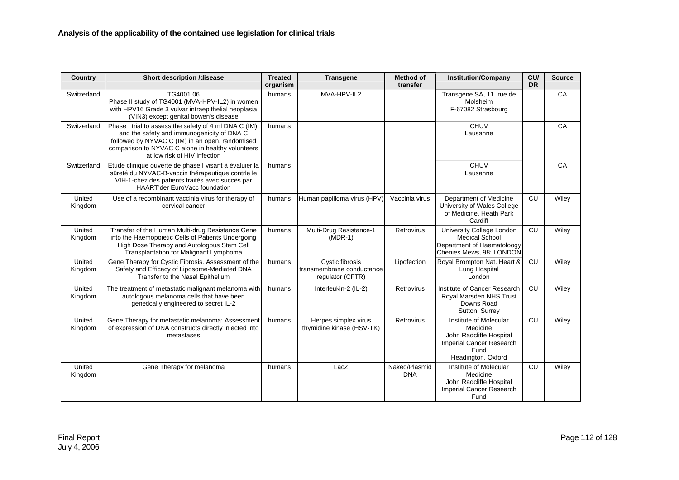| <b>Country</b>    | <b>Short description /disease</b>                                                                                                                                                                                                            | <b>Treated</b><br>organism | <b>Transgene</b>                                                 | <b>Method of</b><br>transfer | <b>Institution/Company</b>                                                                                              | CU/<br><b>DR</b> | <b>Source</b> |
|-------------------|----------------------------------------------------------------------------------------------------------------------------------------------------------------------------------------------------------------------------------------------|----------------------------|------------------------------------------------------------------|------------------------------|-------------------------------------------------------------------------------------------------------------------------|------------------|---------------|
| Switzerland       | TG4001.06<br>Phase II study of TG4001 (MVA-HPV-IL2) in women<br>with HPV16 Grade 3 vulvar intraepithelial neoplasia<br>(VIN3) except genital bowen's disease                                                                                 | humans                     | MVA-HPV-IL2                                                      |                              | Transgene SA, 11, rue de<br>Molsheim<br>F-67082 Strasbourg                                                              |                  | CA            |
| Switzerland       | Phase I trial to assess the safety of 4 ml DNA C (IM),<br>and the safety and immunogenicity of DNA C<br>followed by NYVAC C (IM) in an open, randomised<br>comparison to NYVAC C alone in healthy volunteers<br>at low risk of HIV infection | humans                     |                                                                  |                              | <b>CHUV</b><br>Lausanne                                                                                                 |                  | CA            |
| Switzerland       | Etude clinique ouverte de phase I visant à évaluier la<br>sûreté du NYVAC-B-vaccin thérapeutique contrle le<br>VIH-1-chez des patients traités avec succès par<br><b>HAART'der EuroVacc foundation</b>                                       | humans                     |                                                                  |                              | CHUV<br>Lausanne                                                                                                        |                  | CA            |
| United<br>Kingdom | Use of a recombinant vaccinia virus for therapy of<br>cervical cancer                                                                                                                                                                        | humans                     | Human papilloma virus (HPV)                                      | Vaccinia virus               | Department of Medicine<br>University of Wales College<br>of Medicine, Heath Park<br>Cardiff                             | CU               | Wiley         |
| United<br>Kingdom | Transfer of the Human Multi-drug Resistance Gene<br>into the Haemopoietic Cells of Patients Undergoing<br>High Dose Therapy and Autologous Stem Cell<br>Transplantation for Malignant Lymphoma                                               | humans                     | Multi-Drug Resistance-1<br>$(MDR-1)$                             | Retrovirus                   | University College London<br><b>Medical School</b><br>Department of Haematoloogy<br>Chenies Mews, 98; LONDON            | CU               | Wiley         |
| United<br>Kingdom | Gene Therapy for Cystic Fibrosis. Assessment of the<br>Safety and Efficacy of Liposome-Mediated DNA<br>Transfer to the Nasal Epithelium                                                                                                      | humans                     | Cystic fibrosis<br>transmembrane conductance<br>regulator (CFTR) | Lipofection                  | Royal Brompton Nat. Heart &<br>Lung Hospital<br>London                                                                  | CU               | Wiley         |
| United<br>Kingdom | The treatment of metastatic malignant melanoma with<br>autologous melanoma cells that have been<br>genetically engineered to secret IL-2                                                                                                     | humans                     | Interleukin-2 (IL-2)                                             | Retrovirus                   | Institute of Cancer Research<br>Royal Marsden NHS Trust<br>Downs Road<br>Sutton, Surrey                                 | CU               | Wiley         |
| United<br>Kingdom | Gene Therapy for metastatic melanoma: Assessment<br>of expression of DNA constructs directly injected into<br>metastases                                                                                                                     | humans                     | Herpes simplex virus<br>thymidine kinase (HSV-TK)                | Retrovirus                   | Institute of Molecular<br>Medicine<br>John Radcliffe Hospital<br>Imperial Cancer Research<br>Fund<br>Headington, Oxford | CU               | Wiley         |
| United<br>Kingdom | Gene Therapy for melanoma                                                                                                                                                                                                                    | humans                     | LacZ                                                             | Naked/Plasmid<br><b>DNA</b>  | Institute of Molecular<br>Medicine<br>John Radcliffe Hospital<br><b>Imperial Cancer Research</b><br>Fund                | CU               | Wiley         |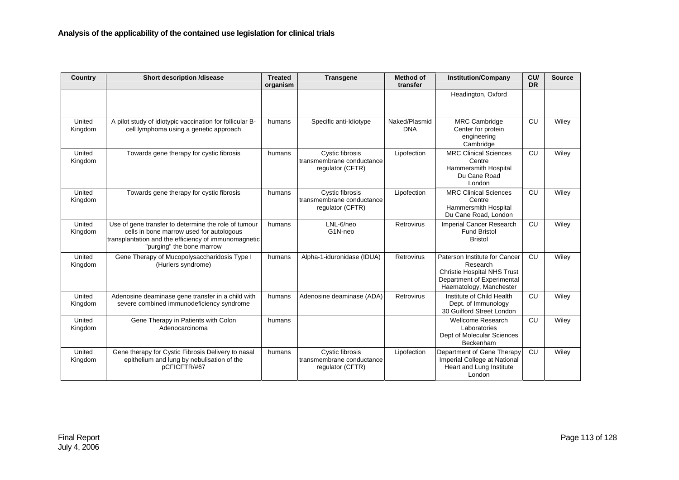| Country           | <b>Short description /disease</b>                                                                                                                                                     | <b>Treated</b><br>organism | <b>Transgene</b>                                                 | <b>Method of</b><br>transfer | <b>Institution/Company</b>                                                                                                               | CU/<br><b>DR</b> | <b>Source</b> |
|-------------------|---------------------------------------------------------------------------------------------------------------------------------------------------------------------------------------|----------------------------|------------------------------------------------------------------|------------------------------|------------------------------------------------------------------------------------------------------------------------------------------|------------------|---------------|
|                   |                                                                                                                                                                                       |                            |                                                                  |                              | Headington, Oxford                                                                                                                       |                  |               |
| United<br>Kingdom | A pilot study of idiotypic vaccination for follicular B-<br>cell lymphoma using a genetic approach                                                                                    | humans                     | Specific anti-Idiotype                                           | Naked/Plasmid<br><b>DNA</b>  | <b>MRC Cambridge</b><br>Center for protein<br>engineering<br>Cambridge                                                                   | CU               | Wiley         |
| United<br>Kingdom | Towards gene therapy for cystic fibrosis                                                                                                                                              | humans                     | Cystic fibrosis<br>transmembrane conductance<br>regulator (CFTR) | Lipofection                  | <b>MRC Clinical Sciences</b><br>Centre<br>Hammersmith Hospital<br>Du Cane Road<br>London                                                 | CU               | Wiley         |
| United<br>Kingdom | Towards gene therapy for cystic fibrosis                                                                                                                                              | humans                     | Cystic fibrosis<br>transmembrane conductance<br>regulator (CFTR) | Lipofection                  | <b>MRC Clinical Sciences</b><br>Centre<br>Hammersmith Hospital<br>Du Cane Road, London                                                   | CU               | Wiley         |
| United<br>Kingdom | Use of gene transfer to determine the role of tumour<br>cells in bone marrow used for autologous<br>transplantation and the efficiency of immunomagnetic<br>"purging" the bone marrow | humans                     | LNL-6/neo<br>G1N-neo                                             | Retrovirus                   | Imperial Cancer Research<br><b>Fund Bristol</b><br><b>Bristol</b>                                                                        | CU               | Wiley         |
| United<br>Kingdom | Gene Therapy of Mucopolysaccharidosis Type I<br>(Hurlers syndrome)                                                                                                                    | humans                     | Alpha-1-iduronidase (IDUA)                                       | Retrovirus                   | Paterson Institute for Cancer<br>Research<br><b>Christie Hospital NHS Trust</b><br>Department of Experimental<br>Haematology, Manchester | CU               | Wiley         |
| United<br>Kingdom | Adenosine deaminase gene transfer in a child with<br>severe combined immunodeficiency syndrome                                                                                        | humans                     | Adenosine deaminase (ADA)                                        | Retrovirus                   | Institute of Child Health<br>Dept. of Immunology<br>30 Guilford Street London                                                            | CU               | Wiley         |
| United<br>Kingdom | Gene Therapy in Patients with Colon<br>Adenocarcinoma                                                                                                                                 | humans                     |                                                                  |                              | <b>Wellcome Research</b><br>Laboratories<br>Dept of Molecular Sciences<br>Beckenham                                                      | CU               | Wiley         |
| United<br>Kingdom | Gene therapy for Cystic Fibrosis Delivery to nasal<br>epithelium and lung by nebulisation of the<br>pCFICFTR/#67                                                                      | humans                     | Cystic fibrosis<br>transmembrane conductance<br>regulator (CFTR) | Lipofection                  | Department of Gene Therapy<br>Imperial College at National<br>Heart and Lung Institute<br>London                                         | CU               | Wiley         |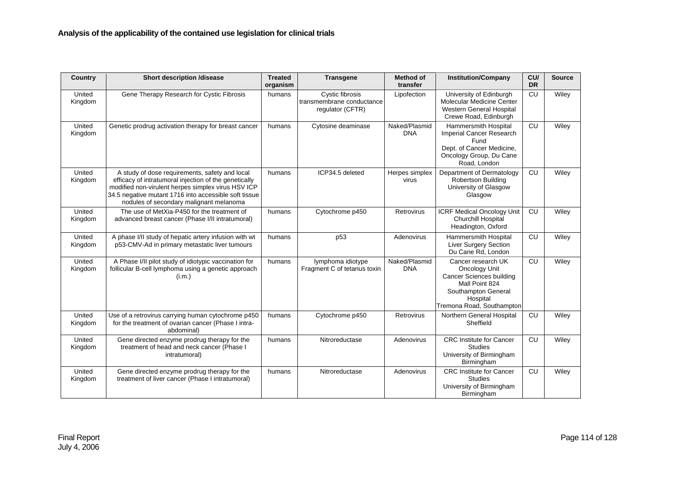| Country           | <b>Short description /disease</b>                                                                                                                                                                                                                                 | <b>Treated</b><br>organism | <b>Transgene</b>                                                 | <b>Method of</b><br>transfer | <b>Institution/Company</b>                                                                                                                               | CU/<br><b>DR</b> | <b>Source</b> |
|-------------------|-------------------------------------------------------------------------------------------------------------------------------------------------------------------------------------------------------------------------------------------------------------------|----------------------------|------------------------------------------------------------------|------------------------------|----------------------------------------------------------------------------------------------------------------------------------------------------------|------------------|---------------|
| United<br>Kingdom | Gene Therapy Research for Cystic Fibrosis                                                                                                                                                                                                                         | humans                     | Cystic fibrosis<br>transmembrane conductance<br>regulator (CFTR) | Lipofection                  | University of Edinburgh<br>Molecular Medicine Center<br>Western General Hospital<br>Crewe Road, Edinburgh                                                | CU               | Wiley         |
| United<br>Kingdom | Genetic prodrug activation therapy for breast cancer                                                                                                                                                                                                              | humans                     | Cytosine deaminase                                               | Naked/Plasmid<br><b>DNA</b>  | Hammersmith Hospital<br>Imperial Cancer Research<br>Fund<br>Dept. of Cancer Medicine,<br>Oncology Group, Du Cane<br>Road, London                         | CU               | Wiley         |
| United<br>Kingdom | A study of dose requirements, safety and local<br>efficacy of intratumoral injection of the genetically<br>modified non-virulent herpes simplex virus HSV ICP<br>34.5 negative mutant 1716 into accessible soft tissue<br>nodules of secondary malignant melanoma | humans                     | ICP34.5 deleted                                                  | Herpes simplex<br>virus      | Department of Dermatology<br><b>Robertson Building</b><br>University of Glasgow<br>Glasgow                                                               | CU               | Wiley         |
| United<br>Kingdom | The use of MetXia-P450 for the treatment of<br>advanced breast cancer (Phase I/II intratumoral)                                                                                                                                                                   | humans                     | Cytochrome p450                                                  | Retrovirus                   | <b>ICRF Medical Oncology Unit</b><br>Churchill Hospital<br>Headington, Oxford                                                                            | CU               | Wiley         |
| United<br>Kingdom | A phase I/II study of hepatic artery infusion with wt<br>p53-CMV-Ad in primary metastatic liver tumours                                                                                                                                                           | humans                     | p53                                                              | Adenovirus                   | Hammersmith Hospital<br>Liver Surgery Section<br>Du Cane Rd. London                                                                                      | CU               | Wiley         |
| United<br>Kingdom | A Phase I/II pilot study of idiotypic vaccination for<br>follicular B-cell lymphoma using a genetic approach<br>(i.m.)                                                                                                                                            | humans                     | lymphoma idiotype<br>Fragment C of tetanus toxin                 | Naked/Plasmid<br><b>DNA</b>  | Cancer research UK<br>Oncology Unit<br><b>Cancer Sciences building</b><br>Mall Point 824<br>Southampton General<br>Hospital<br>Tremona Road, Southampton | CU               | Wiley         |
| United<br>Kingdom | Use of a retrovirus carrying human cytochrome p450<br>for the treatment of ovarian cancer (Phase I intra-<br>abdominal)                                                                                                                                           | humans                     | Cytochrome p450                                                  | Retrovirus                   | Northern General Hospital<br>Sheffield                                                                                                                   | CU               | Wiley         |
| United<br>Kingdom | Gene directed enzyme prodrug therapy for the<br>treatment of head and neck cancer (Phase I<br>intratumoral)                                                                                                                                                       | humans                     | Nitroreductase                                                   | Adenovirus                   | <b>CRC</b> Institute for Cancer<br>Studies<br>University of Birmingham<br>Birmingham                                                                     | CU               | Wiley         |
| United<br>Kingdom | Gene directed enzyme prodrug therapy for the<br>treatment of liver cancer (Phase I intratumoral)                                                                                                                                                                  | humans                     | Nitroreductase                                                   | Adenovirus                   | <b>CRC</b> Institute for Cancer<br><b>Studies</b><br>University of Birmingham<br>Birmingham                                                              | CU               | Wiley         |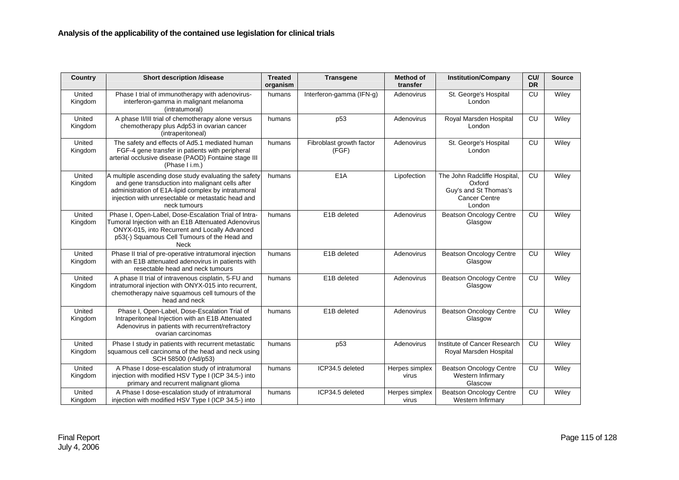| <b>Country</b>    | <b>Short description /disease</b>                                                                                                                                                                                                      | <b>Treated</b><br>organism | <b>Transgene</b>                  | <b>Method of</b><br>transfer | <b>Institution/Company</b>                                                                        | CU/<br><b>DR</b> | <b>Source</b> |
|-------------------|----------------------------------------------------------------------------------------------------------------------------------------------------------------------------------------------------------------------------------------|----------------------------|-----------------------------------|------------------------------|---------------------------------------------------------------------------------------------------|------------------|---------------|
| United<br>Kingdom | Phase I trial of immunotherapy with adenovirus-<br>interferon-gamma in malignant melanoma<br>(intratumoral)                                                                                                                            | humans                     | Interferon-gamma (IFN-g)          | Adenovirus                   | St. George's Hospital<br>London                                                                   | CU               | Wiley         |
| United<br>Kingdom | A phase II/III trial of chemotherapy alone versus<br>chemotherapy plus Adp53 in ovarian cancer<br>(intraperitoneal)                                                                                                                    | humans                     | p <sub>53</sub>                   | Adenovirus                   | Royal Marsden Hospital<br>London                                                                  | CU               | Wiley         |
| United<br>Kingdom | The safety and effects of Ad5.1 mediated human<br>FGF-4 gene transfer in patients with peripheral<br>arterial occlusive disease (PAOD) Fontaine stage III<br>(Phase I i.m.)                                                            | humans                     | Fibroblast growth factor<br>(FGF) | Adenovirus                   | St. George's Hospital<br>London                                                                   | CU               | Wiley         |
| United<br>Kingdom | A multiple ascending dose study evaluating the safety<br>and gene transduction into malignant cells after<br>administration of E1A-lipid complex by intratumoral<br>injection with unresectable or metastatic head and<br>neck tumours | humans                     | E <sub>1</sub> A                  | Lipofection                  | The John Radcliffe Hospital,<br>Oxford<br>Guy's and St Thomas's<br><b>Cancer Centre</b><br>London | CU               | Wiley         |
| United<br>Kingdom | Phase I, Open-Label, Dose-Escalation Trial of Intra-<br>Tumoral Injection with an E1B Attenuated Adenovirus<br>ONYX-015, into Recurrent and Locally Advanced<br>p53(-) Squamous Cell Tumours of the Head and<br>Neck                   | humans                     | E1B deleted                       | Adenovirus                   | <b>Beatson Oncology Centre</b><br>Glasgow                                                         | CU               | Wiley         |
| United<br>Kingdom | Phase II trial of pre-operative intratumoral injection<br>with an E1B attenuated adenovirus in patients with<br>resectable head and neck tumours                                                                                       | humans                     | E1B deleted                       | Adenovirus                   | <b>Beatson Oncology Centre</b><br>Glasgow                                                         | CU               | Wiley         |
| United<br>Kingdom | A phase II trial of intravenous cisplatin, 5-FU and<br>intratumoral injection with ONYX-015 into recurrent,<br>chemotherapy naive squamous cell tumours of the<br>head and neck                                                        | humans                     | E1B deleted                       | Adenovirus                   | <b>Beatson Oncology Centre</b><br>Glasgow                                                         | CU               | Wiley         |
| United<br>Kingdom | Phase I, Open-Label, Dose-Escalation Trial of<br>Intraperitoneal Injection with an E1B Attenuated<br>Adenovirus in patients with recurrent/refractory<br>ovarian carcinomas                                                            | humans                     | E1B deleted                       | Adenovirus                   | <b>Beatson Oncology Centre</b><br>Glasgow                                                         | CU               | Wiley         |
| United<br>Kingdom | Phase I study in patients with recurrent metastatic<br>squamous cell carcinoma of the head and neck using<br>SCH 58500 (rAd/p53)                                                                                                       | humans                     | p <sub>53</sub>                   | Adenovirus                   | Institute of Cancer Research<br>Royal Marsden Hospital                                            | CU               | Wiley         |
| United<br>Kingdom | A Phase I dose-escalation study of intratumoral<br>injection with modified HSV Type I (ICP 34.5-) into<br>primary and recurrent malignant glioma                                                                                       | humans                     | ICP34.5 deleted                   | Herpes simplex<br>virus      | <b>Beatson Oncology Centre</b><br>Western Infirmary<br>Glascow                                    | CU               | Wiley         |
| United<br>Kingdom | A Phase I dose-escalation study of intratumoral<br>injection with modified HSV Type I (ICP 34.5-) into                                                                                                                                 | humans                     | ICP34.5 deleted                   | Herpes simplex<br>virus      | <b>Beatson Oncology Centre</b><br>Western Infirmary                                               | CU               | Wiley         |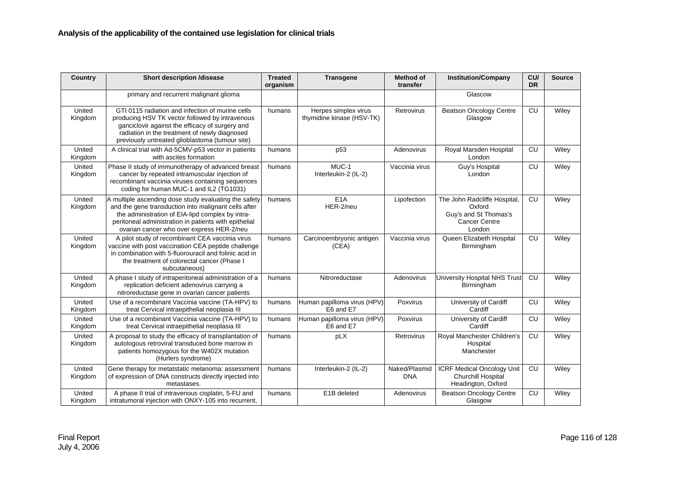| Country           | <b>Short description /disease</b>                                                                                                                                                                                                                                       | <b>Treated</b><br>organism | <b>Transgene</b>                                  | <b>Method of</b><br>transfer | <b>Institution/Company</b>                                                                       | CU/<br><b>DR</b> | <b>Source</b> |
|-------------------|-------------------------------------------------------------------------------------------------------------------------------------------------------------------------------------------------------------------------------------------------------------------------|----------------------------|---------------------------------------------------|------------------------------|--------------------------------------------------------------------------------------------------|------------------|---------------|
|                   | primary and recurrent malignant glioma                                                                                                                                                                                                                                  |                            |                                                   |                              | Glascow                                                                                          |                  |               |
| United<br>Kingdom | GTI 0115 radiation and infection of murine cells<br>producing HSV TK vector followed by intravenous<br>ganciclovir against the efficacy of surgery and<br>radiation in the treatment of newly diagnosed<br>previously untreated glioblastoma (tumour site)              | humans                     | Herpes simplex virus<br>thymidine kinase (HSV-TK) | Retrovirus                   | <b>Beatson Oncology Centre</b><br>Glasgow                                                        | CU               | Wiley         |
| United<br>Kingdom | A clinical trial with Ad-5CMV-p53 vector in patients<br>with ascites formation                                                                                                                                                                                          | humans                     | p <sub>53</sub>                                   | Adenovirus                   | Royal Marsden Hospital<br>London                                                                 | <b>CU</b>        | Wiley         |
| United<br>Kingdom | Phase II study of immunotherapy of advanced breast<br>cancer by repeated intramuscular injection of<br>recombinant vaccinia viruses containing sequences<br>coding for human MUC-1 and IL2 (TG1031)                                                                     | humans                     | MUC-1<br>Interleukin-2 (IL-2)                     | Vaccinia virus               | Guy's Hospital<br>London                                                                         | CU               | Wiley         |
| United<br>Kingdom | A multiple ascending dose study evaluating the safety<br>and the gene transduction into malignant cells after<br>the administration of EIA-lipd complex by intra-<br>peritoneal administration in patients with epithelial<br>ovarian cancer who over express HER-2/neu | humans                     | E <sub>1</sub> A<br>HER-2/neu                     | Lipofection                  | The John Radcliffe Hospital<br>Oxford<br>Guy's and St Thomas's<br><b>Cancer Centre</b><br>London | CU               | Wiley         |
| United<br>Kingdom | A pilot study of recombinant CEA vaccinia virus<br>vaccine with post vaccination CEA peptide challenge<br>in combination with 5-fluorouracil and folinic acid in<br>the treatment of colorectal cancer (Phase I<br>subcutaneous)                                        | humans                     | Carcinoembryonic antigen<br>(CEA)                 | Vaccinia virus               | Queen Elizabeth Hospital<br>Birmingham                                                           | CU               | Wiley         |
| United<br>Kingdom | A phase I study of intraperitoneal administration of a<br>replication deficient adenovirus carrying a<br>nitroreductase gene in ovarian cancer patients                                                                                                                 | humans                     | Nitroreductase                                    | Adenovirus                   | University Hospital NHS Trus<br>Birmingham                                                       | CU               | Wiley         |
| United<br>Kingdom | Use of a recombinant Vaccinia vaccine (TA-HPV) to<br>treat Cervical intraepithelial neoplasia III                                                                                                                                                                       | humans                     | Human papilloma virus (HPV)<br>E6 and E7          | <b>Poxvirus</b>              | University of Cardiff<br>Cardiff                                                                 | CU               | Wiley         |
| United<br>Kingdom | Use of a recombinant Vaccinia vaccine (TA-HPV) to<br>treat Cervical intraepithelial neoplasia III                                                                                                                                                                       | humans                     | Human papilloma virus (HPV)<br>E6 and E7          | Poxvirus                     | University of Cardiff<br>Cardiff                                                                 | CU               | Wiley         |
| United<br>Kingdom | A proposal to study the efficacy of transplantation of<br>autologous retroviral transduced bone marrow in<br>patients homozygous for the W402X mutation<br>(Hurlers syndrome)                                                                                           | humans                     | pLX                                               | Retrovirus                   | Royal Manchester Children's<br>Hospital<br>Manchester                                            | CU               | Wiley         |
| United<br>Kingdom | Gene therapy for metatstatic melanoma: assessment<br>of expression of DNA constructs directly injected into<br>metastases.                                                                                                                                              | humans                     | Interleukin-2 (IL-2)                              | Naked/Plasmid<br><b>DNA</b>  | <b>ICRF Medical Oncology Unit</b><br>Churchill Hospital<br>Headington, Oxford                    | CU               | Wiley         |
| United<br>Kingdom | A phase II trial of intravenous cisplatin, 5-FU and<br>intratumoral injection with ONXY-105 into recurrent,                                                                                                                                                             | humans                     | E1B deleted                                       | Adenovirus                   | <b>Beatson Oncology Centre</b><br>Glasgow                                                        | CU               | Wiley         |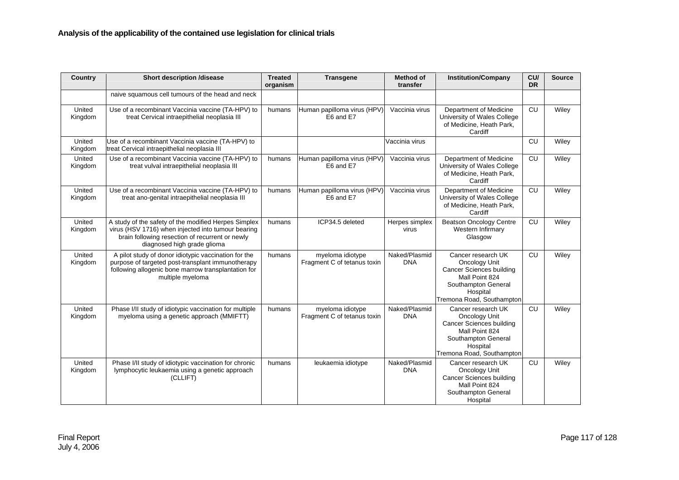| Country           | <b>Short description /disease</b>                                                                                                                                                            | <b>Treated</b><br>organism | <b>Transgene</b>                                | <b>Method of</b><br>transfer | <b>Institution/Company</b>                                                                                                                               | CU/<br><b>DR</b> | <b>Source</b> |
|-------------------|----------------------------------------------------------------------------------------------------------------------------------------------------------------------------------------------|----------------------------|-------------------------------------------------|------------------------------|----------------------------------------------------------------------------------------------------------------------------------------------------------|------------------|---------------|
|                   | naive squamous cell tumours of the head and neck                                                                                                                                             |                            |                                                 |                              |                                                                                                                                                          |                  |               |
| United<br>Kingdom | Use of a recombinant Vaccinia vaccine (TA-HPV) to<br>treat Cervical intraepithelial neoplasia III                                                                                            | humans                     | Human papilloma virus (HPV)<br>E6 and E7        | Vaccinia virus               | Department of Medicine<br>University of Wales College<br>of Medicine, Heath Park,<br>Cardiff                                                             | CU               | Wiley         |
| United<br>Kingdom | Use of a recombinant Vaccinia vaccine (TA-HPV) to<br>treat Cervical intraepithelial neoplasia III                                                                                            |                            |                                                 | Vaccinia virus               |                                                                                                                                                          | CU               | Wiley         |
| United<br>Kingdom | Use of a recombinant Vaccinia vaccine (TA-HPV) to<br>treat vulval intraepithelial neoplasia III                                                                                              | humans                     | Human papilloma virus (HPV)<br>E6 and E7        | Vaccinia virus               | Department of Medicine<br>University of Wales College<br>of Medicine, Heath Park,<br>Cardiff                                                             | CU               | Wiley         |
| United<br>Kingdom | Use of a recombinant Vaccinia vaccine (TA-HPV) to<br>treat ano-genital intraepithelial neoplasia III                                                                                         | humans                     | Human papilloma virus (HPV)<br>E6 and E7        | Vaccinia virus               | Department of Medicine<br>University of Wales College<br>of Medicine, Heath Park,<br>Cardiff                                                             | CU               | Wiley         |
| United<br>Kingdom | A study of the safety of the modified Herpes Simplex<br>virus (HSV 1716) when injected into tumour bearing<br>brain following resection of recurrent or newly<br>diagnosed high grade glioma | humans                     | ICP34.5 deleted                                 | Herpes simplex<br>virus      | <b>Beatson Oncology Centre</b><br>Western Infirmary<br>Glasgow                                                                                           | CU               | Wiley         |
| United<br>Kingdom | A pilot study of donor idiotypic vaccination for the<br>purpose of targeted post-transplant immunotherapy<br>following allogenic bone marrow transplantation for<br>multiple myeloma         | humans                     | myeloma idiotype<br>Fragment C of tetanus toxin | Naked/Plasmid<br><b>DNA</b>  | Cancer research UK<br>Oncology Unit<br><b>Cancer Sciences building</b><br>Mall Point 824<br>Southampton General<br>Hospital<br>Tremona Road, Southampton | CU               | Wiley         |
| United<br>Kingdom | Phase I/II study of idiotypic vaccination for multiple<br>myeloma using a genetic approach (MMIFTT)                                                                                          | humans                     | myeloma idiotype<br>Fragment C of tetanus toxin | Naked/Plasmid<br><b>DNA</b>  | Cancer research UK<br>Oncology Unit<br><b>Cancer Sciences building</b><br>Mall Point 824<br>Southampton General<br>Hospital<br>Tremona Road, Southampton | CU               | Wiley         |
| United<br>Kingdom | Phase I/II study of idiotypic vaccination for chronic<br>lymphocytic leukaemia using a genetic approach<br>(CLLIFT)                                                                          | humans                     | leukaemia idiotype                              | Naked/Plasmid<br><b>DNA</b>  | Cancer research UK<br>Oncology Unit<br><b>Cancer Sciences building</b><br>Mall Point 824<br>Southampton General<br>Hospital                              | CU               | Wiley         |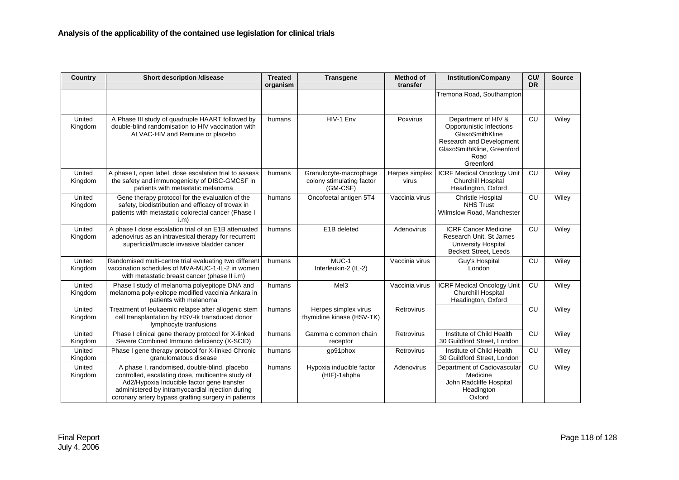| Country           | <b>Short description /disease</b>                                                                                                                                                                                                                          | <b>Treated</b><br>organism | <b>Transgene</b>                                                | <b>Method of</b><br>transfer | <b>Institution/Company</b>                                                                                                                        | CU/<br><b>DR</b> | <b>Source</b> |
|-------------------|------------------------------------------------------------------------------------------------------------------------------------------------------------------------------------------------------------------------------------------------------------|----------------------------|-----------------------------------------------------------------|------------------------------|---------------------------------------------------------------------------------------------------------------------------------------------------|------------------|---------------|
|                   |                                                                                                                                                                                                                                                            |                            |                                                                 |                              | Tremona Road, Southampton                                                                                                                         |                  |               |
| United<br>Kingdom | A Phase III study of quadruple HAART followed by<br>double-blind randomisation to HIV vaccination with<br>ALVAC-HIV and Remune or placebo                                                                                                                  | humans                     | HIV-1 Env                                                       | Poxvirus                     | Department of HIV &<br>Opportunistic Infections<br>GlaxoSmithKline<br>Research and Development<br>GlaxoSmithKline, Greenford<br>Road<br>Greenford | CU               | Wiley         |
| United<br>Kingdom | A phase I, open label, dose escalation trial to assess<br>the safety and immunogenicity of DISC-GMCSF in<br>patients with metastatic melanoma                                                                                                              | humans                     | Granulocyte-macrophage<br>colony stimulating factor<br>(GM-CSF) | Herpes simplex<br>virus      | <b>ICRF Medical Oncology Unit</b><br>Churchill Hospital<br>Headington, Oxford                                                                     | CU               | Wiley         |
| United<br>Kingdom | Gene therapy protocol for the evaluation of the<br>safety, biodistribution and efficacy of trovax in<br>patients with metastatic colorectal cancer (Phase I<br>i.m                                                                                         | humans                     | Oncofoetal antigen 5T4                                          | Vaccinia virus               | <b>Christie Hospital</b><br><b>NHS Trust</b><br>Wilmslow Road, Manchester                                                                         | CU               | Wiley         |
| United<br>Kingdom | A phase I dose escalation trial of an E1B attenuated<br>adenovirus as an intravesical therapy for recurrent<br>superficial/muscle invasive bladder cancer                                                                                                  | humans                     | E1B deleted                                                     | Adenovirus                   | <b>ICRF Cancer Medicine</b><br>Research Unit, St James<br><b>University Hospital</b><br><b>Beckett Street, Leeds</b>                              | CU               | Wiley         |
| United<br>Kingdom | Randomised multi-centre trial evaluating two different<br>vaccination schedules of MVA-MUC-1-IL-2 in women<br>with metastatic breast cancer (phase II i.m)                                                                                                 | humans                     | MUC-1<br>Interleukin-2 (IL-2)                                   | Vaccinia virus               | Guy's Hospital<br>London                                                                                                                          | CU               | Wiley         |
| United<br>Kingdom | Phase I study of melanoma polyepitope DNA and<br>melanoma poly-epitope modified vaccinia Ankara in<br>patients with melanoma                                                                                                                               | humans                     | Mel <sub>3</sub>                                                | Vaccinia virus               | <b>ICRF Medical Oncology Unit</b><br>Churchill Hospital<br>Headington, Oxford                                                                     | CU               | Wiley         |
| United<br>Kingdom | Treatment of leukaemic relapse after allogenic stem<br>cell transplantation by HSV-tk transduced donor<br>lymphocyte tranfusions                                                                                                                           | humans                     | Herpes simplex virus<br>thymidine kinase (HSV-TK)               | Retrovirus                   |                                                                                                                                                   | CU               | Wiley         |
| United<br>Kingdom | Phase I clinical gene therapy protocol for X-linked<br>Severe Combined Immuno deficiency (X-SCID)                                                                                                                                                          | humans                     | Gamma c common chain<br>receptor                                | Retrovirus                   | Institute of Child Health<br>30 Guildford Street, London                                                                                          | CU               | Wiley         |
| United<br>Kingdom | Phase I gene therapy protocol for X-linked Chronic<br>granulomatous disease                                                                                                                                                                                | humans                     | gp91phox                                                        | Retrovirus                   | Institute of Child Health<br>30 Guildford Street, London                                                                                          | CU               | Wiley         |
| United<br>Kingdom | A phase I, randomised, double-blind, placebo<br>controlled, escalating dose, multicentre study of<br>Ad2/Hypoxia Inducible factor gene transfer<br>administered by intramyocardial injection during<br>coronary artery bypass grafting surgery in patients | humans                     | Hypoxia inducible factor<br>(HIF)-1ahpha                        | Adenovirus                   | Department of Cadiovascular<br>Medicine<br>John Radcliffe Hospital<br>Headington<br>Oxford                                                        | CU               | Wiley         |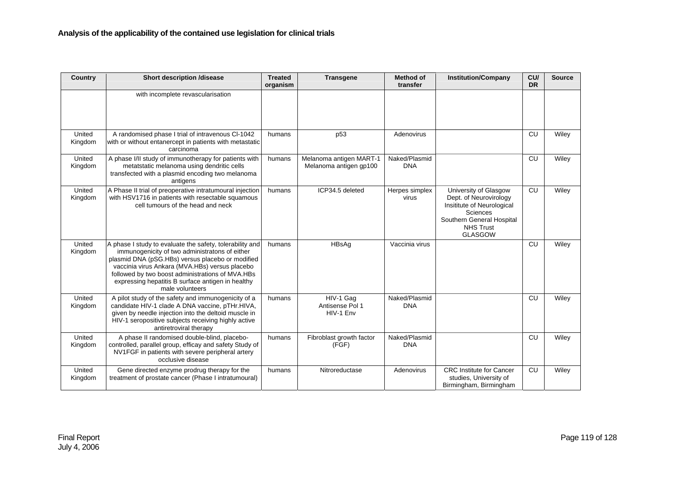| Country           | <b>Short description /disease</b>                                                                                                                                                                                                                                                                                                            | <b>Treated</b><br>organism | <b>Transgene</b>                                  | <b>Method of</b><br>transfer | <b>Institution/Company</b>                                                                                                                                   | CU/<br><b>DR</b> | <b>Source</b> |
|-------------------|----------------------------------------------------------------------------------------------------------------------------------------------------------------------------------------------------------------------------------------------------------------------------------------------------------------------------------------------|----------------------------|---------------------------------------------------|------------------------------|--------------------------------------------------------------------------------------------------------------------------------------------------------------|------------------|---------------|
|                   | with incomplete revascularisation                                                                                                                                                                                                                                                                                                            |                            |                                                   |                              |                                                                                                                                                              |                  |               |
| United<br>Kingdom | A randomised phase I trial of intravenous CI-1042<br>with or without entanercept in patients with metastatic<br>carcinoma                                                                                                                                                                                                                    | humans                     | p <sub>53</sub>                                   | Adenovirus                   |                                                                                                                                                              | CU               | Wiley         |
| United<br>Kingdom | A phase I/II study of immunotherapy for patients with<br>metatstatic melanoma using dendritic cells<br>transfected with a plasmid encoding two melanoma<br>antigens                                                                                                                                                                          | humans                     | Melanoma antigen MART-1<br>Melanoma antigen gp100 | Naked/Plasmid<br><b>DNA</b>  |                                                                                                                                                              | <b>CU</b>        | Wiley         |
| United<br>Kingdom | A Phase II trial of preoperative intratumoural injection<br>with HSV1716 in patients with resectable squamous<br>cell tumours of the head and neck                                                                                                                                                                                           | humans                     | ICP34.5 deleted                                   | Herpes simplex<br>virus      | University of Glasgow<br>Dept. of Neurovirology<br>Insititute of Neurological<br>Sciences<br>Southern General Hospital<br><b>NHS Trust</b><br><b>GLASGOW</b> | <b>CU</b>        | Wiley         |
| United<br>Kingdom | A phase I study to evaluate the safety, tolerability and<br>immunogenicity of two administratons of either<br>plasmid DNA (pSG.HBs) versus placebo or modified<br>vaccinia virus Ankara (MVA.HBs) versus placebo<br>followed by two boost administrations of MVA.HBs<br>expressing hepatitis B surface antigen in healthy<br>male volunteers | humans                     | HBsAg                                             | Vaccinia virus               |                                                                                                                                                              | CU               | Wiley         |
| United<br>Kingdom | A pilot study of the safety and immunogenicity of a<br>candidate HIV-1 clade A DNA vaccine, pTHr.HIVA,<br>given by needle injection into the deltoid muscle in<br>HIV-1 seropositive subjects receiving highly active<br>antiretroviral therapy                                                                                              | humans                     | HIV-1 Gag<br>Antisense Pol 1<br>HIV-1 Env         | Naked/Plasmid<br><b>DNA</b>  |                                                                                                                                                              | CU               | Wiley         |
| United<br>Kingdom | A phase II randomised double-blind, placebo-<br>controlled, parallel group, efficay and safety Study of<br>NV1FGF in patients with severe peripheral artery<br>occlusive disease                                                                                                                                                             | humans                     | Fibroblast growth factor<br>(FGF)                 | Naked/Plasmid<br><b>DNA</b>  |                                                                                                                                                              | CU               | Wiley         |
| United<br>Kingdom | Gene directed enzyme prodrug therapy for the<br>treatment of prostate cancer (Phase I intratumoural)                                                                                                                                                                                                                                         | humans                     | Nitroreductase                                    | Adenovirus                   | <b>CRC</b> Institute for Cancer<br>studies, University of<br>Birmingham, Birmingham                                                                          | <b>CU</b>        | Wiley         |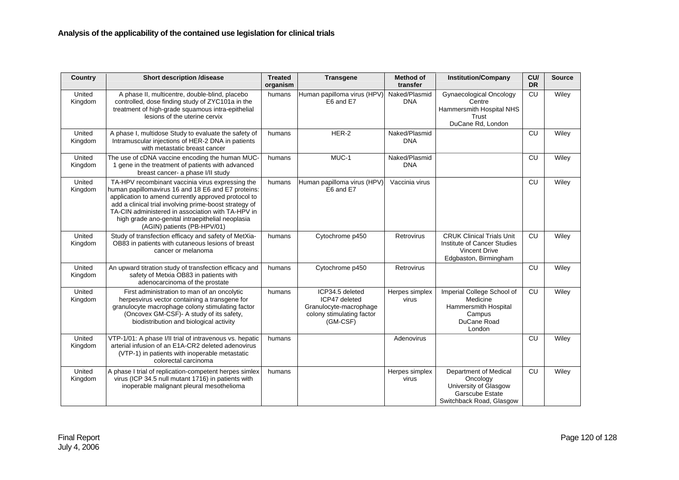| Country           | <b>Short description /disease</b>                                                                                                                                                                                                                                                                                                                               | <b>Treated</b><br>organism | <b>Transgene</b>                                                                                    | <b>Method of</b><br>transfer | <b>Institution/Company</b>                                                                                       | CU/<br><b>DR</b> | <b>Source</b> |
|-------------------|-----------------------------------------------------------------------------------------------------------------------------------------------------------------------------------------------------------------------------------------------------------------------------------------------------------------------------------------------------------------|----------------------------|-----------------------------------------------------------------------------------------------------|------------------------------|------------------------------------------------------------------------------------------------------------------|------------------|---------------|
| United<br>Kingdom | A phase II, multicentre, double-blind, placebo<br>controlled, dose finding study of ZYC101a in the<br>treatment of high-grade squamous intra-epithelial<br>lesions of the uterine cervix                                                                                                                                                                        | humans                     | Human papilloma virus (HPV)<br>E6 and E7                                                            | Naked/Plasmid<br><b>DNA</b>  | <b>Gynaecological Oncology</b><br>Centre<br>Hammersmith Hospital NHS<br>Trust<br>DuCane Rd, London               | CU               | Wiley         |
| United<br>Kingdom | A phase I, multidose Study to evaluate the safety of<br>Intramuscular injections of HER-2 DNA in patients<br>with metastatic breast cancer                                                                                                                                                                                                                      | humans                     | HER-2                                                                                               | Naked/Plasmid<br><b>DNA</b>  |                                                                                                                  | CU               | Wiley         |
| United<br>Kingdom | The use of cDNA vaccine encoding the human MUC-<br>1 gene in the treatment of patients with advanced<br>breast cancer- a phase I/II study                                                                                                                                                                                                                       | humans                     | MUC-1                                                                                               | Naked/Plasmid<br><b>DNA</b>  |                                                                                                                  | CU               | Wiley         |
| United<br>Kingdom | TA-HPV recombinant vaccinia virus expressing the<br>human papillomavirus 16 and 18 E6 and E7 proteins:<br>application to amend currently approved protocol to<br>add a clinical trial involving prime-boost strategy of<br>TA-CIN administered in association with TA-HPV in<br>high grade ano-genital intraepithelial neoplasia<br>(AGIN) patients (PB-HPV/01) | humans                     | Human papilloma virus (HPV)<br>E6 and E7                                                            | Vaccinia virus               |                                                                                                                  | CU               | Wiley         |
| United<br>Kingdom | Study of transfection efficacy and safety of MetXia-<br>OB83 in patients with cutaneous lesions of breast<br>cancer or melanoma                                                                                                                                                                                                                                 | humans                     | Cytochrome p450                                                                                     | Retrovirus                   | <b>CRUK Clinical Trials Unit</b><br>Institute of Cancer Studies<br><b>Vincent Drive</b><br>Edgbaston, Birmingham | CU               | Wiley         |
| United<br>Kingdom | An upward titration study of transfection efficacy and<br>safety of Metxia OB83 in patients with<br>adenocarcinoma of the prostate                                                                                                                                                                                                                              | humans                     | Cytochrome p450                                                                                     | Retrovirus                   |                                                                                                                  | CU               | Wiley         |
| United<br>Kingdom | First administration to man of an oncolytic<br>herpesvirus vector containing a transgene for<br>granulocyte macrophage colony stimulating factor<br>(Oncovex GM-CSF)- A study of its safety,<br>biodistribution and biological activity                                                                                                                         | humans                     | ICP34.5 deleted<br>ICP47 deleted<br>Granulocyte-macrophage<br>colony stimulating factor<br>(GM-CSF) | Herpes simplex<br>virus      | Imperial College School of<br>Medicine<br>Hammersmith Hospital<br>Campus<br>DuCane Road<br>London                | CU               | Wiley         |
| United<br>Kingdom | VTP-1/01: A phase I/II trial of intravenous vs. hepatic<br>arterial infusion of an E1A-CR2 deleted adenovirus<br>(VTP-1) in patients with inoperable metastatic<br>colorectal carcinoma                                                                                                                                                                         | humans                     |                                                                                                     | Adenovirus                   |                                                                                                                  | CU               | Wiley         |
| United<br>Kingdom | A phase I trial of replication-competent herpes simlex<br>virus (ICP 34.5 null mutant 1716) in patients with<br>inoperable malignant pleural mesothelioma                                                                                                                                                                                                       | humans                     |                                                                                                     | Herpes simplex<br>virus      | Department of Medical<br>Oncology<br>University of Glasgow<br>Garscube Estate<br>Switchback Road, Glasgow        | CU               | Wiley         |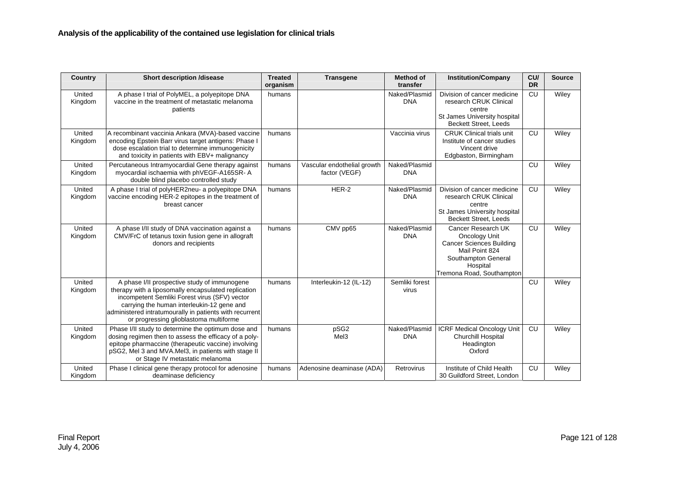| <b>Country</b>    | <b>Short description /disease</b>                                                                                                                                                                                                                                                                       | <b>Treated</b><br>organism | <b>Transgene</b>                             | <b>Method of</b><br>transfer | <b>Institution/Company</b>                                                                                                                               | CU/<br><b>DR</b> | <b>Source</b> |
|-------------------|---------------------------------------------------------------------------------------------------------------------------------------------------------------------------------------------------------------------------------------------------------------------------------------------------------|----------------------------|----------------------------------------------|------------------------------|----------------------------------------------------------------------------------------------------------------------------------------------------------|------------------|---------------|
| United<br>Kingdom | A phase I trial of PolyMEL, a polyepitope DNA<br>vaccine in the treatment of metastatic melanoma<br>patients                                                                                                                                                                                            | humans                     |                                              | Naked/Plasmid<br><b>DNA</b>  | Division of cancer medicine<br>research CRUK Clinical<br>centre<br>St James University hospital<br><b>Beckett Street. Leeds</b>                          | CU               | Wiley         |
| United<br>Kingdom | A recombinant vaccinia Ankara (MVA)-based vaccine<br>encoding Epstein Barr virus target antigens: Phase I<br>dose escalation trial to determine immunogenicity<br>and toxicity in patients with EBV+ malignancy                                                                                         | humans                     |                                              | Vaccinia virus               | <b>CRUK Clinical trials unit</b><br>Institute of cancer studies<br>Vincent drive<br>Edgbaston, Birmingham                                                | <b>CU</b>        | Wiley         |
| United<br>Kingdom | Percutaneous Intramyocardial Gene therapy against<br>myocardial ischaemia with phVEGF-A165SR- A<br>double blind placebo controlled study                                                                                                                                                                | humans                     | Vascular endothelial growth<br>factor (VEGF) | Naked/Plasmid<br><b>DNA</b>  |                                                                                                                                                          | <b>CU</b>        | Wiley         |
| United<br>Kingdom | A phase I trial of polyHER2neu- a polyepitope DNA<br>vaccine encoding HER-2 epitopes in the treatment of<br>breast cancer                                                                                                                                                                               | humans                     | HER-2                                        | Naked/Plasmid<br><b>DNA</b>  | Division of cancer medicine<br>research CRUK Clinical<br>centre<br>St James University hospital<br><b>Beckett Street, Leeds</b>                          | <b>CU</b>        | Wiley         |
| United<br>Kingdom | A phase I/II study of DNA vaccination against a<br>CMV/FrC of tetanus toxin fusion gene in allograft<br>donors and recipients                                                                                                                                                                           | humans                     | CMV pp65                                     | Naked/Plasmid<br><b>DNA</b>  | Cancer Research UK<br>Oncology Unit<br><b>Cancer Sciences Building</b><br>Mail Point 824<br>Southampton General<br>Hospital<br>Tremona Road, Southampton | <b>CU</b>        | Wiley         |
| United<br>Kingdom | A phase I/II prospective study of immunogene<br>therapy with a liposomally encapsulated replication<br>incompetent Semliki Forest virus (SFV) vector<br>carrying the human interleukin-12 gene and<br>administered intratumourally in patients with recurrent<br>or progressing glioblastoma multiforme | humans                     | Interleukin-12 (IL-12)                       | Semliki forest<br>virus      |                                                                                                                                                          | <b>CU</b>        | Wiley         |
| United<br>Kingdom | Phase I/II study to determine the optimum dose and<br>dosing regimen then to assess the efficacy of a poly-<br>epitope pharmaccine (therapeutic vaccine) involving<br>pSG2, Mel 3 and MVA.Mel3, in patients with stage II<br>or Stage IV metastatic melanoma                                            | humans                     | pSG2<br>Mel <sub>3</sub>                     | Naked/Plasmid<br><b>DNA</b>  | <b>ICRF Medical Oncology Unit</b><br><b>Churchill Hospital</b><br>Headington<br>Oxford                                                                   | CU               | Wiley         |
| United<br>Kingdom | Phase I clinical gene therapy protocol for adenosine<br>deaminase deficiency                                                                                                                                                                                                                            | humans                     | Adenosine deaminase (ADA)                    | Retrovirus                   | Institute of Child Health<br>30 Guildford Street, London                                                                                                 | <b>CU</b>        | Wiley         |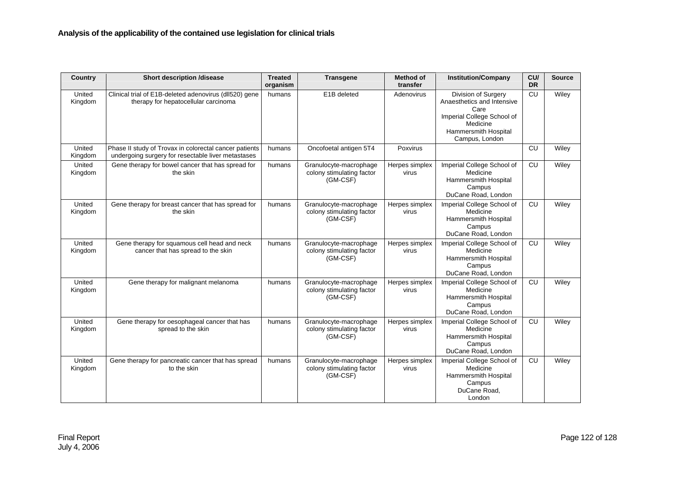| Country           | <b>Short description /disease</b>                                                                            | <b>Treated</b><br>organism | <b>Transgene</b>                                                | <b>Method of</b><br>transfer | <b>Institution/Company</b>                                                                                                                    | CU/<br><b>DR</b> | <b>Source</b> |
|-------------------|--------------------------------------------------------------------------------------------------------------|----------------------------|-----------------------------------------------------------------|------------------------------|-----------------------------------------------------------------------------------------------------------------------------------------------|------------------|---------------|
| United<br>Kingdom | Clinical trial of E1B-deleted adenovirus (dll520) gene<br>therapy for hepatocellular carcinoma               | humans                     | E1B deleted                                                     | Adenovirus                   | Division of Surgery<br>Anaesthetics and Intensive<br>Care<br>Imperial College School of<br>Medicine<br>Hammersmith Hospital<br>Campus, London | CU               | Wiley         |
| United<br>Kingdom | Phase II study of Trovax in colorectal cancer patients<br>undergoing surgery for resectable liver metastases | humans                     | Oncofoetal antigen 5T4                                          | Poxvirus                     |                                                                                                                                               | CU               | Wiley         |
| United<br>Kingdom | Gene therapy for bowel cancer that has spread for<br>the skin                                                | humans                     | Granulocyte-macrophage<br>colony stimulating factor<br>(GM-CSF) | Herpes simplex<br>virus      | Imperial College School of<br>Medicine<br>Hammersmith Hospital<br>Campus<br>DuCane Road, London                                               | CU               | Wiley         |
| United<br>Kingdom | Gene therapy for breast cancer that has spread for<br>the skin                                               | humans                     | Granulocyte-macrophage<br>colony stimulating factor<br>(GM-CSF) | Herpes simplex<br>virus      | Imperial College School of<br>Medicine<br>Hammersmith Hospital<br>Campus<br>DuCane Road, London                                               | <b>CU</b>        | Wiley         |
| United<br>Kingdom | Gene therapy for squamous cell head and neck<br>cancer that has spread to the skin                           | humans                     | Granulocyte-macrophage<br>colony stimulating factor<br>(GM-CSF) | Herpes simplex<br>virus      | Imperial College School of<br>Medicine<br>Hammersmith Hospital<br>Campus<br>DuCane Road, London                                               | <b>CU</b>        | Wiley         |
| United<br>Kingdom | Gene therapy for malignant melanoma                                                                          | humans                     | Granulocyte-macrophage<br>colony stimulating factor<br>(GM-CSF) | Herpes simplex<br>virus      | Imperial College School of<br>Medicine<br>Hammersmith Hospital<br>Campus<br>DuCane Road, London                                               | CU               | Wiley         |
| United<br>Kingdom | Gene therapy for oesophageal cancer that has<br>spread to the skin                                           | humans                     | Granulocyte-macrophage<br>colony stimulating factor<br>(GM-CSF) | Herpes simplex<br>virus      | Imperial College School of<br>Medicine<br>Hammersmith Hospital<br>Campus<br>DuCane Road, London                                               | CU               | Wiley         |
| United<br>Kingdom | Gene therapy for pancreatic cancer that has spread<br>to the skin                                            | humans                     | Granulocyte-macrophage<br>colony stimulating factor<br>(GM-CSF) | Herpes simplex<br>virus      | Imperial College School of<br>Medicine<br>Hammersmith Hospital<br>Campus<br>DuCane Road,<br>London                                            | CU               | Wiley         |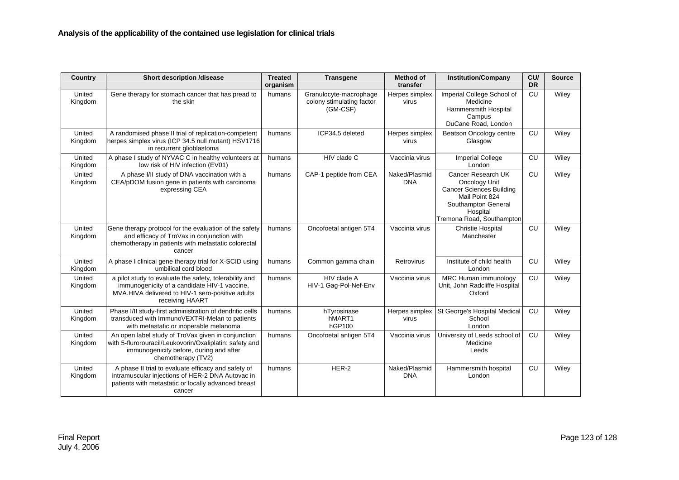| Country           | <b>Short description /disease</b>                                                                                                                                              | <b>Treated</b><br>organism | <b>Transgene</b>                                                | Method of<br>transfer       | <b>Institution/Company</b>                                                                                                                               | CU<br><b>DR</b> | <b>Source</b> |
|-------------------|--------------------------------------------------------------------------------------------------------------------------------------------------------------------------------|----------------------------|-----------------------------------------------------------------|-----------------------------|----------------------------------------------------------------------------------------------------------------------------------------------------------|-----------------|---------------|
| United<br>Kingdom | Gene therapy for stomach cancer that has pread to<br>the skin                                                                                                                  | humans                     | Granulocyte-macrophage<br>colony stimulating factor<br>(GM-CSF) | Herpes simplex<br>virus     | Imperial College School of<br>Medicine<br>Hammersmith Hospital<br>Campus<br>DuCane Road, London                                                          | <b>CU</b>       | Wiley         |
| United<br>Kingdom | A randomised phase II trial of replication-competent<br>herpes simplex virus (ICP 34.5 null mutant) HSV1716<br>in recurrent glioblastoma                                       | humans                     | ICP34.5 deleted                                                 | Herpes simplex<br>virus     | Beatson Oncology centre<br>Glasgow                                                                                                                       | CU              | Wiley         |
| United<br>Kingdom | A phase I study of NYVAC C in healthy volunteers at<br>low risk of HIV infection (EV01)                                                                                        | humans                     | HIV clade C                                                     | Vaccinia virus              | <b>Imperial College</b><br>London                                                                                                                        | CU              | Wiley         |
| United<br>Kingdom | A phase I/II study of DNA vaccination with a<br>CEA/pDOM fusion gene in patients with carcinoma<br>expressing CEA                                                              | humans                     | CAP-1 peptide from CEA                                          | Naked/Plasmid<br><b>DNA</b> | Cancer Research UK<br>Oncology Unit<br><b>Cancer Sciences Building</b><br>Mail Point 824<br>Southampton General<br>Hospital<br>Tremona Road, Southampton | CU              | Wiley         |
| United<br>Kingdom | Gene therapy protocol for the evaluation of the safety<br>and efficacy of TroVax in conjunction with<br>chemotherapy in patients with metastatic colorectal<br>cancer          | humans                     | Oncofoetal antigen 5T4                                          | Vaccinia virus              | Christie Hospital<br>Manchester                                                                                                                          | CU              | Wiley         |
| United<br>Kingdom | A phase I clinical gene therapy trial for X-SCID using<br>umbilical cord blood                                                                                                 | humans                     | Common gamma chain                                              | Retrovirus                  | Institute of child health<br>London                                                                                                                      | CU              | Wiley         |
| United<br>Kingdom | a pilot study to evaluate the safety, tolerability and<br>immunogenicity of a candidate HIV-1 vaccine,<br>MVA.HIVA delivered to HIV-1 sero-positive adults<br>receiving HAART  | humans                     | HIV clade A<br>HIV-1 Gag-Pol-Nef-Env                            | Vaccinia virus              | MRC Human immunology<br>Unit, John Radcliffe Hospital<br>Oxford                                                                                          | CU              | Wiley         |
| United<br>Kingdom | Phase I/II study-first administration of dendritic cells<br>transduced with ImmunoVEXTRI-Melan to patients<br>with metastatic or inoperable melanoma                           | humans                     | hTyrosinase<br>hMART1<br>hGP100                                 | Herpes simplex<br>virus     | St George's Hospital Medical<br>School<br>London                                                                                                         | CU              | Wiley         |
| United<br>Kingdom | An open label study of TroVax given in conjunction<br>with 5-flurorouracil/Leukovorin/Oxaliplatin: safety and<br>immunogenicity before, during and after<br>chemotherapy (TV2) | humans                     | Oncofoetal antigen 5T4                                          | Vaccinia virus              | University of Leeds school of<br>Medicine<br>Leeds                                                                                                       | CU              | Wiley         |
| United<br>Kingdom | A phase II trial to evaluate efficacy and safety of<br>intramuscular injections of HER-2 DNA Autovac in<br>patients with metastatic or locally advanced breast<br>cancer       | humans                     | HER-2                                                           | Naked/Plasmid<br><b>DNA</b> | Hammersmith hospital<br>London                                                                                                                           | CU              | Wiley         |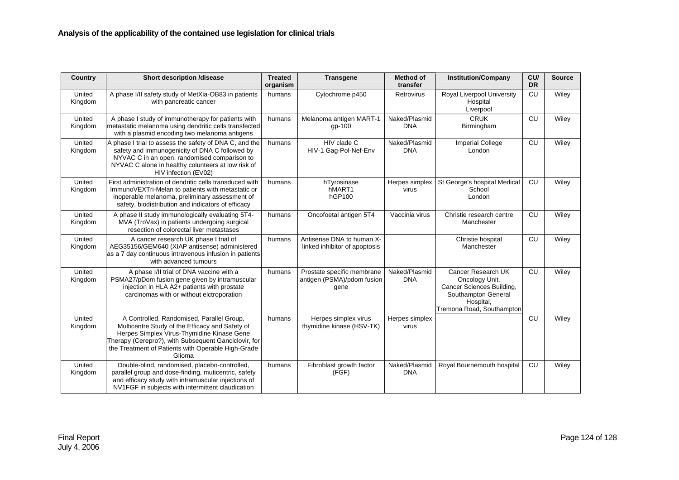| Country           | <b>Short description /disease</b>                                                                                                                                                                                                                                  | <b>Treated</b><br>organism | <b>Transgene</b>                                                 | <b>Method of</b><br>transfer | <b>Institution/Company</b>                                                                                                         | CU/<br><b>DR</b> | <b>Source</b> |
|-------------------|--------------------------------------------------------------------------------------------------------------------------------------------------------------------------------------------------------------------------------------------------------------------|----------------------------|------------------------------------------------------------------|------------------------------|------------------------------------------------------------------------------------------------------------------------------------|------------------|---------------|
| United<br>Kingdom | A phase I/II safety study of MetXia-OB83 in patients<br>with pancreatic cancer                                                                                                                                                                                     | humans                     | Cytochrome p450                                                  | Retrovirus                   | Royal Liverpool University<br>Hospital<br>Liverpool                                                                                | CU               | Wiley         |
| United<br>Kingdom | A phase I study of immunotherapy for patients with<br>metastatic melanoma using dendritic cells transfected<br>with a plasmid encoding two melanoma antigens                                                                                                       | humans                     | Melanoma antigen MART-1<br>$qp-100$                              | Naked/Plasmid<br><b>DNA</b>  | <b>CRUK</b><br>Birmingham                                                                                                          | CU               | Wiley         |
| United<br>Kingdom | A phase I trial to assess the safety of DNA C, and the<br>safety and immunogenicity of DNA C followed by<br>NYVAC C in an open, randomised comparison to<br>NYVAC C alone in healthy colunteers at low risk of<br>HIV infection (EV02)                             | humans                     | HIV clade C<br>HIV-1 Gag-Pol-Nef-Env                             | Naked/Plasmid<br><b>DNA</b>  | <b>Imperial College</b><br>London                                                                                                  | CU               | Wiley         |
| United<br>Kingdom | First administration of dendritic cells transduced with<br>ImmunoVEXTri-Melan to patients with metastatic or<br>inoperable melanoma, preliminary assessment of<br>safety, biodistribution and indicators of efficacy                                               | humans                     | hTyrosinase<br>hMART1<br>hGP100                                  | Herpes simplex<br>virus      | St George's hospital Medical<br>School<br>London                                                                                   | CU               | Wiley         |
| United<br>Kingdom | A phase II study immunologically evaluating 5T4-<br>MVA (TroVax) in patients undergoing surgical<br>resection of colorectal liver metastases                                                                                                                       | humans                     | Oncofoetal antigen 5T4                                           | Vaccinia virus               | Christie research centre<br>Manchester                                                                                             | CU               | Wiley         |
| United<br>Kingdom | A cancer research UK phase I trial of<br>AEG35156/GEM640 (XIAP antisense) administered<br>as a 7 day continuous intravenous infusion in patients<br>with advanced tumours                                                                                          | humans                     | Antisense DNA to human X-<br>linked inhibitor of apoptosis       |                              | Christie hospital<br>Manchester                                                                                                    | CU               | Wiley         |
| United<br>Kingdom | A phase I/II trial of DNA vaccine with a<br>PSMA27/pDom fusion gene given by intramuscular<br>injection in HLA A2+ patients with prostate<br>carcinomas with or without elctroporation                                                                             | humans                     | Prostate specific membrane<br>antigen (PSMA)/pdom fusion<br>gene | Naked/Plasmid<br><b>DNA</b>  | Cancer Research UK<br>Oncology Unit,<br>Cancer Sciences Building,<br>Southampton General<br>Hospital,<br>Tremona Road, Southampton | CU               | Wiley         |
| United<br>Kingdom | A Controlled, Randomised, Parallel Group,<br>Multicentre Study of the Efficacy and Safety of<br>Herpes Simplex Virus-Thymidine Kinase Gene<br>Therapy (Cerepro?), with Subsequent Ganciclovir, for<br>the Treatment of Patients with Operable High-Grade<br>Glioma | humans                     | Herpes simplex virus<br>thymidine kinase (HSV-TK)                | Herpes simplex<br>virus      |                                                                                                                                    | CU               | Wiley         |
| United<br>Kingdom | Double-blind, randomised, placebo-controlled,<br>parallel group and dose-finding, muticentric, safety<br>and efficacy study with intramuscular injections of<br>NV1FGF in subjects with intermittent claudication                                                  | humans                     | Fibroblast growth factor<br>(FGF)                                | Naked/Plasmid<br><b>DNA</b>  | Royal Bournemouth hospital                                                                                                         | CU               | Wiley         |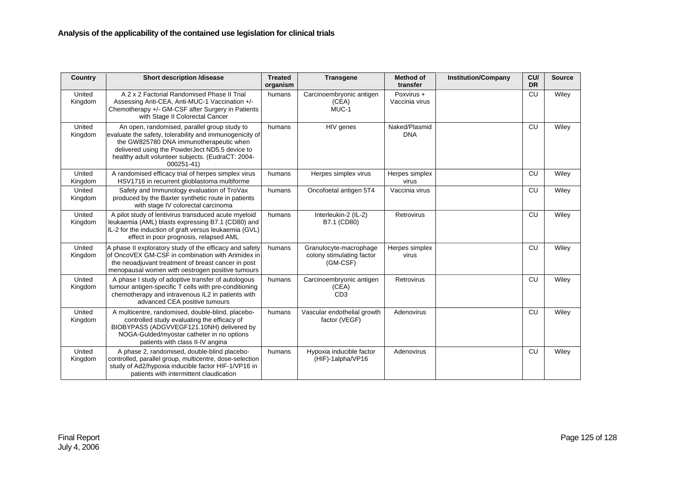| <b>Country</b>    | <b>Short description /disease</b>                                                                                                                                                                                                                                          | <b>Treated</b><br>organism | <b>Transgene</b>                                                | <b>Method of</b><br>transfer | <b>Institution/Company</b> | CU/<br><b>DR</b> | <b>Source</b> |
|-------------------|----------------------------------------------------------------------------------------------------------------------------------------------------------------------------------------------------------------------------------------------------------------------------|----------------------------|-----------------------------------------------------------------|------------------------------|----------------------------|------------------|---------------|
| United<br>Kingdom | A 2 x 2 Factorial Randomised Phase II Trial<br>Assessing Anti-CEA, Anti-MUC-1 Vaccination +/-<br>Chemotherapy +/- GM-CSF after Surgery in Patients<br>with Stage II Colorectal Cancer                                                                                      | humans                     | Carcinoembryonic antigen<br>(CEA)<br>MUC-1                      | Poxvirus +<br>Vaccinia virus |                            | <b>CU</b>        | Wiley         |
| United<br>Kingdom | An open, randomised, parallel group study to<br>evaluate the safety, tolerability and immunogenicity of<br>the GW825780 DNA immunotherapeutic when<br>delivered using the PowderJect ND5.5 device to<br>healthy adult volunteer subjects. (EudraCT: 2004-<br>$000251 - 41$ | humans                     | HIV genes                                                       | Naked/Plasmid<br><b>DNA</b>  |                            | CU               | Wiley         |
| United<br>Kingdom | A randomised efficacy trial of herpes simplex virus<br>HSV1716 in recurrent glioblastoma multiforme                                                                                                                                                                        | humans                     | Herpes simplex virus                                            | Herpes simplex<br>virus      |                            | CU               | Wiley         |
| United<br>Kingdom | Safety and Immunology evaluation of TroVax<br>produced by the Baxter synthetic route in patients<br>with stage IV colorectal carcinoma                                                                                                                                     | humans                     | Oncofoetal antigen 5T4                                          | Vaccinia virus               |                            | CU               | Wiley         |
| United<br>Kingdom | A pilot study of lentivirus transduced acute myeloid<br>leukaemia (AML) blasts expressing B7.1 (CD80) and<br>IL-2 for the induction of graft versus leukaemia (GVL)<br>effect in poor prognosis, relapsed AML                                                              | humans                     | Interleukin-2 (IL-2)<br>B7.1 (CD80)                             | Retrovirus                   |                            | <b>CU</b>        | Wiley         |
| United<br>Kingdom | A phase II exploratory study of the efficacy and safety<br>of OncoVEX GM-CSF in combination with Arimidex in<br>the neoadjuvant treatment of breast cancer in post<br>menopausal women with oestrogen positive tumours                                                     | humans                     | Granulocyte-macrophage<br>colony stimulating factor<br>(GM-CSF) | Herpes simplex<br>virus      |                            | <b>CU</b>        | Wiley         |
| United<br>Kingdom | A phase I study of adoptive transfer of autologous<br>tumour antigen-specific T cells with pre-conditioning<br>chemotherapy and intravenous IL2 in patients with<br>advanced CEA positive tumours                                                                          | humans                     | Carcinoembryonic antigen<br>(CEA)<br>CD <sub>3</sub>            | Retrovirus                   |                            | CU               | Wiley         |
| United<br>Kingdom | A multicentre, randomised, double-blind, placebo-<br>controlled study evaluating the efficacy of<br>BIOBYPASS (ADGVVEGF121.10NH) delivered by<br>NOGA-Gulded/myostar catheter in no options<br>patients with class II-IV angina                                            | humans                     | Vascular endothelial growth<br>factor (VEGF)                    | Adenovirus                   |                            | CU               | Wiley         |
| United<br>Kingdom | A phase 2, randomised, double-blind placebo-<br>controlled, parallel group, multicentre, dose-selection<br>study of Ad2/hypoxia inducible factor HIF-1/VP16 in<br>patients with intermittent claudication                                                                  | humans                     | Hypoxia inducible factor<br>(HIF)-1alpha/VP16                   | Adenovirus                   |                            | <b>CU</b>        | Wiley         |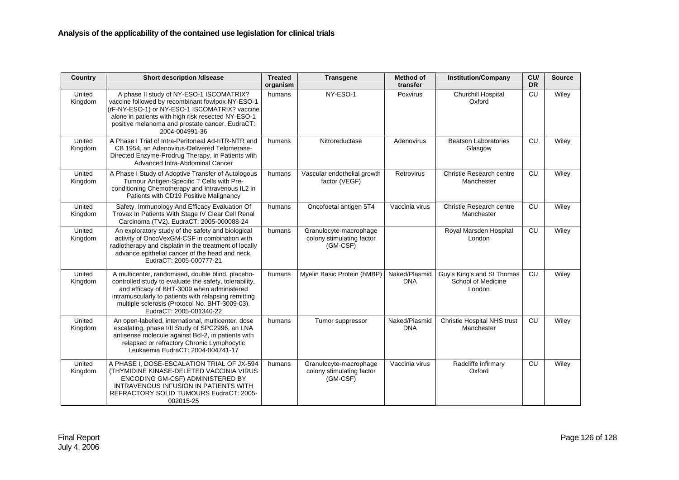| Country           | <b>Short description /disease</b>                                                                                                                                                                                                                                                              | <b>Treated</b><br>organism | <b>Transgene</b>                                                | <b>Method of</b><br>transfer | <b>Institution/Company</b>                                 | CU/<br><b>DR</b> | <b>Source</b> |
|-------------------|------------------------------------------------------------------------------------------------------------------------------------------------------------------------------------------------------------------------------------------------------------------------------------------------|----------------------------|-----------------------------------------------------------------|------------------------------|------------------------------------------------------------|------------------|---------------|
| United<br>Kingdom | A phase II study of NY-ESO-1 ISCOMATRIX?<br>vaccine followed by recombinant fowlpox NY-ESO-1<br>(rF-NY-ESO-1) or NY-ESO-1 ISCOMATRIX? vaccine<br>alone in patients with high risk resected NY-ESO-1<br>positive melanoma and prostate cancer. EudraCT:<br>2004-004991-36                       | humans                     | NY-ESO-1                                                        | Poxvirus                     | <b>Churchill Hospital</b><br>Oxford                        | CU               | Wiley         |
| United<br>Kingdom | A Phase I Trial of Intra-Peritoneal Ad-hTR-NTR and<br>CB 1954, an Adenovirus-Delivered Telomerase-<br>Directed Enzyme-Prodrug Therapy, in Patients with<br>Advanced Intra-Abdominal Cancer                                                                                                     | humans                     | Nitroreductase                                                  | Adenovirus                   | <b>Beatson Laboratories</b><br>Glasgow                     | CU               | Wiley         |
| United<br>Kingdom | A Phase I Study of Adoptive Transfer of Autologous<br>Tumour Antigen-Specific T Cells with Pre-<br>conditioning Chemotherapy and Intravenous IL2 in<br>Patients with CD19 Positive Malignancy                                                                                                  | humans                     | Vascular endothelial growth<br>factor (VEGF)                    | Retrovirus                   | Christie Research centre<br>Manchester                     | CU               | Wiley         |
| United<br>Kingdom | Safety, Immunology And Efficacy Evaluation Of<br>Trovax In Patients With Stage IV Clear Cell Renal<br>Carcinoma (TV2). EudraCT: 2005-000088-24                                                                                                                                                 | humans                     | Oncofoetal antigen 5T4                                          | Vaccinia virus               | Christie Research centre<br>Manchester                     | CU               | Wiley         |
| United<br>Kingdom | An exploratory study of the safety and biological<br>activity of OncoVexGM-CSF in combination with<br>radiotherapy and cisplatin in the treatment of locally<br>advance epithelial cancer of the head and neck.<br>EudraCT: 2005-000777-21                                                     | humans                     | Granulocyte-macrophage<br>colony stimulating factor<br>(GM-CSF) |                              | Royal Marsden Hospital<br>London                           | CU               | Wiley         |
| United<br>Kingdom | A multicenter, randomised, double blind, placebo-<br>controlled study to evaluate the safety, tolerability,<br>and efficacy of BHT-3009 when administered<br>intramuscularly to patients with relapsing remitting<br>multiple sclerosis (Protocol No. BHT-3009-03).<br>EudraCT: 2005-001340-22 | humans                     | Myelin Basic Protein (hMBP)                                     | Naked/Plasmid<br><b>DNA</b>  | Guy's King's and St Thomas<br>School of Medicine<br>London | CU               | Wiley         |
| United<br>Kingdom | An open-labelled, international, multicenter, dose<br>escalating, phase I/II Study of SPC2996, an LNA<br>antisense molecule against Bcl-2, in patients with<br>relapsed or refractory Chronic Lymphocytic<br>Leukaemia EudraCT: 2004-004741-17                                                 | humans                     | Tumor suppressor                                                | Naked/Plasmid<br><b>DNA</b>  | <b>Christie Hospital NHS trust</b><br>Manchester           | <b>CU</b>        | Wiley         |
| United<br>Kingdom | A PHASE I, DOSE-ESCALATION TRIAL OF JX-594<br>(THYMIDINE KINASE-DELETED VACCINIA VIRUS<br>ENCODING GM-CSF) ADMINISTERED BY<br>INTRAVENOUS INFUSION IN PATIENTS WITH<br>REFRACTORY SOLID TUMOURS EudraCT: 2005-<br>002015-25                                                                    | humans                     | Granulocyte-macrophage<br>colony stimulating factor<br>(GM-CSF) | Vaccinia virus               | Radcliffe infirmary<br>Oxford                              | CU               | Wiley         |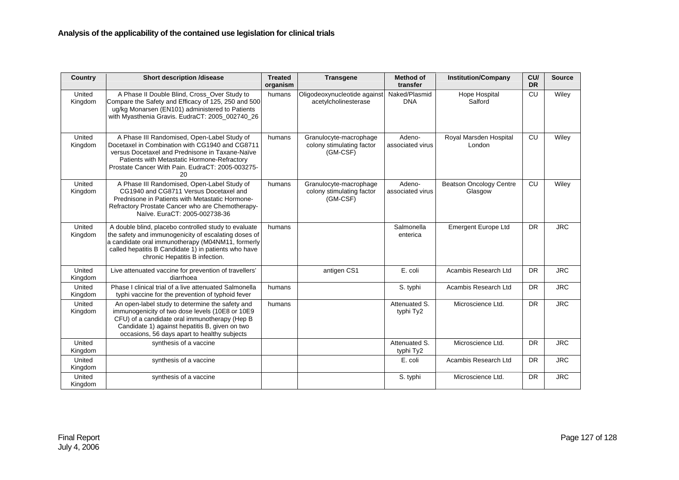| Country           | <b>Short description /disease</b>                                                                                                                                                                                                                           | <b>Treated</b><br>organism | <b>Transgene</b>                                                | <b>Method of</b><br>transfer | <b>Institution/Company</b>                | CU/<br><b>DR</b> | <b>Source</b> |
|-------------------|-------------------------------------------------------------------------------------------------------------------------------------------------------------------------------------------------------------------------------------------------------------|----------------------------|-----------------------------------------------------------------|------------------------------|-------------------------------------------|------------------|---------------|
| United<br>Kingdom | A Phase II Double Blind, Cross Over Study to<br>Compare the Safety and Efficacy of 125, 250 and 500<br>ug/kg Monarsen (EN101) administered to Patients<br>with Myasthenia Gravis. EudraCT: 2005_002740_26                                                   | humans                     | Oligodeoxynucleotide against<br>acetylcholinesterase            | Naked/Plasmid<br><b>DNA</b>  | Hope Hospital<br>Salford                  | CU               | Wiley         |
| United<br>Kingdom | A Phase III Randomised, Open-Label Study of<br>Docetaxel in Combination with CG1940 and CG8711<br>versus Docetaxel and Prednisone in Taxane-Naïve<br>Patients with Metastatic Hormone-Refractory<br>Prostate Cancer With Pain. EudraCT: 2005-003275-<br>20  | humans                     | Granulocyte-macrophage<br>colony stimulating factor<br>(GM-CSF) | Adeno-<br>associated virus   | Royal Marsden Hospital<br>London          | CU               | Wiley         |
| United<br>Kingdom | A Phase III Randomised, Open-Label Study of<br>CG1940 and CG8711 Versus Docetaxel and<br>Prednisone in Patients with Metastatic Hormone-<br>Refractory Prostate Cancer who are Chemotherapy-<br>Naïve, EuraCT: 2005-002738-36                               | humans                     | Granulocyte-macrophage<br>colony stimulating factor<br>(GM-CSF) | Adeno-<br>associated virus   | <b>Beatson Oncology Centre</b><br>Glasgow | CU               | Wiley         |
| United<br>Kingdom | A double blind, placebo controlled study to evaluate<br>the safety and immunogenicity of escalating doses of<br>a candidate oral immunotherapy (M04NM11, formerly<br>called hepatitis B Candidate 1) in patients who have<br>chronic Hepatitis B infection. | humans                     |                                                                 | Salmonella<br>enterica       | Emergent Europe Ltd                       | <b>DR</b>        | <b>JRC</b>    |
| United<br>Kingdom | Live attenuated vaccine for prevention of travellers'<br>diarrhoea                                                                                                                                                                                          |                            | antigen CS1                                                     | E. coli                      | Acambis Research Ltd                      | <b>DR</b>        | <b>JRC</b>    |
| United<br>Kingdom | Phase I clinical trial of a live attenuated Salmonella<br>typhi vaccine for the prevention of typhoid fever                                                                                                                                                 | humans                     |                                                                 | S. typhi                     | Acambis Research Ltd                      | <b>DR</b>        | <b>JRC</b>    |
| United<br>Kingdom | An open-label study to determine the safety and<br>immunogenicity of two dose levels (10E8 or 10E9<br>CFU) of a candidate oral immunotherapy (Hep B<br>Candidate 1) against hepatitis B, given on two<br>occasions, 56 days apart to healthy subjects       | humans                     |                                                                 | Attenuated S.<br>typhi Ty2   | Microscience Ltd.                         | <b>DR</b>        | <b>JRC</b>    |
| United<br>Kingdom | synthesis of a vaccine                                                                                                                                                                                                                                      |                            |                                                                 | Attenuated S.<br>typhi Ty2   | Microscience Ltd.                         | <b>DR</b>        | <b>JRC</b>    |
| United<br>Kingdom | synthesis of a vaccine                                                                                                                                                                                                                                      |                            |                                                                 | E. coli                      | Acambis Research Ltd                      | <b>DR</b>        | <b>JRC</b>    |
| United<br>Kingdom | synthesis of a vaccine                                                                                                                                                                                                                                      |                            |                                                                 | S. typhi                     | Microscience Ltd.                         | <b>DR</b>        | <b>JRC</b>    |